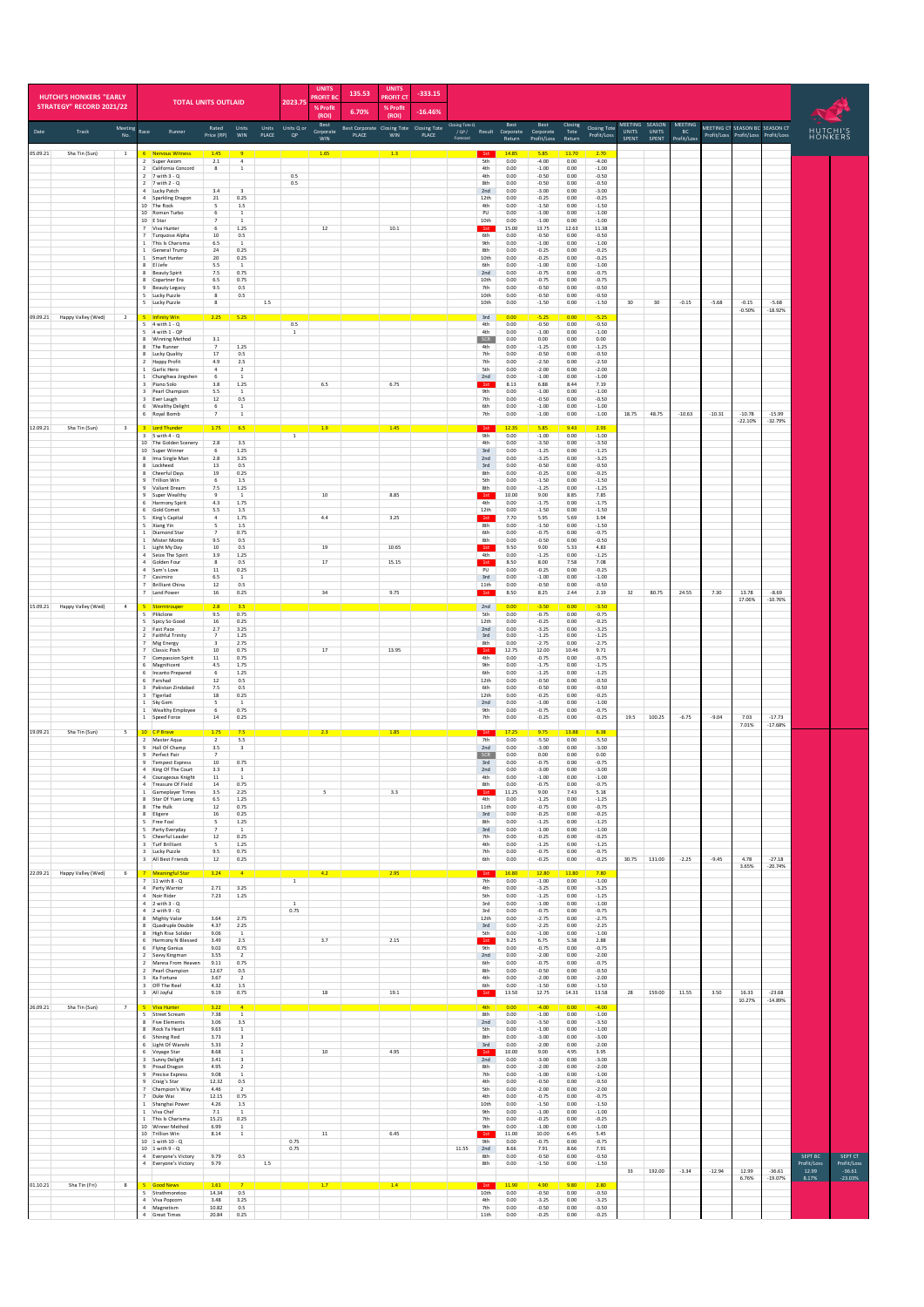|          | <b>HUTCHI'S HONKERS "EARLY</b><br><b>STRATEGY" RECORD 2021/22</b> |                          |                                | <b>TOTAL UNITS OUTLAID</b>                                                |                              |                                                          |         | 2023.75                | <b>UNITS</b><br><b>ROFIT B</b><br>% Profit<br>(ROI) | 135.53<br>6.70%                                          | <b>UNITS</b><br><b>PROFIT CT</b><br>% Profit<br>(ROI) | $-333.15$<br>$-16.46%$ |                                    |                          |                                    |                                  |                          |                               |                       |                                         |                                     |          |                                                                       |                       |                                 |                                    |
|----------|-------------------------------------------------------------------|--------------------------|--------------------------------|---------------------------------------------------------------------------|------------------------------|----------------------------------------------------------|---------|------------------------|-----------------------------------------------------|----------------------------------------------------------|-------------------------------------------------------|------------------------|------------------------------------|--------------------------|------------------------------------|----------------------------------|--------------------------|-------------------------------|-----------------------|-----------------------------------------|-------------------------------------|----------|-----------------------------------------------------------------------|-----------------------|---------------------------------|------------------------------------|
| Date     | Track                                                             | Meeting<br>No.           | Race                           | Runner                                                                    | Rated<br>Price (RP)          | Units<br>WIN                                             | PLACE   | Units Units Q or<br>QP | Best<br>Corporate                                   | Best Corporate Closing Tote Closing Tote<br><b>PLACE</b> | WIN                                                   | PLACE                  | Closing Tote Q<br>/QP/<br>Forecast |                          | Best<br>Result Corporate<br>Return | Best<br>Corporate<br>Profit/Los: | Closing<br>Tote<br>Retun | Closing Tote<br>Profit/Loss   | <b>UNITS</b><br>SPENT | MEETING SEASON<br><b>UNITS</b><br>SPENT | MEETING<br><b>BC</b><br>Profit/Los: |          | MEETING CT SEASON BC SEASON CT<br>Profit/Loss Profit/Loss Profit/Loss |                       | HUTCHI'S<br>HONKERS             |                                    |
| 05.09.21 | Sha Tin (Sun)                                                     | $\,$ 1                   | $\overline{2}$                 | <b>Nervous Witness</b><br>Super Axiom                                     | 1.45<br>2.1                  | $\overline{4}$                                           |         |                        | 1.65                                                |                                                          | 1.3                                                   |                        |                                    | 1st<br>5th               | 14.85<br>0.00                      | 5.85<br>$-4.00$                  | 11.70<br>0.00            | 2.70<br>$-4.00$               |                       |                                         |                                     |          |                                                                       |                       |                                 |                                    |
|          |                                                                   |                          |                                | 2 California Concord<br>2 7 with 3 - Q                                    | 8                            | $\mathbf{1}$                                             |         | 0.5                    |                                                     |                                                          |                                                       |                        |                                    | 4th<br>4th               | 0.00<br>0.00                       | $-1.00$<br>$-0.50$               | 0.00<br>0.00             | $-1.00$<br>$-0.50$            |                       |                                         |                                     |          |                                                                       |                       |                                 |                                    |
|          |                                                                   |                          |                                | 7 with 2 - Q<br>Lucky Patch<br>4 Sparkling Dragon                         | 3.4<br>21                    | $\overline{\phantom{a}}$<br>0.25                         |         | 0.5                    |                                                     |                                                          |                                                       |                        |                                    | 8th<br>2nd<br>12th       | 0.00<br>0.00<br>0.00               | $-0.50$<br>$-3.00$<br>$-0.25$    | 0.00<br>0.00<br>0.00     | $-0.50$<br>$-3.00$<br>$-0.25$ |                       |                                         |                                     |          |                                                                       |                       |                                 |                                    |
|          |                                                                   |                          |                                | 10 The Rock<br>10 Roman Turbo                                             | 5<br>6                       | 1.5<br>$\,$ 1                                            |         |                        |                                                     |                                                          |                                                       |                        |                                    | 4th<br>PU                | 0.00<br>0.00                       | $-1.50$<br>$-1.00$               | 0.00<br>0.00             | $-1.50$<br>$-1.00$            |                       |                                         |                                     |          |                                                                       |                       |                                 |                                    |
|          |                                                                   |                          |                                | 10 E Star<br>Viva Hunter<br>Turquoise Alpha                               | 6<br>10                      | 1.25<br>0.5                                              |         |                        | 12                                                  |                                                          | 10.1                                                  |                        |                                    | 10th<br>1st<br>6th       | 0.00<br>15.00<br>0.00              | $-1.00$<br>13.75<br>$-0.50$      | 0.00<br>12.63<br>0.00    | $-1.00$<br>11.38<br>$-0.50$   |                       |                                         |                                     |          |                                                                       |                       |                                 |                                    |
|          |                                                                   |                          |                                | 1 This Is Charisma<br>1 General Trump<br>Smart Hunter                     | 6.5<br>24<br>$20\,$          | <sup>1</sup><br>0.25<br>0.25                             |         |                        |                                                     |                                                          |                                                       |                        |                                    | 9th<br>8th<br>10th       | 0.00<br>0.00<br>0.00               | $-1.00$<br>$-0.25$<br>$-0.25$    | 0.00<br>0.00<br>0.00     | $-1.00$<br>$-0.25$<br>$-0.25$ |                       |                                         |                                     |          |                                                                       |                       |                                 |                                    |
|          |                                                                   |                          |                                | El Jefe<br><b>Beauty Spirit</b>                                           | 5.5<br>7.5                   | $\overline{1}$<br>0.75                                   |         |                        |                                                     |                                                          |                                                       |                        |                                    | 6th<br>2nd               | 0.00<br>0.00                       | $-1.00$<br>$-0.75$               | 0.00<br>0.00             | $-1.00$<br>$-0.75$            |                       |                                         |                                     |          |                                                                       |                       |                                 |                                    |
|          |                                                                   |                          | 8                              | Copartner Era<br><b>Beauty Legacy</b><br>Lucky Puzzle                     | 6.5<br>9.5<br>8              | 0.75<br>0.5<br>$0.5\,$                                   |         |                        |                                                     |                                                          |                                                       |                        |                                    | 10th<br>7th<br>10th      | 0.00<br>0.00<br>0.00               | $-0.75$<br>$-0.50$<br>$-0.50$    | 0.00<br>0.00<br>$0.00\,$ | $-0.75$<br>$-0.50$<br>$-0.50$ |                       |                                         |                                     |          |                                                                       |                       |                                 |                                    |
|          |                                                                   |                          |                                | Lucky Puzzle                                                              | 8                            |                                                          | $1.5\,$ |                        |                                                     |                                                          |                                                       |                        |                                    | 10th                     | 0.00                               | $-1.50$                          | 0.00                     | $-1.50$                       | 30                    | 30                                      | $-0.15$                             | $-5.68$  | $-0.15$<br>$-0.50%$                                                   | $-5.68$<br>$-18.92%$  |                                 |                                    |
|          | 09.09.21 Happy Valley (Wed)                                       | $\overline{2}$           | -5                             | 5 Infinity Win<br>4 with 1 - Q<br>5 4 with 1 - QP                         | 2.25                         | 5.25                                                     |         | 0.5<br>$\,$ 1          |                                                     |                                                          |                                                       |                        |                                    | 3rd<br>4th<br>4th        | 0.00<br>0.00<br>0.00               | $-5.25$<br>$-0.50$<br>$-1.00$    | 0.00<br>0.00<br>0.00     | $-5.25$<br>$-0.50$<br>$-1.00$ |                       |                                         |                                     |          |                                                                       |                       |                                 |                                    |
|          |                                                                   |                          |                                | Winning Method<br>The Runner                                              | 3.1<br>$\overline{7}$        | $1.25\,$                                                 |         |                        |                                                     |                                                          |                                                       |                        |                                    | SCR<br>4th               | 0.00<br>0.00                       | 0.00<br>$-1.25$                  | 0.00<br>0.00             | 0.00<br>$-1.25$               |                       |                                         |                                     |          |                                                                       |                       |                                 |                                    |
|          |                                                                   |                          |                                | 8 Lucky Quality<br>2 Happy Profit<br>1 Garlic Hero                        | $17\,$<br>4.9<br>$\ddot{a}$  | 0.5<br>2.5<br>$\overline{2}$                             |         |                        |                                                     |                                                          |                                                       |                        |                                    | 7th<br>7th<br>5th        | 0.00<br>0.00<br>0.00               | $-0.50$<br>$-2.50$<br>$-2.00$    | 0.00<br>0.00<br>0.00     | $-0.50$<br>$-2.50$<br>$-2.00$ |                       |                                         |                                     |          |                                                                       |                       |                                 |                                    |
|          |                                                                   |                          |                                | Chunghwa Jingshen<br>Piano Solo                                           | 6<br>3.8                     | $\overline{1}$<br>1.25                                   |         |                        | $6.5\,$                                             |                                                          | 6.75                                                  |                        |                                    | 2nd<br>1st               | 0.00<br>8.13                       | $-1.00$<br>6.88                  | 0.00<br>8.44             | $-1.00$<br>7.19               |                       |                                         |                                     |          |                                                                       |                       |                                 |                                    |
|          |                                                                   |                          | $\overline{\mathbf{3}}$        | Pearl Champion<br>3 Ever Laugh<br>6 Wealthy Delight                       | 5.5<br>12<br>6               | $\mathbf{1}$<br>0.5<br>$\,$ 1                            |         |                        |                                                     |                                                          |                                                       |                        |                                    | <b>9th</b><br>7th<br>6th | 0.00<br>0.00<br>0.00               | $-1.00$<br>$-0.50$<br>$-1.00$    | 0.00<br>0.00<br>0.00     | $-1.00$<br>$-0.50$<br>$-1.00$ |                       |                                         |                                     |          |                                                                       |                       |                                 |                                    |
|          | Sha Tin (Sun)                                                     |                          |                                | 6 Royal Bomb                                                              | $\overline{7}$               | $\,$ 1 $\,$                                              |         |                        |                                                     |                                                          |                                                       |                        |                                    | 7th                      | 0.00                               | $-1.00$                          | 0.00                     | $-1.00$                       | 18.75                 | 48.75                                   | $-10.63$                            | $-10.31$ | $-10.78$<br>$-22.10%$                                                 | $-15.99$<br>$-32.79%$ |                                 |                                    |
| 12.09.21 |                                                                   | $\overline{\mathbf{3}}$  |                                | 3 Lord Thunder<br>5 with 4 - Q<br>10 The Golden Scenery                   | 1.75<br>2.8                  | 6.5<br>3.5                                               |         | $\,$ 1 $\,$            | 1.9                                                 |                                                          | 1.45                                                  |                        |                                    | 1st<br><b>9th</b><br>4th | 12.35<br>0.00<br>0.00              | 5.85<br>$-1.00$<br>$-3.50$       | 9.43<br>0.00<br>0.00     | 2.93<br>$-1.00$<br>$-3.50$    |                       |                                         |                                     |          |                                                                       |                       |                                 |                                    |
|          |                                                                   |                          | 8                              | 10 Super Winner<br>Ima Single Man                                         | 6<br>2.8                     | 1.25<br>3.25                                             |         |                        |                                                     |                                                          |                                                       |                        |                                    | 3rd<br>2nd               | 0.00<br>$_{0.00}$                  | $-1.25$<br>$-3.25$               | 0.00<br>$0.00\,$         | $-1.25$<br>$-3.25$            |                       |                                         |                                     |          |                                                                       |                       |                                 |                                    |
|          |                                                                   |                          |                                | Lockheed<br>Cheerful Days<br>9 Trillion Win                               | 13<br>19<br>6                | 0.5<br>0.25<br>1.5                                       |         |                        |                                                     |                                                          |                                                       |                        |                                    | 3rd<br>8th<br>5th        | 0.00<br>0.00<br>0.00               | $-0.50$<br>$-0.25$<br>$-1.50$    | 0.00<br>0.00<br>0.00     | $-0.50$<br>$-0.25$<br>$-1.50$ |                       |                                         |                                     |          |                                                                       |                       |                                 |                                    |
|          |                                                                   |                          |                                | 9 Valiant Dream<br>Super Wealthy                                          | 7.5<br>9                     | 1.25<br>$\,$ 1                                           |         |                        | $10\,$                                              |                                                          | 8.85                                                  |                        |                                    | 8th<br>1st               | 0.00<br>10.00                      | $-1.25$<br>9.00                  | 0.00<br>8.85             | $-1.25$<br>7.85               |                       |                                         |                                     |          |                                                                       |                       |                                 |                                    |
|          |                                                                   |                          |                                | Harmony Spirit<br>Gold Comet<br>5 King's Capital                          | 4.3<br>5.5<br>$\overline{a}$ | 1.75<br>1.5<br>1.75                                      |         |                        | 4.4                                                 |                                                          | 3.25                                                  |                        |                                    | 4th<br>12th<br>1st       | 0.00<br>0.00<br>7.70               | $-1.75$<br>$-1.50$<br>5.95       | 0.00<br>0.00<br>5.69     | $-1.75$<br>$-1.50$<br>3.94    |                       |                                         |                                     |          |                                                                       |                       |                                 |                                    |
|          |                                                                   |                          | 5                              | Xiang Yin<br>Diamond Star                                                 | 5<br>$\overline{7}$          | 1.5<br>0.75                                              |         |                        |                                                     |                                                          |                                                       |                        |                                    | 8th<br>6th               | 0.00<br>0.00                       | $-1.50$<br>$-0.75$               | 0.00<br>0.00             | $-1.50$<br>$-0.75$            |                       |                                         |                                     |          |                                                                       |                       |                                 |                                    |
|          |                                                                   |                          |                                | 1 Mister Monte<br>Light My Day<br>4 Seize The Spirit                      | 9.5<br>10<br>3.9             | 0.5<br>0.5<br>1.25                                       |         |                        | 19                                                  |                                                          | 10.65                                                 |                        |                                    | 8th<br>1st<br>4th        | 0.00<br>9.50<br>0.00               | $-0.50$<br>9.00<br>$-1.25$       | 0.00<br>5.33<br>0.00     | $-0.50$<br>4.83<br>$-1.25$    |                       |                                         |                                     |          |                                                                       |                       |                                 |                                    |
|          |                                                                   |                          | $\Delta$                       | 4 Golden Four<br>Sam's Love                                               | $\bf8$<br>$11\,$             | 0.5<br>0.25                                              |         |                        | 17                                                  |                                                          | 15.15                                                 |                        |                                    | 1st<br>$\mathsf{PU}$     | 8.50<br>$_{0.00}$                  | 8.00<br>$-0.25$                  | 7.58<br>0.00             | 7.08<br>$-0.25$               |                       |                                         |                                     |          |                                                                       |                       |                                 |                                    |
|          |                                                                   |                          |                                | Casimiro<br><b>Brilliant China</b><br>7 Land Power                        | 6.5<br>12<br>16              | <sup>1</sup><br>0.5<br>0.25                              |         |                        | 34                                                  |                                                          | 9.75                                                  |                        |                                    | 3rd<br>11th<br>1st       | 0.00<br>0.00<br>8.50               | $-1.00$<br>$-0.50$<br>8.25       | 0.00<br>0.00<br>2.44     | $-1.00$<br>$-0.50$<br>2.19    | 32                    | 80.75                                   | 24.55                               | 7.30     | 13.78                                                                 | $-8.69$               |                                 |                                    |
|          | 15.09.21 Happy Valley (Wed)                                       | $\,$ 4 $\,$              |                                | Stormtrouper                                                              | 2.8                          | 3.5                                                      |         |                        |                                                     |                                                          |                                                       |                        |                                    | 2nd                      | 0.00                               | $-3.50$                          | 0.00                     | $-3.50$                       |                       |                                         |                                     |          | 17.06%                                                                | $-10.76%$             |                                 |                                    |
|          |                                                                   |                          |                                | Plikclone<br>Spicy So Good<br>Fast Pace                                   | 9.5<br>$16\,$<br>2.7         | 0.75<br>0.25<br>3.25                                     |         |                        |                                                     |                                                          |                                                       |                        |                                    | 5th<br>12th<br>2nd       | 0.00<br>0.00<br>0.00               | $-0.75$<br>$-0.25$<br>$-3.25$    | 0.00<br>0.00<br>0.00     | $-0.75$<br>$-0.25$<br>$-3.25$ |                       |                                         |                                     |          |                                                                       |                       |                                 |                                    |
|          |                                                                   |                          | $\overline{7}$                 | Faithful Trinity<br>Mig Energy                                            | 7<br>$\overline{\mathbf{3}}$ | 1.25<br>2.75                                             |         |                        |                                                     |                                                          |                                                       |                        |                                    | 3rd<br>8th               | 0.00<br>0.00                       | $-1.25$<br>$-2.75$               | 0.00<br>0.00             | $-1.25$<br>$-2.75$            |                       |                                         |                                     |          |                                                                       |                       |                                 |                                    |
|          |                                                                   |                          | $\overline{7}$                 | Classic Posh<br>Compassion Spirit<br>Magnificent                          | 10<br>$11\,$<br>4.5          | 0.75<br>0.75<br>1.75                                     |         |                        | 17                                                  |                                                          | 13.95                                                 |                        |                                    | 1st<br>4th<br><b>9th</b> | 12.75<br>0.00<br>0.00              | 12.00<br>$-0.75$<br>$-1.75$      | 10.46<br>0.00<br>0.00    | 9.71<br>$-0.75$<br>$-1.75$    |                       |                                         |                                     |          |                                                                       |                       |                                 |                                    |
|          |                                                                   |                          |                                | 6 Incanto Prepared<br>6 Farshad                                           | 6<br>12                      | 1.25<br>0.5                                              |         |                        |                                                     |                                                          |                                                       |                        |                                    | 6th<br>12th              | 0.00<br>0.00                       | $-1.25$<br>$-0.50$               | 0.00<br>0.00             | $-1.25$<br>$-0.50$            |                       |                                         |                                     |          |                                                                       |                       |                                 |                                    |
|          |                                                                   |                          | $\mathbf{R}$<br>$\overline{3}$ | Pakistan Zindahad<br>Tigerlad                                             | 7.5<br>18<br>5               | 0.5<br>0.25<br>$\overline{1}$                            |         |                        |                                                     |                                                          |                                                       |                        |                                    | 6th<br>12th              | 0.00<br>0.00<br>0.00               | $-0.50$<br>$-0.25$<br>$-1.00$    | 0.00<br>0.00<br>0.00     | $-0.50$<br>$-0.25$            |                       |                                         |                                     |          |                                                                       |                       |                                 |                                    |
|          |                                                                   |                          |                                | 1 Sky Gem<br>1 Wealthy Employee<br>1 Speed Force                          | 6<br>14                      | 0.75<br>0.25                                             |         |                        |                                                     |                                                          |                                                       |                        |                                    | 2nd<br><b>9th</b><br>7th | 0.00<br>0.00                       | $-0.75$<br>$-0.25$               | 0.00<br>0.00             | $-1.00$<br>$-0.75$<br>$-0.25$ | 19.5                  | 100.25                                  | $-6.75$                             | $-9.04$  | 7.03                                                                  | $-17.73$              |                                 |                                    |
| 19.09.21 | Sha Tin (Sun)                                                     | 5                        |                                | 10 CP Brave<br>2 Master Aqua                                              | 1.75<br>$\overline{2}$       | 7.5<br>$5.5\,$                                           |         |                        | 2.3                                                 |                                                          | 1.85                                                  |                        |                                    | 7th                      | 17.25<br>0.00                      | $-5.50$                          | 13.88<br>0.00            | 6.38<br>$-5.50$               |                       |                                         |                                     |          | 7.01%                                                                 | $-17.68%$             |                                 |                                    |
|          |                                                                   |                          | 9<br>$\mathbf{q}$              | Hall Of Champ<br>Perfect Pair                                             | 3.5<br>$\overline{7}$        | $\overline{\mathbf{3}}$                                  |         |                        |                                                     |                                                          |                                                       |                        |                                    | 2nd<br>SCR               | 0.00<br>0.00                       | $-3.00$<br>0.00                  | 0.00<br>0.00             | $-3.00$<br>0.00               |                       |                                         |                                     |          |                                                                       |                       |                                 |                                    |
|          |                                                                   |                          | 9                              | <b>Tempest Express</b><br>4 King Of The Court<br>Courageous Knight        | 10<br>3.3<br>$11\,$          | 0.75<br>$\overline{\mathbf{3}}$<br>-1                    |         |                        |                                                     |                                                          |                                                       |                        |                                    | 3rd<br>2nd<br>4th        | 0.00<br>0.00<br>0.00               | $-0.75$<br>$-3.00$<br>$-1.00$    | 0.00<br>0.00<br>0.00     | $-0.75$<br>$-3.00$<br>$-1.00$ |                       |                                         |                                     |          |                                                                       |                       |                                 |                                    |
|          |                                                                   |                          |                                | 4 Treasure Of Field<br>1 Gameplayer Times                                 | 14<br>3.5                    | 0.75<br>2.25                                             |         |                        | 5                                                   |                                                          | 3.3                                                   |                        |                                    | 8th<br>1st               | 0.00<br>11.25                      | $-0.75$<br>9.00                  | 0.00<br>7.43             | $-0.75$<br>5.18               |                       |                                         |                                     |          |                                                                       |                       |                                 |                                    |
|          |                                                                   |                          | 8                              | Star Of Yuen Long<br>8 The Hulk<br>Eligere                                | 6.5<br>12<br>16              | 1.25<br>0.75<br>0.25                                     |         |                        |                                                     |                                                          |                                                       |                        |                                    | 4th<br>11th<br>3rd       | 0.00<br>0.00<br>0.00               | $-1.25$<br>$-0.75$<br>$-0.25$    | 0.00<br>0.00<br>0.00     | $-1.25$<br>$-0.75$<br>$-0.25$ |                       |                                         |                                     |          |                                                                       |                       |                                 |                                    |
|          |                                                                   |                          | -5                             | 5 Free Foal<br>Party Everyday                                             | 5<br>$\overline{7}$          | 1.25<br><sup>1</sup>                                     |         |                        |                                                     |                                                          |                                                       |                        |                                    | 8th<br>3rd               | 0.00<br>0.00                       | $-1.25$<br>$-1.00$               | 0.00<br>0.00             | $-1.25$<br>$-1.00$            |                       |                                         |                                     |          |                                                                       |                       |                                 |                                    |
|          |                                                                   |                          | -5                             | Cheerful Leader<br>3 Turf Brilliant<br>3 Lucky Puzzle                     | 12<br>5<br>9.5               | 0.25<br>1.25<br>0.75                                     |         |                        |                                                     |                                                          |                                                       |                        |                                    | 7th<br>4th<br>7th        | 0.00<br>0.00<br>0.00               | $-0.25$<br>$-1.25$<br>$-0.75$    | 0.00<br>0.00<br>0.00     | $-0.25$<br>$-1.25$<br>$-0.75$ |                       |                                         |                                     |          |                                                                       |                       |                                 |                                    |
|          |                                                                   |                          |                                | 3 All Best Friends                                                        | $12\,$                       | 0.25                                                     |         |                        |                                                     |                                                          |                                                       |                        |                                    | 6th                      | 0.00                               | $-0.25$                          | 0.00                     | $-0.25$                       | 30.75                 | 131.00                                  | $-2.25$                             | $-9.45$  | 4.78<br>3.65%                                                         | $-27.18$<br>$-20.74%$ |                                 |                                    |
|          | 22.09.21 Happy Valley (Wed)                                       | 6                        |                                | 7 Meaningful Star<br>7 11 with 8 - Q<br>4 Party Warrior                   | 3.24<br>2.71                 | 4 <sub>1</sub><br>3.25                                   |         | $\overline{1}$         | 4.2                                                 |                                                          | 2.95                                                  |                        |                                    | 1st<br>7th<br>4th        | 16.80<br>0.00<br>0.00              | 12.80<br>$-1.00$<br>$-3.25$      | 11.80<br>0.00<br>0.00    | 7.80<br>$-1.00$<br>$-3.25$    |                       |                                         |                                     |          |                                                                       |                       |                                 |                                    |
|          |                                                                   |                          |                                | 4 Noir Rider<br>$4$ 2 with $3 - Q$<br>$4 \quad 2 \text{ with } 9 \cdot 0$ | 7.23                         | $1.25\,$                                                 |         | $\mathbf{1}$<br>0.75   |                                                     |                                                          |                                                       |                        |                                    | 5th<br>3rd<br>3rd        | 0.00<br>0.00<br>0.00               | $-1.25$<br>$-1.00$<br>$-0.75$    | 0.00<br>0.00<br>0.00     | $-1.25$<br>$-1.00$<br>$-0.75$ |                       |                                         |                                     |          |                                                                       |                       |                                 |                                    |
|          |                                                                   |                          |                                | 8 Mighty Valor<br>8 Quadruple Double                                      | 3.64<br>4.37                 | 2.75<br>2.25                                             |         |                        |                                                     |                                                          |                                                       |                        |                                    | 12th<br>3rd              | 0.00<br>0.00                       | $-2.75$<br>$-2.25$               | 0.00<br>0.00             | $-2.75$<br>$-2.25$            |                       |                                         |                                     |          |                                                                       |                       |                                 |                                    |
|          |                                                                   |                          |                                | <b>High Rise Solider</b><br>6 Harmony N Blessed                           | 9.06<br>3.49                 | $\,$ 1<br>2.5                                            |         |                        | 3.7                                                 |                                                          | 2.15                                                  |                        |                                    | 5th<br>1st               | 0.00<br>9.25                       | $-1.00$<br>6.75                  | 0.00<br>5.38             | $-1.00$<br>2.88               |                       |                                         |                                     |          |                                                                       |                       |                                 |                                    |
|          |                                                                   |                          |                                | 6 Flying Genius<br>2 Savvy Kingman<br>2 Manna From Heaven                 | 9.02<br>3.55<br>9.11         | 0.75<br>$\overline{z}$<br>0.75                           |         |                        |                                                     |                                                          |                                                       |                        |                                    | <b>9th</b><br>2nd<br>6th | 0.00<br>0.00<br>0.00               | $-0.75$<br>$-2.00$<br>$-0.75$    | 0.00<br>0.00<br>0.00     | $-0.75$<br>$-2.00$<br>$-0.75$ |                       |                                         |                                     |          |                                                                       |                       |                                 |                                    |
|          |                                                                   |                          |                                | 2 Pearl Champion<br>3 Ka Fortune<br>3 Off The Reel                        | 12.67<br>3.67<br>4.32        | 0.5<br>$\overline{2}$<br>1.5                             |         |                        |                                                     |                                                          |                                                       |                        |                                    | 8th<br>4th<br>6th        | 0.00<br>0.00<br>0.00               | $-0.50$<br>$-2.00$<br>$-1.50$    | 0.00<br>0.00<br>0.00     | $-0.50$<br>$-2.00$<br>$-1.50$ |                       |                                         |                                     |          |                                                                       |                       |                                 |                                    |
|          |                                                                   |                          |                                | 3 All Joyful                                                              | 9.19                         | 0.75                                                     |         |                        | $18\,$                                              |                                                          | 19.1                                                  |                        |                                    | 1st                      | 13.50                              | 12.75                            | 14.33                    | 13.58                         | 28                    | 159.00                                  | 11.55                               | 3.50     | 16.33<br>10.27%                                                       | $-23.68$<br>$-14.89%$ |                                 |                                    |
| 26.09.21 | Sha Tin (Sun)                                                     | $\overline{\phantom{a}}$ |                                | 5 Viva Hunter<br>Street Scream<br><b>Five Elements</b>                    | 3.22<br>7.38<br>3.06         | $\overline{a}$<br>$\overline{1}$<br>3.5                  |         |                        |                                                     |                                                          |                                                       |                        |                                    | <b>4th</b><br>8th<br>2nd | 0.00<br>0.00<br>0.00               | $-4.00$<br>$-1.00$<br>$-3.50$    | 0.00<br>0.00<br>0.00     | $-4.00$<br>$-1.00$<br>$-3.50$ |                       |                                         |                                     |          |                                                                       |                       |                                 |                                    |
|          |                                                                   |                          |                                | 8 Rock Ya Heart<br>6 Shining Red                                          | 9.63<br>3.73                 | <sup>1</sup><br>$\mathsf3$                               |         |                        |                                                     |                                                          |                                                       |                        |                                    | 5th<br>8th               | 0.00<br>0.00                       | $-1.00$<br>$-3.00$               | 0.00<br>0.00             | $-1.00$<br>$-3.00$            |                       |                                         |                                     |          |                                                                       |                       |                                 |                                    |
|          |                                                                   |                          |                                | 6 Light Of Wanshi<br>6 Voyage Star<br>3 Sunny Delight                     | 5.33<br>8.68<br>3.41         | $\overline{2}$<br>$\,$ 1 $\,$<br>$\overline{\mathbf{3}}$ |         |                        | $10\,$                                              |                                                          | 4.95                                                  |                        |                                    | 3rd<br>1st<br>2nd        | 0.00<br>10.00<br>0.00              | $-2.00$<br>9.00<br>$-3.00$       | 0.00<br>4.95<br>0.00     | $-2.00$<br>3.95<br>$-3.00$    |                       |                                         |                                     |          |                                                                       |                       |                                 |                                    |
|          |                                                                   |                          |                                | 9 Proud Dragon<br>Precise Express                                         | 4.95<br>9.08                 | $\overline{2}$<br>$\mathbf{1}$                           |         |                        |                                                     |                                                          |                                                       |                        |                                    | 8th<br>7th               | 0.00<br>0.00                       | $-2.00$<br>$-1.00$               | 0.00<br>0.00             | $-2.00$<br>$-1.00$            |                       |                                         |                                     |          |                                                                       |                       |                                 |                                    |
|          |                                                                   |                          |                                | 9 Craig's Star<br>Champion's Way<br>Duke Wai                              | 12.32<br>4.46<br>12.15       | 0.5<br>$\overline{2}$<br>0.75                            |         |                        |                                                     |                                                          |                                                       |                        |                                    | 4th<br>5th<br>4th        | 0.00<br>0.00<br>0.00               | $-0.50$<br>$-2.00$<br>$-0.75$    | 0.00<br>0.00<br>0.00     | $-0.50$<br>$-2.00$<br>$-0.75$ |                       |                                         |                                     |          |                                                                       |                       |                                 |                                    |
|          |                                                                   |                          |                                | 1 Shanghai Power<br>1 Viva Chef                                           | 4.26<br>7.1                  | 1.5<br>$\mathbf{1}$                                      |         |                        |                                                     |                                                          |                                                       |                        |                                    | 10th<br><b>9th</b>       | 0.00<br>0.00                       | $-1.50$<br>$-1.00$               | 0.00<br>0.00             | $-1.50$<br>$-1.00$            |                       |                                         |                                     |          |                                                                       |                       |                                 |                                    |
|          |                                                                   |                          |                                | 1 This Is Charisma<br>10 Winner Method<br>10 Trillion Win                 | 15.21<br>6.99<br>8.14        | 0.25<br>$\,$ 1                                           |         |                        |                                                     |                                                          | 6.45                                                  |                        |                                    | 7th<br>9th<br>1st        | 0.00<br>0.00<br>11.00              | $-0.25$<br>$-1.00$<br>10.00      | 0.00<br>0.00<br>6.45     | $-0.25$<br>$-1.00$<br>5.45    |                       |                                         |                                     |          |                                                                       |                       |                                 |                                    |
|          |                                                                   |                          |                                | 10 1 with 10 - Q<br>10 1 with 9 - Q                                       |                              | <sup>1</sup>                                             |         | 0.75<br>0.75           | $11\,$                                              |                                                          |                                                       |                        | 11.55                              | 9th<br>2nd               | 0.00<br>8.66                       | $-0.75$<br>7.91                  | 0.00<br>8.66             | $-0.75$<br>7.91               |                       |                                         |                                     |          |                                                                       |                       |                                 |                                    |
|          |                                                                   |                          |                                | 4 Everyone's Victory<br>4 Everyone's Victory                              | 9.79<br>9.79                 | 0.5                                                      | $1.5\,$ |                        |                                                     |                                                          |                                                       |                        |                                    | 8th<br>8th               | 0.00<br>0.00                       | $-0.50$<br>$-1.50$               | 0.00<br>0.00             | $-0.50$<br>$-1.50$            | 33                    | 192.00                                  | $-3.34$                             | $-12.94$ | 12.99                                                                 | $-36.61$              | SEPT BC<br>Profit/Loss<br>12.99 | SEPT CT<br>Profit/Loss<br>$-36.61$ |
| 01.10.21 | Sha Tin (Fri)                                                     | 8                        |                                | <b>Good News</b>                                                          | 1.61                         |                                                          |         |                        | $1.7\,$                                             |                                                          | 1.4                                                   |                        |                                    | 1st                      | 11.90                              | 4.90                             | 9.80                     | 2.80                          |                       |                                         |                                     |          | 6.76%                                                                 | $-19.07%$             | 8.17%                           | $-23.03%$                          |
|          |                                                                   |                          | -5                             | Strathmoretoo<br>4 Viva Popcorn<br>4 Magnetism                            | 14.34<br>3.48<br>10.82       | 0.5<br>3.25<br>0.5                                       |         |                        |                                                     |                                                          |                                                       |                        |                                    | 10th<br>4th<br>7th       | 0.00<br>0.00<br>0.00               | $-0.50$<br>$-3.25$<br>$-0.50$    | 0.00<br>0.00<br>0.00     | $-0.50$<br>$-3.25$<br>$-0.50$ |                       |                                         |                                     |          |                                                                       |                       |                                 |                                    |
|          |                                                                   |                          |                                | 4 Great Times                                                             | 20.84                        | 0.25                                                     |         |                        |                                                     |                                                          |                                                       |                        |                                    | 11th                     | 0.00                               | $-0.25$                          | 0.00                     | $-0.25$                       |                       |                                         |                                     |          |                                                                       |                       |                                 |                                    |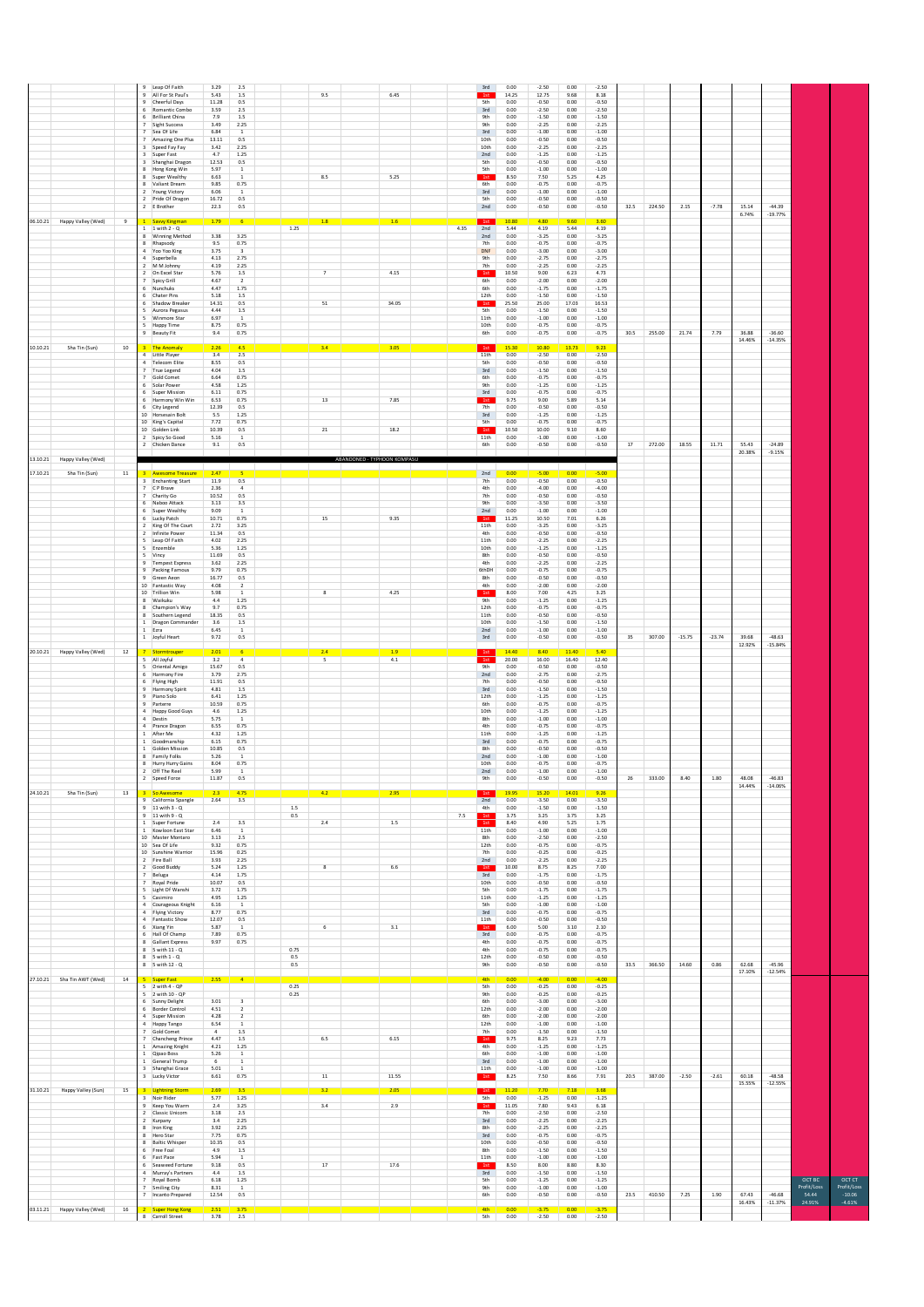|                                                                   | Leap Of Faith<br>3.29<br>2.5<br>$\mathbf{Q}$<br>All For St Paul's<br>5.43<br>1.5<br>Cheerful Days<br>11.28<br>0.5<br>3.59<br>2.5<br>Romantic Combo<br>6 Brilliant China<br>7.9<br>1.5<br><b>Sight Success</b><br>3.49<br>2.25<br>Sea Of Life<br>6.84<br>$\overline{1}$<br>13.11<br>0.5<br>Amazing One Plus<br>3.42<br>2.25<br>Speed Fay Fay<br>3 Super Fast<br>4.7<br>1.25<br>3 Shanghai Dragon<br>12.53<br>0.5<br>5.97<br>Hong Kong Win                               | 9.5<br>6.45                                               | 3rd<br>0.00<br>$-2.50$<br>0.00<br>$-2.50$<br>1st<br>14.25<br>12.75<br>9.68<br>8.18<br><b>5th</b><br>$-0.50$<br>0.00<br>$-0.50$<br>0.00<br>$-2.50$<br>$-2.50$<br>3rd<br>0.00<br>0.00<br>9th<br>0.00<br>$-1.50$<br>0.00<br>$-1.50$<br>9th<br>0.00<br>$-2.25$<br>0.00<br>$-2.25$<br>3rd<br>0.00<br>$-1.00$<br>0.00<br>$-1.00$<br>$-0.50$<br>10th<br>0.00<br>$-0.50$<br>0.00<br>10th<br>$-2.25$<br>0.00<br>$-2.25$<br>0.00<br>2nd<br>0.00<br>$-1.25$<br>0.00<br>$-1.25$<br>5th<br>0.00<br>$-0.50$<br>0.00<br>$-0.50$<br>5th<br>$-1.00$<br>$-1.00$<br>0.00<br>0.00                                                                                 |                           |                                                                                                                           |
|-------------------------------------------------------------------|------------------------------------------------------------------------------------------------------------------------------------------------------------------------------------------------------------------------------------------------------------------------------------------------------------------------------------------------------------------------------------------------------------------------------------------------------------------------|-----------------------------------------------------------|-----------------------------------------------------------------------------------------------------------------------------------------------------------------------------------------------------------------------------------------------------------------------------------------------------------------------------------------------------------------------------------------------------------------------------------------------------------------------------------------------------------------------------------------------------------------------------------------------------------------------------------------------|---------------------------|---------------------------------------------------------------------------------------------------------------------------|
| 06.10.21<br>Happy Valley (Wed)<br>$^{\rm g}$                      | Super Wealthy<br>6.63<br>9.85<br>0.75<br>8 Valiant Dream<br>2 Young Victory<br>6.06<br><sup>1</sup><br>2 Pride Of Dragon<br>16.72<br>0.5<br>22.3<br>0.5<br>2 E Brother<br>1.79<br><b>Savvy Kingman</b><br>$1 \quad 1$ with $2 - Q$<br>3.38<br>3.25<br>8 Winning Method<br>8 Rhapsody<br>9.5<br>0.75<br>Yoo Yoo King<br>3.75<br>4.13<br>2.75<br>Superbella<br>M M Johnny<br>4.19<br>2.25<br>$\overline{z}$                                                              | 8.5<br>5.25<br>1.8<br>1.6<br>1.25                         | 4.25<br>1st<br>8.50<br>7.50<br>5.25<br>6th<br>0.00<br>$-0.75$<br>0.00<br>$-0.75$<br>3rd<br>0.00<br>$-1.00$<br>0.00<br>$-1.00$<br>5th<br>0.00<br>$-0.50$<br>0.00<br>$-0.50$<br>$-0.50$<br>$-0.50$<br>2nd<br>0.00<br>0.00<br>1st<br>10.80<br>4.80<br>3.60<br>4.35<br>2nd<br>5.44<br>4.19<br>5.44<br>4.19<br>2nd<br>0.00<br>$-3.25$<br>0.00<br>$-3.25$<br>7th<br>0.00<br>$-0.75$<br>0.00<br>$-0.75$<br><b>DNF</b><br>0.00<br>$-3.00$<br>0.00<br>$-3.00$<br><b>9th</b><br>0.00<br>$-2.75$<br>0.00<br>$-2.75$<br>$-2.25$<br>$-2.25$<br>7th<br>0.00<br>0.00                                                                                         | 224.50<br>2.15<br>32.5    | $-44.39$<br>$-7.78$<br>15.14<br>6.74%<br>$-19.77%$                                                                        |
| 10.10.21<br>Sha Tin (Sun)<br>10                                   | 2 On Excel Star<br>5.76<br>1.5<br>Spicy Grill<br>4.67<br>$\overline{z}$<br>4.47<br>1.75<br>Nunchuks<br>5.18<br>Chater Pins<br>1.5<br>6 Shadow Breaker<br>14.31<br>0.5<br>5 Aurora Pegasus<br>4.44<br>1.5<br>Winmore Star<br>6.97<br>$\mathbf{1}$<br>5.<br>8.75<br>0.75<br>Happy Time<br>9.4<br>0.75<br><b>Beauty Fit</b><br>The Anomaly<br>2.26<br>4.5<br>3<br>4 Little Player<br>3.4<br>2.5                                                                           | $\scriptstyle\rm 7$<br>4.15<br>51<br>34.05<br>3.4<br>3.05 | 1st<br>10.50<br>9.00<br>6.23<br>4.73<br>6th<br>0.00<br>$-2.00$<br>0.00<br>$-2.00$<br>6th<br>0.00<br>$-1.75$<br>0.00<br>$-1.75$<br>$-1.50$<br>12th<br>0.00<br>$-1.50$<br>0.00<br>1st<br>25.00<br>17.03<br>25.50<br>16.53<br>5th<br>0.00<br>$-1.50$<br>0.00<br>$-1.50$<br>11th<br>0.00<br>$-1.00$<br>0.00<br>$-1.00$<br>10th<br>0.00<br>$-0.75$<br>0.00<br>$-0.75$<br>6th<br>$-0.75$<br>0.00<br>0.00<br>$-0.75$<br>1st<br>15.30<br>10.80<br>13.73<br>9.23<br>11th<br>0.00<br>$-2.50$<br>0.00<br>$-2.50$                                                                                                                                         | 255.00<br>21.74<br>30.5   | $-36.60$<br>7.79<br>36.88<br>14.46%<br>$-14.35%$                                                                          |
|                                                                   | <b>Telecom Elite</b><br>8.55<br>0.5<br>4.04<br>True Legend<br>$1.5\,$<br>Gold Comet<br>6.64<br>0.75<br>4.58<br>6 Solar Power<br>1.25<br>6 Super Mission<br>6.11<br>0.75<br>6 Harmony Win Win<br>6.53<br>0.75<br>12.39<br>0.5<br>6 City Legend<br>1.25<br>10 Horsesain Bolt<br>5.5<br>7.72<br>10 King's Capital<br>0.75<br>10 Golden Link<br>10.39<br>0.5<br>2 Spicy So Good<br>5.16<br>$\,$ 1<br>9.1<br>0.5<br>2 Chicken Dance                                         | $13\,$<br>7.85<br>$_{\rm 21}$<br>18.2                     | 5th<br>0.00<br>$-0.50$<br>0.00<br>$-0.50$<br>$3rd$<br>$-1.50$<br>$-1.50$<br>0.00<br>0.00<br>$-0.75$<br>$-0.75$<br>6th<br>0.00<br>0.00<br>9th<br>0.00<br>$-1.25$<br>0.00<br>$-1.25$<br>$3rd$<br>0.00<br>$-0.75$<br>0.00<br>$-0.75$<br>1st<br>9.75<br>9.00<br>5.89<br>5.14<br>7th<br>$-0.50$<br>0.00<br>$-0.50$<br>0.00<br>$-1.25$<br>3rd<br>0.00<br>0.00<br>$-1.25$<br>5th<br>0.00<br>$-0.75$<br>0.00<br>$-0.75$<br>1st<br>10.50<br>10.00<br>9.10<br>8.60<br>11th<br>0.00<br>$-1.00$<br>0.00<br>$-1.00$<br>6th<br>0.00<br>$-0.50$<br>0.00<br>$-0.50$                                                                                           | 272.00<br>18.55<br>17     | $-24.89$<br>11.71<br>55.43<br>20.38%<br>$-9.15%$                                                                          |
| 13.10.21<br>Happy Valley (Wed)<br>11<br>17.10.21<br>Sha Tin (Sun) | <b>Awesome Treasure</b><br>2.47<br><b>Enchanting Start</b><br>11.9<br>0.5<br>C P Brave<br>2.36<br>$\ddot{a}$<br>10.52<br>0.5<br>Charity Go<br>6 Naboo Attack<br>3.13<br>3.5<br>6 Super Wealthy<br>9.09<br><sup>1</sup><br>6 Lucky Patch<br>10.71<br>0.75<br>King Of The Court<br>2.72<br>3.25<br>11.34<br>Infinite Power<br>0.5<br>5 Leap Of Faith<br>4.02<br>2.25<br>5.36<br>5 Enzemble<br>1.25                                                                       | ABANDONED - TYPHOON KOMPASU<br>15<br>9.35                 | 2nd<br>0.00<br>$-5.00$<br>0.00<br>$-5.00$<br>7th<br>0.00<br>$-0.50$<br>0.00<br>$-0.50$<br>4th<br>0.00<br>$-4.00$<br>0.00<br>$-4.00$<br>7th<br>$-0.50$<br>0.00<br>$-0.50$<br>0.00<br><b>9th</b><br>$-3.50$<br>0.00<br>$-3.50$<br>0.00<br>2nd<br>0.00<br>$-1.00$<br>0.00<br>$-1.00$<br>11.25<br>10.50<br>7.01<br>6.26<br>11th<br>0.00<br>$-3.25$<br>0.00<br>$-3.25$<br>4th<br>$-0.50$<br>0.00<br>$-0.50$<br>0.00<br>11th<br>$-2.25$<br>$-2.25$<br>0.00<br>0.00<br>10th<br>0.00<br>$-1.25$<br>0.00<br>$-1.25$                                                                                                                                    |                           |                                                                                                                           |
|                                                                   | 5 Vincy<br>11.69<br>0.5<br>9<br><b>Tempest Express</b><br>3.62<br>2.25<br>9.79<br>0.75<br>Packing Famous<br>16.77<br>0.5<br>9 Green Aeon<br>10 Fantastic Way<br>4.08<br>$\overline{2}$<br>10 Trillion Win<br>5.98<br>$\overline{1}$<br>4.4<br>1.25<br>8 Waikuku<br>9.7<br>Champion's Way<br>0.75<br>18.35<br>Southern Legend<br>0.5<br>1 Dragon Commander<br>3.6<br>1.5<br>1 Ezra<br>6.45<br>$\mathbf{1}$<br>9.72<br>0.5<br>1 Joyful Heart                             | $\bf{8}$<br>4.25                                          | 8th<br>0.00<br>$-0.50$<br>0.00<br>$-0.50$<br>4th<br>0.00<br>$-2.25$<br>0.00<br>$-2.25$<br>6thDH<br>0.00<br>$-0.75$<br>0.00<br>$-0.75$<br>8th<br>$-0.50$<br>0.00<br>$-0.50$<br>0.00<br>4th<br>0.00<br>$-2.00$<br>0.00<br>$-2.00$<br>1st<br>8.00<br>7.00<br>4.25<br>3.25<br>9th<br>0.00<br>$-1.25$<br>0.00<br>$-1.25$<br>12th<br>$-0.75$<br>0.00<br>$-0.75$<br>0.00<br>$-0.50$<br>11th<br>0.00<br>0.00<br>$-0.50$<br>10th<br>0.00<br>$-1.50$<br>0.00<br>$-1.50$<br>2nd<br>0.00<br>$-1.00$<br>0.00<br>$-1.00$<br>$3rd$<br>0.00<br>$-0.50$<br>0.00<br>$-0.50$                                                                                     | 307.00<br>35<br>$-15.75$  | $-48.63$<br>$-23.74$<br>39.68<br>12.92%<br>$-15.84%$                                                                      |
| 20.10.21 Happy Valley (Wed)<br>$12\,$                             | 2.01<br>Stormtro<br>3.2<br>All Joyful<br>4<br>5<br><b>Oriental Amigo</b><br>15.67<br>0.5<br>Harmony Fire<br>3.79<br>2.75<br>6<br>11.91<br>0.5<br>6 Flying High<br>4.81<br>1.5<br>9 Harmony Spirit<br>Piano Solo<br>6.41<br>1.25<br>9 Parterre<br>10.59<br>0.75<br>4 Happy Good Guys<br>4.6<br>1.25<br>5.75<br>Destin<br>$\,$ 1<br>0.75<br>4 Prance Dragon<br>6.55<br>After Me<br>4.32<br>1.25<br>Goodmanship<br>6.15<br>0.75<br>1<br>Golden Mission<br>10.85<br>0.5    | 1.9<br>2.4<br>4.1<br>5                                    | 14.40<br>8.40<br>5.40<br>11.40<br>1st<br>16.00<br>12.40<br>20.00<br>16.40<br>9th<br>0.00<br>$-0.50$<br>0.00<br>$-0.50$<br>2nd<br>0.00<br>$-2.75$<br>0.00<br>$-2.75$<br>0.00<br>$-0.50$<br>$_{0.00}$<br>$-0.50$<br>7th<br>3rd<br>$-1.50$<br>0.00<br>$-1.50$<br>0.00<br>12th<br>0.00<br>$-1.25$<br>0.00<br>$-1.25$<br>6th<br>0.00<br>$-0.75$<br>0.00<br>$-0.75$<br>10th<br>0.00<br>$-1.25$<br>0.00<br>$-1.25$<br>8th<br>$-1.00$<br>$-1.00$<br>0.00<br>0.00<br>$-0.75$<br>4th<br>$-0.75$<br>0.00<br>0.00<br>11th<br>0.00<br>$-1.25$<br>0.00<br>$-1.25$<br>3rd<br>0.00<br>$-0.75$<br>0.00<br>$-0.75$<br>8th<br>0.00<br>$-0.50$<br>0.00<br>$-0.50$ |                           |                                                                                                                           |
| 24.10.21<br>Sha Tin (Sun)<br>13                                   | 5.26<br>Family Folks<br>$\,$ 1<br>8.04<br>0.75<br>8 Hurry Hurry Gains<br>Off The Reel<br>5.99<br>$\overline{z}$<br><sup>1</sup><br>11.87<br>Speed Force<br>n s<br>3 So Awesome<br>2.3<br>4.75<br>9 California Spangle<br>$3.5\,$<br>2.64<br>$9 - 11$ with $3 - Q$<br>$9 - 11$ with $9 - 0$<br>2.4<br>3.5<br>1 Super Fortune<br>1 Kowloon East Star<br>6.46<br>$\overline{1}$<br>10 Master Montaro<br>3.13<br>2.5                                                       | 4.2<br>2.95<br>$1.5\,$<br>0.5<br>2.4<br>1.5               | 0.00<br>$-1.00$<br>0.00<br>$-1.00$<br>2nd<br>$-0.75$<br>$-0.75$<br>10th<br>0.00<br>0.00<br>2nd<br>0.00<br>$-1.00$<br>0.00<br>$-1.00$<br>n nn<br>$-0.50$<br>0.00<br>$-0.50$<br><b>9th</b><br>1st<br>19.95<br>15.20<br>14.01<br>9.26<br>2nd<br>$-3.50$<br>0.00<br>$-3.50$<br>0.00<br>0.00<br>$-1.50$<br>0.00<br>$-1.50$<br>4th<br>7.5<br>3.75<br>3.25<br>3.75<br>3.25<br>1st<br>8.40<br>4.90<br>5.25<br>1.75<br>11th<br>0.00<br>$-1.00$<br>0.00<br>$-1.00$<br>$-2.50$<br>8th<br>0.00<br>$-2.50$<br>0.00                                                                                                                                         | 333.00<br>8.40<br>26      | 1.80<br>48.08<br>$-46.83$<br>14.44%<br>$-14.06%$                                                                          |
|                                                                   | 10 Sea Of Life<br>9.32<br>0.75<br>10 Sunshine Warrior<br>15.96<br>0.25<br>3.93<br>2 Fire Ball<br>2.25<br>2 Good Buddy<br>5.24<br>1.25<br>4.14<br>Beluga<br>1.75<br>10.07<br>0.5<br>7 Royal Pride<br>5 Light Of Wanshi<br>3.72<br>1.75<br>5 Casimiro<br>4.95<br>1.25<br>4 Courageous Knight<br>6.16<br>$\overline{1}$<br>8.77<br>0.75<br>4 Flying Victory<br>12.07<br>0.5<br>4 Fantastic Show<br>6 Xiang Yin<br>5.87<br><sup>1</sup><br>6 Hall Of Champ<br>7.89<br>0.75 | $\bf{8}$<br>$6.6\,$<br>3.1<br>6                           | 0.00<br>12th<br>0.00<br>$-0.75$<br>$-0.75$<br>7th<br>0.00<br>$-0.25$<br>0.00<br>$-0.25$<br>2nd<br>0.00<br>$-2.25$<br>0.00<br>$-2.25$<br>10.00<br>8.75<br>8.25<br>7.00<br>1st<br>3rd<br>0.00<br>$-1.75$<br>0.00<br>$-1.75$<br>0.00<br>$-0.50$<br>10th<br>0.00<br>$-0.50$<br>5th<br>0.00<br>$-1.75$<br>0.00<br>$-1.75$<br>11th<br>0.00<br>$-1.25$<br>0.00<br>$-1.25$<br>5th<br>0.00<br>$-1.00$<br>0.00<br>$-1.00$<br>$3rd$<br>$-0.75$<br>0.00<br>$-0.75$<br>0.00<br>0.00<br>$-0.50$<br>0.00<br>$-0.50$<br>11th<br>1st<br>6.00<br>5.00<br>3.10<br>2.10<br>3rd<br>0.00<br>$-0.75$<br>0.00<br>$-0.75$                                              |                           |                                                                                                                           |
| 27.10.21 Sha Tin AWT (Wed)<br>14                                  | 8 Gallant Express<br>9.97<br>0.75<br>$8$ 5 with $11 - Q$<br>$8$ 5 with $1 - Q$<br>8 5 with 12 - Q<br>5 <sub>1</sub><br>Super Fast<br>2.55                                                                                                                                                                                                                                                                                                                              | 0.75<br>0.5<br>0.5                                        | 4th<br>0.00<br>$-0.75$<br>0.00<br>$-0.75$<br>4th<br>$-0.75$<br>$-0.75$<br>0.00<br>0.00<br>12th<br>$-0.50$<br>0.00<br>0.00<br>$-0.50$<br>9th<br>0.00<br>$-0.50$<br>0.00<br>$-0.50$<br><b>4th</b><br>0.00<br>$-4.00$<br>0.00<br>$-4.00$                                                                                                                                                                                                                                                                                                                                                                                                         | 366.50<br>33.5<br>14.60   | 0.86<br>62.68<br>$-45.96$<br>17.10%<br>$-12.54%$                                                                          |
|                                                                   | $5 - 2$ with $4 - QP$<br>5 2 with 10 - QP<br>6 Sunny Delight<br>3.01<br>$\overline{\mathbf{3}}$<br>6 Border Control<br>4.51<br>$\overline{2}$<br>4 Super Mission<br>4.28<br>$\overline{2}$<br>6.54<br>Happy Tango<br>$\,$ 1<br>$\sqrt{4}$<br>Gold Comet<br>1.5<br>7 Chancheng Prince<br>4.47<br>1.5<br>Amazing Knight<br>4.21<br>1.25<br>1 Qipao Boss<br>5.26<br>$\,$ 1 $\,$<br>General Trump<br>6<br>$\,$ 1<br>5.01<br>3 Shanghai Grace<br>$\,$ 1                     | 0.25<br>0.25<br>6.5<br>6.15                               | <b>5th</b><br>$-0.25$<br>$-0.25$<br>0.00<br>0.00<br>9th<br>0.00<br>$-0.25$<br>0.00<br>$-0.25$<br>6th<br>0.00<br>$-3.00$<br>0.00<br>$-3.00$<br>12th<br>0.00<br>$-2.00$<br>0.00<br>$-2.00$<br>6th<br>0.00<br>$-2.00$<br>0.00<br>$-2.00$<br>12th<br>0.00<br>$-1.00$<br>0.00<br>$-1.00$<br>$-1.50$<br>0.00<br>$-1.50$<br>7th<br>0.00<br>1st<br>9.75<br>8.25<br>9.23<br>7.73<br>4th<br>0.00<br>$-1.25$<br>0.00<br>$-1.25$<br>6th<br>0.00<br>$-1.00$<br>0.00<br>$-1.00$<br>3rd<br>0.00<br>$-1.00$<br>0.00<br>$-1.00$<br>0.00<br>$-1.00$<br>0.00<br>$-1.00$<br>11th                                                                                  |                           |                                                                                                                           |
| 31.10.21<br>Happy Valley (Sun)<br>15                              | 3 Lucky Victor<br>6.61<br>0.75<br>3 Lightning Storm<br>2.69<br>3 Noir Rider<br>5.77<br>1.25<br>$2.4\,$<br>3.25<br>9 Keep You Warm<br>2 Classic Unicom<br>3.18<br>2.5                                                                                                                                                                                                                                                                                                   | 11.55<br>11<br>3.2<br>2.05<br>3.4<br>2.9                  | 1st<br>8.25<br>7.50<br>8.66<br>7.91<br>1st<br>11.20<br>7.70<br>3.68<br>5th<br>0.00<br>$-1.25$<br>0.00<br>$-1.25$<br>11.05<br>7.80<br>9.43<br>6.18<br>1st<br>7th<br>$-2.50$<br>0.00<br>0.00<br>$-2.50$                                                                                                                                                                                                                                                                                                                                                                                                                                         | 387.00<br>$-2.50$<br>20.5 | $-2.61$<br>60.18<br>$-48.58$<br>15.55%<br>$-12.55%$                                                                       |
|                                                                   | 2 Kurpany<br>3.4<br>2.25<br>8 Iron King<br>3.92<br>2.25<br>8 Hero Star<br>7.75<br>0.75<br>8 Baltic Whisper<br>10.35<br>0.5<br>4.9<br>6 Free Foal<br>1.5<br>5.94<br>6 Fast Pace<br><sup>1</sup><br>6 Seaweed Fortune<br>9.18<br>0.5<br>Murray's Partners<br>4.4<br>1.5<br>$\Lambda$<br>6.18<br>$1.25\,$<br>Royal Bomb                                                                                                                                                   | 17<br>17.6                                                | 3rd<br>0.00<br>$-2.25$<br>0.00<br>$-2.25$<br>8th<br>0.00<br>$-2.25$<br>0.00<br>$-2.25$<br>3rd<br>0.00<br>$-0.75$<br>0.00<br>$-0.75$<br>10th<br>$_{0.00}$<br>$-0.50$<br>$_{0.00}$<br>$-0.50$<br>8th<br>$-1.50$<br>$-1.50$<br>0.00<br>0.00<br>11th<br>0.00<br>$-1.00$<br>0.00<br>$-1.00$<br>1st<br>8.50<br>8.00<br>8.80<br>8.30<br>3rd<br>0.00<br>$-1.50$<br>0.00<br>$-1.50$<br><b>5th</b><br>$_{0.00}$<br>$-1.25$<br>$_{0.00}$<br>$-1.25$                                                                                                                                                                                                      |                           | OCT BC<br>OCTCT                                                                                                           |
| 03.11.21 Happy Valley (Wed)<br>16                                 | 7 Smiling City<br>8.31<br>$\mathbf{1}$<br>7 Incanto Prepared<br>12.54<br>0.5<br>2.51<br>Super Hong Kong<br>3.75<br>8 Carroll Street<br>3.78<br>2.5                                                                                                                                                                                                                                                                                                                     |                                                           | 9th<br>$-1.00$<br>0.00<br>0.00<br>$-1.00$<br>6th<br>$-0.50$<br>0.00<br>0.00<br>$-0.50$<br><b>4th</b><br>0.00<br>$-3.75$<br>0.00<br>$-3.75$<br>5th<br>0.00<br>$-2.50$<br>0.00<br>$-2.50$                                                                                                                                                                                                                                                                                                                                                                                                                                                       | 410.50<br>23.5<br>7.25    | Profit/Loss<br>Profit/Loss<br>54.44<br>67.43<br>$-46.68$<br>$-10.06$<br>1.90<br>16.43%<br>$-11.37%$<br>24.91%<br>$-4.61%$ |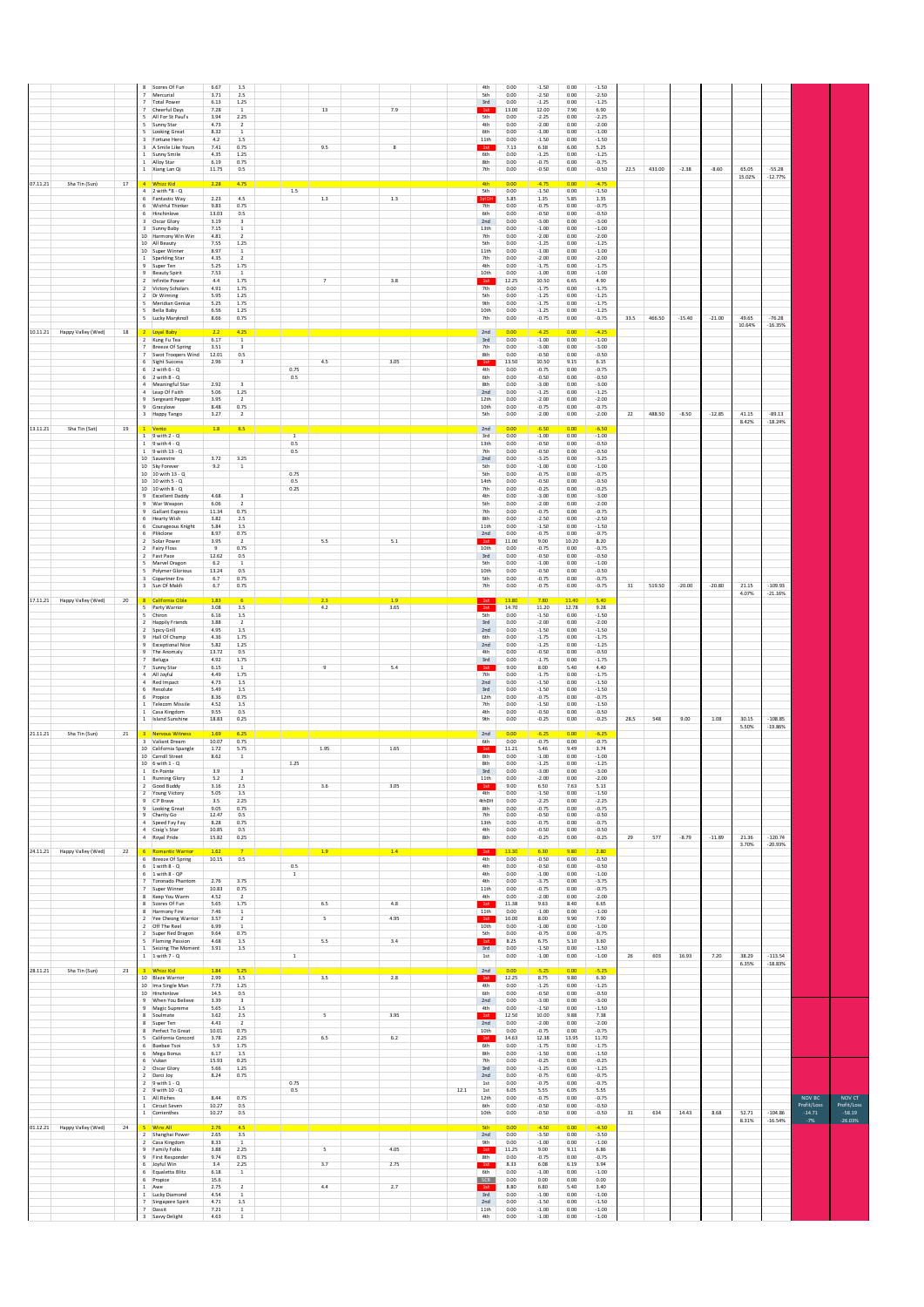|          |                             |               |                | Scores Of Fun<br>Mercurial                       | 6.67<br>3.71           | $1.5\,$<br>$2.5\,$                      |                       |                   |              |          | 4th<br>5th            | 0.00<br>0.00   | $-1.50$<br>$-2.50$ | 0.00<br>0.00       | $-1.50$<br>$-2.50$ |        |        |          |          |                 |                        |                         |                         |
|----------|-----------------------------|---------------|----------------|--------------------------------------------------|------------------------|-----------------------------------------|-----------------------|-------------------|--------------|----------|-----------------------|----------------|--------------------|--------------------|--------------------|--------|--------|----------|----------|-----------------|------------------------|-------------------------|-------------------------|
|          |                             |               |                | <b>Total Power</b><br>Cheerful Days              | 6.13<br>7.28           | 1.25<br><sup>1</sup>                    |                       | 13                | 7.9          |          | 3rd<br>1st            | 0.00<br>13.00  | $-1.25$<br>12.00   | 0.00<br>7.90       | $-1.25$<br>6.90    |        |        |          |          |                 |                        |                         |                         |
|          |                             |               |                | 5 All For St Paul's                              | 3.94                   | 2.25                                    |                       |                   |              |          | 5th                   | 0.00           | $-2.25$            | 0.00               | $-2.25$            |        |        |          |          |                 |                        |                         |                         |
|          |                             |               |                | Sunny Star<br>Looking Great                      | 4.73<br>8.32           | $\overline{2}$<br>$\overline{1}$        |                       |                   |              |          | 4th<br>6th            | 0.00<br>0.00   | $-2.00$<br>$-1.00$ | 0.00<br>0.00       | $-2.00$<br>$-1.00$ |        |        |          |          |                 |                        |                         |                         |
|          |                             |               |                | 3 Fortune Hero<br>3 A Smile Like Yours           | 4.2<br>7.41            | 1.5<br>0.75                             |                       | 9.5               | $\mathbf{g}$ |          | 11th<br>1st           | 0.00<br>7.13   | $-1.50$<br>6.38    | 0.00<br>6.00       | $-1.50$<br>5.25    |        |        |          |          |                 |                        |                         |                         |
|          |                             |               |                | Sunny Smile<br>1 Alloy Star                      | 4.35<br>6.19           | 1.25<br>0.75                            |                       |                   |              |          | 6th<br>8th            | 0.00<br>0.00   | $-1.25$<br>$-0.75$ | 0.00<br>0.00       | $-1.25$<br>$-0.75$ |        |        |          |          |                 |                        |                         |                         |
|          |                             |               |                | 1 Xiang Lan Qi                                   | 11.75                  | 0.5                                     |                       |                   |              |          | 7th                   | 0.00           | $-0.50$            | 0.00               | $-0.50$            | 22.5   | 433.00 | $-2.38$  | $-8.60$  | 65.05<br>15.02% | $-55.28$<br>$-12.77%$  |                         |                         |
| 07.11.21 | Sha Tin (Sun)               | 17            |                | 4 Whizz Kid                                      | 2.28                   | 4.75                                    |                       |                   |              |          | 4th                   | 0.00           | $-4.75$            | 0.00               | $-4.75$            |        |        |          |          |                 |                        |                         |                         |
|          |                             |               |                | 4 2 with *8 - Q<br>6 Fantastic Way               | 2.23                   | 4.5                                     | 1.5                   | $1.3\,$           | $1.3\,$      |          | 5th<br>1stDH          | 0.00<br>5.85   | $-1.50$<br>1.35    | 0.00<br>5.85       | $-1.50$<br>1.35    |        |        |          |          |                 |                        |                         |                         |
|          |                             |               |                | 6 Wishful Thinker<br>6 Hinchinlove               | 9.83<br>13.03          | 0.75<br>0.5                             |                       |                   |              |          | 7th<br>6th            | 0.00<br>0.00   | $-0.75$<br>$-0.50$ | 0.00<br>0.00       | $-0.75$<br>$-0.50$ |        |        |          |          |                 |                        |                         |                         |
|          |                             |               |                | Oscar Glory<br>3 Sunny Baby                      | 3.19<br>7.15           | $\overline{\mathbf{3}}$<br><sup>1</sup> |                       |                   |              |          | 2nd<br>13th           | 0.00<br>0.00   | $-3.00$<br>$-1.00$ | 0.00<br>0.00       | $-3.00$<br>$-1.00$ |        |        |          |          |                 |                        |                         |                         |
|          |                             |               |                | 10 Harmony Win Win<br>10 All Beauty              | 4.81                   | $\overline{z}$<br>1.25                  |                       |                   |              |          | 7th<br>5th            | 0.00<br>0.00   | $-2.00$            | 0.00<br>0.00       | $-2.00$            |        |        |          |          |                 |                        |                         |                         |
|          |                             |               |                | 10 Super Winner                                  | 7.55<br>8.97           | <sup>1</sup>                            |                       |                   |              |          | 11th                  | 0.00           | $-1.25$<br>$-1.00$ | 0.00               | $-1.25$<br>$-1.00$ |        |        |          |          |                 |                        |                         |                         |
|          |                             |               |                | 1 Sparkling Star<br>9 Super Ten                  | 4.35<br>5.25           | $\overline{2}$<br>1.75                  |                       |                   |              |          | 7th<br>4th            | 0.00<br>0.00   | $-2.00$<br>$-1.75$ | 0.00<br>0.00       | $-2.00$<br>$-1.75$ |        |        |          |          |                 |                        |                         |                         |
|          |                             |               |                | 9 Beauty Spirit<br>Infinite Power                | 7.53<br>$4.4\,$        | $\overline{1}$<br>1.75                  |                       | $\overline{\tau}$ | 3.8          |          | 10th<br>$1st$         | 0.00<br>12.25  | $-1.00$<br>10.50   | 0.00<br>6.65       | $-1.00$<br>4.90    |        |        |          |          |                 |                        |                         |                         |
|          |                             |               |                | Victory Scholars<br>Dr Winning                   | 4.91<br>5.95           | 1.75<br>1.25                            |                       |                   |              |          | 7th<br>5th            | 0.00<br>0.00   | $-1.75$<br>$-1.25$ | 0.00<br>0.00       | $-1.75$<br>$-1.25$ |        |        |          |          |                 |                        |                         |                         |
|          |                             |               |                | 5 Meridian Genius                                | 5.25<br>6.56           | 1.75<br>1.25                            |                       |                   |              |          | 9th<br>10th           | 0.00<br>0.00   | $-1.75$<br>$-1.25$ | 0.00<br>0.00       | $-1.75$            |        |        |          |          |                 |                        |                         |                         |
|          |                             |               |                | 5 Bella Baby<br>5 Lucky Maryknoll                | 8.66                   | 0.75                                    |                       |                   |              |          | 7th                   | 0.00           | $-0.75$            | 0.00               | $-1.25$<br>$-0.75$ | 33.5   | 466.50 | $-15.40$ | $-21.00$ | 49.65           | $-76.28$               |                         |                         |
|          | 10.11.21 Happy Valley (Wed) | 18            |                | Loyal Baby                                       | 2.2                    | 4.25                                    |                       |                   |              |          | 2nd                   | 0.00           | $-4.25$            | 0.00               | $-4.25$            |        |        |          |          | 10.64%          | $-16.35%$              |                         |                         |
|          |                             |               |                | Kung Fu Tea<br>Breeze Of Spring                  | 6.17<br>3.51           | <sup>1</sup><br>$\overline{\mathbf{3}}$ |                       |                   |              |          | 3rd<br>7th            | 0.00<br>0.00   | $-1.00$<br>$-3.00$ | 0.00<br>0.00       | $-1.00$<br>$-3.00$ |        |        |          |          |                 |                        |                         |                         |
|          |                             |               |                | 7 Swot Troopers Wind<br>6 Sight Success          | 12.01<br>2.96          | $0.5\,$<br>$\mathsf3$                   |                       | 4.5               | 3.05         |          | 8th<br>1st            | 0.00<br>13.50  | $-0.50$<br>10.50   | 0.00<br>9.15       | $-0.50$<br>6.15    |        |        |          |          |                 |                        |                         |                         |
|          |                             |               |                | $6$ 2 with $6 - Q$<br>$6$ 2 with $8 - Q$         |                        |                                         | 0.75<br>0.5           |                   |              |          | 4th<br>6th            | 0.00<br>0.00   | $-0.75$<br>$-0.50$ | 0.00<br>0.00       | $-0.75$<br>$-0.50$ |        |        |          |          |                 |                        |                         |                         |
|          |                             |               |                | 4 Meaningful Star                                | 2.92<br>5.06           | $\overline{\mathbf{3}}$                 |                       |                   |              |          | 8th<br>2nd            | 0.00<br>0.00   | $-3.00$            | 0.00<br>0.00       | $-3.00$            |        |        |          |          |                 |                        |                         |                         |
|          |                             |               |                | 4 Leap Of Faith<br>9 Sergeant Pepper             | 3.95                   | 1.25<br>$\overline{2}$                  |                       |                   |              |          | 12th                  | 0.00           | $-1.25$<br>$-2.00$ | 0.00               | $-1.25$<br>$-2.00$ |        |        |          |          |                 |                        |                         |                         |
|          |                             |               |                | 9 Gracylove<br>3 Happy Tango                     | 8.48<br>3.27           | 0.75<br>$\overline{2}$                  |                       |                   |              |          | 10th<br>5th           | 0.00<br>0.00   | $-0.75$<br>$-2.00$ | 0.00<br>0.00       | $-0.75$<br>$-2.00$ | 22     | 488.50 | $-8.50$  | $-12.85$ | 41.15           | $-89.13$               |                         |                         |
| 13.11.21 | Sha Tin (Sat)               | 19            |                | 1 Vento                                          | 1.8                    | 6.5                                     |                       |                   |              |          | 2nd                   | 0.00           | $-6.50$            | 0.00               | $-6.50$            |        |        |          |          | 8.42%           | $-18.24%$              |                         |                         |
|          |                             |               |                | $1 \quad 9$ with $2 - Q$<br>$1 - 9$ with $4 - Q$ |                        |                                         | $\overline{1}$<br>0.5 |                   |              |          | 3rd<br>13th           | 0.00<br>0.00   | $-1.00$<br>$-0.50$ | 0.00<br>0.00       | $-1.00$<br>$-0.50$ |        |        |          |          |                 |                        |                         |                         |
|          |                             |               |                | $1 - 9$ with $13 - Q$<br>10 Sauvestre            | 3.72                   | 3.25                                    | 0.5                   |                   |              |          | 7th<br>2nd            | 0.00<br>0.00   | $-0.50$<br>$-3.25$ | 0.00<br>0.00       | $-0.50$<br>$-3.25$ |        |        |          |          |                 |                        |                         |                         |
|          |                             |               |                | 10 Sky Forever                                   | 9.2                    | $\,$ 1                                  |                       |                   |              |          | 5th<br>5th            | 0.00           | $-1.00$            | 0.00               | $-1.00$            |        |        |          |          |                 |                        |                         |                         |
|          |                             |               |                | 10 10 with 13 - Q<br>$10 - 10$ with $5 - Q$      |                        |                                         | 0.75<br>0.5           |                   |              |          | 14th                  | 0.00<br>0.00   | $-0.75$<br>$-0.50$ | $_{0.00}$<br>0.00  | $-0.75$<br>$-0.50$ |        |        |          |          |                 |                        |                         |                         |
|          |                             |               |                | 10 10 with 8 - Q<br>9 Excellent Daddy            | 4.68                   | $\overline{\mathbf{3}}$                 | 0.25                  |                   |              |          | 7th<br>4th            | 0.00<br>0.00   | $-0.25$<br>$-3.00$ | 0.00<br>0.00       | $-0.25$<br>$-3.00$ |        |        |          |          |                 |                        |                         |                         |
|          |                             |               |                | 9 War Weapon<br>Gallant Express                  | 6.06<br>11.34          | $\overline{2}$<br>0.75                  |                       |                   |              |          | 5th<br>7th            | 0.00<br>0.00   | $-2.00$<br>$-0.75$ | 0.00<br>0.00       | $-2.00$<br>$-0.75$ |        |        |          |          |                 |                        |                         |                         |
|          |                             |               |                | 6 Hearty Wish<br>6 Courageous Knight             | 3.82<br>5.84           | 2.5<br>1.5                              |                       |                   |              |          | 8th<br>11th           | 0.00<br>0.00   | $-2.50$<br>$-1.50$ | 0.00<br>0.00       | $-2.50$<br>$-1.50$ |        |        |          |          |                 |                        |                         |                         |
|          |                             |               |                | 6 Plikclone                                      | 8.97                   | 0.75<br>$\overline{2}$                  |                       |                   |              |          | 2nd                   | 0.00           | $-0.75$            | 0.00               | $-0.75$            |        |        |          |          |                 |                        |                         |                         |
|          |                             |               |                | 2 Solar Power<br>Fairy Floss                     | 3.95<br>$\overline{9}$ | 0.75                                    |                       | 5.5               | $5.1\,$      |          | $1st$<br>10th         | 11.00<br>0.00  | 9.00<br>$-0.75$    | 10.20<br>$_{0.00}$ | 8.20<br>$-0.75$    |        |        |          |          |                 |                        |                         |                         |
|          |                             |               | -5             | 2 Fast Pace<br>Marvel Dragon                     | 12.62<br>6.2           | 0.5<br><sup>1</sup>                     |                       |                   |              |          | 3rd<br>5th            | 0.00<br>0.00   | $-0.50$<br>$-1.00$ | 0.00<br>0.00       | $-0.50$<br>$-1.00$ |        |        |          |          |                 |                        |                         |                         |
|          |                             |               | -5             | Polymer Glorious<br>3 Copartner Era              | 13.24<br>6.7           | 0.5<br>0.75                             |                       |                   |              |          | 10th<br>5th           | 0.00<br>0.00   | $-0.50$<br>$-0.75$ | 0.00<br>0.00       | $-0.50$<br>$-0.75$ |        |        |          |          |                 |                        |                         |                         |
|          |                             |               |                | 3 Sun Of Makfi                                   | 6.7                    | 0.75                                    |                       |                   |              |          | 7th                   | 0.00           | $-0.75$            | 0.00               | $-0.75$            | 31     | 519.50 | $-20.00$ | $-20.80$ | 21.15<br>4.07%  | $-109.93$<br>$-21.16%$ |                         |                         |
|          | 17.11.21 Happy Valley (Wed) | 20            | 8<br>-5        | California Cible<br>Party Warrior                | 1.83<br>3.08           | 3.5                                     |                       | 2.3<br>4.2        | 1.9<br>3.65  |          | 1st                   | 13.80<br>14.70 | 7.80<br>11.20      | 11.40<br>12.78     | 5.40<br>9.28       |        |        |          |          |                 |                        |                         |                         |
|          |                             |               | $\overline{ }$ | 5 Chiron                                         | 6.16                   | 1.5<br>$\overline{2}$                   |                       |                   |              |          | 5th                   | 0.00           | $-1.50$            | 0.00               | $-1.50$            |        |        |          |          |                 |                        |                         |                         |
|          |                             |               |                | <b>Happily Friends</b><br>Spicy Grill            | 3.88<br>4.95           | $1.5\,$                                 |                       |                   |              |          | 3rd<br>2nd            | 0.00<br>0.00   | $-2.00$<br>$-1.50$ | 0.00<br>0.00       | $-2.00$<br>$-1.50$ |        |        |          |          |                 |                        |                         |                         |
|          |                             |               |                | 9 Hall Of Champ<br>9 Exceptional Nice            | 4.36<br>5.82           | 1.75<br>1.25                            |                       |                   |              |          | 6th<br>2nd            | 0.00<br>0.00   | $-1.75$<br>$-1.25$ | 0.00<br>0.00       | $-1.75$<br>$-1.25$ |        |        |          |          |                 |                        |                         |                         |
|          |                             |               |                |                                                  | 13.72                  | 0.5                                     |                       |                   |              |          |                       |                |                    | 0.00               |                    |        |        |          |          |                 |                        |                         |                         |
|          |                             |               |                | 9 The Anomaly                                    |                        |                                         |                       |                   |              |          | 4th                   | 0.00<br>0.00   | $-0.50$<br>$-1.75$ | 0.00               | $-0.50$            |        |        |          |          |                 |                        |                         |                         |
|          |                             |               |                | 7 Beluga<br>Sunny Star                           | 4.92<br>6.15           | 1.75<br>$\,$ 1                          |                       | 9                 | $5.4\,$      |          | 3rd<br>$1st$          | 9.00           | 8.00               | 5.40               | $-1.75$<br>4.40    |        |        |          |          |                 |                        |                         |                         |
|          |                             |               |                | 4 All Joyful<br>4 Red Impact                     | 4.49<br>4.73           | 1.75<br>1.5                             |                       |                   |              |          | 7th<br>2nd            | 0.00<br>0.00   | $-1.75$<br>$-1.50$ | 0.00<br>0.00       | $-1.75$<br>$-1.50$ |        |        |          |          |                 |                        |                         |                         |
|          |                             |               |                | 6 Resolute<br>6 Propice                          | 5.49<br>8.36           | $1.5\,$<br>0.75                         |                       |                   |              |          | 3rd<br>12th           | 0.00<br>0.00   | $-1.50$<br>$-0.75$ | 0.00<br>0.00       | $-1.50$<br>$-0.75$ |        |        |          |          |                 |                        |                         |                         |
|          |                             |               |                | <b>Telecom Missile</b><br>1 Casa Kingdom         | 4.52<br>9.55           | 1.5<br>0.5                              |                       |                   |              |          | 7th<br>4th            | 0.00<br>0.00   | $-1.50$<br>$-0.50$ | 0.00<br>0.00       | $-1.50$<br>$-0.50$ |        |        |          |          |                 |                        |                         |                         |
|          |                             |               |                | 1 Island Sunshine                                | 18.83                  | 0.25                                    |                       |                   |              |          | <b>9th</b>            | 0.00           | $-0.25$            | 0.00               | $-0.25$            | 28.5   | 548    | 9.00     | 1.08     | 30.15<br>5.50%  | $-108.85$<br>$-19.86%$ |                         |                         |
| 21.11.21 | Sha Tin (Sun)               | $\mathbf{21}$ |                | 3 Nervous Witnes<br>3 Valiant Dream              | 1.69<br>10.07          | 0.75                                    |                       |                   |              |          | 2nd<br>6th            | 0.00<br>0.00   | $-6.25$<br>$-0.75$ | n nn<br>0.00       | $-6.25$<br>$-0.75$ |        |        |          |          |                 |                        |                         |                         |
|          |                             |               |                | 10 California Spangle<br>10 Carroll Street       | 1.72<br>8.62           | 5.75<br>$\overline{1}$                  |                       | 1.95              | 1.65         |          | 1st<br>8th            | 11.21<br>0.00  | 5.46<br>$-1.00$    | 9.49<br>0.00       | 3.74<br>$-1.00$    |        |        |          |          |                 |                        |                         |                         |
|          |                             |               |                | $10.6 with 1 - 0$                                |                        | $\overline{\mathbf{3}}$                 | 1.25                  |                   |              |          | 8th                   | 0.00           | $-1.25$            | 0.00               | $-1.25$            |        |        |          |          |                 |                        |                         |                         |
|          |                             |               |                | 1 En Pointe<br>Running Glory                     | 3.9<br>5.2             | $\overline{2}$                          |                       |                   |              |          | 3rd<br>11th           | 0.00<br>0.00   | $-3.00$<br>$-2.00$ | 0.00<br>0.00       | $-3.00$<br>$-2.00$ |        |        |          |          |                 |                        |                         |                         |
|          |                             |               |                | Good Buddy<br>2 Young Victory                    | 3.16<br>5.05           | $2.5\,$<br>1.5                          |                       | $_{\bf 3.6}$      | 3.05         |          | $1st$<br>4th          | 9.00<br>0.00   | 6.50<br>$-1.50$    | 7.63<br>0.00       | 5.13<br>$-1.50$    |        |        |          |          |                 |                        |                         |                         |
|          |                             |               |                | 9 C P Brave<br>Looking Great                     | 3.5<br>9.05            | 2.25<br>0.75                            |                       |                   |              |          | 4thDH<br>8th          | 0.00<br>0.00   | $-2.25$<br>$-0.75$ | 0.00<br>0.00       | $-2.25$<br>$-0.75$ |        |        |          |          |                 |                        |                         |                         |
|          |                             |               |                | 9 Charity Go<br>4 Speed Fay Fay                  | 12.47<br>8.28          | 0.5<br>0.75                             |                       |                   |              |          | 7th<br>13th           | 0.00<br>0.00   | $-0.50$<br>$-0.75$ | 0.00<br>0.00       | $-0.50$<br>$-0.75$ |        |        |          |          |                 |                        |                         |                         |
|          |                             |               |                | 4 Craig's Star<br>4 Royal Pride                  | 10.85<br>15.82         | 0.5<br>0.25                             |                       |                   |              |          | 4th<br>8th            | 0.00<br>0.00   | $-0.50$<br>$-0.25$ | 0.00<br>0.00       | $-0.50$<br>$-0.25$ | 29     | 577    | $-8.79$  | $-11.89$ | 21.36           | $-120.74$              |                         |                         |
|          | 24.11.21 Happy Valley (Wed) | 22            |                | 6 Romantic Warrior                               | 1.62                   |                                         |                       | 1.9               | 1.4          |          | 1st                   | 13.30          | 6.30               | 9.80               | 2.80               |        |        |          |          | 3.70%           | $-20.93%$              |                         |                         |
|          |                             |               |                | 6 Breeze Of Spring<br>$6 - 1$ with $8 - Q$       | 10.15                  | 0.5                                     | 0.5                   |                   |              |          | 4th<br>4th            | 0.00<br>0.00   | $-0.50$<br>$-0.50$ | 0.00<br>0.00       | $-0.50$<br>$-0.50$ |        |        |          |          |                 |                        |                         |                         |
|          |                             |               |                | $6 - 1$ with $8 - QP$<br>7 Toronado Phantom      | 2.76                   | 3.75                                    | $\,$ 1 $\,$           |                   |              |          | 4th<br>4th            | 0.00<br>0.00   | $-1.00$<br>$-3.75$ | 0.00<br>0.00       | $-1.00$<br>$-3.75$ |        |        |          |          |                 |                        |                         |                         |
|          |                             |               |                | 7 Super Winner                                   | 10.83<br>4.52          | 0.75<br>$\overline{2}$                  |                       |                   |              |          | 11th<br>4th           | 0.00<br>0.00   | $-0.75$<br>$-2.00$ | 0.00<br>0.00       | $-0.75$<br>$-2.00$ |        |        |          |          |                 |                        |                         |                         |
|          |                             |               |                | 8 Keep You Warm<br>8 Scores Of Fun               | 5.65                   | 1.75                                    |                       | $6.5\,$           | 4.8          |          | $1st$                 | 11.38          | 9.63               | 8.40               | 6.65               |        |        |          |          |                 |                        |                         |                         |
|          |                             |               |                | 8 Harmony Fire<br>2 Yee Cheong Warrior           | 7.46<br>3.57           | $\overline{1}$<br>$\overline{2}$        |                       | 5                 | 4.95         |          | 11th<br>1st           | 0.00<br>10.00  | $-1.00$<br>8.00    | 0.00<br>9.90       | $-1.00$<br>7.90    |        |        |          |          |                 |                        |                         |                         |
|          |                             |               |                | 2 Off The Reel<br>2 Super Red Dragon             | 6.99<br>9.64           | $\,$ 1<br>0.75                          |                       |                   |              |          | 10th<br>5th           | 0.00<br>0.00   | $-1.00$<br>$-0.75$ | 0.00<br>0.00       | $-1.00$<br>$-0.75$ |        |        |          |          |                 |                        |                         |                         |
|          |                             |               |                | 5 Flaming Passion<br>1 Seizing The Moment        | 4.68<br>3.91           | 1.5<br>$1.5\,$                          |                       | 5.5               | 3.4          |          | $1st$<br>3rd          | 8.25<br>0.00   | 6.75<br>$-1.50$    | 5.10<br>0.00       | 3.60<br>$-1.50$    |        |        |          |          |                 |                        |                         |                         |
|          |                             |               |                | $1 - 1$ with $7 - Q$                             |                        |                                         | $\,$ 1 $\,$           |                   |              |          | $1\mathrm{st}$        | 0.00           | $-1.00$            | 0.00               | $-1.00$            | $26\,$ | 603    | 16.93    | 7.20     | 38.29<br>6.35%  | $-113.54$<br>$-18.83%$ |                         |                         |
| 28.11.21 | Sha Tin (Sun)               | 23            |                | 3 Whizz Kid<br>10 Blaze Warrior                  | 1.84<br>2.99           | 5.25<br>3.5                             |                       | 3.5               | 2.8          |          | 2nd<br>1st            | 0.00<br>12.25  | $-5.25$<br>8.75    | 0.00<br>9.80       | $-5.25$<br>6.30    |        |        |          |          |                 |                        |                         |                         |
|          |                             |               |                | 10 Ima Single Man                                | 7.73                   | 1.25                                    |                       |                   |              |          | 4th                   | 0.00           | $-1.25$            | 0.00               | $-1.25$            |        |        |          |          |                 |                        |                         |                         |
|          |                             |               |                | 10 Hinchinlove<br>9 When You Believe             | 14.5<br>3.39           | 0.5<br>$\overline{\mathbf{3}}$          |                       |                   |              |          | 6th<br>2nd            | 0.00<br>0.00   | $-0.50$<br>$-3.00$ | 0.00<br>0.00       | $-0.50$<br>$-3.00$ |        |        |          |          |                 |                        |                         |                         |
|          |                             |               |                | 9 Magic Supreme<br>8 Soulmate                    | 5.65<br>3.62           | 1.5<br>$2.5\,$                          |                       | 5                 | 3.95         |          | 4th<br>$1st$          | 0.00<br>12.50  | $-1.50$<br>10.00   | 0.00<br>9.88       | $-1.50$<br>7.38    |        |        |          |          |                 |                        |                         |                         |
|          |                             |               |                | Super Ten<br>Perfect To Great                    | 4.43<br>10.01          | $\overline{2}$<br>0.75                  |                       |                   |              |          | 2nd<br>10th           | 0.00<br>0.00   | $-2.00$<br>$-0.75$ | 0.00<br>0.00       | $-2.00$<br>$-0.75$ |        |        |          |          |                 |                        |                         |                         |
|          |                             |               |                | 5 California Concord<br>6 Baebae Tsoi            | 3.78<br>5.9            | 2.25<br>1.75                            |                       | 6.5               | 6.2          |          | 1st<br>6th            | 14.63<br>0.00  | 12.38<br>$-1.75$   | 13.95<br>0.00      | 11.70<br>$-1.75$   |        |        |          |          |                 |                        |                         |                         |
|          |                             |               |                | 6 Mega Bonus                                     | 6.17<br>15.93          | $1.5\,$<br>0.25                         |                       |                   |              |          | 8th<br>7th            | 0.00<br>0.00   | $-1.50$            | 0.00<br>0.00       | $-1.50$            |        |        |          |          |                 |                        |                         |                         |
|          |                             |               |                | 6 Vukan<br>2 Oscar Glory                         | 5.66                   | 1.25                                    |                       |                   |              |          | 3rd                   | 0.00           | $-0.25$<br>$-1.25$ | 0.00               | $-0.25$<br>$-1.25$ |        |        |          |          |                 |                        |                         |                         |
|          |                             |               |                | 2 Darci Joy<br>$2 - 9$ with $1 - Q$              | 8.24                   | 0.75                                    | 0.75                  |                   |              |          | 2nd<br>$1\mathrm{st}$ | 0.00<br>0.00   | $-0.75$<br>$-0.75$ | 0.00<br>0.00       | $-0.75$<br>$-0.75$ |        |        |          |          |                 |                        |                         |                         |
|          |                             |               |                | 9 with 10 - Q<br>All Riches                      | 8.44                   | 0.75                                    | 0.5                   |                   |              | $12.1\,$ | $1st$<br>12th         | 6.05<br>0.00   | 5.55<br>$-0.75$    | 6.05<br>$_{0.00}$  | 5.55<br>$-0.75$    |        |        |          |          |                 |                        | NOV BC                  | NOV CT                  |
|          |                             |               |                | 1 Circuit Seven<br>1 Corrienthes                 | 10.27<br>10.27         | 0.5<br>0.5                              |                       |                   |              |          | 6th<br>10th           | 0.00<br>0.00   | $-0.50$<br>$-0.50$ | 0.00<br>0.00       | $-0.50$<br>$-0.50$ | 31     | 634    | 14.43    | 8.68     | 52.71           | $-104.86$              | Profit/Loss<br>$-14.71$ | Profit/Loss<br>$-58.19$ |
|          | 01.12.21 Happy Valley (Wed) | 24            |                | 5 Wins All                                       | 2.76                   | 4.5                                     |                       |                   |              |          | <b>5th</b>            | 0.00           | $-4.50$            | 0.00               | $-4.50$            |        |        |          |          | 8.31%           | $-16.54%$              | $-7%$                   | $-26.03%$               |
|          |                             |               |                | Shanghai Power                                   | 2.65                   | $3.5\,$<br>$\overline{1}$               |                       |                   |              |          | 2nd                   | 0.00           | $-3.50$<br>$-1.00$ | 0.00               | $-3.50$            |        |        |          |          |                 |                        |                         |                         |
|          |                             |               |                | Casa Kingdom<br>9 Family Folks                   | 8.33<br>3.88           | 2.25                                    |                       | 5                 | 4.05         |          | 9th<br>1st            | 0.00<br>11.25  | 9.00               | 0.00<br>9.11       | $-1.00$<br>6.86    |        |        |          |          |                 |                        |                         |                         |
|          |                             |               |                | 9 First Responder<br>6 Joyful Win                | 9.74<br>3.4            | 0.75<br>2.25                            |                       | $3.7\,$           | 2.75         |          | 8th<br>$1st$          | 0.00<br>8.33   | $-0.75$<br>6.08    | 0.00<br>6.19       | $-0.75$<br>3.94    |        |        |          |          |                 |                        |                         |                         |
|          |                             |               |                | Equaletta Blitz<br>Propice                       | 6.18<br>15.6           | $\,$ 1 $\,$                             |                       |                   |              |          | 6th<br>SCR            | 0.00<br>0.00   | $-1.00$<br>0.00    | 0.00<br>0.00       | $-1.00$<br>0.00    |        |        |          |          |                 |                        |                         |                         |
|          |                             |               |                | 1 Awe<br>1 Lucky Diamond                         | 2.75<br>4.54           | $\overline{2}$<br><sup>1</sup>          |                       | 4.4               | 2.7          |          | 1st<br>3rd            | 8.80<br>0.00   | 6.80<br>$-1.00$    | 5.40<br>0.00       | 3.40<br>$-1.00$    |        |        |          |          |                 |                        |                         |                         |
|          |                             |               | $\overline{7}$ | Singapore Spirit<br>Dassit                       | 4.71<br>7.21<br>4.63   | $1.5\,$<br>$\,$ 1<br>$\,$ 1             |                       |                   |              |          | 2nd<br>11th           | 0.00<br>0.00   | $-1.50$<br>$-1.00$ | 0.00<br>0.00       | $-1.50$<br>$-1.00$ |        |        |          |          |                 |                        |                         |                         |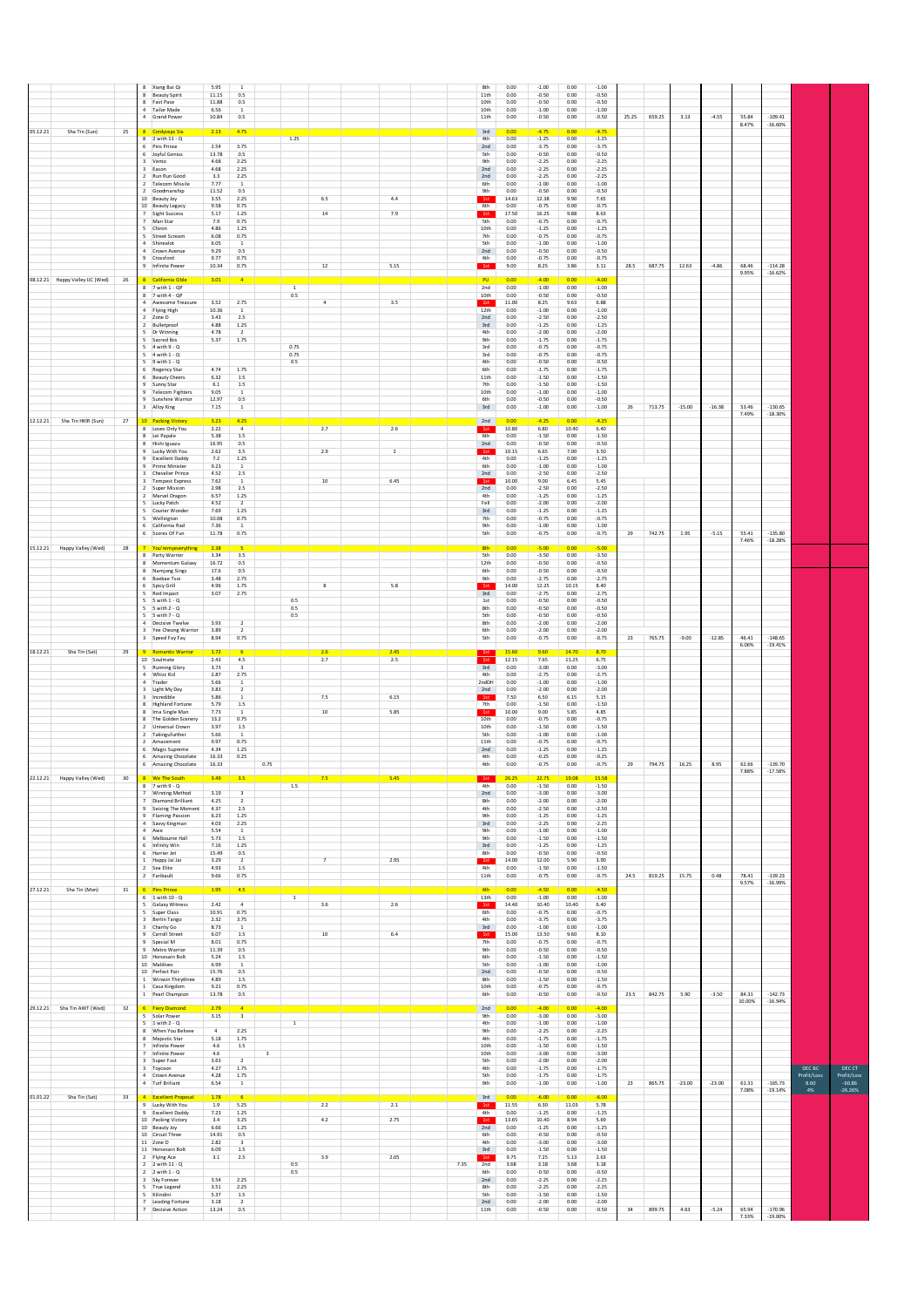|                                                          |                 | 8 Xiang Bai Qi<br>8 Beauty Spirit<br>8 Fast Pace<br>4 Tailor Made<br>4 Grand Power                                                                                                                                                                                                                                                                                    | 5.95<br>11.15<br>11.88<br>6.56<br>10.84                                                                                                       | 0.5<br>0.5<br><sup>1</sup><br>0.5                                                                                                                                                      |                           |                            |                         |                               |      | 8th<br>11th<br>10th<br>10th<br>11th                                                                                                         | 0.00<br>0.00<br>0.00<br>0.00<br>0.00                                                                                                                   | $-1.00$<br>$-0.50$<br>$-0.50$<br>$-1.00$<br>$-0.50$                                                                                                                                                    | 0.00<br>0.00<br>0.00<br>0.00<br>0.00                                                                                                                 | $-1.00$<br>$-0.50$<br>$-0.50$<br>$-1.00$<br>$-0.50$                                                                                                                                                  | 25.25 | 659.25 | 3.13     | $-4.55$  | 55.84<br>8.47%           | $-109.41$<br>$-16.60%$              |                                     |                                                |
|----------------------------------------------------------|-----------------|-----------------------------------------------------------------------------------------------------------------------------------------------------------------------------------------------------------------------------------------------------------------------------------------------------------------------------------------------------------------------|-----------------------------------------------------------------------------------------------------------------------------------------------|----------------------------------------------------------------------------------------------------------------------------------------------------------------------------------------|---------------------------|----------------------------|-------------------------|-------------------------------|------|---------------------------------------------------------------------------------------------------------------------------------------------|--------------------------------------------------------------------------------------------------------------------------------------------------------|--------------------------------------------------------------------------------------------------------------------------------------------------------------------------------------------------------|------------------------------------------------------------------------------------------------------------------------------------------------------|------------------------------------------------------------------------------------------------------------------------------------------------------------------------------------------------------|-------|--------|----------|----------|--------------------------|-------------------------------------|-------------------------------------|------------------------------------------------|
| 05.12.21<br>Sha Tin (Sun)                                | 25              | 8 Cordyceps Six<br>8 2 with 11 - Q<br>6 Pins Prince<br>6 Joyful Genius<br>3 Vento<br>3 Eason<br>2 Run Run Good<br>2 Telecom Missile<br>2 Goodmanship<br>10 Beauty Joy<br>10 Beauty Legacy<br>7 Sight Success<br>7 Man Star<br>5 Chiron<br>5 Street Scream<br>4 Shinealot<br>4 Crown Avenue<br>9 Crossford<br>9 Infinite Power                                         | 2.13<br>2.54<br>13.78<br>4.68<br>4.68<br>3.3<br>7.77<br>11.52<br>3.55<br>9.58<br>5.17<br>7.9<br>4.86<br>6.08<br>6.05<br>9.29<br>9.77<br>10.34 | 4.75<br>3.75<br>0.5<br>2.25<br>2.25<br>2.25<br>1<br>0.5<br>2.25<br>0.75<br>1.25<br>0.75<br>1.25<br>0.75<br>$\,$ 1<br>0.5<br>0.75<br>0.75                                               |                           | 1.25                       | $6.5\,$<br>$14\,$<br>12 | 4.4<br>7.9<br>5.15            |      | $3rd$<br>4th<br>2nd<br>5th<br>9th<br>2nd<br>2nd<br>6th<br>9th<br>1st<br>6th<br>1st<br>5th<br>10th<br>7th<br><b>Sth</b><br>2nd<br>4th<br>1st | 0.00<br>0.00<br>0.00<br>0.00<br>0.00<br>0.00<br>0.00<br>0.00<br>0.00<br>14.63<br>0.00<br>17.50<br>0.00<br>0.00<br>0.00<br>0.00<br>0.00<br>0.00<br>9.00 | $-4.75$<br>$-1.25$<br>$-3.75$<br>$-0.50$<br>$-2.25$<br>$-2.25$<br>$-2.25$<br>$-1.00$<br>$-0.50$<br>12.38<br>$-0.75$<br>16.25<br>$-0.75$<br>$-1.25$<br>$-0.75$<br>$-1.00$<br>$-0.50$<br>$-0.75$<br>8.25 | 0.00<br>0.00<br>0.00<br>0.00<br>0.00<br>0.00<br>0.00<br>0.00<br>0.00<br>9.90<br>0.00<br>9.88<br>0.00<br>0.00<br>0.00<br>0.00<br>0.00<br>0.00<br>3.86 | $-4.75$<br>$-1.25$<br>$-3.75$<br>$-0.50$<br>$-2.25$<br>$-2.25$<br>$-2.25$<br>$-1.00$<br>$-0.50$<br>7.65<br>$-0.75$<br>8.63<br>$-0.75$<br>$-1.25$<br>$-0.75$<br>$-1.00$<br>$-0.50$<br>$-0.75$<br>3.11 | 28.5  | 687.75 | 12.63    | $-4.86$  | 68.46                    | $-114.28$                           |                                     |                                                |
| 08.12.21 Happy Valley UC (Wed)                           | 26              | 8 California Cible<br>8 7 with 1 - QP<br>8 7 with 4 - QP<br>4 Awesome Treasure<br>4 Flying High<br>2 Zone D<br>2 Bulletproof<br>5 Dr Winning<br>5 Sacred Ibis<br>$5 - 4$ with $9 - 0$<br>$5 - 4$ with $1 - Q$<br>$5 \quad 9 \text{ with } 1 \cdot Q$<br>6 Regency Star<br>6 Beauty Cheers<br>9 Sunny Star<br>9 Telecom Fighters<br>9 Sunshine Warrior<br>3 Alloy King | 3.01<br>3.52<br>10.36<br>3.43<br>4.88<br>4.78<br>5.37<br>4.74<br>6.32<br>6.1<br>9.05<br>12.97<br>7.15                                         | $\overline{4}$<br>2.75<br><sup>1</sup><br>2.5<br>$1.25\,$<br>$\overline{2}$<br>1.75<br>1.75<br>1.5<br>1.5<br>$\,$ 1 $\,$<br>0.5<br><sup>1</sup>                                        |                           | 0.5<br>0.75<br>0.75<br>0.5 | $\overline{4}$          | 3.5                           |      | PU<br>2nd<br>10th<br>1st<br>12th<br>2nd<br>$3rd$<br>4th<br><b>9th</b><br>3rd<br>3rd<br>4th<br>6th<br>11th<br>7th<br>10th<br>6th<br>3rd      | 0.00<br>0.00<br>0.00<br>11.00<br>0.00<br>0.00<br>0.00<br>0.00<br>0.00<br>0.00<br>0.00<br>0.00<br>0.00<br>0.00<br>0.00<br>0.00<br>0.00<br>0.00          | $-4.00$<br>$-1.00$<br>$-0.50$<br>8.25<br>$-1.00$<br>$-2.50$<br>$-1.25$<br>$-2.00$<br>$-1.75$<br>$-0.75$<br>$-0.75$<br>$-0.50$<br>$-1.75$<br>$-1.50$<br>$-1.50$<br>$-1.00$<br>$-0.50$<br>$-1.00$        | 0.00<br>0.00<br>0.00<br>9.63<br>0.00<br>0.00<br>0.00<br>0.00<br>0.00<br>0.00<br>0.00<br>0.00<br>0.00<br>0.00<br>0.00<br>0.00<br>0.00<br>0.00         | $-4.00$<br>$-1.00$<br>$-0.50$<br>6.88<br>$-1.00$<br>$-2.50$<br>$-1.25$<br>$-2.00$<br>$-1.75$<br>$-0.75$<br>$-0.75$<br>$-0.50$<br>$-1.75$<br>$-1.50$<br>$-1.50$<br>$-1.00$<br>$-0.50$<br>$-1.00$      | 26    | 713.75 | $-15.00$ | $-16.38$ | 9.95%<br>53.46<br>7.49%  | $-16.62%$<br>$-130.65$<br>$-18.30%$ |                                     |                                                |
| 12.12.21 Sha Tin HKIR (Sun)                              | 27              | 10 Packing Victory<br>8 Loves Only You<br>8 Lei Papale<br>8 Hishi Iguazu<br>9 Lucky With You<br>9 Excellent Daddy<br>9 Prime Minister<br>3 Chevalier Prince<br>3 Tempest Express<br>2 Super Mission<br>2 Marvel Dragon<br>5 Lucky Patch<br>5 Courier Wonder<br>5 Wellington<br>6 California Rad<br>6 Scores Of Fun                                                    | 3.23<br>2.22<br>5.38<br>16.95<br>2.62<br>7.2<br>9.23<br>4.52<br>7.62<br>2.98<br>6.57<br>4.52<br>7.69<br>10.08<br>7.36<br>11.78                | 4.25<br>$\overline{a}$<br>$1.5\,$<br>0.5<br>3.5<br>1.25<br><sup>1</sup><br>$2.5\,$<br>$\,$ 1<br>2.5<br>1.25<br>$\overline{2}$<br>1.25<br>0.75<br><sup>1</sup><br>0.75                  |                           |                            | 2.7<br>2.9<br>$10\,$    | 2.6<br>$\overline{2}$<br>6.45 |      | 2nd<br>1st<br>6th<br>2nd<br>1st<br>4th<br>6th<br>2nd<br>1st<br>2nd<br>4th<br>Fell<br>$3rd$<br>7th<br><b>9th</b><br>5th                      | 0.00<br>10.80<br>0.00<br>0.00<br>10.15<br>0.00<br>0.00<br>0.00<br>10.00<br>0.00<br>0.00<br>0.00<br>0.00<br>0.00<br>0.00<br>0.00                        | $-4.25$<br>6.80<br>$-1.50$<br>$-0.50$<br>6.65<br>$-1.25$<br>$-1.00$<br>$-2.50$<br>9.00<br>$-2.50$<br>$-1.25$<br>$-2.00$<br>$-1.25$<br>$-0.75$<br>$-1.00$<br>$-0.75$                                    | 0.00<br>10.40<br>0.00<br>0.00<br>7.00<br>0.00<br>0.00<br>0.00<br>6.45<br>0.00<br>0.00<br>0.00<br>0.00<br>0.00<br>0.00<br>0.00                        | $-4.25$<br>6.40<br>$-1.50$<br>$-0.50$<br>3.50<br>$-1.25$<br>$-1.00$<br>$-2.50$<br>5.45<br>$-2.50$<br>$-1.25$<br>$-2.00$<br>$-1.25$<br>$-0.75$<br>$-1.00$<br>$-0.75$                                  | 29    | 742.75 | 1.95     | $-5.15$  | 55.41<br>7.46%           | $-135.80$<br>$-18.28%$              |                                     |                                                |
| 15.12.21 Happy Valley (Wed)<br>18.12.21<br>Sha Tin (Sat) | 28<br>29        | You'remyeverything<br>8 Party Warrior<br>8 Momentum Galaxy<br>8 Namjong Sings<br>6 Baebae Tsoi<br>6 Spicy Grill<br>5 Red Impact<br>5 5 with 1 - 0<br>5 5 with 2 - Q<br>$5 - 5$ with $7 - Q$<br>4 Decisive Twelve<br>3 Yee Cheong Warrior<br>3 Speed Fay Fay<br><b>Romantic Warrior</b>                                                                                | 2.38<br>3.34<br>16.72<br>17.6<br>3.48<br>4.96<br>3.07<br>3.93<br>3.89<br>8.94<br>1.72                                                         | $3.5\,$<br>0.5<br>0.5<br>2.75<br>$1.75\,$<br>2.75<br>$\overline{2}$<br>$\overline{2}$<br>0.75                                                                                          |                           | 0.5<br>0.5<br>0.5          | 8<br>2.6                | $5.8\,$<br>2.45               |      | 8th<br><b>Sth</b><br>12th<br>6th<br><b>9th</b><br>1st<br>3rd<br>1st<br>8th<br>5th<br>8th<br>6th<br>5th                                      | 0.00<br>0.00<br>0.00<br>0.00<br>0.00<br>14.00<br>0.00<br>0.00<br>0.00<br>0.00<br>0.00<br>0.00<br>0.00<br>15.60                                         | $-5.00$<br>$-3.50$<br>$-0.50$<br>$-0.50$<br>$-2.75$<br>12.25<br>$-2.75$<br>$-0.50$<br>$-0.50$<br>$-0.50$<br>$-2.00$<br>$-2.00$<br>$-0.75$<br>9.60                                                      | 0.00<br>0.00<br>0.00<br>0.00<br>0.00<br>10.15<br>0.00<br>0.00<br>0.00<br>0.00<br>$0.00\,$<br>0.00<br>0.00<br>14.70                                   | $-5.00$<br>$-3.50$<br>$-0.50$<br>$-0.50$<br>$-2.75$<br>8.40<br>$-2.75$<br>$-0.50$<br>$-0.50$<br>$-0.50$<br>$-2.00$<br>$-2.00$<br>$-0.75$<br>8.70                                                     | 23    | 765.75 | $-9.00$  | $-12.85$ | 46.41<br>6.06%           | $-148.65$<br>$-19.41%$              |                                     |                                                |
|                                                          |                 | 10 Soulmate<br>5 Running Glory<br>4 Whizz Kid<br>4 Trader<br>3 Light My Day<br>3 Incredible<br>8 Highland Fortune<br>8 Ima Single Man<br>8 The Golden Scenery<br>2 Universal Crown<br>2 Takingufurther<br>2 Amazement<br>6 Magic Supreme<br>6 Amazing Chocolate<br>6 Amazing Chocolate                                                                                | 2.43<br>3.73<br>2.87<br>5.66<br>3.83<br>5.86<br>5.79<br>7.73<br>13.2<br>3.97<br>5.66<br>9.97<br>4.34<br>16.33<br>16.33                        | $4.5\,$<br>$\overline{\mathbf{3}}$<br>2.75<br><sup>1</sup><br>$\overline{2}$<br>$\overline{1}$<br>$1.5\,$<br><sup>1</sup><br>0.75<br>$1.5\,$<br>$\overline{1}$<br>0.75<br>1.25<br>0.25 | 0.75                      |                            | 2.7<br>7.5<br>10        | 2.5<br>6.15<br>5.85           |      | 1st<br>3rd<br>4th<br>2ndDH<br>2nd<br>1st<br>7 <sub>th</sub><br>1st<br>10th<br>10th<br>5th<br>11th<br>2nd<br>4th<br>4th                      | 12.15<br>0.00<br>0.00<br>0.00<br>0.00<br>7.50<br>0.00<br>10.00<br>0.00<br>0.00<br>0.00<br>0.00<br>0.00<br>0.00<br>0.00                                 | 7.65<br>$-3.00$<br>$-2.75$<br>$-1.00$<br>$-2.00$<br>6.50<br>$-1.50$<br>9.00<br>$-0.75$<br>$-1.50$<br>$-1.00$<br>$-0.75$<br>$-1.25$<br>$-0.25$<br>$-0.75$                                               | 11.25<br>0.00<br>0.00<br>0.00<br>0.00<br>6.15<br>0.00<br>5.85<br>0.00<br>0.00<br>0.00<br>0.00<br>0.00<br>0.00<br>0.00                                | 6.75<br>$-3.00$<br>$-2.75$<br>$-1.00$<br>$-2.00$<br>5.15<br>$-1.50$<br>4.85<br>$-0.75$<br>$-1.50$<br>$-1.00$<br>$-0.75$<br>$-1.25$<br>$-0.25$<br>$-0.75$                                             | 29    | 794.75 | 16.25    | 8.95     | 62.66                    | $-139.70$                           |                                     |                                                |
| 22.12.21 Happy Valley (Wed)                              | 30 <sub>2</sub> | We The Sor<br>$8$ 7 with 9 - Q<br>7 Winning Method<br>7 Diamond Brilliant<br>9 Seizing The Moment<br>9 Flaming Passion<br>4 Savvy Kingman<br>4 Awe<br>6 Melhourne Hall<br>6 Infinity Win<br>6 Harrier Jet<br>1 Happy Jai Jai<br>2 Sea Elite<br>2 Faribault                                                                                                            | 3.49<br>3.19<br>4.25<br>4.37<br>6.23<br>4.03<br>5.54<br>5.73<br>7.16<br>15.49<br>3.29<br>4.93<br>9.66                                         | $\overline{\mathbf{3}}$<br>$\overline{2}$<br>2.5<br>1.25<br>2.25<br>$\mathbf{1}$<br>1.5<br>1.25<br>0.5<br>$\overline{2}$<br>1.5<br>0.75                                                |                           | $1.5\,$                    | 7.5<br>$\overline{7}$   | 5.45<br>2.95                  |      | 4th<br>2nd<br>8th<br>4th<br><b>9th</b><br>$3rd$<br><b>9th</b><br><b>9th</b><br>3rd<br>8th<br>1st<br>4th<br>11th                             | 0.00<br>0.00<br>0.00<br>0.00<br>0.00<br>$_{0.00}$<br>0.00<br>0.00<br>0.00<br>0.00<br>14.00<br>0.00<br>0.00                                             | $-1.50$<br>$-3.00$<br>$-2.00$<br>$-2.50$<br>$-1.25$<br>$-2.25$<br>$-1.00$<br>$-1.50$<br>$-1.25$<br>$-0.50$<br>12.00<br>$-1.50$<br>$-0.75$                                                              | 0.00<br>0.00<br>0.00<br>0.00<br>0.00<br>0.00<br>0.00<br>0.00<br>0.00<br>0.00<br>5.90<br>0.00<br>0.00                                                 | $-1.50$<br>$-3.00$<br>$-2.00$<br>$-2.50$<br>$-1.25$<br>$-2.25$<br>$-1.00$<br>$-1.50$<br>$-1.25$<br>$-0.50$<br>3.90<br>$-1.50$<br>$-0.75$                                                             | 24.5  | 819.25 | 15.75    | 0.48     | 7.88%<br>78.41<br>9.57%  | $-17.58%$<br>$-139.23$<br>$-16.99%$ |                                     |                                                |
| 27.12.21<br>Sha Tin (Mon)                                | 31              | 6 Pins Prince<br>$6 - 1$ with $10 - Q$<br>5 Galaxy Witness<br>5 Super Class<br>3 Berlin Tango<br>3 Charity Go<br>9 Carroll Street<br>9 Special M<br>9 Metro Warrior<br>10 Horsesain Bolt<br>10 Maldives<br>10 Perfect Pair<br>1 Winwin Thirythree<br>1 Casa Kingdom<br>1 Pearl Champion                                                                               | 1.95<br>2.42<br>10.91<br>2.32<br>8.73<br>6.07<br>8.01<br>11.39<br>5.24<br>6.99<br>15.76<br>4.89<br>9.21<br>13.78                              | 4.5<br>$\overline{4}$<br>0.75<br>3.75<br><sup>1</sup><br>1.5<br>0.75<br>0.5<br>1.5<br>$\mathbf{1}$<br>0.5<br>1.5<br>0.75<br>0.5                                                        |                           | $\overline{1}$             | 3.6<br>$10\,$           | 2.6<br>6.4                    |      | <b>4th</b><br>13th<br>1st<br>6th<br>4th<br>3rd<br>1st<br>7 <sup>th</sup><br><b>9th</b><br>6th<br>5th<br>2nd<br>8th<br>10th<br>6th           | 0.00<br>0.00<br>14.40<br>0.00<br>0.00<br>0.00<br>15.00<br>0.00<br>0.00<br>0.00<br>0.00<br>0.00<br>0.00<br>0.00<br>0.00                                 | $-4.50$<br>$-1.00$<br>10.40<br>$-0.75$<br>$-3.75$<br>$-1.00$<br>13.50<br>$-0.75$<br>$-0.50$<br>$-1.50$<br>$-1.00$<br>$-0.50$<br>$-1.50$<br>$-0.75$<br>$-0.50$                                          | n nn<br>0.00<br>10.40<br>0.00<br>0.00<br>0.00<br>9.60<br>0.00<br>0.00<br>0.00<br>0.00<br>0.00<br>0.00<br>0.00<br>0.00                                | $-4.50$<br>$-1.00$<br>6.40<br>$-0.75$<br>$-3.75$<br>$-1.00$<br>8.10<br>$-0.75$<br>$-0.50$<br>$-1.50$<br>$-1.00$<br>$-0.50$<br>$-1.50$<br>$-0.75$<br>$-0.50$                                          | 23.5  | 842.75 | 5.90     | $-3.50$  | 84.31                    | $-142.73$                           |                                     |                                                |
| 29.12.21 Sha Tin AWT (Wed)<br>01.01.22<br>Sha Tin (Sat)  | 32<br>33        | 6 Fiery Diamond<br>5 Solar Power<br>$5 - 1$ with $2 - Q$<br>8 When You Believe<br>8 Maiestic Star<br>7 Infinite Power<br>7 Infinite Power<br>3 Super Fast<br>3 Toycoon<br>4 Crown Avenue<br>4 Turf Briliant<br><b>Excellent Propos</b>                                                                                                                                | 2.79<br>3.15<br>$\overline{4}$<br>5.18<br>4.6<br>4.6<br>3.63<br>4.27<br>4.28<br>6.54<br>1.78                                                  | $\overline{4}$<br>$\mathsf3$<br>2.25<br>1.75<br>$1.5\,$<br>$\overline{2}$<br>1.75<br>1.75<br>$\,$ 1 $\,$                                                                               | $\ensuremath{\mathsf{3}}$ | $\,$ 1 $\,$                |                         |                               |      | 2nd<br><b>9th</b><br>4th<br><b>9th</b><br>4th<br>10th<br>10th<br>5th<br>4th<br>5th<br>9th<br>3rd                                            | 0.00<br>0.00<br>0.00<br>0.00<br>0.00<br>0.00<br>0.00<br>0.00<br>0.00<br>0.00<br>0.00<br>0.00                                                           | $-4.00$<br>$-3.00$<br>$-1.00$<br>$-2.25$<br>$-1.75$<br>$-1.50$<br>$-3.00$<br>$-2.00$<br>$-1.75$<br>$-1.75$<br>$-1.00$<br>$-6.00$                                                                       | 0.00<br>0.00<br>0.00<br>0.00<br>0.00<br>0.00<br>0.00<br>0.00<br>0.00<br>0.00<br>0.00<br>0.00                                                         | $-4.00$<br>$-3.00$<br>$-1.00$<br>$-2.25$<br>$-1.75$<br>$-1.50$<br>$-3.00$<br>$-2.00$<br>$-1.75$<br>$-1.75$<br>$-1.00$<br>$-6.00$                                                                     | 23    | 865.75 | $-23.00$ | $-23.00$ | 10.00%<br>61.31<br>7.08% | $-16.94%$<br>$-165.73$<br>$-19.14%$ | DEC BC<br>Profit/Loss<br>8.60<br>4% | DEC CT<br>Profit/Loss<br>$-60.86$<br>$-26.26%$ |
|                                                          |                 | 9 Lucky With You<br>9 Excellent Daddy<br>10 Packing Victory<br>10 Beauty Joy<br>10 Circuit Three<br>11 Zone D<br>11 Horsesain Bolt<br>2 Flying Ace<br>$2 - 2$ with $11 - Q$<br>$2 \quad 2 \text{ with } 1 \cdot Q$<br>3 Sky Forever<br>5 True Legend<br>5 Kilindini<br>7 Leading Fortune<br>Decisive Action                                                           | 1.9<br>7.23<br>3.4<br>6.66<br>14.91<br>2.82<br>6.09<br>3.1<br>3.54<br>3.51<br>5.37<br>3.18<br>13.24                                           | 5.25<br>1.25<br>3.25<br>1.25<br>0.5<br>$\overline{\mathbf{3}}$<br>$1.5\,$<br>2.5<br>2.25<br>2.25<br>1.5<br>$\overline{2}$<br>0.5                                                       |                           | 0.5<br>0.5                 | 2.2<br>4.2<br>3.9       | 2.1<br>2.75<br>2.05           | 7.35 | 1st<br>4th<br>1st<br>2nd<br>6th<br>4th<br>3rd<br>1st<br>2nd<br>6th<br>2nd<br>8th<br>5th<br>2nd<br>11th                                      | 11.55<br>0.00<br>13.65<br>0.00<br>0.00<br>0.00<br>0.00<br>9.75<br>3.68<br>0.00<br>0.00<br>0.00<br>0.00<br>0.00<br>0.00                                 | 6.30<br>$-1.25$<br>10.40<br>$-1.25$<br>$-0.50$<br>$-3.00$<br>$-1.50$<br>7.25<br>3.18<br>$-0.50$<br>$-2.25$<br>$-2.25$<br>$-1.50$<br>$-2.00$<br>$-0.50$                                                 | 11.03<br>0.00<br>8.94<br>0.00<br>0.00<br>0.00<br>0.00<br>5.13<br>3.68<br>0.00<br>0.00<br>0.00<br>0.00<br>0.00<br>$0.00\,$                            | 5.78<br>$-1.25$<br>5.69<br>$-1.25$<br>$-0.50$<br>$-3.00$<br>$-1.50$<br>2.63<br>3.18<br>$-0.50$<br>$-2.25$<br>$-2.25$<br>$-1.50$<br>$-2.00$<br>$-0.50$                                                | 34    | 899.75 | 4.63     | $-5.24$  | 65.94<br>7.33%           | $-170.96$<br>$-19.00%$              |                                     |                                                |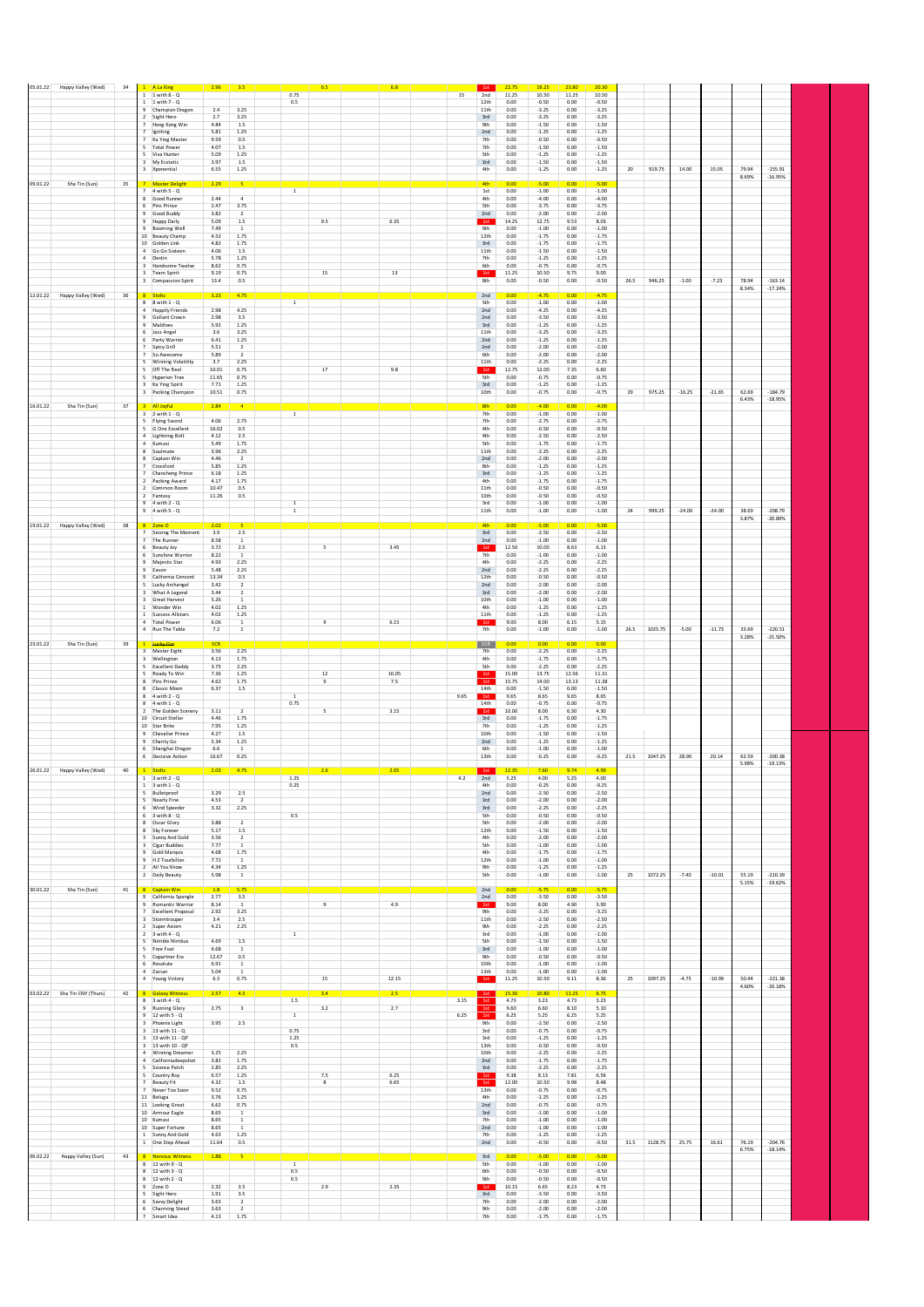|          | 05.01.22 Happy Valley (Wed)  | 34     |              | 1 A La King                                           | 2.96          | 3.5                                                                                         |                    | 6.5            |              | 6.8   |      | 1st                | 22.75             | 19.25              | 23.80             | 20.30              |      |         |          |          |                |                        |  |
|----------|------------------------------|--------|--------------|-------------------------------------------------------|---------------|---------------------------------------------------------------------------------------------|--------------------|----------------|--------------|-------|------|--------------------|-------------------|--------------------|-------------------|--------------------|------|---------|----------|----------|----------------|------------------------|--|
|          |                              |        |              | 1 with 8 - Q                                          |               |                                                                                             | 0.75               |                |              |       | 15   | 2nd                | 11.25             | 10.50              | 11.25             | 10.50              |      |         |          |          |                |                        |  |
|          |                              |        |              | $1 - 1$ with $7 - Q$<br>9 Champion Dragon             | 2.4           | 3.25                                                                                        | 0.5                |                |              |       |      | 12th<br>11th       | 0.00<br>0.00      | $-0.50$<br>$-3.25$ | 0.00<br>0.00      | $-0.50$<br>$-3.25$ |      |         |          |          |                |                        |  |
|          |                              |        |              | 2 Sight Hero                                          | 2.7           | 3.25                                                                                        |                    |                |              |       |      | 3rd                | 0.00              | $-3.25$            | 0.00              | $-3.25$            |      |         |          |          |                |                        |  |
|          |                              |        |              | 7 Hong Kong Win<br>Igniting                           | 4.84<br>5.81  | 1.5<br>1.25                                                                                 |                    |                |              |       |      | <b>9th</b><br>2nd  | 0.00<br>0.00      | $-1.50$<br>$-1.25$ | 0.00<br>0.00      | $-1.50$<br>$-1.25$ |      |         |          |          |                |                        |  |
|          |                              |        |              | 7 Ka Ying Master                                      | 9.59          | 0.5                                                                                         |                    |                |              |       |      | 7th                | 0.00              | $-0.50$            | 0.00              | $-0.50$            |      |         |          |          |                |                        |  |
|          |                              |        |              | 5 Total Power<br>5 Viva Hunter                        | 4.07<br>5.09  | $1.5\,$<br>1.25                                                                             |                    |                |              |       |      | 7th<br>5th         | 0.00<br>0.00      | $-1.50$<br>$-1.25$ | 0.00<br>0.00      | $-1.50$<br>$-1.25$ |      |         |          |          |                |                        |  |
|          |                              |        |              | 3 My Ecstatic                                         | 3.97          | 1.5                                                                                         |                    |                |              |       |      | 3rd                | 0.00              | $-1.50$            | 0.00              | $-1.50$            |      |         |          |          |                |                        |  |
|          |                              |        |              | 3 Xponential                                          | 6.55          | 1.25                                                                                        |                    |                |              |       |      | 4th                | 0.00              | $-1.25$            | 0.00              | $-1.25$            | 20   | 919.75  | 14.00    | 15.05    | 79.94<br>8.69% | $-155.91$<br>$-16.95%$ |  |
| 09.01.22 | Sha Tin (Sun)                | 35     |              | <b>Master Deligh</b><br>$7 - 4$ with $5 - 0$          | 2.29          |                                                                                             | $\overline{1}$     |                |              |       |      | 4th                | 0.00<br>0.00      | $-5.00$<br>$-1.00$ | 0.00<br>0.00      | $-5.00$<br>$-1.00$ |      |         |          |          |                |                        |  |
|          |                              |        |              | 8 Good Runner                                         | 2.44          | $\overline{4}$                                                                              |                    |                |              |       |      | 1st<br>4th         | 0.00              | $-4.00$            | 0.00              | $-4.00$            |      |         |          |          |                |                        |  |
|          |                              |        |              | 6 Pins Prince<br>Good Buddy                           | 2.47<br>3.82  | 3.75                                                                                        |                    |                |              |       |      | 5th                | 0.00              | $-3.75$            | 0.00              | $-3.75$<br>$-2.00$ |      |         |          |          |                |                        |  |
|          |                              |        |              | <b>Happy Daily</b>                                    | 5.09          | $1.5\,$                                                                                     |                    | 9.5            |              | 6.35  |      | 2nd<br>1st         | 0.00<br>14.25     | $-2.00$<br>12.75   | 0.00<br>9.53      | 8.03               |      |         |          |          |                |                        |  |
|          |                              |        |              | 9 Booming Well<br>10 Beauty Champ                     | 7.49<br>4.52  | <sup>1</sup><br>1.75                                                                        |                    |                |              |       |      | 9th<br>12th        | 0.00<br>0.00      | $-1.00$<br>$-1.75$ | 0.00<br>0.00      | $-1.00$<br>$-1.75$ |      |         |          |          |                |                        |  |
|          |                              |        |              | 10 Golden Link                                        | 4.82          | 1.75                                                                                        |                    |                |              |       |      | 3rd                | 0.00              | $-1.75$            | 0.00              | $-1.75$            |      |         |          |          |                |                        |  |
|          |                              |        |              | 4 Go Go Sixteen<br>Destin                             | 4.06<br>5.78  | 1.5<br>1.25                                                                                 |                    |                |              |       |      | 11th<br>7th        | 0.00<br>0.00      | $-1.50$<br>$-1.25$ | 0.00<br>$_{0.00}$ | $-1.50$<br>$-1.25$ |      |         |          |          |                |                        |  |
|          |                              |        |              | 3 Handsome Twelve                                     | 8.62          | 0.75                                                                                        |                    |                |              |       |      | 6th                | 0.00              | $-0.75$            | 0.00              | $-0.75$            |      |         |          |          |                |                        |  |
|          |                              |        |              | 3 Team Spirit<br>3 Compassion Spirit                  | 9.19<br>13.4  | 0.75<br>0.5                                                                                 |                    | 15             |              | 13    |      | 1st<br>8th         | 11.25<br>0.00     | 10.50<br>$-0.50$   | 9.75<br>0.00      | 9.00<br>$-0.50$    | 26.5 | 946.25  | $-1.00$  | $-7.23$  | 78.94          | $-163.14$              |  |
|          |                              |        |              |                                                       |               |                                                                                             |                    |                |              |       |      |                    |                   |                    |                   |                    |      |         |          |          | 8.34%          | $-17.24%$              |  |
| 12.01.22 | Happy Valley (Wed)           | $36\,$ |              | <b>Stolt</b><br>$8$ $8$ with $1 - Q$                  | 3.23          | 4.75                                                                                        | $\overline{1}$     |                |              |       |      | 2nd<br>5th         | 0.00<br>0.00      | 4.75<br>$-1.00$    | 0.00<br>0.00      | $-4.75$<br>$-1.00$ |      |         |          |          |                |                        |  |
|          |                              |        |              | 4 Happily Friends                                     | 2.98          | 4.25                                                                                        |                    |                |              |       |      | 2nd                | 0.00              | $-4.25$            | 0.00              | $-4.25$            |      |         |          |          |                |                        |  |
|          |                              |        |              | 9 Gallant Crown<br>9 Maldives                         | 2.98<br>5.92  | 3.5<br>1.25                                                                                 |                    |                |              |       |      | 2nd<br>3rd         | 0.00<br>0.00      | $-3.50$<br>$-1.25$ | 0.00<br>0.00      | $-3.50$<br>$-1.25$ |      |         |          |          |                |                        |  |
|          |                              |        |              | Jazz Angel                                            | 3.6           | 3.25                                                                                        |                    |                |              |       |      | 11th               | 0.00              | $-3.25$            | $_{0.00}$         | $-3.25$            |      |         |          |          |                |                        |  |
|          |                              |        |              | Party Warrio<br>Spicy Grill                           | 6.41<br>5.51  | 1.25<br>$\overline{2}$                                                                      |                    |                |              |       |      | 2nd<br>2nd         | 0.00<br>0.00      | $-1.25$<br>$-2.00$ | 0.00<br>0.00      | $-1.25$<br>$-2.00$ |      |         |          |          |                |                        |  |
|          |                              |        |              | 7 So Awesome                                          | 5.89          | $\overline{z}$                                                                              |                    |                |              |       |      | 6th                | 0.00              | $-2.00$            | 0.00              | $-2.00$            |      |         |          |          |                |                        |  |
|          |                              |        |              | 5 Winning Volatility<br>Off The Reel                  | 3.7<br>10.01  | 2.25<br>0.75                                                                                |                    | $17\,$         |              | 9.8   |      | 11th<br>1st        | 0.00<br>12.75     | $-2.25$<br>12.00   | 0.00<br>7.35      | $-2.25$<br>6.60    |      |         |          |          |                |                        |  |
|          |                              |        |              | <b>Hyperion Tree</b>                                  | 11.65         | 0.75                                                                                        |                    |                |              |       |      | 5th                | 0.00              | $-0.75$            | 0.00              | $-0.75$            |      |         |          |          |                |                        |  |
|          |                              |        | 3            | Ka Ying Spirit<br>3 Packing Champion                  | 7.71<br>10.51 | 1.25<br>0.75                                                                                |                    |                |              |       |      | 3rd<br>10th        | 0.00<br>0.00      | $-1.25$<br>$-0.75$ | 0.00<br>0.00      | $-1.25$<br>$-0.75$ | 29   | 975.25  | $-16.25$ | $-21.65$ | 62.69          | $-184.79$              |  |
|          |                              |        |              |                                                       |               |                                                                                             |                    |                |              |       |      | 8th                |                   | $-4.00$            | 0.00              | $-4.00$            |      |         |          |          | 6.43%          | $-18.95%$              |  |
| 16.01.22 | Sha Tin (Sun)                | 37     |              | 3 All Joyful<br>$3$ 2 with $1 - Q$                    | 2.84          | $\blacktriangleleft$                                                                        | $\,$ 1 $\,$        |                |              |       |      | 7th                | 0.00<br>0.00      | $-1.00$            | 0.00              | $-1.00$            |      |         |          |          |                |                        |  |
|          |                              |        |              | 5 Flying Sword<br>5 G One Excellent                   | 4.06<br>16.02 | 2.75                                                                                        |                    |                |              |       |      | 7th                | 0.00              | $-2.75$            | 0.00              | $-2.75$            |      |         |          |          |                |                        |  |
|          |                              |        |              | 4 Lightning Bolt                                      | 4.12          | 0.5<br>2.5                                                                                  |                    |                |              |       |      | 4th<br>4th         | 0.00<br>0.00      | $-0.50$<br>$-2.50$ | 0.00<br>0.00      | $-0.50$<br>$-2.50$ |      |         |          |          |                |                        |  |
|          |                              |        |              | 4 Kumasi                                              | 5.49          | 1.75                                                                                        |                    |                |              |       |      | 5th                | 0.00              | $-1.75$            | 0.00              | $-1.75$            |      |         |          |          |                |                        |  |
|          |                              |        | 8            | 8 Soulmate<br>Captain Win                             | 3.96<br>4.46  | 2.25<br>$\overline{2}$                                                                      |                    |                |              |       |      | 11th<br>2nd        | 0.00<br>0.00      | $-2.25$<br>$-2.00$ | 0.00<br>0.00      | $-2.25$<br>$-2.00$ |      |         |          |          |                |                        |  |
|          |                              |        |              | Crossford                                             | 5.85          | 1.25                                                                                        |                    |                |              |       |      | 8th                | 0.00              | $-1.25$            | 0.00              | $-1.25$            |      |         |          |          |                |                        |  |
|          |                              |        |              | 7 Chancheng Prince<br>2 Packing Award                 | 6.18<br>4.17  | 1.25<br>1.75                                                                                |                    |                |              |       |      | 3rd<br>4th         | 0.00<br>0.00      | $-1.25$<br>$-1.75$ | 0.00<br>0.00      | $-1.25$<br>$-1.75$ |      |         |          |          |                |                        |  |
|          |                              |        |              | 2 Common Room                                         | 10.47         | 0.5                                                                                         |                    |                |              |       |      | 11th               | 0.00              | $-0.50$            | 0.00              | $-0.50$            |      |         |          |          |                |                        |  |
|          |                              |        |              | 2 Fantasy<br>9 4 with 2 - Q                           | 11.26         | 0.5                                                                                         | $\,$ 1 $\,$        |                |              |       |      | 10th<br>3rd        | 0.00<br>0.00      | $-0.50$<br>$-1.00$ | 0.00<br>0.00      | $-0.50$<br>$-1.00$ |      |         |          |          |                |                        |  |
|          |                              |        |              | $9 - 4$ with $5 - 0$                                  |               |                                                                                             | <sup>1</sup>       |                |              |       |      | 11th               | 0.00              | $-1.00$            | 0.00              | $-1.00$            | 24   | 999.25  | $-24.00$ | $-24.00$ | 38.69          | $-208.79$              |  |
|          | 19.01.22 Happy Valley (Wed)  | 38     |              | 8 Zone D                                              | 2.02          |                                                                                             |                    |                |              |       |      | <b>4th</b>         | 0.00              | 500                | 0.00              | $-5.00$            |      |         |          |          | 3.87%          | $-20.89%$              |  |
|          |                              |        |              | Seizing The Moment<br>The Runner                      | 3.9<br>8.58   | $2.5\,$<br>$\mathbf{1}$                                                                     |                    |                |              |       |      | 3rd<br>2nd         | 0.00<br>0.00      | $-2.50$<br>$-1.00$ | 0.00<br>0.00      | $-2.50$<br>$-1.00$ |      |         |          |          |                |                        |  |
|          |                              |        |              | 6 Beauty Joy                                          | 3.72          | 2.5                                                                                         |                    | 5              |              | 3.45  |      | 1st                | 12.50             | 10.00              | 8.63              | 6.13               |      |         |          |          |                |                        |  |
|          |                              |        |              | 6 Sunshine Warrior<br>9 Majestic Star                 | 8.22<br>4.93  | <sup>1</sup><br>2.25                                                                        |                    |                |              |       |      | 7th<br>4th         | 0.00<br>0.00      | $-1.00$<br>$-2.25$ | 0.00<br>0.00      | $-1.00$<br>$-2.25$ |      |         |          |          |                |                        |  |
|          |                              |        |              | 9 Eason                                               | 5.48          | 2.25                                                                                        |                    |                |              |       |      | 2nd                | $_{0.00}$         | $-2.25$            | $_{0.00}$         | $-2.25$            |      |         |          |          |                |                        |  |
|          |                              |        |              | 9 California Concord<br>Lucky Archangel               | 13.34<br>3.42 | 0.5<br>$\overline{2}$                                                                       |                    |                |              |       |      | 12th<br>2nd        | 0.00<br>0.00      | $-0.50$<br>$-2.00$ | 0.00<br>0.00      | $-0.50$<br>$-2.00$ |      |         |          |          |                |                        |  |
|          |                              |        |              | 3 What A Legend                                       | 3.44          | $\overline{z}$                                                                              |                    |                |              |       |      | 3rd                | 0.00              | $-2.00$            | 0.00              | $-2.00$            |      |         |          |          |                |                        |  |
|          |                              |        |              | 3 Great Harvest<br>Wonder Win                         | 5.26<br>4.02  | $\,$ 1 $\,$<br>$1.25\,$                                                                     |                    |                |              |       |      | 10th<br>4th        | 0.00<br>$_{0.00}$ | $-1.00$<br>$-1.25$ | 0.00<br>$_{0.00}$ | $-1.00$<br>$-1.25$ |      |         |          |          |                |                        |  |
|          |                              |        | 1            | Success Allstars                                      | 4.02          | 1.25                                                                                        |                    |                |              |       |      | 11th               | 0.00              | $-1.25$            | 0.00              | $-1.25$            |      |         |          |          |                |                        |  |
|          |                              |        |              | <b>Total Power</b><br>4 Run The Table                 | 6.06<br>7.2   | 1<br>$\overline{1}$                                                                         |                    | $\overline{9}$ |              | 6.15  |      | 1st<br>7th         | 9.00<br>0.00      | 8.00<br>$-1.00$    | 6.15<br>0.00      | 5.15<br>$-1.00$    | 26.5 | 1025.75 | $-5.00$  | $-11.73$ | 33.69          | $-220.51$              |  |
|          |                              |        |              |                                                       |               |                                                                                             |                    |                |              |       |      |                    |                   |                    |                   |                    |      |         |          |          | 3.28%          | $-21.50%$              |  |
| 23.01.22 | Sha Tin (Sun)                | 39     |              | 1 Lucky Gor<br>3 Master Eight                         | SCR<br>3.56   | 2.25                                                                                        |                    |                |              |       |      | SCR<br>7th         | 0.00<br>0.00      | 0.00<br>$-2.25$    | 0.00<br>0.00      | 0.00<br>$-2.25$    |      |         |          |          |                |                        |  |
|          |                              |        |              | Wellington                                            | 4.13          | 1.75                                                                                        |                    |                |              |       |      | 4th                | 0.00              | $-1.75$            | 0.00              | $-1.75$            |      |         |          |          |                |                        |  |
|          |                              |        |              | Excellent Daddy<br>5 Ready To Win                     | 3.75<br>7.36  | 2.25<br>1.25                                                                                |                    | 12             |              | 10.05 |      | 5th                | 0.00<br>15.00     | $-2.25$<br>13.75   | 0.00<br>12.56     | $-2.25$<br>11.31   |      |         |          |          |                |                        |  |
|          |                              |        |              | 8 Pins Prince                                         | 4.62          | 1.75                                                                                        |                    | 9              |              | 7.5   |      | 1st                | 15.75             | 14.00              | 13.13             | 11.38              |      |         |          |          |                |                        |  |
|          |                              |        |              | 8 Classic Moon<br>$8 - 4$ with $2 - 0$                | 6.37          | $1.5\,$                                                                                     |                    |                |              |       | 9.65 | 14th<br>1st        | 0.00<br>9.65      | $-1.50$<br>8.65    | 0.00<br>9.65      | $-1.50$<br>8.65    |      |         |          |          |                |                        |  |
|          |                              |        |              | $R = 4$ with $1 - D$                                  |               |                                                                                             | 0.75               |                |              |       |      | 14th               | 0.00              | $-0.75$            | 0.00              | $-0.75$            |      |         |          |          |                |                        |  |
|          |                              |        |              | 2 The Golden Scenery<br>10 Circuit Stellar            | 3.11<br>4.46  | $\overline{2}$<br>1.75                                                                      |                    | $\sqrt{2}$     |              | 3.15  |      | 1st<br>3rd         | 10.00<br>0.00     | 8.00<br>$-1.75$    | 6.30<br>0.00      | 4.30<br>$-1.75$    |      |         |          |          |                |                        |  |
|          |                              |        |              | 10 Star Brite                                         | 7.95          | 1.25                                                                                        |                    |                |              |       |      | 7th                | 0.00              | $-1.25$            | 0.00              | $-1.25$            |      |         |          |          |                |                        |  |
|          |                              |        | $\mathbf{q}$ | Chevalier Prince<br>9 Charity Go                      | 4.27<br>5.34  | 1.5<br>1.25                                                                                 |                    |                |              |       |      | 10th<br>2nd        | 0.00<br>0.00      | $-1.50$<br>$-1.25$ | 0.00<br>0.00      | $-1.50$<br>$-1.25$ |      |         |          |          |                |                        |  |
|          |                              |        |              | 6 Shanghai Dragon                                     | 6.6           | $\mathbf{1}$                                                                                |                    |                |              |       |      | 6th                | 0.00              | $-1.00$            | 0.00              | $-1.00$            |      |         |          |          |                |                        |  |
|          |                              |        |              | 6 Decisive Action                                     | 16.67         | 0.25                                                                                        |                    |                |              |       |      | 13th               | 0.00              | $-0.25$            | 0.00              | $-0.25$            | 21.5 | 1047.25 | 28.90    | 20.14    | 62.59<br>5.98% | $-200.38$<br>$-19.13%$ |  |
|          | 26.01.22 Happy Valley (Wed)  |        |              |                                                       |               |                                                                                             |                    |                | 2.6 2.6 2.05 |       |      | 1st                | 12.35             | 7.60               | 9.74              | 4.99               |      |         |          |          |                |                        |  |
|          |                              | 40     |              | 1 Stoltz                                              | 2.03          | $\begin{array}{ c c c c c c }\n\hline\n\textbf{4.75} & \textbf{} & \textbf{} \n\end{array}$ |                    |                |              |       |      |                    |                   |                    |                   |                    |      |         |          |          |                |                        |  |
|          |                              |        |              | $3 with 2 - 0$<br>$1 \quad 3 \text{ with } 1 \cdot Q$ |               |                                                                                             | 0.25               |                |              |       |      | 4th                | 0.00              | 4.00<br>$-0.25$    | 5.25<br>0.00      | 400<br>$-0.25$     |      |         |          |          |                |                        |  |
|          |                              |        |              | 5 Bulletproof                                         | 3.29          | 2.5                                                                                         |                    |                |              |       |      | 2nd                | 0.00              | $-2.50$            | 0.00              | $-2.50$            |      |         |          |          |                |                        |  |
|          |                              |        | 5            | Nearly Fine<br>6 Wind Speeder                         | 4.53<br>3.32  | $\overline{2}$<br>2.25                                                                      |                    |                |              |       |      | 3rd<br>3rd         | 0.00<br>0.00      | $-2.00$<br>$-2.25$ | 0.00<br>0.00      | $-2.00$<br>$-2.25$ |      |         |          |          |                |                        |  |
|          |                              |        |              | $6 - 3$ with $8 - 0$                                  |               |                                                                                             | 0.5                |                |              |       |      | 5th                | 0.00              | $-0.50$            | 0.00              | $-0.50$            |      |         |          |          |                |                        |  |
|          |                              |        |              | 8 Oscar Glory<br>8 Sky Forever                        | 3.88<br>5.17  | $\overline{2}$<br>$1.5\,$                                                                   |                    |                |              |       |      | 5th<br>12th        | 0.00<br>0.00      | $-2.00$<br>$-1.50$ | 0.00<br>0.00      | $-2.00$<br>$-1.50$ |      |         |          |          |                |                        |  |
|          |                              |        |              | 3 Sunny And Gold                                      | 3.56          | $\overline{z}$                                                                              |                    |                |              |       |      | 4th                | 0.00              | $-2.00$            | 0.00              | $-2.00$            |      |         |          |          |                |                        |  |
|          |                              |        |              | 3 Cigar Buddies<br>9 Gold Marquis                     | 7.77<br>4.68  | $\mathbf{1}$<br>1.75                                                                        |                    |                |              |       |      | 5th<br>4th         | 0.00<br>0.00      | $-1.00$<br>$-1.75$ | 0.00<br>0.00      | $-1.00$<br>$-1.75$ |      |         |          |          |                |                        |  |
|          |                              |        |              | 9 H Z Tourbillon                                      | 7.72          | <sup>1</sup>                                                                                |                    |                |              |       |      | 12th<br><b>9th</b> | 0.00<br>0.00      | $-1.00$            | 0.00              | $-1.00$            |      |         |          |          |                |                        |  |
|          |                              |        |              | 2 All You Know<br>2 Daily Beauty                      | 4.34<br>5.98  | 1.25<br>$\,$ 1 $\,$                                                                         |                    |                |              |       |      | 5th                | 0.00              | $-1.25$<br>$-1.00$ | 0.00<br>0.00      | $-1.25$<br>$-1.00$ | 25   | 1072.25 | $-7.40$  | $-10.01$ | 55.19          | $-210.39$              |  |
| 30.01.22 | Sha Tin (Sun)                | 41     |              | 8 Captain Win                                         |               | 5.75                                                                                        |                    |                |              |       |      | 2nd                | 0.00              | $-5.75$            | 0.00              | $-5.75$            |      |         |          |          | 5.15%          | $-19.62%$              |  |
|          |                              |        | 9            | California Spangle                                    | 2.77          | 3.5                                                                                         |                    |                |              |       |      | 2nd                | 0.00              | $-3.50$            | 0.00              | $-3.50$            |      |         |          |          |                |                        |  |
|          |                              |        |              | 9 Romantic Warrior<br>7 Excellent Proposal            | 8.14<br>2.92  | <sup>1</sup><br>3.25                                                                        |                    | $\overline{9}$ |              | 4.9   |      | 1st<br><b>9th</b>  | 9.00<br>0.00      | 8.00<br>$-3.25$    | 4.90<br>0.00      | 3.90<br>$-3.25$    |      |         |          |          |                |                        |  |
|          |                              |        |              | Stormtrouper                                          | $_{\bf 3.4}$  | $2.5\,$                                                                                     |                    |                |              |       |      | 11th               | $0.00\,$          | $-2.50$            | $_{0.00}$         | $-2.50$            |      |         |          |          |                |                        |  |
|          |                              |        |              | 2 Super Axiom<br>$2$ 3 with $4 - 0$                   | 4.21          | 2.25                                                                                        | $\mathbf{1}$       |                |              |       |      | <b>9th</b><br>3rd  | 0.00<br>0.00      | $-2.25$<br>$-1.00$ | 0.00<br>0.00      | $-2.25$<br>$-1.00$ |      |         |          |          |                |                        |  |
|          |                              |        |              | 5 Nimble Nimbus<br>5 Free Foal                        | 4.69<br>6.68  | 1.5<br>$\overline{1}$                                                                       |                    |                |              |       |      | 5th<br>3rd         | 0.00<br>0.00      | $-1.50$<br>$-1.00$ | 0.00<br>0.00      | $-1.50$<br>$-1.00$ |      |         |          |          |                |                        |  |
|          |                              |        |              | Copartner Era                                         | 12.67         | $0.5\,$                                                                                     |                    |                |              |       |      | <b>9th</b>         | $0.00\,$          | $-0.50$            | 0.00              | $-0.50$            |      |         |          |          |                |                        |  |
|          |                              |        |              | 6 Resolute<br>4 Zacian                                | 6.91<br>5.04  | -1<br><sup>1</sup>                                                                          |                    |                |              |       |      | 10th<br>13th       | 0.00<br>0.00      | $-1.00$<br>$-1.00$ | 0.00<br>0.00      | $-1.00$<br>$-1.00$ |      |         |          |          |                |                        |  |
|          |                              |        |              | 4 Young Victory                                       | 6.3           | 0.75                                                                                        |                    | $15\,$         |              | 12.15 |      | 1st                | 11.25             | 10.50              | 9.11              | 8.36               | 25   | 1097.25 | $-4.75$  | $-10.99$ | 50.44          | $-221.38$              |  |
|          |                              |        |              | 8 Galaxy Witness                                      | 2.57          |                                                                                             |                    |                |              |       |      |                    | 15.30             | 10.80              | 11.25             | 6.75               |      |         |          |          | 4.60%          | $-20.18%$              |  |
|          | 03.02.22 Sha Tin CNY (Thurs) | 42     |              | $8 - 3$ with $4 - Q$                                  |               | 4.5                                                                                         | 1.5                | 3.4            |              | 2.5   | 3.15 | 1st                | 4.73              | 3.23               | 4.73              | 3.23               |      |         |          |          |                |                        |  |
|          |                              |        |              | 9 Running Glory<br>$9 - 12$ with $5 - Q$              | 2.75          | 3                                                                                           | $\mathbf 1$        | 3.2            |              | 2.7   | 6.25 | 1st<br>1st         | 9.60<br>6.25      | 6.60<br>5.25       | 8.10<br>6.25      | 5.10<br>5.25       |      |         |          |          |                |                        |  |
|          |                              |        |              | 3 Phoenix Light                                       | 3.95          | 2.5                                                                                         |                    |                |              |       |      | <b>9th</b>         | 0.00              | $-2.50$            | 0.00              | $-2.50$            |      |         |          |          |                |                        |  |
|          |                              |        |              | $3 - 13$ with $11 - Q$                                |               |                                                                                             | 0.75<br>1.25       |                |              |       |      | 3rd<br>3rd         | 0.00              | $-0.75$<br>$-1.25$ | 0.00              | $-0.75$            |      |         |          |          |                |                        |  |
|          |                              |        |              | 3 13 with 11 - QP<br>3 13 with 10 - QP                |               |                                                                                             | 0.5                |                |              |       |      | 13th               | 0.00<br>0.00      | $-0.50$            | 0.00<br>0.00      | $-1.25$<br>$-0.50$ |      |         |          |          |                |                        |  |
|          |                              |        |              | 4 Winning Dreamer                                     | 3.25<br>3.82  | 2.25                                                                                        |                    |                |              |       |      | 10th<br>2nd        | 0.00<br>0.00      | $-2.25$            | 0.00<br>0.00      | $-2.25$<br>$-1.75$ |      |         |          |          |                |                        |  |
|          |                              |        |              | 4 Californiadeepshot<br>5 Science Patch               | 2.85          | 1.75<br>2.25                                                                                |                    |                |              |       |      | 3rd                | 0.00              | $-1.75$<br>$-2.25$ | 0.00              | $-2.25$            |      |         |          |          |                |                        |  |
|          |                              |        |              | 5 Country Boy                                         | 6.57          | 1.25                                                                                        |                    | 7.5            |              | 6.25  |      | 1st                | 9.38              | 8.13               | 7.81              | 6.56               |      |         |          |          |                |                        |  |
|          |                              |        |              | Beauty Fit<br>7 Never Too Soon                        | 4.32<br>9.52  | $1.5\,$<br>0.75                                                                             |                    | 8              |              | 6.65  |      | 1st<br>13th        | 12.00<br>0.00     | 10.50<br>$-0.75$   | 9.98<br>0.00      | 8.48<br>$-0.75$    |      |         |          |          |                |                        |  |
|          |                              |        |              | 11 Beluga                                             | 3.76<br>6.62  | 1.25                                                                                        |                    |                |              |       |      | 4th<br>2nd         | 0.00<br>0.00      | $-1.25$            | 0.00              | $-1.25$<br>$-0.75$ |      |         |          |          |                |                        |  |
|          |                              |        |              | 11 Looking Great<br>10 Armour Eagle                   | 8.65          | 0.75<br>$\,$ 1 $\,$                                                                         |                    |                |              |       |      | 3rd                | 0.00              | $-0.75$<br>$-1.00$ | 0.00<br>0.00      | $-1.00$            |      |         |          |          |                |                        |  |
|          |                              |        |              | 10 Kumasi                                             | 8.65<br>8.65  | <sup>1</sup><br>1                                                                           |                    |                |              |       |      | 7th                | 0.00<br>0.00      | $-1.00$<br>$-1.00$ | 0.00<br>0.00      | $-1.00$<br>$-1.00$ |      |         |          |          |                |                        |  |
|          |                              |        |              | 10 Super Fortune<br>1 Sunny And Gold                  | 4.63          | 1.25                                                                                        |                    |                |              |       |      | 2nd<br>7th         | 0.00              | $-1.25$            | 0.00              | $-1.25$            |      |         |          |          |                |                        |  |
|          |                              |        |              | One Step Ahead                                        | 11.64         | 0.5                                                                                         |                    |                |              |       |      | 2nd                | 0.00              | $-0.50$            | 0.00              | $-0.50$            | 31.5 | 1128.75 | 25.75    | 16.61    | 76.19          | $-204.76$              |  |
| 06.02.22 | Happy Valley (Sun)           | 43     | 8            | Nervous Witness                                       | 1.88          | 5                                                                                           |                    |                |              |       |      | 3rd                | 0.00              | $-5.00$            | 0.00              | $-5.00$            |      |         |          |          | 6.75%          | $-18.14%$              |  |
|          |                              |        |              | 8 12 with 9 - Q<br>8 12 with 3 - Q                    |               |                                                                                             | $\,$ 1 $\,$<br>0.5 |                |              |       |      | 5th<br>6th         | 0.00<br>0.00      | $-1.00$<br>$-0.50$ | 0.00<br>0.00      | $-1.00$<br>$-0.50$ |      |         |          |          |                |                        |  |
|          |                              |        |              | 8 12 with 2 - Q                                       |               |                                                                                             | 0.5                |                |              |       |      | <b>9th</b>         | 0.00              | $-0.50$            | 0.00              | $-0.50$            |      |         |          |          |                |                        |  |
|          |                              |        |              | 9 Zone D<br>Sight Hero                                | 2.32<br>1.91  | 3.5<br>3.5                                                                                  |                    | 2.9            |              | 2.35  |      | 1st<br>$3rd$       | 10.15<br>0.00     | 6.65<br>$-3.50$    | 8.23<br>$_{0.00}$ | 4.73<br>$-3.50$    |      |         |          |          |                |                        |  |
|          |                              |        |              | 6 Savvy Delight<br>6 Charming Steed                   | 3.63<br>3.63  | $\overline{2}$<br>$\overline{2}$                                                            |                    |                |              |       |      | 7th<br>9th         | 0.00<br>0.00      | $-2.00$<br>$-2.00$ | 0.00<br>0.00      | $-2.00$<br>$-2.00$ |      |         |          |          |                |                        |  |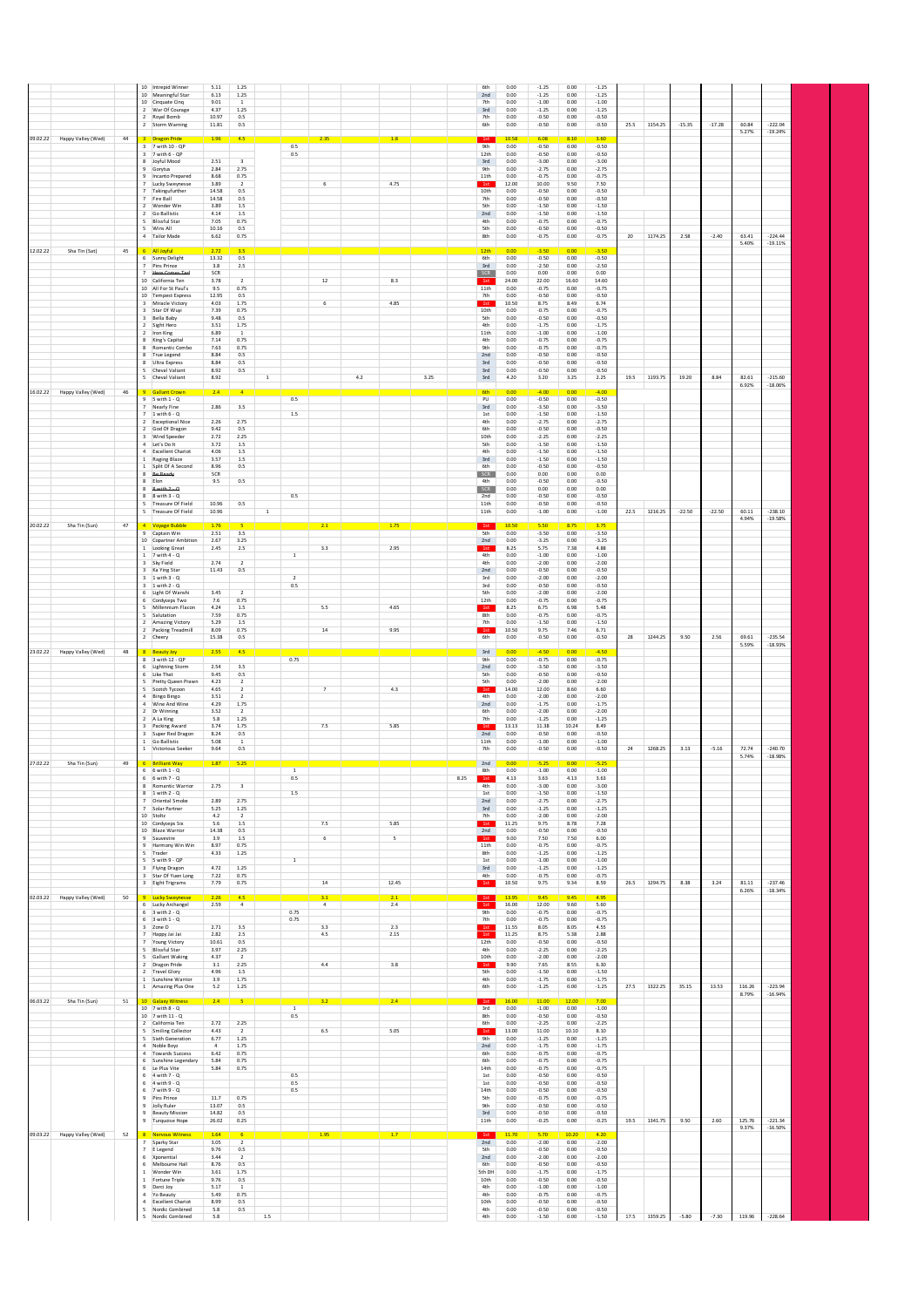| 2 War Of Courage<br>4.37<br>1.25<br>$-1.25$<br>3rd<br>0.00<br>0.00<br>$-1.25$<br>2 Royal Bomb<br>10.97<br>0.5<br>0.00<br>$-0.50$<br>0.00<br>$-0.50$<br>7th<br>1154.25<br>$-15.35$<br>$-222.04$<br>25.5<br>$-17.28$<br>60.84<br>2 Storm Warning<br>11.81<br>0.5<br>6th<br>0.00<br>$-0.50$<br>0.00<br>$-0.50$<br>5.27%<br>$-19.24%$<br>09.02.22<br>Happy Valley (Wed)<br>44<br>3 Dragon Pride<br>1.96<br>2.35<br>1.8<br>1st<br>10.58<br>6.08<br>8.10<br>3.60<br>4.5<br>0.5<br>3 7 with 10 - QP<br><b>9th</b><br>0.00<br>$-0.50$<br>0.00<br>$-0.50$<br>3 7 with 6 - QP<br>0.5<br>$-0.50$<br>$-0.50$<br>12th<br>0.00<br>0.00<br>8 Joyful Mood<br>2.51<br>$\overline{3}$<br>3rd<br>0.00<br>$-3.00$<br>$-3.00$<br>0.00<br>$-2.75$<br>9 Gorytus<br>2.84<br>2.75<br>9th<br>0.00<br>$-2.75$<br>0.00<br>9 Incanto Prepared<br>8.68<br>0.75<br>11th<br>0.00<br>$-0.75$<br>0.00<br>$-0.75$<br>Lucky Sweynesse<br>3.89<br>$\overline{2}$<br>$\,$ 6 $\,$<br>4.75<br>1st<br>12.00<br>10.00<br>9.50<br>7.50<br>Takingufurther<br>14.58<br>0.5<br>10th<br>0.00<br>$-0.50$<br>0.00<br>$-0.50$<br>7 Fire Ball<br>14.58<br>0.5<br>$-0.50$<br>$-0.50$<br>7th<br>0.00<br>0.00<br>3.89<br>2 Wonder Win<br>1.5<br>5th<br>0.00<br>$-1.50$<br>0.00<br>$-1.50$<br>2 Go Ballistic<br>4.14<br>$1.5\,$<br>2nd<br>0.00<br>$-1.50$<br>0.00<br>$-1.50$<br>5 Blissful Star<br>7.05<br>0.75<br>4th<br>0.00<br>$-0.75$<br>0.00<br>$-0.75$<br>Wins All<br>10.16<br>0.5<br>5th<br>0.00<br>$-0.50$<br>$_{0.00}$<br>$-0.50$<br>1174.25<br>$-224.44$<br>4 Tailor Made<br>6.62<br>0.75<br>2.58<br>63.41<br>8th<br>0.00<br>$-0.75$<br>0.00<br>$-0.75$<br>20<br>$-2.40$<br>5.40%<br>$-19.11%$<br>12.02.22<br>Sha Tin (Sat)<br>45<br>6 All Joyful<br>2.72<br>12th<br>0.00<br>$-3.50$<br>0.00<br>3.50<br>3.5<br>6 Sunny Delight<br>13.32<br>0.5<br>6th<br>0.00<br>$-0.50$<br>0.00<br>$-0.50$<br>Pins Prince<br>$3.8\,$<br>$3rd$<br>$-2.50$<br>$-2.50$<br>$2.5\,$<br>0.00<br>0.00<br>Here Comes Ter<br>SCR<br>SCR<br>0.00<br>0.00<br>0.00<br>0.00<br>12<br>8.3<br>24.00<br>10 California Ten<br>3.78<br>$\overline{2}$<br>1st<br>22.00<br>16.60<br>14.60<br>10 All For St Paul's<br>9.5<br>0.75<br>11th<br>0.00<br>$-0.75$<br>0.00<br>$-0.75$<br>10 Tempest Express<br>12.95<br>0.5<br>7th<br>0.00<br>$-0.50$<br>0.00<br>$-0.50$<br>Miracle Victory<br>4.03<br>1.75<br>4.85<br>10.50<br>8.75<br>8.49<br>6.74<br>$\overline{3}$<br>6<br>1st<br>3 Star Of Wuyi<br>7.39<br>0.75<br>10th<br>0.00<br>$-0.75$<br>$-0.75$<br>0.00<br>9.48<br>$-0.50$<br>3 Bella Baby<br>0.5<br>5th<br>0.00<br>0.00<br>$-0.50$<br>2 Sight Hero<br>3.51<br>1.75<br>4th<br>0.00<br>$-1.75$<br>0.00<br>$-1.75$<br>Iron King<br>6.89<br>$\overline{1}$<br>11th<br>0.00<br>$-1.00$<br>0.00<br>$-1.00$<br>$\overline{z}$<br>7.14<br>0.75<br>4th<br>0.00<br>$-0.75$<br>0.00<br>$-0.75$<br>King's Capital<br>8 Romantic Combo<br>7.63<br>0.75<br>9th<br>$-0.75$<br>$-0.75$<br>0.00<br>0.00<br>8 True Legend<br>8.84<br>0.5<br>2nd<br>0.00<br>$-0.50$<br>0.00<br>$-0.50$<br>8 Ultra Express<br>8.84<br>0.5<br>3rd<br>0.00<br>$-0.50$<br>0.00<br>$-0.50$<br>Cheval Valiant<br>8.92<br>0.5<br>3rd<br>0.00<br>$-0.50$<br>0.00<br>$-0.50$<br>5 Cheval Valiant<br>8.92<br>4.2<br>3.25<br>$3rd$<br>4.20<br>3.20<br>3.25<br>2.25<br>1193.75<br>19.20<br>8.84<br>82.61<br>$-215.60$<br>$\overline{1}$<br>19.5<br>6.92%<br>$-18.06%$<br>16.02.22<br>Happy Valley (Wed)<br>46<br>6th<br><b>Gallant Crown</b><br>2.4<br>0.00<br>$-4.00$<br>0.00<br>$-4.00$<br>4<br>0.5<br>$9.5$ with $1 - 0$<br>PU<br>0.00<br>$-0.50$<br>0.00<br>$-0.50$<br>7 Nearly Fine<br>2.86<br>3.5<br>3rd<br>0.00<br>$-3.50$<br>0.00<br>$-3.50$<br>$1$ with $6 - Q$<br>$1.5\,$<br>0.00<br>$-1.50$<br>0.00<br>$-1.50$<br>$1st$<br>2.26<br>2.75<br>$-2.75$<br>2 Exceptional Nice<br>4th<br>0.00<br>0.00<br>$-2.75$<br>9.42<br>0.5<br>6th<br>$-0.50$<br>0.00<br>$-0.50$<br>God Of Dragon<br>0.00<br>$\mathbf{z}$<br>3 Wind Speeder<br>2.72<br>2.25<br>10th<br>0.00<br>$-2.25$<br>0.00<br>$-2.25$<br>4 Let's Do It<br>3.72<br>$1.5\,$<br>5th<br>0.00<br>$-1.50$<br>0.00<br>$-1.50$<br>4 Excellent Chariot<br>4.06<br>$1.5\,$<br>4th<br>0.00<br>$-1.50$<br>0.00<br>$-1.50$<br>3.57<br>1 Raging Blaze<br>1.5<br>3rd<br>0.00<br>$-1.50$<br>0.00<br>$-1.50$<br>1 Split Of A Second<br>8.96<br>$-0.50$<br>0.00<br>$-0.50$<br>0.5<br>6th<br>0.00<br>8 Be Ready<br>SCR<br>SCR<br>0.00<br>0.00<br>0.00<br>0.00<br>8 Elon<br>9.5<br>$0.5\,$<br>4th<br>0.00<br>$-0.50$<br>0.00<br>$-0.50$<br>$8$ with $2 - 4$<br>0.00<br>0.00<br>0.00<br>0.00<br>8<br>SCR<br>$8$ $8$ with $3 - Q$<br>0.5<br>2nd<br>0.00<br>$-0.50$<br>0.00<br>$-0.50$<br>5 Treasure Of Field<br>10.96<br>11th<br>0.00<br>$-0.50$<br>0.00<br>$-0.50$<br>0.5<br>5 Treasure Of Field<br>1216.25<br>$-22.50$<br>$-22.50$<br>60.11<br>$-238.10$<br>10.96<br>$\mathbf{1}$<br>11th<br>0.00<br>$-1.00$<br>0.00<br>$-1.00$<br>22.5<br>4.94%<br>$-19.58%$<br>1st<br>20.02.22<br>Sha Tin (Sun)<br>47<br>4 Voyage Bubble<br>1.76<br>2.1<br>1.75<br>10.50<br>5.50<br>8.75<br>3.75<br>Captain Win<br>2.51<br>3.5<br>5th<br>$-3.50$<br>0.00<br>$-3.50$<br>9<br>0.00<br>2.67<br>3.25<br>$-3.25$<br>$_{0.00}$<br>$-3.25$<br>10 Copartner Ambition<br>2nd<br>0.00<br>1 Looking Great<br>3.3<br>2.95<br>2.5<br>1st<br>8.25<br>5.75<br>7.38<br>4.88<br>2.45<br>4th<br>$-1.00$<br>1 7 with 4 - Q<br><sup>1</sup><br>0.00<br>$-1.00$<br>0.00<br>3 Sky Field<br>2.74<br>$\overline{z}$<br>4th<br>0.00<br>$-2.00$<br>0.00<br>$-2.00$<br>Ka Ying Star<br>11.43<br>$0.5\,$<br>2nd<br>0.00<br>$-0.50$<br>0.00<br>$-0.50$<br>0.00<br>$-2.00$<br>$_{0.00}$<br>$-2.00$<br>$1$ with $3 - Q$<br>$\overline{2}$<br>3rd<br>$3 - 1$ with $2 - Q$<br>0.5<br>0.00<br>$-0.50$<br>0.00<br>$-0.50$<br>3rd<br>6 Light Of Wanshi<br>3.45<br>$-2.00$<br>$\overline{2}$<br>5th<br>0.00<br>0.00<br>$-2.00$<br>6 Cordyceps Two<br>7.6<br>0.75<br>12th<br>0.00<br>$-0.75$<br>0.00<br>$-0.75$<br>Millennium Flacon<br>4.65<br>4.24<br>1.5<br>5.5<br>1st<br>8.25<br>6.75<br>6.98<br>5.48<br>Salutation<br>7.59<br>0.75<br>8th<br>0.00<br>$-0.75$<br>$_{0.00}$<br>$-0.75$<br>2 Amazing Victory<br>$-1.50$<br>5.29<br>1.5<br>7th<br>0.00<br>0.00<br>$-1.50$<br>9.95<br>2 Packing Treadmill<br>8.09<br>0.75<br>14<br>10.50<br>9.75<br>7.46<br>1st<br>6.71<br>2 Cheery<br>15.38<br>0.5<br>6th<br>0.00<br>$-0.50$<br>0.00<br>$-0.50$<br>28<br>1244.25<br>9.50<br>2.56<br>69.61<br>$-235.54$<br>5.59%<br>$-18.93%$<br>Happy Valley (Wed)<br>$3rd$<br>0.00<br>0.00<br>23.02.22<br>48<br><b>Beauty Joy</b><br>2.55<br>$-4.50$<br>4.5<br>8 3 with 12 - QP<br>0.75<br>$-0.75$<br>9th<br>0.00<br>0.00<br>$-0.75$<br>6 Lightning Storm<br>2.54<br>3.5<br>$-3.50$<br>$-3.50$<br>2nd<br>0.00<br>0.00<br>9.45<br>6 Like That<br>0.5<br>5th<br>0.00<br>$-0.50$<br>0.00<br>$-0.50$<br>5 Pretty Queen Prawn<br>4.23<br>$\overline{2}$<br>5th<br>0.00<br>$-2.00$<br>0.00<br>$-2.00$<br>4.65<br>4.3<br>14.00<br>12.00<br>8.60<br>6.60<br>Scotch Tycoon<br>$\overline{2}$<br>1st<br>$\overline{7}$<br>4 Bingo Bingo<br>3.51<br>$\overline{2}$<br>$-2.00$<br>0.00<br>$-2.00$<br>4th<br>0.00<br>4 Wine And Wine<br>4.29<br>1.75<br>2nd<br>0.00<br>$-1.75$<br>0.00<br>$-1.75$<br>2 Dr Winning<br>3.52<br>$\overline{2}$<br>6th<br>0.00<br>$-2.00$<br>0.00<br>$-2.00$<br>2 A La King<br>5.8<br>1.25<br>7th<br>0.00<br>$-1.25$<br>0.00<br>$-1.25$<br>3.74<br>1.75<br>5.85<br>13.13<br>11.38<br>10.24<br>8.49<br>Packing Award<br>7.5<br>1st<br>3 Super Red Dragon<br>8.24<br>$-0.50$<br>$-0.50$<br>0.5<br>2nd<br>0.00<br>0.00<br>1 Go Ballistic<br>$-1.00$<br>5.08<br>0.00<br>0.00<br>$-1.00$<br>11th<br><sup>1</sup><br>1268.25<br>3.13<br>72.74<br>$-240.70$<br>1 Victorious Seeker<br>9.64<br>0.5<br>7th<br>0.00<br>$-0.50$<br>0.00<br>$-0.50$<br>24<br>$-5.16$<br>5.74%<br>$-18.98%$<br>27.02.22<br>Sha Tin (Sun)<br>49<br>6 Brilliant Way<br>1.87<br>5.25<br>2nd<br>0.00<br>-5.25<br>0.00<br>5.25<br>$6$ 6 with $1 - Q$<br>$\overline{1}$<br>8th<br>0.00<br>0.00<br>$-1.00$<br>$-1.00$<br>$6$ 6 with $7 - Q$<br>0.5<br>8.25<br>4.13<br>3.63<br>4.13<br>3.63<br>1st<br>8 Romantic Warrior<br>2.75<br>$\overline{\mathbf{3}}$<br>4th<br>0.00<br>$-3.00$<br>0.00<br>$-3.00$<br>$8 - 1$ with $2 - Q$<br>1.5<br>1st<br>0.00<br>$-1.50$<br>0.00<br>$-1.50$<br>Oriental Smoke<br>2.89<br>2.75<br>2nd<br>0.00<br>$-2.75$<br>$_{0.00}$<br>$-2.75$<br>7 Solar Partner<br>5.25<br>1.25<br>3rd<br>0.00<br>$-1.25$<br>0.00<br>$-1.25$<br>10 Stoltz<br>4.2<br>$-2.00$<br>$-2.00$<br>0.00<br>0.00<br>$\overline{2}$<br>7th<br>5.85<br>7.5<br>10 Cordyceps Six<br>5.6<br>1.5<br>1st<br>9.75<br>7.28<br>11.25<br>8.78<br>10 Blaze Warrior<br>14.38<br>0.5<br>2nd<br>0.00<br>$-0.50$<br>0.00<br>$-0.50$<br>9 Sauvestre<br>3.9<br>$1.5\,$<br>$\sf 5$<br>9.00<br>7.50<br>7.50<br>6.00<br>6<br>1st<br>0.75<br>9 Harmony Win Win<br>8.97<br>11th<br>0.00<br>$-0.75$<br>0.00<br>$-0.75$<br>5 Trader<br>4.33<br>8th<br>0.00<br>$-1.25$<br>0.00<br>$-1.25$<br>1.25<br>5 5 with 9 - QP<br>$\overline{1}$<br>1st<br>0.00<br>$-1.00$<br>0.00<br>$-1.00$<br>3 Flying Dragon<br>4.72<br>1.25<br>3rd<br>0.00<br>$-1.25$<br>0.00<br>$-1.25$<br>3 Star Of Yuen Long<br>7.22<br>0.75<br>4th<br>0.00<br>$-0.75$<br>$0.00\,$<br>$-0.75$<br>$14\,$<br>12.45<br>1st<br>1294.75<br>8.38<br>$-237.46$<br>0.75<br>10.50<br>8.59<br>26.5<br>3.24<br>81.11<br>3 Eight Trigrams<br>7.79<br>9.75<br>9.34<br>$-18.34%$<br>6.26%<br>02.03.22 Happy Valley (Wed)<br>9 Lucky Sweynesse<br>2.26<br>1st<br>9.45<br>9.45<br>50<br>4.5<br>3.1<br>2.1<br>13.95<br>4.95<br>1st<br>12.00<br>6 Lucky Archangel<br>2.59<br>$\overline{a}$<br>$\overline{4}$<br>2.4<br>16.00<br>9.60<br>5.60<br>$6$ 3 with $2 - Q$<br>0.75<br>9th<br>0.00<br>$-0.75$<br>0.00<br>$-0.75$<br>$6$ 3 with $1 - Q$<br>0.75<br>7th<br>$-0.75$<br>0.00<br>0.00<br>$-0.75$<br>3 Zone D<br>2.71<br>11.55<br>8.05<br>4.55<br>3.5<br>2.3<br>1st<br>8.05<br>3.3<br>1st<br>7 Happy Jai Jai<br>4.5<br>2.15<br>2.82<br>2.5<br>2.88<br>11.25<br>8.75<br>5.38<br>10.61<br>12th<br>$-0.50$<br>$-0.50$<br>7 Young Victory<br>0.5<br>0.00<br>0.00<br>5 Blissful Star<br>3.97<br>2.25<br>4th<br>0.00<br>$-2.25$<br>0.00<br>$-2.25$<br>5 Gallant Waking<br>4.37<br>$\overline{2}$<br>10th<br>0.00<br>$-2.00$<br>0.00<br>$-2.00$<br>2 Dragon Pride<br>3.1<br>2.25<br>3.8<br>9.90<br>7.65<br>8.55<br>6.30<br>4.4<br>1st<br>2 Travel Glory<br>4.96<br>1.5<br>5th<br>0.00<br>$-1.50$<br>0.00<br>$-1.50$<br>3.9<br>1 Sunshine Warrior<br>1.75<br>4th<br>0.00<br>$-1.75$<br>0.00<br>$-1.75$<br>1 Amazing Plus One<br>5.2<br>1.25<br>6th<br>0.00<br>$-1.25$<br>0.00<br>$-1.25$<br>27.5<br>1322.25<br>35.15<br>13.53<br>116.26<br>$-223.94$<br>$-16.94%$<br>8.79%<br>06.03.22<br>Sha Tin (Sun)<br>10 Galaxy Witness<br>2.4<br>2.4<br>16.00<br>11.00<br>12.00<br>51<br>3.2<br>1st<br>7.00<br>$\overline{1}$<br>10 7 with 8 - Q<br>3rd<br>0.00<br>$-1.00$<br>0.00<br>$-1.00$<br>10 7 with 11 - Q<br>0.5<br>8th<br>0.00<br>$-0.50$<br>$-0.50$<br>0.00<br>2.72<br>2.25<br>2 California Ten<br>6th<br>0.00<br>$-2.25$<br>0.00<br>$-2.25$<br>5 Smiling Collector<br>4.43<br>$\overline{2}$<br>6.5<br>5.05<br>$1st$<br>13.00<br>11.00<br>10.10<br>8.10<br>5 Sixth Generation<br>6.77<br>1.25<br>9th<br>0.00<br>$-1.25$<br>$0.00\,$<br>$-1.25$<br>1.75<br>4 Noble Boyz<br>0.00<br>$-1.75$<br>$-1.75$<br>$\sim$<br>2nd<br>0.00<br>6.42<br>4 Towards Success<br>0.75<br>6th<br>0.00<br>$-0.75$<br>0.00<br>$-0.75$<br>5.84<br>6 Sunshine Legendary<br>0.75<br>6th<br>0.00<br>$-0.75$<br>0.00<br>$-0.75$<br>6 Le Plus Vite<br>5.84<br>0.75<br>14th<br>0.00<br>$-0.75$<br>0.00<br>$-0.75$<br>$6 - 4$ with $7 - Q$<br>0.5<br>$1\mathrm{st}$<br>0.00<br>$-0.50$<br>$_{0.00}$<br>$-0.50$<br>$6 - 4$ with $9 - Q$<br>0.5<br>0.00<br>$-0.50$<br>$-0.50$<br>1st<br>0.00<br>$-0.50$<br>6 7 with 9 - Q<br>0.5<br>14th<br>0.00<br>0.00<br>$-0.50$<br>11.7<br>0.75<br>9 Pins Prince<br>5th<br>0.00<br>$-0.75$<br>0.00<br>$-0.75$<br>9 Jolly Ruler<br>13.07<br>0.5<br><b>9th</b><br>0.00<br>$-0.50$<br>0.00<br>$-0.50$<br><b>Beauty Mission</b><br>14.82<br>0.5<br>3rd<br>0.00<br>$-0.50$<br>$0.00\,$<br>$-0.50$<br>9<br>1341.75<br>125.76<br>$-221.34$<br>26.02<br>0.25<br>11th<br>0.00<br>$-0.25$<br>19.5<br>9.50<br>2.60<br>9 Turquoise Hope<br>0.00<br>$-0.25$<br>$-16.50%$<br>9.37%<br>1.95<br>1.7<br>1st<br>09.03.22 Happy Valley (Wed)<br>8 Nervous Witness<br>1.64<br>10.20<br>4.20<br>52<br>11.70<br>5.70<br>7 Sparky Star<br>3.05<br>$\overline{2}$<br>2nd<br>0.00<br>$-2.00$<br>0.00<br>$-2.00$<br>7 E Legend<br>9.76<br>0.5<br>5th<br>0.00<br>$-0.50$<br>0.00<br>$-0.50$<br>6 Xponential<br>3.44<br>$\overline{2}$<br>2nd<br>0.00<br>$-2.00$<br>0.00<br>$-2.00$<br>8.76<br>$-0.50$<br>$-0.50$<br>6 Melbourne Hall<br>0.5<br>6th<br>0.00<br>0.00<br>1.75<br>1 Wonder Win<br>3.61<br>5th DH<br>0.00<br>$-1.75$<br>0.00<br>$-1.75$<br>1 Fortune Triple<br>9.76<br>0.5<br>10th<br>0.00<br>$-0.50$<br>0.00<br>$-0.50$<br>9 Darci Joy<br>5.17<br>$\overline{1}$<br>4th<br>0.00<br>$-1.00$<br>0.00<br>$-1.00$<br>0.75<br>4th<br>$-0.75$<br>4 Yo Beauty<br>5.49<br>0.00<br>0.00<br>$-0.75$<br>4 Excellent Chariot<br>8.99<br>0.5<br>10th<br>0.00<br>$-0.50$<br>$-0.50$<br>0.00<br>Nordic Combined<br>5<br>5.8<br>0.5<br>4th<br>0.00<br>$-0.50$<br>0.00<br>$-0.50$<br>$1.5\,$ |  | 10 Intrepid Winner<br>10 Meaningful Star<br>10 Cinquate Cinq | 5.11<br>6.13<br>9.01 | 1.25<br>1.25<br>$\overline{1}$ |  |  | 6th<br>2nd<br>7th | 0.00<br>0.00<br>0.00 | $-1.25$<br>$-1.25$<br>$-1.00$ | 0.00<br>0.00<br>0.00 | $-1.25$<br>$-1.25$<br>$-1.00$ |  |  |  |
|--------------------------------------------------------------------------------------------------------------------------------------------------------------------------------------------------------------------------------------------------------------------------------------------------------------------------------------------------------------------------------------------------------------------------------------------------------------------------------------------------------------------------------------------------------------------------------------------------------------------------------------------------------------------------------------------------------------------------------------------------------------------------------------------------------------------------------------------------------------------------------------------------------------------------------------------------------------------------------------------------------------------------------------------------------------------------------------------------------------------------------------------------------------------------------------------------------------------------------------------------------------------------------------------------------------------------------------------------------------------------------------------------------------------------------------------------------------------------------------------------------------------------------------------------------------------------------------------------------------------------------------------------------------------------------------------------------------------------------------------------------------------------------------------------------------------------------------------------------------------------------------------------------------------------------------------------------------------------------------------------------------------------------------------------------------------------------------------------------------------------------------------------------------------------------------------------------------------------------------------------------------------------------------------------------------------------------------------------------------------------------------------------------------------------------------------------------------------------------------------------------------------------------------------------------------------------------------------------------------------------------------------------------------------------------------------------------------------------------------------------------------------------------------------------------------------------------------------------------------------------------------------------------------------------------------------------------------------------------------------------------------------------------------------------------------------------------------------------------------------------------------------------------------------------------------------------------------------------------------------------------------------------------------------------------------------------------------------------------------------------------------------------------------------------------------------------------------------------------------------------------------------------------------------------------------------------------------------------------------------------------------------------------------------------------------------------------------------------------------------------------------------------------------------------------------------------------------------------------------------------------------------------------------------------------------------------------------------------------------------------------------------------------------------------------------------------------------------------------------------------------------------------------------------------------------------------------------------------------------------------------------------------------------------------------------------------------------------------------------------------------------------------------------------------------------------------------------------------------------------------------------------------------------------------------------------------------------------------------------------------------------------------------------------------------------------------------------------------------------------------------------------------------------------------------------------------------------------------------------------------------------------------------------------------------------------------------------------------------------------------------------------------------------------------------------------------------------------------------------------------------------------------------------------------------------------------------------------------------------------------------------------------------------------------------------------------------------------------------------------------------------------------------------------------------------------------------------------------------------------------------------------------------------------------------------------------------------------------------------------------------------------------------------------------------------------------------------------------------------------------------------------------------------------------------------------------------------------------------------------------------------------------------------------------------------------------------------------------------------------------------------------------------------------------------------------------------------------------------------------------------------------------------------------------------------------------------------------------------------------------------------------------------------------------------------------------------------------------------------------------------------------------------------------------------------------------------------------------------------------------------------------------------------------------------------------------------------------------------------------------------------------------------------------------------------------------------------------------------------------------------------------------------------------------------------------------------------------------------------------------------------------------------------------------------------------------------------------------------------------------------------------------------------------------------------------------------------------------------------------------------------------------------------------------------------------------------------------------------------------------------------------------------------------------------------------------------------------------------------------------------------------------------------------------------------------------------------------------------------------------------------------------------------------------------------------------------------------------------------------------------------------------------------------------------------------------------------------------------------------------------------------------------------------------------------------------------------------------------------------------------------------------------------------------------------------------------------------------------------------------------------------------------------------------------------------------------------------------------------------------------------------------------------------------------------------------------------------------------------------------------------------------------------------------------------------------------------------------------------------------------------------------------------------------------------------------------------------------------------------------------------------------------------------------------------------------------------------------------------------------------------------------------------------------------------------------------------------------------------------------------------------------------------------------------------------------------------------------------------------------------------------------------------------------------------------------------------------------------------------------------------------------------------------------------------------------------------------------------------------------------------------------------------------------------------------------------------------------------------------------------------------------------------------------------------------------------------------------------------------------------------------------------------------------------------------------------------------------------------------------------------------------------------------------------------------------------------------------------------------------------------------------------------------------------------------------------------------------------------------------------------------------------------------------------------------------------------------------------------------------------------------------------------------------------------------------------------------------------------------------------------------------------------------------------------------------------------------------------------------------------------------------------------------------------------------------------------------------------------------------------------------------------------------------------------------------------------------------------------------------------------------------------------------------------------------------------------------------------------------------------------------------------------------------------------------------------------------------------------------------------------------------------------------------------------------------------------------------------------------------------------------------------------------------------------------------------------------------------------------------------------------------------------------------------------------------------------------------------------------------------------------------------------------------------------------------------------------------------------------------------------------------------------------------------------------------------------------------------------------------------------------------------------------------------------------------------------------------------------------------------------------------------------------------------------------------------------------------------------------------------------------------------------------------------------------------------------------------------------------------------------------------------------------------------------------------------------------------------------------------------------------------------------------------------------------------------------------------------------------------------------------------------------------------------------------------------------------------------------------------------------------------------------------------------------------------------------------------------------------------------------------------------------------------------------------------------------------------------------------------------------------------------------------------------------------------------------------------------------------------------------------------------------------------------------------------------------------------------------------------------------------------------------------------------------------------------------------------------------------------------------------------------------------------------------------------------------------------------------------------------------------------------------------------------------------------------------------------------------------------------------------------------------------------------------------------------------------------------------------------------------------------------------------------------------------------------------------------------------------------------------------------------------------------------------------------------|--|--------------------------------------------------------------|----------------------|--------------------------------|--|--|-------------------|----------------------|-------------------------------|----------------------|-------------------------------|--|--|--|
|                                                                                                                                                                                                                                                                                                                                                                                                                                                                                                                                                                                                                                                                                                                                                                                                                                                                                                                                                                                                                                                                                                                                                                                                                                                                                                                                                                                                                                                                                                                                                                                                                                                                                                                                                                                                                                                                                                                                                                                                                                                                                                                                                                                                                                                                                                                                                                                                                                                                                                                                                                                                                                                                                                                                                                                                                                                                                                                                                                                                                                                                                                                                                                                                                                                                                                                                                                                                                                                                                                                                                                                                                                                                                                                                                                                                                                                                                                                                                                                                                                                                                                                                                                                                                                                                                                                                                                                                                                                                                                                                                                                                                                                                                                                                                                                                                                                                                                                                                                                                                                                                                                                                                                                                                                                                                                                                                                                                                                                                                                                                                                                                                                                                                                                                                                                                                                                                                                                                                                                                                                                                                                                                                                                                                                                                                                                                                                                                                                                                                                                                                                                                                                                                                                                                                                                                                                                                                                                                                                                                                                                                                                                                                                                                                                                                                                                                                                                                                                                                                                                                                                                                                                                                                                                                                                                                                                                                                                                                                                                                                                                                                                                                                                                                                                                                                                                                                                                                                                                                                                                                                                                                                                                                                                                                                                                                                                                                                                                                                                                                                                                                                                                                                                                                                                                                                                                                                                                                                                                                                                                                                                                                                                                                                                                                                                                                                                                                                                                                                                                                                                                                                                                                                                                                                                                                                                                                                                                                                                                                                                                                                                                                                                                                                                                                                                                                                                                                                                                                                                                                                                                                                                                                                                                                                                                                                                                                                                                                                                                                                                                                                                                                                                                                                                                                                                                                                                                                                                                                                                                                                                                                                                                                                                                                                                                                                                                                                                                                                                                                                                                                                                                                                                                                                                                                                                                                                                                                                                                                                                                                                                                                                                                                                                                                        |  |                                                              |                      |                                |  |  |                   |                      |                               |                      |                               |  |  |  |
|                                                                                                                                                                                                                                                                                                                                                                                                                                                                                                                                                                                                                                                                                                                                                                                                                                                                                                                                                                                                                                                                                                                                                                                                                                                                                                                                                                                                                                                                                                                                                                                                                                                                                                                                                                                                                                                                                                                                                                                                                                                                                                                                                                                                                                                                                                                                                                                                                                                                                                                                                                                                                                                                                                                                                                                                                                                                                                                                                                                                                                                                                                                                                                                                                                                                                                                                                                                                                                                                                                                                                                                                                                                                                                                                                                                                                                                                                                                                                                                                                                                                                                                                                                                                                                                                                                                                                                                                                                                                                                                                                                                                                                                                                                                                                                                                                                                                                                                                                                                                                                                                                                                                                                                                                                                                                                                                                                                                                                                                                                                                                                                                                                                                                                                                                                                                                                                                                                                                                                                                                                                                                                                                                                                                                                                                                                                                                                                                                                                                                                                                                                                                                                                                                                                                                                                                                                                                                                                                                                                                                                                                                                                                                                                                                                                                                                                                                                                                                                                                                                                                                                                                                                                                                                                                                                                                                                                                                                                                                                                                                                                                                                                                                                                                                                                                                                                                                                                                                                                                                                                                                                                                                                                                                                                                                                                                                                                                                                                                                                                                                                                                                                                                                                                                                                                                                                                                                                                                                                                                                                                                                                                                                                                                                                                                                                                                                                                                                                                                                                                                                                                                                                                                                                                                                                                                                                                                                                                                                                                                                                                                                                                                                                                                                                                                                                                                                                                                                                                                                                                                                                                                                                                                                                                                                                                                                                                                                                                                                                                                                                                                                                                                                                                                                                                                                                                                                                                                                                                                                                                                                                                                                                                                                                                                                                                                                                                                                                                                                                                                                                                                                                                                                                                                                                                                                                                                                                                                                                                                                                                                                                                                                                                                                                                                        |  |                                                              |                      |                                |  |  |                   |                      |                               |                      |                               |  |  |  |
|                                                                                                                                                                                                                                                                                                                                                                                                                                                                                                                                                                                                                                                                                                                                                                                                                                                                                                                                                                                                                                                                                                                                                                                                                                                                                                                                                                                                                                                                                                                                                                                                                                                                                                                                                                                                                                                                                                                                                                                                                                                                                                                                                                                                                                                                                                                                                                                                                                                                                                                                                                                                                                                                                                                                                                                                                                                                                                                                                                                                                                                                                                                                                                                                                                                                                                                                                                                                                                                                                                                                                                                                                                                                                                                                                                                                                                                                                                                                                                                                                                                                                                                                                                                                                                                                                                                                                                                                                                                                                                                                                                                                                                                                                                                                                                                                                                                                                                                                                                                                                                                                                                                                                                                                                                                                                                                                                                                                                                                                                                                                                                                                                                                                                                                                                                                                                                                                                                                                                                                                                                                                                                                                                                                                                                                                                                                                                                                                                                                                                                                                                                                                                                                                                                                                                                                                                                                                                                                                                                                                                                                                                                                                                                                                                                                                                                                                                                                                                                                                                                                                                                                                                                                                                                                                                                                                                                                                                                                                                                                                                                                                                                                                                                                                                                                                                                                                                                                                                                                                                                                                                                                                                                                                                                                                                                                                                                                                                                                                                                                                                                                                                                                                                                                                                                                                                                                                                                                                                                                                                                                                                                                                                                                                                                                                                                                                                                                                                                                                                                                                                                                                                                                                                                                                                                                                                                                                                                                                                                                                                                                                                                                                                                                                                                                                                                                                                                                                                                                                                                                                                                                                                                                                                                                                                                                                                                                                                                                                                                                                                                                                                                                                                                                                                                                                                                                                                                                                                                                                                                                                                                                                                                                                                                                                                                                                                                                                                                                                                                                                                                                                                                                                                                                                                                                                                                                                                                                                                                                                                                                                                                                                                                                                                                                                        |  |                                                              |                      |                                |  |  |                   |                      |                               |                      |                               |  |  |  |
|                                                                                                                                                                                                                                                                                                                                                                                                                                                                                                                                                                                                                                                                                                                                                                                                                                                                                                                                                                                                                                                                                                                                                                                                                                                                                                                                                                                                                                                                                                                                                                                                                                                                                                                                                                                                                                                                                                                                                                                                                                                                                                                                                                                                                                                                                                                                                                                                                                                                                                                                                                                                                                                                                                                                                                                                                                                                                                                                                                                                                                                                                                                                                                                                                                                                                                                                                                                                                                                                                                                                                                                                                                                                                                                                                                                                                                                                                                                                                                                                                                                                                                                                                                                                                                                                                                                                                                                                                                                                                                                                                                                                                                                                                                                                                                                                                                                                                                                                                                                                                                                                                                                                                                                                                                                                                                                                                                                                                                                                                                                                                                                                                                                                                                                                                                                                                                                                                                                                                                                                                                                                                                                                                                                                                                                                                                                                                                                                                                                                                                                                                                                                                                                                                                                                                                                                                                                                                                                                                                                                                                                                                                                                                                                                                                                                                                                                                                                                                                                                                                                                                                                                                                                                                                                                                                                                                                                                                                                                                                                                                                                                                                                                                                                                                                                                                                                                                                                                                                                                                                                                                                                                                                                                                                                                                                                                                                                                                                                                                                                                                                                                                                                                                                                                                                                                                                                                                                                                                                                                                                                                                                                                                                                                                                                                                                                                                                                                                                                                                                                                                                                                                                                                                                                                                                                                                                                                                                                                                                                                                                                                                                                                                                                                                                                                                                                                                                                                                                                                                                                                                                                                                                                                                                                                                                                                                                                                                                                                                                                                                                                                                                                                                                                                                                                                                                                                                                                                                                                                                                                                                                                                                                                                                                                                                                                                                                                                                                                                                                                                                                                                                                                                                                                                                                                                                                                                                                                                                                                                                                                                                                                                                                                                                                                                        |  |                                                              |                      |                                |  |  |                   |                      |                               |                      |                               |  |  |  |
|                                                                                                                                                                                                                                                                                                                                                                                                                                                                                                                                                                                                                                                                                                                                                                                                                                                                                                                                                                                                                                                                                                                                                                                                                                                                                                                                                                                                                                                                                                                                                                                                                                                                                                                                                                                                                                                                                                                                                                                                                                                                                                                                                                                                                                                                                                                                                                                                                                                                                                                                                                                                                                                                                                                                                                                                                                                                                                                                                                                                                                                                                                                                                                                                                                                                                                                                                                                                                                                                                                                                                                                                                                                                                                                                                                                                                                                                                                                                                                                                                                                                                                                                                                                                                                                                                                                                                                                                                                                                                                                                                                                                                                                                                                                                                                                                                                                                                                                                                                                                                                                                                                                                                                                                                                                                                                                                                                                                                                                                                                                                                                                                                                                                                                                                                                                                                                                                                                                                                                                                                                                                                                                                                                                                                                                                                                                                                                                                                                                                                                                                                                                                                                                                                                                                                                                                                                                                                                                                                                                                                                                                                                                                                                                                                                                                                                                                                                                                                                                                                                                                                                                                                                                                                                                                                                                                                                                                                                                                                                                                                                                                                                                                                                                                                                                                                                                                                                                                                                                                                                                                                                                                                                                                                                                                                                                                                                                                                                                                                                                                                                                                                                                                                                                                                                                                                                                                                                                                                                                                                                                                                                                                                                                                                                                                                                                                                                                                                                                                                                                                                                                                                                                                                                                                                                                                                                                                                                                                                                                                                                                                                                                                                                                                                                                                                                                                                                                                                                                                                                                                                                                                                                                                                                                                                                                                                                                                                                                                                                                                                                                                                                                                                                                                                                                                                                                                                                                                                                                                                                                                                                                                                                                                                                                                                                                                                                                                                                                                                                                                                                                                                                                                                                                                                                                                                                                                                                                                                                                                                                                                                                                                                                                                                                                                        |  |                                                              |                      |                                |  |  |                   |                      |                               |                      |                               |  |  |  |
|                                                                                                                                                                                                                                                                                                                                                                                                                                                                                                                                                                                                                                                                                                                                                                                                                                                                                                                                                                                                                                                                                                                                                                                                                                                                                                                                                                                                                                                                                                                                                                                                                                                                                                                                                                                                                                                                                                                                                                                                                                                                                                                                                                                                                                                                                                                                                                                                                                                                                                                                                                                                                                                                                                                                                                                                                                                                                                                                                                                                                                                                                                                                                                                                                                                                                                                                                                                                                                                                                                                                                                                                                                                                                                                                                                                                                                                                                                                                                                                                                                                                                                                                                                                                                                                                                                                                                                                                                                                                                                                                                                                                                                                                                                                                                                                                                                                                                                                                                                                                                                                                                                                                                                                                                                                                                                                                                                                                                                                                                                                                                                                                                                                                                                                                                                                                                                                                                                                                                                                                                                                                                                                                                                                                                                                                                                                                                                                                                                                                                                                                                                                                                                                                                                                                                                                                                                                                                                                                                                                                                                                                                                                                                                                                                                                                                                                                                                                                                                                                                                                                                                                                                                                                                                                                                                                                                                                                                                                                                                                                                                                                                                                                                                                                                                                                                                                                                                                                                                                                                                                                                                                                                                                                                                                                                                                                                                                                                                                                                                                                                                                                                                                                                                                                                                                                                                                                                                                                                                                                                                                                                                                                                                                                                                                                                                                                                                                                                                                                                                                                                                                                                                                                                                                                                                                                                                                                                                                                                                                                                                                                                                                                                                                                                                                                                                                                                                                                                                                                                                                                                                                                                                                                                                                                                                                                                                                                                                                                                                                                                                                                                                                                                                                                                                                                                                                                                                                                                                                                                                                                                                                                                                                                                                                                                                                                                                                                                                                                                                                                                                                                                                                                                                                                                                                                                                                                                                                                                                                                                                                                                                                                                                                                                                                                        |  |                                                              |                      |                                |  |  |                   |                      |                               |                      |                               |  |  |  |
|                                                                                                                                                                                                                                                                                                                                                                                                                                                                                                                                                                                                                                                                                                                                                                                                                                                                                                                                                                                                                                                                                                                                                                                                                                                                                                                                                                                                                                                                                                                                                                                                                                                                                                                                                                                                                                                                                                                                                                                                                                                                                                                                                                                                                                                                                                                                                                                                                                                                                                                                                                                                                                                                                                                                                                                                                                                                                                                                                                                                                                                                                                                                                                                                                                                                                                                                                                                                                                                                                                                                                                                                                                                                                                                                                                                                                                                                                                                                                                                                                                                                                                                                                                                                                                                                                                                                                                                                                                                                                                                                                                                                                                                                                                                                                                                                                                                                                                                                                                                                                                                                                                                                                                                                                                                                                                                                                                                                                                                                                                                                                                                                                                                                                                                                                                                                                                                                                                                                                                                                                                                                                                                                                                                                                                                                                                                                                                                                                                                                                                                                                                                                                                                                                                                                                                                                                                                                                                                                                                                                                                                                                                                                                                                                                                                                                                                                                                                                                                                                                                                                                                                                                                                                                                                                                                                                                                                                                                                                                                                                                                                                                                                                                                                                                                                                                                                                                                                                                                                                                                                                                                                                                                                                                                                                                                                                                                                                                                                                                                                                                                                                                                                                                                                                                                                                                                                                                                                                                                                                                                                                                                                                                                                                                                                                                                                                                                                                                                                                                                                                                                                                                                                                                                                                                                                                                                                                                                                                                                                                                                                                                                                                                                                                                                                                                                                                                                                                                                                                                                                                                                                                                                                                                                                                                                                                                                                                                                                                                                                                                                                                                                                                                                                                                                                                                                                                                                                                                                                                                                                                                                                                                                                                                                                                                                                                                                                                                                                                                                                                                                                                                                                                                                                                                                                                                                                                                                                                                                                                                                                                                                                                                                                                                                                                        |  |                                                              |                      |                                |  |  |                   |                      |                               |                      |                               |  |  |  |
|                                                                                                                                                                                                                                                                                                                                                                                                                                                                                                                                                                                                                                                                                                                                                                                                                                                                                                                                                                                                                                                                                                                                                                                                                                                                                                                                                                                                                                                                                                                                                                                                                                                                                                                                                                                                                                                                                                                                                                                                                                                                                                                                                                                                                                                                                                                                                                                                                                                                                                                                                                                                                                                                                                                                                                                                                                                                                                                                                                                                                                                                                                                                                                                                                                                                                                                                                                                                                                                                                                                                                                                                                                                                                                                                                                                                                                                                                                                                                                                                                                                                                                                                                                                                                                                                                                                                                                                                                                                                                                                                                                                                                                                                                                                                                                                                                                                                                                                                                                                                                                                                                                                                                                                                                                                                                                                                                                                                                                                                                                                                                                                                                                                                                                                                                                                                                                                                                                                                                                                                                                                                                                                                                                                                                                                                                                                                                                                                                                                                                                                                                                                                                                                                                                                                                                                                                                                                                                                                                                                                                                                                                                                                                                                                                                                                                                                                                                                                                                                                                                                                                                                                                                                                                                                                                                                                                                                                                                                                                                                                                                                                                                                                                                                                                                                                                                                                                                                                                                                                                                                                                                                                                                                                                                                                                                                                                                                                                                                                                                                                                                                                                                                                                                                                                                                                                                                                                                                                                                                                                                                                                                                                                                                                                                                                                                                                                                                                                                                                                                                                                                                                                                                                                                                                                                                                                                                                                                                                                                                                                                                                                                                                                                                                                                                                                                                                                                                                                                                                                                                                                                                                                                                                                                                                                                                                                                                                                                                                                                                                                                                                                                                                                                                                                                                                                                                                                                                                                                                                                                                                                                                                                                                                                                                                                                                                                                                                                                                                                                                                                                                                                                                                                                                                                                                                                                                                                                                                                                                                                                                                                                                                                                                                                                                                        |  |                                                              |                      |                                |  |  |                   |                      |                               |                      |                               |  |  |  |
|                                                                                                                                                                                                                                                                                                                                                                                                                                                                                                                                                                                                                                                                                                                                                                                                                                                                                                                                                                                                                                                                                                                                                                                                                                                                                                                                                                                                                                                                                                                                                                                                                                                                                                                                                                                                                                                                                                                                                                                                                                                                                                                                                                                                                                                                                                                                                                                                                                                                                                                                                                                                                                                                                                                                                                                                                                                                                                                                                                                                                                                                                                                                                                                                                                                                                                                                                                                                                                                                                                                                                                                                                                                                                                                                                                                                                                                                                                                                                                                                                                                                                                                                                                                                                                                                                                                                                                                                                                                                                                                                                                                                                                                                                                                                                                                                                                                                                                                                                                                                                                                                                                                                                                                                                                                                                                                                                                                                                                                                                                                                                                                                                                                                                                                                                                                                                                                                                                                                                                                                                                                                                                                                                                                                                                                                                                                                                                                                                                                                                                                                                                                                                                                                                                                                                                                                                                                                                                                                                                                                                                                                                                                                                                                                                                                                                                                                                                                                                                                                                                                                                                                                                                                                                                                                                                                                                                                                                                                                                                                                                                                                                                                                                                                                                                                                                                                                                                                                                                                                                                                                                                                                                                                                                                                                                                                                                                                                                                                                                                                                                                                                                                                                                                                                                                                                                                                                                                                                                                                                                                                                                                                                                                                                                                                                                                                                                                                                                                                                                                                                                                                                                                                                                                                                                                                                                                                                                                                                                                                                                                                                                                                                                                                                                                                                                                                                                                                                                                                                                                                                                                                                                                                                                                                                                                                                                                                                                                                                                                                                                                                                                                                                                                                                                                                                                                                                                                                                                                                                                                                                                                                                                                                                                                                                                                                                                                                                                                                                                                                                                                                                                                                                                                                                                                                                                                                                                                                                                                                                                                                                                                                                                                                                                                                                        |  |                                                              |                      |                                |  |  |                   |                      |                               |                      |                               |  |  |  |
|                                                                                                                                                                                                                                                                                                                                                                                                                                                                                                                                                                                                                                                                                                                                                                                                                                                                                                                                                                                                                                                                                                                                                                                                                                                                                                                                                                                                                                                                                                                                                                                                                                                                                                                                                                                                                                                                                                                                                                                                                                                                                                                                                                                                                                                                                                                                                                                                                                                                                                                                                                                                                                                                                                                                                                                                                                                                                                                                                                                                                                                                                                                                                                                                                                                                                                                                                                                                                                                                                                                                                                                                                                                                                                                                                                                                                                                                                                                                                                                                                                                                                                                                                                                                                                                                                                                                                                                                                                                                                                                                                                                                                                                                                                                                                                                                                                                                                                                                                                                                                                                                                                                                                                                                                                                                                                                                                                                                                                                                                                                                                                                                                                                                                                                                                                                                                                                                                                                                                                                                                                                                                                                                                                                                                                                                                                                                                                                                                                                                                                                                                                                                                                                                                                                                                                                                                                                                                                                                                                                                                                                                                                                                                                                                                                                                                                                                                                                                                                                                                                                                                                                                                                                                                                                                                                                                                                                                                                                                                                                                                                                                                                                                                                                                                                                                                                                                                                                                                                                                                                                                                                                                                                                                                                                                                                                                                                                                                                                                                                                                                                                                                                                                                                                                                                                                                                                                                                                                                                                                                                                                                                                                                                                                                                                                                                                                                                                                                                                                                                                                                                                                                                                                                                                                                                                                                                                                                                                                                                                                                                                                                                                                                                                                                                                                                                                                                                                                                                                                                                                                                                                                                                                                                                                                                                                                                                                                                                                                                                                                                                                                                                                                                                                                                                                                                                                                                                                                                                                                                                                                                                                                                                                                                                                                                                                                                                                                                                                                                                                                                                                                                                                                                                                                                                                                                                                                                                                                                                                                                                                                                                                                                                                                                                                                        |  |                                                              |                      |                                |  |  |                   |                      |                               |                      |                               |  |  |  |
|                                                                                                                                                                                                                                                                                                                                                                                                                                                                                                                                                                                                                                                                                                                                                                                                                                                                                                                                                                                                                                                                                                                                                                                                                                                                                                                                                                                                                                                                                                                                                                                                                                                                                                                                                                                                                                                                                                                                                                                                                                                                                                                                                                                                                                                                                                                                                                                                                                                                                                                                                                                                                                                                                                                                                                                                                                                                                                                                                                                                                                                                                                                                                                                                                                                                                                                                                                                                                                                                                                                                                                                                                                                                                                                                                                                                                                                                                                                                                                                                                                                                                                                                                                                                                                                                                                                                                                                                                                                                                                                                                                                                                                                                                                                                                                                                                                                                                                                                                                                                                                                                                                                                                                                                                                                                                                                                                                                                                                                                                                                                                                                                                                                                                                                                                                                                                                                                                                                                                                                                                                                                                                                                                                                                                                                                                                                                                                                                                                                                                                                                                                                                                                                                                                                                                                                                                                                                                                                                                                                                                                                                                                                                                                                                                                                                                                                                                                                                                                                                                                                                                                                                                                                                                                                                                                                                                                                                                                                                                                                                                                                                                                                                                                                                                                                                                                                                                                                                                                                                                                                                                                                                                                                                                                                                                                                                                                                                                                                                                                                                                                                                                                                                                                                                                                                                                                                                                                                                                                                                                                                                                                                                                                                                                                                                                                                                                                                                                                                                                                                                                                                                                                                                                                                                                                                                                                                                                                                                                                                                                                                                                                                                                                                                                                                                                                                                                                                                                                                                                                                                                                                                                                                                                                                                                                                                                                                                                                                                                                                                                                                                                                                                                                                                                                                                                                                                                                                                                                                                                                                                                                                                                                                                                                                                                                                                                                                                                                                                                                                                                                                                                                                                                                                                                                                                                                                                                                                                                                                                                                                                                                                                                                                                                                                                        |  |                                                              |                      |                                |  |  |                   |                      |                               |                      |                               |  |  |  |
|                                                                                                                                                                                                                                                                                                                                                                                                                                                                                                                                                                                                                                                                                                                                                                                                                                                                                                                                                                                                                                                                                                                                                                                                                                                                                                                                                                                                                                                                                                                                                                                                                                                                                                                                                                                                                                                                                                                                                                                                                                                                                                                                                                                                                                                                                                                                                                                                                                                                                                                                                                                                                                                                                                                                                                                                                                                                                                                                                                                                                                                                                                                                                                                                                                                                                                                                                                                                                                                                                                                                                                                                                                                                                                                                                                                                                                                                                                                                                                                                                                                                                                                                                                                                                                                                                                                                                                                                                                                                                                                                                                                                                                                                                                                                                                                                                                                                                                                                                                                                                                                                                                                                                                                                                                                                                                                                                                                                                                                                                                                                                                                                                                                                                                                                                                                                                                                                                                                                                                                                                                                                                                                                                                                                                                                                                                                                                                                                                                                                                                                                                                                                                                                                                                                                                                                                                                                                                                                                                                                                                                                                                                                                                                                                                                                                                                                                                                                                                                                                                                                                                                                                                                                                                                                                                                                                                                                                                                                                                                                                                                                                                                                                                                                                                                                                                                                                                                                                                                                                                                                                                                                                                                                                                                                                                                                                                                                                                                                                                                                                                                                                                                                                                                                                                                                                                                                                                                                                                                                                                                                                                                                                                                                                                                                                                                                                                                                                                                                                                                                                                                                                                                                                                                                                                                                                                                                                                                                                                                                                                                                                                                                                                                                                                                                                                                                                                                                                                                                                                                                                                                                                                                                                                                                                                                                                                                                                                                                                                                                                                                                                                                                                                                                                                                                                                                                                                                                                                                                                                                                                                                                                                                                                                                                                                                                                                                                                                                                                                                                                                                                                                                                                                                                                                                                                                                                                                                                                                                                                                                                                                                                                                                                                                                                                        |  |                                                              |                      |                                |  |  |                   |                      |                               |                      |                               |  |  |  |
|                                                                                                                                                                                                                                                                                                                                                                                                                                                                                                                                                                                                                                                                                                                                                                                                                                                                                                                                                                                                                                                                                                                                                                                                                                                                                                                                                                                                                                                                                                                                                                                                                                                                                                                                                                                                                                                                                                                                                                                                                                                                                                                                                                                                                                                                                                                                                                                                                                                                                                                                                                                                                                                                                                                                                                                                                                                                                                                                                                                                                                                                                                                                                                                                                                                                                                                                                                                                                                                                                                                                                                                                                                                                                                                                                                                                                                                                                                                                                                                                                                                                                                                                                                                                                                                                                                                                                                                                                                                                                                                                                                                                                                                                                                                                                                                                                                                                                                                                                                                                                                                                                                                                                                                                                                                                                                                                                                                                                                                                                                                                                                                                                                                                                                                                                                                                                                                                                                                                                                                                                                                                                                                                                                                                                                                                                                                                                                                                                                                                                                                                                                                                                                                                                                                                                                                                                                                                                                                                                                                                                                                                                                                                                                                                                                                                                                                                                                                                                                                                                                                                                                                                                                                                                                                                                                                                                                                                                                                                                                                                                                                                                                                                                                                                                                                                                                                                                                                                                                                                                                                                                                                                                                                                                                                                                                                                                                                                                                                                                                                                                                                                                                                                                                                                                                                                                                                                                                                                                                                                                                                                                                                                                                                                                                                                                                                                                                                                                                                                                                                                                                                                                                                                                                                                                                                                                                                                                                                                                                                                                                                                                                                                                                                                                                                                                                                                                                                                                                                                                                                                                                                                                                                                                                                                                                                                                                                                                                                                                                                                                                                                                                                                                                                                                                                                                                                                                                                                                                                                                                                                                                                                                                                                                                                                                                                                                                                                                                                                                                                                                                                                                                                                                                                                                                                                                                                                                                                                                                                                                                                                                                                                                                                                                                                                        |  |                                                              |                      |                                |  |  |                   |                      |                               |                      |                               |  |  |  |
|                                                                                                                                                                                                                                                                                                                                                                                                                                                                                                                                                                                                                                                                                                                                                                                                                                                                                                                                                                                                                                                                                                                                                                                                                                                                                                                                                                                                                                                                                                                                                                                                                                                                                                                                                                                                                                                                                                                                                                                                                                                                                                                                                                                                                                                                                                                                                                                                                                                                                                                                                                                                                                                                                                                                                                                                                                                                                                                                                                                                                                                                                                                                                                                                                                                                                                                                                                                                                                                                                                                                                                                                                                                                                                                                                                                                                                                                                                                                                                                                                                                                                                                                                                                                                                                                                                                                                                                                                                                                                                                                                                                                                                                                                                                                                                                                                                                                                                                                                                                                                                                                                                                                                                                                                                                                                                                                                                                                                                                                                                                                                                                                                                                                                                                                                                                                                                                                                                                                                                                                                                                                                                                                                                                                                                                                                                                                                                                                                                                                                                                                                                                                                                                                                                                                                                                                                                                                                                                                                                                                                                                                                                                                                                                                                                                                                                                                                                                                                                                                                                                                                                                                                                                                                                                                                                                                                                                                                                                                                                                                                                                                                                                                                                                                                                                                                                                                                                                                                                                                                                                                                                                                                                                                                                                                                                                                                                                                                                                                                                                                                                                                                                                                                                                                                                                                                                                                                                                                                                                                                                                                                                                                                                                                                                                                                                                                                                                                                                                                                                                                                                                                                                                                                                                                                                                                                                                                                                                                                                                                                                                                                                                                                                                                                                                                                                                                                                                                                                                                                                                                                                                                                                                                                                                                                                                                                                                                                                                                                                                                                                                                                                                                                                                                                                                                                                                                                                                                                                                                                                                                                                                                                                                                                                                                                                                                                                                                                                                                                                                                                                                                                                                                                                                                                                                                                                                                                                                                                                                                                                                                                                                                                                                                                                                                        |  |                                                              |                      |                                |  |  |                   |                      |                               |                      |                               |  |  |  |
|                                                                                                                                                                                                                                                                                                                                                                                                                                                                                                                                                                                                                                                                                                                                                                                                                                                                                                                                                                                                                                                                                                                                                                                                                                                                                                                                                                                                                                                                                                                                                                                                                                                                                                                                                                                                                                                                                                                                                                                                                                                                                                                                                                                                                                                                                                                                                                                                                                                                                                                                                                                                                                                                                                                                                                                                                                                                                                                                                                                                                                                                                                                                                                                                                                                                                                                                                                                                                                                                                                                                                                                                                                                                                                                                                                                                                                                                                                                                                                                                                                                                                                                                                                                                                                                                                                                                                                                                                                                                                                                                                                                                                                                                                                                                                                                                                                                                                                                                                                                                                                                                                                                                                                                                                                                                                                                                                                                                                                                                                                                                                                                                                                                                                                                                                                                                                                                                                                                                                                                                                                                                                                                                                                                                                                                                                                                                                                                                                                                                                                                                                                                                                                                                                                                                                                                                                                                                                                                                                                                                                                                                                                                                                                                                                                                                                                                                                                                                                                                                                                                                                                                                                                                                                                                                                                                                                                                                                                                                                                                                                                                                                                                                                                                                                                                                                                                                                                                                                                                                                                                                                                                                                                                                                                                                                                                                                                                                                                                                                                                                                                                                                                                                                                                                                                                                                                                                                                                                                                                                                                                                                                                                                                                                                                                                                                                                                                                                                                                                                                                                                                                                                                                                                                                                                                                                                                                                                                                                                                                                                                                                                                                                                                                                                                                                                                                                                                                                                                                                                                                                                                                                                                                                                                                                                                                                                                                                                                                                                                                                                                                                                                                                                                                                                                                                                                                                                                                                                                                                                                                                                                                                                                                                                                                                                                                                                                                                                                                                                                                                                                                                                                                                                                                                                                                                                                                                                                                                                                                                                                                                                                                                                                                                                                                                        |  |                                                              |                      |                                |  |  |                   |                      |                               |                      |                               |  |  |  |
|                                                                                                                                                                                                                                                                                                                                                                                                                                                                                                                                                                                                                                                                                                                                                                                                                                                                                                                                                                                                                                                                                                                                                                                                                                                                                                                                                                                                                                                                                                                                                                                                                                                                                                                                                                                                                                                                                                                                                                                                                                                                                                                                                                                                                                                                                                                                                                                                                                                                                                                                                                                                                                                                                                                                                                                                                                                                                                                                                                                                                                                                                                                                                                                                                                                                                                                                                                                                                                                                                                                                                                                                                                                                                                                                                                                                                                                                                                                                                                                                                                                                                                                                                                                                                                                                                                                                                                                                                                                                                                                                                                                                                                                                                                                                                                                                                                                                                                                                                                                                                                                                                                                                                                                                                                                                                                                                                                                                                                                                                                                                                                                                                                                                                                                                                                                                                                                                                                                                                                                                                                                                                                                                                                                                                                                                                                                                                                                                                                                                                                                                                                                                                                                                                                                                                                                                                                                                                                                                                                                                                                                                                                                                                                                                                                                                                                                                                                                                                                                                                                                                                                                                                                                                                                                                                                                                                                                                                                                                                                                                                                                                                                                                                                                                                                                                                                                                                                                                                                                                                                                                                                                                                                                                                                                                                                                                                                                                                                                                                                                                                                                                                                                                                                                                                                                                                                                                                                                                                                                                                                                                                                                                                                                                                                                                                                                                                                                                                                                                                                                                                                                                                                                                                                                                                                                                                                                                                                                                                                                                                                                                                                                                                                                                                                                                                                                                                                                                                                                                                                                                                                                                                                                                                                                                                                                                                                                                                                                                                                                                                                                                                                                                                                                                                                                                                                                                                                                                                                                                                                                                                                                                                                                                                                                                                                                                                                                                                                                                                                                                                                                                                                                                                                                                                                                                                                                                                                                                                                                                                                                                                                                                                                                                                                                                        |  |                                                              |                      |                                |  |  |                   |                      |                               |                      |                               |  |  |  |
|                                                                                                                                                                                                                                                                                                                                                                                                                                                                                                                                                                                                                                                                                                                                                                                                                                                                                                                                                                                                                                                                                                                                                                                                                                                                                                                                                                                                                                                                                                                                                                                                                                                                                                                                                                                                                                                                                                                                                                                                                                                                                                                                                                                                                                                                                                                                                                                                                                                                                                                                                                                                                                                                                                                                                                                                                                                                                                                                                                                                                                                                                                                                                                                                                                                                                                                                                                                                                                                                                                                                                                                                                                                                                                                                                                                                                                                                                                                                                                                                                                                                                                                                                                                                                                                                                                                                                                                                                                                                                                                                                                                                                                                                                                                                                                                                                                                                                                                                                                                                                                                                                                                                                                                                                                                                                                                                                                                                                                                                                                                                                                                                                                                                                                                                                                                                                                                                                                                                                                                                                                                                                                                                                                                                                                                                                                                                                                                                                                                                                                                                                                                                                                                                                                                                                                                                                                                                                                                                                                                                                                                                                                                                                                                                                                                                                                                                                                                                                                                                                                                                                                                                                                                                                                                                                                                                                                                                                                                                                                                                                                                                                                                                                                                                                                                                                                                                                                                                                                                                                                                                                                                                                                                                                                                                                                                                                                                                                                                                                                                                                                                                                                                                                                                                                                                                                                                                                                                                                                                                                                                                                                                                                                                                                                                                                                                                                                                                                                                                                                                                                                                                                                                                                                                                                                                                                                                                                                                                                                                                                                                                                                                                                                                                                                                                                                                                                                                                                                                                                                                                                                                                                                                                                                                                                                                                                                                                                                                                                                                                                                                                                                                                                                                                                                                                                                                                                                                                                                                                                                                                                                                                                                                                                                                                                                                                                                                                                                                                                                                                                                                                                                                                                                                                                                                                                                                                                                                                                                                                                                                                                                                                                                                                                                                                        |  |                                                              |                      |                                |  |  |                   |                      |                               |                      |                               |  |  |  |
|                                                                                                                                                                                                                                                                                                                                                                                                                                                                                                                                                                                                                                                                                                                                                                                                                                                                                                                                                                                                                                                                                                                                                                                                                                                                                                                                                                                                                                                                                                                                                                                                                                                                                                                                                                                                                                                                                                                                                                                                                                                                                                                                                                                                                                                                                                                                                                                                                                                                                                                                                                                                                                                                                                                                                                                                                                                                                                                                                                                                                                                                                                                                                                                                                                                                                                                                                                                                                                                                                                                                                                                                                                                                                                                                                                                                                                                                                                                                                                                                                                                                                                                                                                                                                                                                                                                                                                                                                                                                                                                                                                                                                                                                                                                                                                                                                                                                                                                                                                                                                                                                                                                                                                                                                                                                                                                                                                                                                                                                                                                                                                                                                                                                                                                                                                                                                                                                                                                                                                                                                                                                                                                                                                                                                                                                                                                                                                                                                                                                                                                                                                                                                                                                                                                                                                                                                                                                                                                                                                                                                                                                                                                                                                                                                                                                                                                                                                                                                                                                                                                                                                                                                                                                                                                                                                                                                                                                                                                                                                                                                                                                                                                                                                                                                                                                                                                                                                                                                                                                                                                                                                                                                                                                                                                                                                                                                                                                                                                                                                                                                                                                                                                                                                                                                                                                                                                                                                                                                                                                                                                                                                                                                                                                                                                                                                                                                                                                                                                                                                                                                                                                                                                                                                                                                                                                                                                                                                                                                                                                                                                                                                                                                                                                                                                                                                                                                                                                                                                                                                                                                                                                                                                                                                                                                                                                                                                                                                                                                                                                                                                                                                                                                                                                                                                                                                                                                                                                                                                                                                                                                                                                                                                                                                                                                                                                                                                                                                                                                                                                                                                                                                                                                                                                                                                                                                                                                                                                                                                                                                                                                                                                                                                                                                                                        |  |                                                              |                      |                                |  |  |                   |                      |                               |                      |                               |  |  |  |
|                                                                                                                                                                                                                                                                                                                                                                                                                                                                                                                                                                                                                                                                                                                                                                                                                                                                                                                                                                                                                                                                                                                                                                                                                                                                                                                                                                                                                                                                                                                                                                                                                                                                                                                                                                                                                                                                                                                                                                                                                                                                                                                                                                                                                                                                                                                                                                                                                                                                                                                                                                                                                                                                                                                                                                                                                                                                                                                                                                                                                                                                                                                                                                                                                                                                                                                                                                                                                                                                                                                                                                                                                                                                                                                                                                                                                                                                                                                                                                                                                                                                                                                                                                                                                                                                                                                                                                                                                                                                                                                                                                                                                                                                                                                                                                                                                                                                                                                                                                                                                                                                                                                                                                                                                                                                                                                                                                                                                                                                                                                                                                                                                                                                                                                                                                                                                                                                                                                                                                                                                                                                                                                                                                                                                                                                                                                                                                                                                                                                                                                                                                                                                                                                                                                                                                                                                                                                                                                                                                                                                                                                                                                                                                                                                                                                                                                                                                                                                                                                                                                                                                                                                                                                                                                                                                                                                                                                                                                                                                                                                                                                                                                                                                                                                                                                                                                                                                                                                                                                                                                                                                                                                                                                                                                                                                                                                                                                                                                                                                                                                                                                                                                                                                                                                                                                                                                                                                                                                                                                                                                                                                                                                                                                                                                                                                                                                                                                                                                                                                                                                                                                                                                                                                                                                                                                                                                                                                                                                                                                                                                                                                                                                                                                                                                                                                                                                                                                                                                                                                                                                                                                                                                                                                                                                                                                                                                                                                                                                                                                                                                                                                                                                                                                                                                                                                                                                                                                                                                                                                                                                                                                                                                                                                                                                                                                                                                                                                                                                                                                                                                                                                                                                                                                                                                                                                                                                                                                                                                                                                                                                                                                                                                                                                                                        |  |                                                              |                      |                                |  |  |                   |                      |                               |                      |                               |  |  |  |
|                                                                                                                                                                                                                                                                                                                                                                                                                                                                                                                                                                                                                                                                                                                                                                                                                                                                                                                                                                                                                                                                                                                                                                                                                                                                                                                                                                                                                                                                                                                                                                                                                                                                                                                                                                                                                                                                                                                                                                                                                                                                                                                                                                                                                                                                                                                                                                                                                                                                                                                                                                                                                                                                                                                                                                                                                                                                                                                                                                                                                                                                                                                                                                                                                                                                                                                                                                                                                                                                                                                                                                                                                                                                                                                                                                                                                                                                                                                                                                                                                                                                                                                                                                                                                                                                                                                                                                                                                                                                                                                                                                                                                                                                                                                                                                                                                                                                                                                                                                                                                                                                                                                                                                                                                                                                                                                                                                                                                                                                                                                                                                                                                                                                                                                                                                                                                                                                                                                                                                                                                                                                                                                                                                                                                                                                                                                                                                                                                                                                                                                                                                                                                                                                                                                                                                                                                                                                                                                                                                                                                                                                                                                                                                                                                                                                                                                                                                                                                                                                                                                                                                                                                                                                                                                                                                                                                                                                                                                                                                                                                                                                                                                                                                                                                                                                                                                                                                                                                                                                                                                                                                                                                                                                                                                                                                                                                                                                                                                                                                                                                                                                                                                                                                                                                                                                                                                                                                                                                                                                                                                                                                                                                                                                                                                                                                                                                                                                                                                                                                                                                                                                                                                                                                                                                                                                                                                                                                                                                                                                                                                                                                                                                                                                                                                                                                                                                                                                                                                                                                                                                                                                                                                                                                                                                                                                                                                                                                                                                                                                                                                                                                                                                                                                                                                                                                                                                                                                                                                                                                                                                                                                                                                                                                                                                                                                                                                                                                                                                                                                                                                                                                                                                                                                                                                                                                                                                                                                                                                                                                                                                                                                                                                                                                                                        |  |                                                              |                      |                                |  |  |                   |                      |                               |                      |                               |  |  |  |
|                                                                                                                                                                                                                                                                                                                                                                                                                                                                                                                                                                                                                                                                                                                                                                                                                                                                                                                                                                                                                                                                                                                                                                                                                                                                                                                                                                                                                                                                                                                                                                                                                                                                                                                                                                                                                                                                                                                                                                                                                                                                                                                                                                                                                                                                                                                                                                                                                                                                                                                                                                                                                                                                                                                                                                                                                                                                                                                                                                                                                                                                                                                                                                                                                                                                                                                                                                                                                                                                                                                                                                                                                                                                                                                                                                                                                                                                                                                                                                                                                                                                                                                                                                                                                                                                                                                                                                                                                                                                                                                                                                                                                                                                                                                                                                                                                                                                                                                                                                                                                                                                                                                                                                                                                                                                                                                                                                                                                                                                                                                                                                                                                                                                                                                                                                                                                                                                                                                                                                                                                                                                                                                                                                                                                                                                                                                                                                                                                                                                                                                                                                                                                                                                                                                                                                                                                                                                                                                                                                                                                                                                                                                                                                                                                                                                                                                                                                                                                                                                                                                                                                                                                                                                                                                                                                                                                                                                                                                                                                                                                                                                                                                                                                                                                                                                                                                                                                                                                                                                                                                                                                                                                                                                                                                                                                                                                                                                                                                                                                                                                                                                                                                                                                                                                                                                                                                                                                                                                                                                                                                                                                                                                                                                                                                                                                                                                                                                                                                                                                                                                                                                                                                                                                                                                                                                                                                                                                                                                                                                                                                                                                                                                                                                                                                                                                                                                                                                                                                                                                                                                                                                                                                                                                                                                                                                                                                                                                                                                                                                                                                                                                                                                                                                                                                                                                                                                                                                                                                                                                                                                                                                                                                                                                                                                                                                                                                                                                                                                                                                                                                                                                                                                                                                                                                                                                                                                                                                                                                                                                                                                                                                                                                                                                                                        |  |                                                              |                      |                                |  |  |                   |                      |                               |                      |                               |  |  |  |
|                                                                                                                                                                                                                                                                                                                                                                                                                                                                                                                                                                                                                                                                                                                                                                                                                                                                                                                                                                                                                                                                                                                                                                                                                                                                                                                                                                                                                                                                                                                                                                                                                                                                                                                                                                                                                                                                                                                                                                                                                                                                                                                                                                                                                                                                                                                                                                                                                                                                                                                                                                                                                                                                                                                                                                                                                                                                                                                                                                                                                                                                                                                                                                                                                                                                                                                                                                                                                                                                                                                                                                                                                                                                                                                                                                                                                                                                                                                                                                                                                                                                                                                                                                                                                                                                                                                                                                                                                                                                                                                                                                                                                                                                                                                                                                                                                                                                                                                                                                                                                                                                                                                                                                                                                                                                                                                                                                                                                                                                                                                                                                                                                                                                                                                                                                                                                                                                                                                                                                                                                                                                                                                                                                                                                                                                                                                                                                                                                                                                                                                                                                                                                                                                                                                                                                                                                                                                                                                                                                                                                                                                                                                                                                                                                                                                                                                                                                                                                                                                                                                                                                                                                                                                                                                                                                                                                                                                                                                                                                                                                                                                                                                                                                                                                                                                                                                                                                                                                                                                                                                                                                                                                                                                                                                                                                                                                                                                                                                                                                                                                                                                                                                                                                                                                                                                                                                                                                                                                                                                                                                                                                                                                                                                                                                                                                                                                                                                                                                                                                                                                                                                                                                                                                                                                                                                                                                                                                                                                                                                                                                                                                                                                                                                                                                                                                                                                                                                                                                                                                                                                                                                                                                                                                                                                                                                                                                                                                                                                                                                                                                                                                                                                                                                                                                                                                                                                                                                                                                                                                                                                                                                                                                                                                                                                                                                                                                                                                                                                                                                                                                                                                                                                                                                                                                                                                                                                                                                                                                                                                                                                                                                                                                                                                                                        |  |                                                              |                      |                                |  |  |                   |                      |                               |                      |                               |  |  |  |
|                                                                                                                                                                                                                                                                                                                                                                                                                                                                                                                                                                                                                                                                                                                                                                                                                                                                                                                                                                                                                                                                                                                                                                                                                                                                                                                                                                                                                                                                                                                                                                                                                                                                                                                                                                                                                                                                                                                                                                                                                                                                                                                                                                                                                                                                                                                                                                                                                                                                                                                                                                                                                                                                                                                                                                                                                                                                                                                                                                                                                                                                                                                                                                                                                                                                                                                                                                                                                                                                                                                                                                                                                                                                                                                                                                                                                                                                                                                                                                                                                                                                                                                                                                                                                                                                                                                                                                                                                                                                                                                                                                                                                                                                                                                                                                                                                                                                                                                                                                                                                                                                                                                                                                                                                                                                                                                                                                                                                                                                                                                                                                                                                                                                                                                                                                                                                                                                                                                                                                                                                                                                                                                                                                                                                                                                                                                                                                                                                                                                                                                                                                                                                                                                                                                                                                                                                                                                                                                                                                                                                                                                                                                                                                                                                                                                                                                                                                                                                                                                                                                                                                                                                                                                                                                                                                                                                                                                                                                                                                                                                                                                                                                                                                                                                                                                                                                                                                                                                                                                                                                                                                                                                                                                                                                                                                                                                                                                                                                                                                                                                                                                                                                                                                                                                                                                                                                                                                                                                                                                                                                                                                                                                                                                                                                                                                                                                                                                                                                                                                                                                                                                                                                                                                                                                                                                                                                                                                                                                                                                                                                                                                                                                                                                                                                                                                                                                                                                                                                                                                                                                                                                                                                                                                                                                                                                                                                                                                                                                                                                                                                                                                                                                                                                                                                                                                                                                                                                                                                                                                                                                                                                                                                                                                                                                                                                                                                                                                                                                                                                                                                                                                                                                                                                                                                                                                                                                                                                                                                                                                                                                                                                                                                                                                                                        |  |                                                              |                      |                                |  |  |                   |                      |                               |                      |                               |  |  |  |
|                                                                                                                                                                                                                                                                                                                                                                                                                                                                                                                                                                                                                                                                                                                                                                                                                                                                                                                                                                                                                                                                                                                                                                                                                                                                                                                                                                                                                                                                                                                                                                                                                                                                                                                                                                                                                                                                                                                                                                                                                                                                                                                                                                                                                                                                                                                                                                                                                                                                                                                                                                                                                                                                                                                                                                                                                                                                                                                                                                                                                                                                                                                                                                                                                                                                                                                                                                                                                                                                                                                                                                                                                                                                                                                                                                                                                                                                                                                                                                                                                                                                                                                                                                                                                                                                                                                                                                                                                                                                                                                                                                                                                                                                                                                                                                                                                                                                                                                                                                                                                                                                                                                                                                                                                                                                                                                                                                                                                                                                                                                                                                                                                                                                                                                                                                                                                                                                                                                                                                                                                                                                                                                                                                                                                                                                                                                                                                                                                                                                                                                                                                                                                                                                                                                                                                                                                                                                                                                                                                                                                                                                                                                                                                                                                                                                                                                                                                                                                                                                                                                                                                                                                                                                                                                                                                                                                                                                                                                                                                                                                                                                                                                                                                                                                                                                                                                                                                                                                                                                                                                                                                                                                                                                                                                                                                                                                                                                                                                                                                                                                                                                                                                                                                                                                                                                                                                                                                                                                                                                                                                                                                                                                                                                                                                                                                                                                                                                                                                                                                                                                                                                                                                                                                                                                                                                                                                                                                                                                                                                                                                                                                                                                                                                                                                                                                                                                                                                                                                                                                                                                                                                                                                                                                                                                                                                                                                                                                                                                                                                                                                                                                                                                                                                                                                                                                                                                                                                                                                                                                                                                                                                                                                                                                                                                                                                                                                                                                                                                                                                                                                                                                                                                                                                                                                                                                                                                                                                                                                                                                                                                                                                                                                                                                                                        |  |                                                              |                      |                                |  |  |                   |                      |                               |                      |                               |  |  |  |
|                                                                                                                                                                                                                                                                                                                                                                                                                                                                                                                                                                                                                                                                                                                                                                                                                                                                                                                                                                                                                                                                                                                                                                                                                                                                                                                                                                                                                                                                                                                                                                                                                                                                                                                                                                                                                                                                                                                                                                                                                                                                                                                                                                                                                                                                                                                                                                                                                                                                                                                                                                                                                                                                                                                                                                                                                                                                                                                                                                                                                                                                                                                                                                                                                                                                                                                                                                                                                                                                                                                                                                                                                                                                                                                                                                                                                                                                                                                                                                                                                                                                                                                                                                                                                                                                                                                                                                                                                                                                                                                                                                                                                                                                                                                                                                                                                                                                                                                                                                                                                                                                                                                                                                                                                                                                                                                                                                                                                                                                                                                                                                                                                                                                                                                                                                                                                                                                                                                                                                                                                                                                                                                                                                                                                                                                                                                                                                                                                                                                                                                                                                                                                                                                                                                                                                                                                                                                                                                                                                                                                                                                                                                                                                                                                                                                                                                                                                                                                                                                                                                                                                                                                                                                                                                                                                                                                                                                                                                                                                                                                                                                                                                                                                                                                                                                                                                                                                                                                                                                                                                                                                                                                                                                                                                                                                                                                                                                                                                                                                                                                                                                                                                                                                                                                                                                                                                                                                                                                                                                                                                                                                                                                                                                                                                                                                                                                                                                                                                                                                                                                                                                                                                                                                                                                                                                                                                                                                                                                                                                                                                                                                                                                                                                                                                                                                                                                                                                                                                                                                                                                                                                                                                                                                                                                                                                                                                                                                                                                                                                                                                                                                                                                                                                                                                                                                                                                                                                                                                                                                                                                                                                                                                                                                                                                                                                                                                                                                                                                                                                                                                                                                                                                                                                                                                                                                                                                                                                                                                                                                                                                                                                                                                                                                                                        |  |                                                              |                      |                                |  |  |                   |                      |                               |                      |                               |  |  |  |
|                                                                                                                                                                                                                                                                                                                                                                                                                                                                                                                                                                                                                                                                                                                                                                                                                                                                                                                                                                                                                                                                                                                                                                                                                                                                                                                                                                                                                                                                                                                                                                                                                                                                                                                                                                                                                                                                                                                                                                                                                                                                                                                                                                                                                                                                                                                                                                                                                                                                                                                                                                                                                                                                                                                                                                                                                                                                                                                                                                                                                                                                                                                                                                                                                                                                                                                                                                                                                                                                                                                                                                                                                                                                                                                                                                                                                                                                                                                                                                                                                                                                                                                                                                                                                                                                                                                                                                                                                                                                                                                                                                                                                                                                                                                                                                                                                                                                                                                                                                                                                                                                                                                                                                                                                                                                                                                                                                                                                                                                                                                                                                                                                                                                                                                                                                                                                                                                                                                                                                                                                                                                                                                                                                                                                                                                                                                                                                                                                                                                                                                                                                                                                                                                                                                                                                                                                                                                                                                                                                                                                                                                                                                                                                                                                                                                                                                                                                                                                                                                                                                                                                                                                                                                                                                                                                                                                                                                                                                                                                                                                                                                                                                                                                                                                                                                                                                                                                                                                                                                                                                                                                                                                                                                                                                                                                                                                                                                                                                                                                                                                                                                                                                                                                                                                                                                                                                                                                                                                                                                                                                                                                                                                                                                                                                                                                                                                                                                                                                                                                                                                                                                                                                                                                                                                                                                                                                                                                                                                                                                                                                                                                                                                                                                                                                                                                                                                                                                                                                                                                                                                                                                                                                                                                                                                                                                                                                                                                                                                                                                                                                                                                                                                                                                                                                                                                                                                                                                                                                                                                                                                                                                                                                                                                                                                                                                                                                                                                                                                                                                                                                                                                                                                                                                                                                                                                                                                                                                                                                                                                                                                                                                                                                                                                                                        |  |                                                              |                      |                                |  |  |                   |                      |                               |                      |                               |  |  |  |
|                                                                                                                                                                                                                                                                                                                                                                                                                                                                                                                                                                                                                                                                                                                                                                                                                                                                                                                                                                                                                                                                                                                                                                                                                                                                                                                                                                                                                                                                                                                                                                                                                                                                                                                                                                                                                                                                                                                                                                                                                                                                                                                                                                                                                                                                                                                                                                                                                                                                                                                                                                                                                                                                                                                                                                                                                                                                                                                                                                                                                                                                                                                                                                                                                                                                                                                                                                                                                                                                                                                                                                                                                                                                                                                                                                                                                                                                                                                                                                                                                                                                                                                                                                                                                                                                                                                                                                                                                                                                                                                                                                                                                                                                                                                                                                                                                                                                                                                                                                                                                                                                                                                                                                                                                                                                                                                                                                                                                                                                                                                                                                                                                                                                                                                                                                                                                                                                                                                                                                                                                                                                                                                                                                                                                                                                                                                                                                                                                                                                                                                                                                                                                                                                                                                                                                                                                                                                                                                                                                                                                                                                                                                                                                                                                                                                                                                                                                                                                                                                                                                                                                                                                                                                                                                                                                                                                                                                                                                                                                                                                                                                                                                                                                                                                                                                                                                                                                                                                                                                                                                                                                                                                                                                                                                                                                                                                                                                                                                                                                                                                                                                                                                                                                                                                                                                                                                                                                                                                                                                                                                                                                                                                                                                                                                                                                                                                                                                                                                                                                                                                                                                                                                                                                                                                                                                                                                                                                                                                                                                                                                                                                                                                                                                                                                                                                                                                                                                                                                                                                                                                                                                                                                                                                                                                                                                                                                                                                                                                                                                                                                                                                                                                                                                                                                                                                                                                                                                                                                                                                                                                                                                                                                                                                                                                                                                                                                                                                                                                                                                                                                                                                                                                                                                                                                                                                                                                                                                                                                                                                                                                                                                                                                                                                                                        |  |                                                              |                      |                                |  |  |                   |                      |                               |                      |                               |  |  |  |
|                                                                                                                                                                                                                                                                                                                                                                                                                                                                                                                                                                                                                                                                                                                                                                                                                                                                                                                                                                                                                                                                                                                                                                                                                                                                                                                                                                                                                                                                                                                                                                                                                                                                                                                                                                                                                                                                                                                                                                                                                                                                                                                                                                                                                                                                                                                                                                                                                                                                                                                                                                                                                                                                                                                                                                                                                                                                                                                                                                                                                                                                                                                                                                                                                                                                                                                                                                                                                                                                                                                                                                                                                                                                                                                                                                                                                                                                                                                                                                                                                                                                                                                                                                                                                                                                                                                                                                                                                                                                                                                                                                                                                                                                                                                                                                                                                                                                                                                                                                                                                                                                                                                                                                                                                                                                                                                                                                                                                                                                                                                                                                                                                                                                                                                                                                                                                                                                                                                                                                                                                                                                                                                                                                                                                                                                                                                                                                                                                                                                                                                                                                                                                                                                                                                                                                                                                                                                                                                                                                                                                                                                                                                                                                                                                                                                                                                                                                                                                                                                                                                                                                                                                                                                                                                                                                                                                                                                                                                                                                                                                                                                                                                                                                                                                                                                                                                                                                                                                                                                                                                                                                                                                                                                                                                                                                                                                                                                                                                                                                                                                                                                                                                                                                                                                                                                                                                                                                                                                                                                                                                                                                                                                                                                                                                                                                                                                                                                                                                                                                                                                                                                                                                                                                                                                                                                                                                                                                                                                                                                                                                                                                                                                                                                                                                                                                                                                                                                                                                                                                                                                                                                                                                                                                                                                                                                                                                                                                                                                                                                                                                                                                                                                                                                                                                                                                                                                                                                                                                                                                                                                                                                                                                                                                                                                                                                                                                                                                                                                                                                                                                                                                                                                                                                                                                                                                                                                                                                                                                                                                                                                                                                                                                                                                                                        |  |                                                              |                      |                                |  |  |                   |                      |                               |                      |                               |  |  |  |
|                                                                                                                                                                                                                                                                                                                                                                                                                                                                                                                                                                                                                                                                                                                                                                                                                                                                                                                                                                                                                                                                                                                                                                                                                                                                                                                                                                                                                                                                                                                                                                                                                                                                                                                                                                                                                                                                                                                                                                                                                                                                                                                                                                                                                                                                                                                                                                                                                                                                                                                                                                                                                                                                                                                                                                                                                                                                                                                                                                                                                                                                                                                                                                                                                                                                                                                                                                                                                                                                                                                                                                                                                                                                                                                                                                                                                                                                                                                                                                                                                                                                                                                                                                                                                                                                                                                                                                                                                                                                                                                                                                                                                                                                                                                                                                                                                                                                                                                                                                                                                                                                                                                                                                                                                                                                                                                                                                                                                                                                                                                                                                                                                                                                                                                                                                                                                                                                                                                                                                                                                                                                                                                                                                                                                                                                                                                                                                                                                                                                                                                                                                                                                                                                                                                                                                                                                                                                                                                                                                                                                                                                                                                                                                                                                                                                                                                                                                                                                                                                                                                                                                                                                                                                                                                                                                                                                                                                                                                                                                                                                                                                                                                                                                                                                                                                                                                                                                                                                                                                                                                                                                                                                                                                                                                                                                                                                                                                                                                                                                                                                                                                                                                                                                                                                                                                                                                                                                                                                                                                                                                                                                                                                                                                                                                                                                                                                                                                                                                                                                                                                                                                                                                                                                                                                                                                                                                                                                                                                                                                                                                                                                                                                                                                                                                                                                                                                                                                                                                                                                                                                                                                                                                                                                                                                                                                                                                                                                                                                                                                                                                                                                                                                                                                                                                                                                                                                                                                                                                                                                                                                                                                                                                                                                                                                                                                                                                                                                                                                                                                                                                                                                                                                                                                                                                                                                                                                                                                                                                                                                                                                                                                                                                                                                                                        |  |                                                              |                      |                                |  |  |                   |                      |                               |                      |                               |  |  |  |
|                                                                                                                                                                                                                                                                                                                                                                                                                                                                                                                                                                                                                                                                                                                                                                                                                                                                                                                                                                                                                                                                                                                                                                                                                                                                                                                                                                                                                                                                                                                                                                                                                                                                                                                                                                                                                                                                                                                                                                                                                                                                                                                                                                                                                                                                                                                                                                                                                                                                                                                                                                                                                                                                                                                                                                                                                                                                                                                                                                                                                                                                                                                                                                                                                                                                                                                                                                                                                                                                                                                                                                                                                                                                                                                                                                                                                                                                                                                                                                                                                                                                                                                                                                                                                                                                                                                                                                                                                                                                                                                                                                                                                                                                                                                                                                                                                                                                                                                                                                                                                                                                                                                                                                                                                                                                                                                                                                                                                                                                                                                                                                                                                                                                                                                                                                                                                                                                                                                                                                                                                                                                                                                                                                                                                                                                                                                                                                                                                                                                                                                                                                                                                                                                                                                                                                                                                                                                                                                                                                                                                                                                                                                                                                                                                                                                                                                                                                                                                                                                                                                                                                                                                                                                                                                                                                                                                                                                                                                                                                                                                                                                                                                                                                                                                                                                                                                                                                                                                                                                                                                                                                                                                                                                                                                                                                                                                                                                                                                                                                                                                                                                                                                                                                                                                                                                                                                                                                                                                                                                                                                                                                                                                                                                                                                                                                                                                                                                                                                                                                                                                                                                                                                                                                                                                                                                                                                                                                                                                                                                                                                                                                                                                                                                                                                                                                                                                                                                                                                                                                                                                                                                                                                                                                                                                                                                                                                                                                                                                                                                                                                                                                                                                                                                                                                                                                                                                                                                                                                                                                                                                                                                                                                                                                                                                                                                                                                                                                                                                                                                                                                                                                                                                                                                                                                                                                                                                                                                                                                                                                                                                                                                                                                                                                                                        |  |                                                              |                      |                                |  |  |                   |                      |                               |                      |                               |  |  |  |
|                                                                                                                                                                                                                                                                                                                                                                                                                                                                                                                                                                                                                                                                                                                                                                                                                                                                                                                                                                                                                                                                                                                                                                                                                                                                                                                                                                                                                                                                                                                                                                                                                                                                                                                                                                                                                                                                                                                                                                                                                                                                                                                                                                                                                                                                                                                                                                                                                                                                                                                                                                                                                                                                                                                                                                                                                                                                                                                                                                                                                                                                                                                                                                                                                                                                                                                                                                                                                                                                                                                                                                                                                                                                                                                                                                                                                                                                                                                                                                                                                                                                                                                                                                                                                                                                                                                                                                                                                                                                                                                                                                                                                                                                                                                                                                                                                                                                                                                                                                                                                                                                                                                                                                                                                                                                                                                                                                                                                                                                                                                                                                                                                                                                                                                                                                                                                                                                                                                                                                                                                                                                                                                                                                                                                                                                                                                                                                                                                                                                                                                                                                                                                                                                                                                                                                                                                                                                                                                                                                                                                                                                                                                                                                                                                                                                                                                                                                                                                                                                                                                                                                                                                                                                                                                                                                                                                                                                                                                                                                                                                                                                                                                                                                                                                                                                                                                                                                                                                                                                                                                                                                                                                                                                                                                                                                                                                                                                                                                                                                                                                                                                                                                                                                                                                                                                                                                                                                                                                                                                                                                                                                                                                                                                                                                                                                                                                                                                                                                                                                                                                                                                                                                                                                                                                                                                                                                                                                                                                                                                                                                                                                                                                                                                                                                                                                                                                                                                                                                                                                                                                                                                                                                                                                                                                                                                                                                                                                                                                                                                                                                                                                                                                                                                                                                                                                                                                                                                                                                                                                                                                                                                                                                                                                                                                                                                                                                                                                                                                                                                                                                                                                                                                                                                                                                                                                                                                                                                                                                                                                                                                                                                                                                                                                                                        |  |                                                              |                      |                                |  |  |                   |                      |                               |                      |                               |  |  |  |
|                                                                                                                                                                                                                                                                                                                                                                                                                                                                                                                                                                                                                                                                                                                                                                                                                                                                                                                                                                                                                                                                                                                                                                                                                                                                                                                                                                                                                                                                                                                                                                                                                                                                                                                                                                                                                                                                                                                                                                                                                                                                                                                                                                                                                                                                                                                                                                                                                                                                                                                                                                                                                                                                                                                                                                                                                                                                                                                                                                                                                                                                                                                                                                                                                                                                                                                                                                                                                                                                                                                                                                                                                                                                                                                                                                                                                                                                                                                                                                                                                                                                                                                                                                                                                                                                                                                                                                                                                                                                                                                                                                                                                                                                                                                                                                                                                                                                                                                                                                                                                                                                                                                                                                                                                                                                                                                                                                                                                                                                                                                                                                                                                                                                                                                                                                                                                                                                                                                                                                                                                                                                                                                                                                                                                                                                                                                                                                                                                                                                                                                                                                                                                                                                                                                                                                                                                                                                                                                                                                                                                                                                                                                                                                                                                                                                                                                                                                                                                                                                                                                                                                                                                                                                                                                                                                                                                                                                                                                                                                                                                                                                                                                                                                                                                                                                                                                                                                                                                                                                                                                                                                                                                                                                                                                                                                                                                                                                                                                                                                                                                                                                                                                                                                                                                                                                                                                                                                                                                                                                                                                                                                                                                                                                                                                                                                                                                                                                                                                                                                                                                                                                                                                                                                                                                                                                                                                                                                                                                                                                                                                                                                                                                                                                                                                                                                                                                                                                                                                                                                                                                                                                                                                                                                                                                                                                                                                                                                                                                                                                                                                                                                                                                                                                                                                                                                                                                                                                                                                                                                                                                                                                                                                                                                                                                                                                                                                                                                                                                                                                                                                                                                                                                                                                                                                                                                                                                                                                                                                                                                                                                                                                                                                                                                                                        |  |                                                              |                      |                                |  |  |                   |                      |                               |                      |                               |  |  |  |
|                                                                                                                                                                                                                                                                                                                                                                                                                                                                                                                                                                                                                                                                                                                                                                                                                                                                                                                                                                                                                                                                                                                                                                                                                                                                                                                                                                                                                                                                                                                                                                                                                                                                                                                                                                                                                                                                                                                                                                                                                                                                                                                                                                                                                                                                                                                                                                                                                                                                                                                                                                                                                                                                                                                                                                                                                                                                                                                                                                                                                                                                                                                                                                                                                                                                                                                                                                                                                                                                                                                                                                                                                                                                                                                                                                                                                                                                                                                                                                                                                                                                                                                                                                                                                                                                                                                                                                                                                                                                                                                                                                                                                                                                                                                                                                                                                                                                                                                                                                                                                                                                                                                                                                                                                                                                                                                                                                                                                                                                                                                                                                                                                                                                                                                                                                                                                                                                                                                                                                                                                                                                                                                                                                                                                                                                                                                                                                                                                                                                                                                                                                                                                                                                                                                                                                                                                                                                                                                                                                                                                                                                                                                                                                                                                                                                                                                                                                                                                                                                                                                                                                                                                                                                                                                                                                                                                                                                                                                                                                                                                                                                                                                                                                                                                                                                                                                                                                                                                                                                                                                                                                                                                                                                                                                                                                                                                                                                                                                                                                                                                                                                                                                                                                                                                                                                                                                                                                                                                                                                                                                                                                                                                                                                                                                                                                                                                                                                                                                                                                                                                                                                                                                                                                                                                                                                                                                                                                                                                                                                                                                                                                                                                                                                                                                                                                                                                                                                                                                                                                                                                                                                                                                                                                                                                                                                                                                                                                                                                                                                                                                                                                                                                                                                                                                                                                                                                                                                                                                                                                                                                                                                                                                                                                                                                                                                                                                                                                                                                                                                                                                                                                                                                                                                                                                                                                                                                                                                                                                                                                                                                                                                                                                                                                                                        |  |                                                              |                      |                                |  |  |                   |                      |                               |                      |                               |  |  |  |
|                                                                                                                                                                                                                                                                                                                                                                                                                                                                                                                                                                                                                                                                                                                                                                                                                                                                                                                                                                                                                                                                                                                                                                                                                                                                                                                                                                                                                                                                                                                                                                                                                                                                                                                                                                                                                                                                                                                                                                                                                                                                                                                                                                                                                                                                                                                                                                                                                                                                                                                                                                                                                                                                                                                                                                                                                                                                                                                                                                                                                                                                                                                                                                                                                                                                                                                                                                                                                                                                                                                                                                                                                                                                                                                                                                                                                                                                                                                                                                                                                                                                                                                                                                                                                                                                                                                                                                                                                                                                                                                                                                                                                                                                                                                                                                                                                                                                                                                                                                                                                                                                                                                                                                                                                                                                                                                                                                                                                                                                                                                                                                                                                                                                                                                                                                                                                                                                                                                                                                                                                                                                                                                                                                                                                                                                                                                                                                                                                                                                                                                                                                                                                                                                                                                                                                                                                                                                                                                                                                                                                                                                                                                                                                                                                                                                                                                                                                                                                                                                                                                                                                                                                                                                                                                                                                                                                                                                                                                                                                                                                                                                                                                                                                                                                                                                                                                                                                                                                                                                                                                                                                                                                                                                                                                                                                                                                                                                                                                                                                                                                                                                                                                                                                                                                                                                                                                                                                                                                                                                                                                                                                                                                                                                                                                                                                                                                                                                                                                                                                                                                                                                                                                                                                                                                                                                                                                                                                                                                                                                                                                                                                                                                                                                                                                                                                                                                                                                                                                                                                                                                                                                                                                                                                                                                                                                                                                                                                                                                                                                                                                                                                                                                                                                                                                                                                                                                                                                                                                                                                                                                                                                                                                                                                                                                                                                                                                                                                                                                                                                                                                                                                                                                                                                                                                                                                                                                                                                                                                                                                                                                                                                                                                                                                                                        |  |                                                              |                      |                                |  |  |                   |                      |                               |                      |                               |  |  |  |
|                                                                                                                                                                                                                                                                                                                                                                                                                                                                                                                                                                                                                                                                                                                                                                                                                                                                                                                                                                                                                                                                                                                                                                                                                                                                                                                                                                                                                                                                                                                                                                                                                                                                                                                                                                                                                                                                                                                                                                                                                                                                                                                                                                                                                                                                                                                                                                                                                                                                                                                                                                                                                                                                                                                                                                                                                                                                                                                                                                                                                                                                                                                                                                                                                                                                                                                                                                                                                                                                                                                                                                                                                                                                                                                                                                                                                                                                                                                                                                                                                                                                                                                                                                                                                                                                                                                                                                                                                                                                                                                                                                                                                                                                                                                                                                                                                                                                                                                                                                                                                                                                                                                                                                                                                                                                                                                                                                                                                                                                                                                                                                                                                                                                                                                                                                                                                                                                                                                                                                                                                                                                                                                                                                                                                                                                                                                                                                                                                                                                                                                                                                                                                                                                                                                                                                                                                                                                                                                                                                                                                                                                                                                                                                                                                                                                                                                                                                                                                                                                                                                                                                                                                                                                                                                                                                                                                                                                                                                                                                                                                                                                                                                                                                                                                                                                                                                                                                                                                                                                                                                                                                                                                                                                                                                                                                                                                                                                                                                                                                                                                                                                                                                                                                                                                                                                                                                                                                                                                                                                                                                                                                                                                                                                                                                                                                                                                                                                                                                                                                                                                                                                                                                                                                                                                                                                                                                                                                                                                                                                                                                                                                                                                                                                                                                                                                                                                                                                                                                                                                                                                                                                                                                                                                                                                                                                                                                                                                                                                                                                                                                                                                                                                                                                                                                                                                                                                                                                                                                                                                                                                                                                                                                                                                                                                                                                                                                                                                                                                                                                                                                                                                                                                                                                                                                                                                                                                                                                                                                                                                                                                                                                                                                                                                                                        |  |                                                              |                      |                                |  |  |                   |                      |                               |                      |                               |  |  |  |
|                                                                                                                                                                                                                                                                                                                                                                                                                                                                                                                                                                                                                                                                                                                                                                                                                                                                                                                                                                                                                                                                                                                                                                                                                                                                                                                                                                                                                                                                                                                                                                                                                                                                                                                                                                                                                                                                                                                                                                                                                                                                                                                                                                                                                                                                                                                                                                                                                                                                                                                                                                                                                                                                                                                                                                                                                                                                                                                                                                                                                                                                                                                                                                                                                                                                                                                                                                                                                                                                                                                                                                                                                                                                                                                                                                                                                                                                                                                                                                                                                                                                                                                                                                                                                                                                                                                                                                                                                                                                                                                                                                                                                                                                                                                                                                                                                                                                                                                                                                                                                                                                                                                                                                                                                                                                                                                                                                                                                                                                                                                                                                                                                                                                                                                                                                                                                                                                                                                                                                                                                                                                                                                                                                                                                                                                                                                                                                                                                                                                                                                                                                                                                                                                                                                                                                                                                                                                                                                                                                                                                                                                                                                                                                                                                                                                                                                                                                                                                                                                                                                                                                                                                                                                                                                                                                                                                                                                                                                                                                                                                                                                                                                                                                                                                                                                                                                                                                                                                                                                                                                                                                                                                                                                                                                                                                                                                                                                                                                                                                                                                                                                                                                                                                                                                                                                                                                                                                                                                                                                                                                                                                                                                                                                                                                                                                                                                                                                                                                                                                                                                                                                                                                                                                                                                                                                                                                                                                                                                                                                                                                                                                                                                                                                                                                                                                                                                                                                                                                                                                                                                                                                                                                                                                                                                                                                                                                                                                                                                                                                                                                                                                                                                                                                                                                                                                                                                                                                                                                                                                                                                                                                                                                                                                                                                                                                                                                                                                                                                                                                                                                                                                                                                                                                                                                                                                                                                                                                                                                                                                                                                                                                                                                                                                                                        |  |                                                              |                      |                                |  |  |                   |                      |                               |                      |                               |  |  |  |
|                                                                                                                                                                                                                                                                                                                                                                                                                                                                                                                                                                                                                                                                                                                                                                                                                                                                                                                                                                                                                                                                                                                                                                                                                                                                                                                                                                                                                                                                                                                                                                                                                                                                                                                                                                                                                                                                                                                                                                                                                                                                                                                                                                                                                                                                                                                                                                                                                                                                                                                                                                                                                                                                                                                                                                                                                                                                                                                                                                                                                                                                                                                                                                                                                                                                                                                                                                                                                                                                                                                                                                                                                                                                                                                                                                                                                                                                                                                                                                                                                                                                                                                                                                                                                                                                                                                                                                                                                                                                                                                                                                                                                                                                                                                                                                                                                                                                                                                                                                                                                                                                                                                                                                                                                                                                                                                                                                                                                                                                                                                                                                                                                                                                                                                                                                                                                                                                                                                                                                                                                                                                                                                                                                                                                                                                                                                                                                                                                                                                                                                                                                                                                                                                                                                                                                                                                                                                                                                                                                                                                                                                                                                                                                                                                                                                                                                                                                                                                                                                                                                                                                                                                                                                                                                                                                                                                                                                                                                                                                                                                                                                                                                                                                                                                                                                                                                                                                                                                                                                                                                                                                                                                                                                                                                                                                                                                                                                                                                                                                                                                                                                                                                                                                                                                                                                                                                                                                                                                                                                                                                                                                                                                                                                                                                                                                                                                                                                                                                                                                                                                                                                                                                                                                                                                                                                                                                                                                                                                                                                                                                                                                                                                                                                                                                                                                                                                                                                                                                                                                                                                                                                                                                                                                                                                                                                                                                                                                                                                                                                                                                                                                                                                                                                                                                                                                                                                                                                                                                                                                                                                                                                                                                                                                                                                                                                                                                                                                                                                                                                                                                                                                                                                                                                                                                                                                                                                                                                                                                                                                                                                                                                                                                                                                                                        |  |                                                              |                      |                                |  |  |                   |                      |                               |                      |                               |  |  |  |
|                                                                                                                                                                                                                                                                                                                                                                                                                                                                                                                                                                                                                                                                                                                                                                                                                                                                                                                                                                                                                                                                                                                                                                                                                                                                                                                                                                                                                                                                                                                                                                                                                                                                                                                                                                                                                                                                                                                                                                                                                                                                                                                                                                                                                                                                                                                                                                                                                                                                                                                                                                                                                                                                                                                                                                                                                                                                                                                                                                                                                                                                                                                                                                                                                                                                                                                                                                                                                                                                                                                                                                                                                                                                                                                                                                                                                                                                                                                                                                                                                                                                                                                                                                                                                                                                                                                                                                                                                                                                                                                                                                                                                                                                                                                                                                                                                                                                                                                                                                                                                                                                                                                                                                                                                                                                                                                                                                                                                                                                                                                                                                                                                                                                                                                                                                                                                                                                                                                                                                                                                                                                                                                                                                                                                                                                                                                                                                                                                                                                                                                                                                                                                                                                                                                                                                                                                                                                                                                                                                                                                                                                                                                                                                                                                                                                                                                                                                                                                                                                                                                                                                                                                                                                                                                                                                                                                                                                                                                                                                                                                                                                                                                                                                                                                                                                                                                                                                                                                                                                                                                                                                                                                                                                                                                                                                                                                                                                                                                                                                                                                                                                                                                                                                                                                                                                                                                                                                                                                                                                                                                                                                                                                                                                                                                                                                                                                                                                                                                                                                                                                                                                                                                                                                                                                                                                                                                                                                                                                                                                                                                                                                                                                                                                                                                                                                                                                                                                                                                                                                                                                                                                                                                                                                                                                                                                                                                                                                                                                                                                                                                                                                                                                                                                                                                                                                                                                                                                                                                                                                                                                                                                                                                                                                                                                                                                                                                                                                                                                                                                                                                                                                                                                                                                                                                                                                                                                                                                                                                                                                                                                                                                                                                                                                                                        |  |                                                              |                      |                                |  |  |                   |                      |                               |                      |                               |  |  |  |
|                                                                                                                                                                                                                                                                                                                                                                                                                                                                                                                                                                                                                                                                                                                                                                                                                                                                                                                                                                                                                                                                                                                                                                                                                                                                                                                                                                                                                                                                                                                                                                                                                                                                                                                                                                                                                                                                                                                                                                                                                                                                                                                                                                                                                                                                                                                                                                                                                                                                                                                                                                                                                                                                                                                                                                                                                                                                                                                                                                                                                                                                                                                                                                                                                                                                                                                                                                                                                                                                                                                                                                                                                                                                                                                                                                                                                                                                                                                                                                                                                                                                                                                                                                                                                                                                                                                                                                                                                                                                                                                                                                                                                                                                                                                                                                                                                                                                                                                                                                                                                                                                                                                                                                                                                                                                                                                                                                                                                                                                                                                                                                                                                                                                                                                                                                                                                                                                                                                                                                                                                                                                                                                                                                                                                                                                                                                                                                                                                                                                                                                                                                                                                                                                                                                                                                                                                                                                                                                                                                                                                                                                                                                                                                                                                                                                                                                                                                                                                                                                                                                                                                                                                                                                                                                                                                                                                                                                                                                                                                                                                                                                                                                                                                                                                                                                                                                                                                                                                                                                                                                                                                                                                                                                                                                                                                                                                                                                                                                                                                                                                                                                                                                                                                                                                                                                                                                                                                                                                                                                                                                                                                                                                                                                                                                                                                                                                                                                                                                                                                                                                                                                                                                                                                                                                                                                                                                                                                                                                                                                                                                                                                                                                                                                                                                                                                                                                                                                                                                                                                                                                                                                                                                                                                                                                                                                                                                                                                                                                                                                                                                                                                                                                                                                                                                                                                                                                                                                                                                                                                                                                                                                                                                                                                                                                                                                                                                                                                                                                                                                                                                                                                                                                                                                                                                                                                                                                                                                                                                                                                                                                                                                                                                                                                                                        |  |                                                              |                      |                                |  |  |                   |                      |                               |                      |                               |  |  |  |
|                                                                                                                                                                                                                                                                                                                                                                                                                                                                                                                                                                                                                                                                                                                                                                                                                                                                                                                                                                                                                                                                                                                                                                                                                                                                                                                                                                                                                                                                                                                                                                                                                                                                                                                                                                                                                                                                                                                                                                                                                                                                                                                                                                                                                                                                                                                                                                                                                                                                                                                                                                                                                                                                                                                                                                                                                                                                                                                                                                                                                                                                                                                                                                                                                                                                                                                                                                                                                                                                                                                                                                                                                                                                                                                                                                                                                                                                                                                                                                                                                                                                                                                                                                                                                                                                                                                                                                                                                                                                                                                                                                                                                                                                                                                                                                                                                                                                                                                                                                                                                                                                                                                                                                                                                                                                                                                                                                                                                                                                                                                                                                                                                                                                                                                                                                                                                                                                                                                                                                                                                                                                                                                                                                                                                                                                                                                                                                                                                                                                                                                                                                                                                                                                                                                                                                                                                                                                                                                                                                                                                                                                                                                                                                                                                                                                                                                                                                                                                                                                                                                                                                                                                                                                                                                                                                                                                                                                                                                                                                                                                                                                                                                                                                                                                                                                                                                                                                                                                                                                                                                                                                                                                                                                                                                                                                                                                                                                                                                                                                                                                                                                                                                                                                                                                                                                                                                                                                                                                                                                                                                                                                                                                                                                                                                                                                                                                                                                                                                                                                                                                                                                                                                                                                                                                                                                                                                                                                                                                                                                                                                                                                                                                                                                                                                                                                                                                                                                                                                                                                                                                                                                                                                                                                                                                                                                                                                                                                                                                                                                                                                                                                                                                                                                                                                                                                                                                                                                                                                                                                                                                                                                                                                                                                                                                                                                                                                                                                                                                                                                                                                                                                                                                                                                                                                                                                                                                                                                                                                                                                                                                                                                                                                                                                                                        |  |                                                              |                      |                                |  |  |                   |                      |                               |                      |                               |  |  |  |
|                                                                                                                                                                                                                                                                                                                                                                                                                                                                                                                                                                                                                                                                                                                                                                                                                                                                                                                                                                                                                                                                                                                                                                                                                                                                                                                                                                                                                                                                                                                                                                                                                                                                                                                                                                                                                                                                                                                                                                                                                                                                                                                                                                                                                                                                                                                                                                                                                                                                                                                                                                                                                                                                                                                                                                                                                                                                                                                                                                                                                                                                                                                                                                                                                                                                                                                                                                                                                                                                                                                                                                                                                                                                                                                                                                                                                                                                                                                                                                                                                                                                                                                                                                                                                                                                                                                                                                                                                                                                                                                                                                                                                                                                                                                                                                                                                                                                                                                                                                                                                                                                                                                                                                                                                                                                                                                                                                                                                                                                                                                                                                                                                                                                                                                                                                                                                                                                                                                                                                                                                                                                                                                                                                                                                                                                                                                                                                                                                                                                                                                                                                                                                                                                                                                                                                                                                                                                                                                                                                                                                                                                                                                                                                                                                                                                                                                                                                                                                                                                                                                                                                                                                                                                                                                                                                                                                                                                                                                                                                                                                                                                                                                                                                                                                                                                                                                                                                                                                                                                                                                                                                                                                                                                                                                                                                                                                                                                                                                                                                                                                                                                                                                                                                                                                                                                                                                                                                                                                                                                                                                                                                                                                                                                                                                                                                                                                                                                                                                                                                                                                                                                                                                                                                                                                                                                                                                                                                                                                                                                                                                                                                                                                                                                                                                                                                                                                                                                                                                                                                                                                                                                                                                                                                                                                                                                                                                                                                                                                                                                                                                                                                                                                                                                                                                                                                                                                                                                                                                                                                                                                                                                                                                                                                                                                                                                                                                                                                                                                                                                                                                                                                                                                                                                                                                                                                                                                                                                                                                                                                                                                                                                                                                                                                                                        |  |                                                              |                      |                                |  |  |                   |                      |                               |                      |                               |  |  |  |
|                                                                                                                                                                                                                                                                                                                                                                                                                                                                                                                                                                                                                                                                                                                                                                                                                                                                                                                                                                                                                                                                                                                                                                                                                                                                                                                                                                                                                                                                                                                                                                                                                                                                                                                                                                                                                                                                                                                                                                                                                                                                                                                                                                                                                                                                                                                                                                                                                                                                                                                                                                                                                                                                                                                                                                                                                                                                                                                                                                                                                                                                                                                                                                                                                                                                                                                                                                                                                                                                                                                                                                                                                                                                                                                                                                                                                                                                                                                                                                                                                                                                                                                                                                                                                                                                                                                                                                                                                                                                                                                                                                                                                                                                                                                                                                                                                                                                                                                                                                                                                                                                                                                                                                                                                                                                                                                                                                                                                                                                                                                                                                                                                                                                                                                                                                                                                                                                                                                                                                                                                                                                                                                                                                                                                                                                                                                                                                                                                                                                                                                                                                                                                                                                                                                                                                                                                                                                                                                                                                                                                                                                                                                                                                                                                                                                                                                                                                                                                                                                                                                                                                                                                                                                                                                                                                                                                                                                                                                                                                                                                                                                                                                                                                                                                                                                                                                                                                                                                                                                                                                                                                                                                                                                                                                                                                                                                                                                                                                                                                                                                                                                                                                                                                                                                                                                                                                                                                                                                                                                                                                                                                                                                                                                                                                                                                                                                                                                                                                                                                                                                                                                                                                                                                                                                                                                                                                                                                                                                                                                                                                                                                                                                                                                                                                                                                                                                                                                                                                                                                                                                                                                                                                                                                                                                                                                                                                                                                                                                                                                                                                                                                                                                                                                                                                                                                                                                                                                                                                                                                                                                                                                                                                                                                                                                                                                                                                                                                                                                                                                                                                                                                                                                                                                                                                                                                                                                                                                                                                                                                                                                                                                                                                                                                                                        |  |                                                              |                      |                                |  |  |                   |                      |                               |                      |                               |  |  |  |
|                                                                                                                                                                                                                                                                                                                                                                                                                                                                                                                                                                                                                                                                                                                                                                                                                                                                                                                                                                                                                                                                                                                                                                                                                                                                                                                                                                                                                                                                                                                                                                                                                                                                                                                                                                                                                                                                                                                                                                                                                                                                                                                                                                                                                                                                                                                                                                                                                                                                                                                                                                                                                                                                                                                                                                                                                                                                                                                                                                                                                                                                                                                                                                                                                                                                                                                                                                                                                                                                                                                                                                                                                                                                                                                                                                                                                                                                                                                                                                                                                                                                                                                                                                                                                                                                                                                                                                                                                                                                                                                                                                                                                                                                                                                                                                                                                                                                                                                                                                                                                                                                                                                                                                                                                                                                                                                                                                                                                                                                                                                                                                                                                                                                                                                                                                                                                                                                                                                                                                                                                                                                                                                                                                                                                                                                                                                                                                                                                                                                                                                                                                                                                                                                                                                                                                                                                                                                                                                                                                                                                                                                                                                                                                                                                                                                                                                                                                                                                                                                                                                                                                                                                                                                                                                                                                                                                                                                                                                                                                                                                                                                                                                                                                                                                                                                                                                                                                                                                                                                                                                                                                                                                                                                                                                                                                                                                                                                                                                                                                                                                                                                                                                                                                                                                                                                                                                                                                                                                                                                                                                                                                                                                                                                                                                                                                                                                                                                                                                                                                                                                                                                                                                                                                                                                                                                                                                                                                                                                                                                                                                                                                                                                                                                                                                                                                                                                                                                                                                                                                                                                                                                                                                                                                                                                                                                                                                                                                                                                                                                                                                                                                                                                                                                                                                                                                                                                                                                                                                                                                                                                                                                                                                                                                                                                                                                                                                                                                                                                                                                                                                                                                                                                                                                                                                                                                                                                                                                                                                                                                                                                                                                                                                                                                                                        |  |                                                              |                      |                                |  |  |                   |                      |                               |                      |                               |  |  |  |
|                                                                                                                                                                                                                                                                                                                                                                                                                                                                                                                                                                                                                                                                                                                                                                                                                                                                                                                                                                                                                                                                                                                                                                                                                                                                                                                                                                                                                                                                                                                                                                                                                                                                                                                                                                                                                                                                                                                                                                                                                                                                                                                                                                                                                                                                                                                                                                                                                                                                                                                                                                                                                                                                                                                                                                                                                                                                                                                                                                                                                                                                                                                                                                                                                                                                                                                                                                                                                                                                                                                                                                                                                                                                                                                                                                                                                                                                                                                                                                                                                                                                                                                                                                                                                                                                                                                                                                                                                                                                                                                                                                                                                                                                                                                                                                                                                                                                                                                                                                                                                                                                                                                                                                                                                                                                                                                                                                                                                                                                                                                                                                                                                                                                                                                                                                                                                                                                                                                                                                                                                                                                                                                                                                                                                                                                                                                                                                                                                                                                                                                                                                                                                                                                                                                                                                                                                                                                                                                                                                                                                                                                                                                                                                                                                                                                                                                                                                                                                                                                                                                                                                                                                                                                                                                                                                                                                                                                                                                                                                                                                                                                                                                                                                                                                                                                                                                                                                                                                                                                                                                                                                                                                                                                                                                                                                                                                                                                                                                                                                                                                                                                                                                                                                                                                                                                                                                                                                                                                                                                                                                                                                                                                                                                                                                                                                                                                                                                                                                                                                                                                                                                                                                                                                                                                                                                                                                                                                                                                                                                                                                                                                                                                                                                                                                                                                                                                                                                                                                                                                                                                                                                                                                                                                                                                                                                                                                                                                                                                                                                                                                                                                                                                                                                                                                                                                                                                                                                                                                                                                                                                                                                                                                                                                                                                                                                                                                                                                                                                                                                                                                                                                                                                                                                                                                                                                                                                                                                                                                                                                                                                                                                                                                                                                                                        |  |                                                              |                      |                                |  |  |                   |                      |                               |                      |                               |  |  |  |
|                                                                                                                                                                                                                                                                                                                                                                                                                                                                                                                                                                                                                                                                                                                                                                                                                                                                                                                                                                                                                                                                                                                                                                                                                                                                                                                                                                                                                                                                                                                                                                                                                                                                                                                                                                                                                                                                                                                                                                                                                                                                                                                                                                                                                                                                                                                                                                                                                                                                                                                                                                                                                                                                                                                                                                                                                                                                                                                                                                                                                                                                                                                                                                                                                                                                                                                                                                                                                                                                                                                                                                                                                                                                                                                                                                                                                                                                                                                                                                                                                                                                                                                                                                                                                                                                                                                                                                                                                                                                                                                                                                                                                                                                                                                                                                                                                                                                                                                                                                                                                                                                                                                                                                                                                                                                                                                                                                                                                                                                                                                                                                                                                                                                                                                                                                                                                                                                                                                                                                                                                                                                                                                                                                                                                                                                                                                                                                                                                                                                                                                                                                                                                                                                                                                                                                                                                                                                                                                                                                                                                                                                                                                                                                                                                                                                                                                                                                                                                                                                                                                                                                                                                                                                                                                                                                                                                                                                                                                                                                                                                                                                                                                                                                                                                                                                                                                                                                                                                                                                                                                                                                                                                                                                                                                                                                                                                                                                                                                                                                                                                                                                                                                                                                                                                                                                                                                                                                                                                                                                                                                                                                                                                                                                                                                                                                                                                                                                                                                                                                                                                                                                                                                                                                                                                                                                                                                                                                                                                                                                                                                                                                                                                                                                                                                                                                                                                                                                                                                                                                                                                                                                                                                                                                                                                                                                                                                                                                                                                                                                                                                                                                                                                                                                                                                                                                                                                                                                                                                                                                                                                                                                                                                                                                                                                                                                                                                                                                                                                                                                                                                                                                                                                                                                                                                                                                                                                                                                                                                                                                                                                                                                                                                                                                                                        |  |                                                              |                      |                                |  |  |                   |                      |                               |                      |                               |  |  |  |
|                                                                                                                                                                                                                                                                                                                                                                                                                                                                                                                                                                                                                                                                                                                                                                                                                                                                                                                                                                                                                                                                                                                                                                                                                                                                                                                                                                                                                                                                                                                                                                                                                                                                                                                                                                                                                                                                                                                                                                                                                                                                                                                                                                                                                                                                                                                                                                                                                                                                                                                                                                                                                                                                                                                                                                                                                                                                                                                                                                                                                                                                                                                                                                                                                                                                                                                                                                                                                                                                                                                                                                                                                                                                                                                                                                                                                                                                                                                                                                                                                                                                                                                                                                                                                                                                                                                                                                                                                                                                                                                                                                                                                                                                                                                                                                                                                                                                                                                                                                                                                                                                                                                                                                                                                                                                                                                                                                                                                                                                                                                                                                                                                                                                                                                                                                                                                                                                                                                                                                                                                                                                                                                                                                                                                                                                                                                                                                                                                                                                                                                                                                                                                                                                                                                                                                                                                                                                                                                                                                                                                                                                                                                                                                                                                                                                                                                                                                                                                                                                                                                                                                                                                                                                                                                                                                                                                                                                                                                                                                                                                                                                                                                                                                                                                                                                                                                                                                                                                                                                                                                                                                                                                                                                                                                                                                                                                                                                                                                                                                                                                                                                                                                                                                                                                                                                                                                                                                                                                                                                                                                                                                                                                                                                                                                                                                                                                                                                                                                                                                                                                                                                                                                                                                                                                                                                                                                                                                                                                                                                                                                                                                                                                                                                                                                                                                                                                                                                                                                                                                                                                                                                                                                                                                                                                                                                                                                                                                                                                                                                                                                                                                                                                                                                                                                                                                                                                                                                                                                                                                                                                                                                                                                                                                                                                                                                                                                                                                                                                                                                                                                                                                                                                                                                                                                                                                                                                                                                                                                                                                                                                                                                                                                                                                                                        |  |                                                              |                      |                                |  |  |                   |                      |                               |                      |                               |  |  |  |
|                                                                                                                                                                                                                                                                                                                                                                                                                                                                                                                                                                                                                                                                                                                                                                                                                                                                                                                                                                                                                                                                                                                                                                                                                                                                                                                                                                                                                                                                                                                                                                                                                                                                                                                                                                                                                                                                                                                                                                                                                                                                                                                                                                                                                                                                                                                                                                                                                                                                                                                                                                                                                                                                                                                                                                                                                                                                                                                                                                                                                                                                                                                                                                                                                                                                                                                                                                                                                                                                                                                                                                                                                                                                                                                                                                                                                                                                                                                                                                                                                                                                                                                                                                                                                                                                                                                                                                                                                                                                                                                                                                                                                                                                                                                                                                                                                                                                                                                                                                                                                                                                                                                                                                                                                                                                                                                                                                                                                                                                                                                                                                                                                                                                                                                                                                                                                                                                                                                                                                                                                                                                                                                                                                                                                                                                                                                                                                                                                                                                                                                                                                                                                                                                                                                                                                                                                                                                                                                                                                                                                                                                                                                                                                                                                                                                                                                                                                                                                                                                                                                                                                                                                                                                                                                                                                                                                                                                                                                                                                                                                                                                                                                                                                                                                                                                                                                                                                                                                                                                                                                                                                                                                                                                                                                                                                                                                                                                                                                                                                                                                                                                                                                                                                                                                                                                                                                                                                                                                                                                                                                                                                                                                                                                                                                                                                                                                                                                                                                                                                                                                                                                                                                                                                                                                                                                                                                                                                                                                                                                                                                                                                                                                                                                                                                                                                                                                                                                                                                                                                                                                                                                                                                                                                                                                                                                                                                                                                                                                                                                                                                                                                                                                                                                                                                                                                                                                                                                                                                                                                                                                                                                                                                                                                                                                                                                                                                                                                                                                                                                                                                                                                                                                                                                                                                                                                                                                                                                                                                                                                                                                                                                                                                                                                                                        |  |                                                              |                      |                                |  |  |                   |                      |                               |                      |                               |  |  |  |
|                                                                                                                                                                                                                                                                                                                                                                                                                                                                                                                                                                                                                                                                                                                                                                                                                                                                                                                                                                                                                                                                                                                                                                                                                                                                                                                                                                                                                                                                                                                                                                                                                                                                                                                                                                                                                                                                                                                                                                                                                                                                                                                                                                                                                                                                                                                                                                                                                                                                                                                                                                                                                                                                                                                                                                                                                                                                                                                                                                                                                                                                                                                                                                                                                                                                                                                                                                                                                                                                                                                                                                                                                                                                                                                                                                                                                                                                                                                                                                                                                                                                                                                                                                                                                                                                                                                                                                                                                                                                                                                                                                                                                                                                                                                                                                                                                                                                                                                                                                                                                                                                                                                                                                                                                                                                                                                                                                                                                                                                                                                                                                                                                                                                                                                                                                                                                                                                                                                                                                                                                                                                                                                                                                                                                                                                                                                                                                                                                                                                                                                                                                                                                                                                                                                                                                                                                                                                                                                                                                                                                                                                                                                                                                                                                                                                                                                                                                                                                                                                                                                                                                                                                                                                                                                                                                                                                                                                                                                                                                                                                                                                                                                                                                                                                                                                                                                                                                                                                                                                                                                                                                                                                                                                                                                                                                                                                                                                                                                                                                                                                                                                                                                                                                                                                                                                                                                                                                                                                                                                                                                                                                                                                                                                                                                                                                                                                                                                                                                                                                                                                                                                                                                                                                                                                                                                                                                                                                                                                                                                                                                                                                                                                                                                                                                                                                                                                                                                                                                                                                                                                                                                                                                                                                                                                                                                                                                                                                                                                                                                                                                                                                                                                                                                                                                                                                                                                                                                                                                                                                                                                                                                                                                                                                                                                                                                                                                                                                                                                                                                                                                                                                                                                                                                                                                                                                                                                                                                                                                                                                                                                                                                                                                                                                                                        |  |                                                              |                      |                                |  |  |                   |                      |                               |                      |                               |  |  |  |
|                                                                                                                                                                                                                                                                                                                                                                                                                                                                                                                                                                                                                                                                                                                                                                                                                                                                                                                                                                                                                                                                                                                                                                                                                                                                                                                                                                                                                                                                                                                                                                                                                                                                                                                                                                                                                                                                                                                                                                                                                                                                                                                                                                                                                                                                                                                                                                                                                                                                                                                                                                                                                                                                                                                                                                                                                                                                                                                                                                                                                                                                                                                                                                                                                                                                                                                                                                                                                                                                                                                                                                                                                                                                                                                                                                                                                                                                                                                                                                                                                                                                                                                                                                                                                                                                                                                                                                                                                                                                                                                                                                                                                                                                                                                                                                                                                                                                                                                                                                                                                                                                                                                                                                                                                                                                                                                                                                                                                                                                                                                                                                                                                                                                                                                                                                                                                                                                                                                                                                                                                                                                                                                                                                                                                                                                                                                                                                                                                                                                                                                                                                                                                                                                                                                                                                                                                                                                                                                                                                                                                                                                                                                                                                                                                                                                                                                                                                                                                                                                                                                                                                                                                                                                                                                                                                                                                                                                                                                                                                                                                                                                                                                                                                                                                                                                                                                                                                                                                                                                                                                                                                                                                                                                                                                                                                                                                                                                                                                                                                                                                                                                                                                                                                                                                                                                                                                                                                                                                                                                                                                                                                                                                                                                                                                                                                                                                                                                                                                                                                                                                                                                                                                                                                                                                                                                                                                                                                                                                                                                                                                                                                                                                                                                                                                                                                                                                                                                                                                                                                                                                                                                                                                                                                                                                                                                                                                                                                                                                                                                                                                                                                                                                                                                                                                                                                                                                                                                                                                                                                                                                                                                                                                                                                                                                                                                                                                                                                                                                                                                                                                                                                                                                                                                                                                                                                                                                                                                                                                                                                                                                                                                                                                                                                                                        |  |                                                              |                      |                                |  |  |                   |                      |                               |                      |                               |  |  |  |
|                                                                                                                                                                                                                                                                                                                                                                                                                                                                                                                                                                                                                                                                                                                                                                                                                                                                                                                                                                                                                                                                                                                                                                                                                                                                                                                                                                                                                                                                                                                                                                                                                                                                                                                                                                                                                                                                                                                                                                                                                                                                                                                                                                                                                                                                                                                                                                                                                                                                                                                                                                                                                                                                                                                                                                                                                                                                                                                                                                                                                                                                                                                                                                                                                                                                                                                                                                                                                                                                                                                                                                                                                                                                                                                                                                                                                                                                                                                                                                                                                                                                                                                                                                                                                                                                                                                                                                                                                                                                                                                                                                                                                                                                                                                                                                                                                                                                                                                                                                                                                                                                                                                                                                                                                                                                                                                                                                                                                                                                                                                                                                                                                                                                                                                                                                                                                                                                                                                                                                                                                                                                                                                                                                                                                                                                                                                                                                                                                                                                                                                                                                                                                                                                                                                                                                                                                                                                                                                                                                                                                                                                                                                                                                                                                                                                                                                                                                                                                                                                                                                                                                                                                                                                                                                                                                                                                                                                                                                                                                                                                                                                                                                                                                                                                                                                                                                                                                                                                                                                                                                                                                                                                                                                                                                                                                                                                                                                                                                                                                                                                                                                                                                                                                                                                                                                                                                                                                                                                                                                                                                                                                                                                                                                                                                                                                                                                                                                                                                                                                                                                                                                                                                                                                                                                                                                                                                                                                                                                                                                                                                                                                                                                                                                                                                                                                                                                                                                                                                                                                                                                                                                                                                                                                                                                                                                                                                                                                                                                                                                                                                                                                                                                                                                                                                                                                                                                                                                                                                                                                                                                                                                                                                                                                                                                                                                                                                                                                                                                                                                                                                                                                                                                                                                                                                                                                                                                                                                                                                                                                                                                                                                                                                                                                                                        |  |                                                              |                      |                                |  |  |                   |                      |                               |                      |                               |  |  |  |
|                                                                                                                                                                                                                                                                                                                                                                                                                                                                                                                                                                                                                                                                                                                                                                                                                                                                                                                                                                                                                                                                                                                                                                                                                                                                                                                                                                                                                                                                                                                                                                                                                                                                                                                                                                                                                                                                                                                                                                                                                                                                                                                                                                                                                                                                                                                                                                                                                                                                                                                                                                                                                                                                                                                                                                                                                                                                                                                                                                                                                                                                                                                                                                                                                                                                                                                                                                                                                                                                                                                                                                                                                                                                                                                                                                                                                                                                                                                                                                                                                                                                                                                                                                                                                                                                                                                                                                                                                                                                                                                                                                                                                                                                                                                                                                                                                                                                                                                                                                                                                                                                                                                                                                                                                                                                                                                                                                                                                                                                                                                                                                                                                                                                                                                                                                                                                                                                                                                                                                                                                                                                                                                                                                                                                                                                                                                                                                                                                                                                                                                                                                                                                                                                                                                                                                                                                                                                                                                                                                                                                                                                                                                                                                                                                                                                                                                                                                                                                                                                                                                                                                                                                                                                                                                                                                                                                                                                                                                                                                                                                                                                                                                                                                                                                                                                                                                                                                                                                                                                                                                                                                                                                                                                                                                                                                                                                                                                                                                                                                                                                                                                                                                                                                                                                                                                                                                                                                                                                                                                                                                                                                                                                                                                                                                                                                                                                                                                                                                                                                                                                                                                                                                                                                                                                                                                                                                                                                                                                                                                                                                                                                                                                                                                                                                                                                                                                                                                                                                                                                                                                                                                                                                                                                                                                                                                                                                                                                                                                                                                                                                                                                                                                                                                                                                                                                                                                                                                                                                                                                                                                                                                                                                                                                                                                                                                                                                                                                                                                                                                                                                                                                                                                                                                                                                                                                                                                                                                                                                                                                                                                                                                                                                                                                                                        |  |                                                              |                      |                                |  |  |                   |                      |                               |                      |                               |  |  |  |
|                                                                                                                                                                                                                                                                                                                                                                                                                                                                                                                                                                                                                                                                                                                                                                                                                                                                                                                                                                                                                                                                                                                                                                                                                                                                                                                                                                                                                                                                                                                                                                                                                                                                                                                                                                                                                                                                                                                                                                                                                                                                                                                                                                                                                                                                                                                                                                                                                                                                                                                                                                                                                                                                                                                                                                                                                                                                                                                                                                                                                                                                                                                                                                                                                                                                                                                                                                                                                                                                                                                                                                                                                                                                                                                                                                                                                                                                                                                                                                                                                                                                                                                                                                                                                                                                                                                                                                                                                                                                                                                                                                                                                                                                                                                                                                                                                                                                                                                                                                                                                                                                                                                                                                                                                                                                                                                                                                                                                                                                                                                                                                                                                                                                                                                                                                                                                                                                                                                                                                                                                                                                                                                                                                                                                                                                                                                                                                                                                                                                                                                                                                                                                                                                                                                                                                                                                                                                                                                                                                                                                                                                                                                                                                                                                                                                                                                                                                                                                                                                                                                                                                                                                                                                                                                                                                                                                                                                                                                                                                                                                                                                                                                                                                                                                                                                                                                                                                                                                                                                                                                                                                                                                                                                                                                                                                                                                                                                                                                                                                                                                                                                                                                                                                                                                                                                                                                                                                                                                                                                                                                                                                                                                                                                                                                                                                                                                                                                                                                                                                                                                                                                                                                                                                                                                                                                                                                                                                                                                                                                                                                                                                                                                                                                                                                                                                                                                                                                                                                                                                                                                                                                                                                                                                                                                                                                                                                                                                                                                                                                                                                                                                                                                                                                                                                                                                                                                                                                                                                                                                                                                                                                                                                                                                                                                                                                                                                                                                                                                                                                                                                                                                                                                                                                                                                                                                                                                                                                                                                                                                                                                                                                                                                                                                                                        |  |                                                              |                      |                                |  |  |                   |                      |                               |                      |                               |  |  |  |
|                                                                                                                                                                                                                                                                                                                                                                                                                                                                                                                                                                                                                                                                                                                                                                                                                                                                                                                                                                                                                                                                                                                                                                                                                                                                                                                                                                                                                                                                                                                                                                                                                                                                                                                                                                                                                                                                                                                                                                                                                                                                                                                                                                                                                                                                                                                                                                                                                                                                                                                                                                                                                                                                                                                                                                                                                                                                                                                                                                                                                                                                                                                                                                                                                                                                                                                                                                                                                                                                                                                                                                                                                                                                                                                                                                                                                                                                                                                                                                                                                                                                                                                                                                                                                                                                                                                                                                                                                                                                                                                                                                                                                                                                                                                                                                                                                                                                                                                                                                                                                                                                                                                                                                                                                                                                                                                                                                                                                                                                                                                                                                                                                                                                                                                                                                                                                                                                                                                                                                                                                                                                                                                                                                                                                                                                                                                                                                                                                                                                                                                                                                                                                                                                                                                                                                                                                                                                                                                                                                                                                                                                                                                                                                                                                                                                                                                                                                                                                                                                                                                                                                                                                                                                                                                                                                                                                                                                                                                                                                                                                                                                                                                                                                                                                                                                                                                                                                                                                                                                                                                                                                                                                                                                                                                                                                                                                                                                                                                                                                                                                                                                                                                                                                                                                                                                                                                                                                                                                                                                                                                                                                                                                                                                                                                                                                                                                                                                                                                                                                                                                                                                                                                                                                                                                                                                                                                                                                                                                                                                                                                                                                                                                                                                                                                                                                                                                                                                                                                                                                                                                                                                                                                                                                                                                                                                                                                                                                                                                                                                                                                                                                                                                                                                                                                                                                                                                                                                                                                                                                                                                                                                                                                                                                                                                                                                                                                                                                                                                                                                                                                                                                                                                                                                                                                                                                                                                                                                                                                                                                                                                                                                                                                                                                                                        |  |                                                              |                      |                                |  |  |                   |                      |                               |                      |                               |  |  |  |
|                                                                                                                                                                                                                                                                                                                                                                                                                                                                                                                                                                                                                                                                                                                                                                                                                                                                                                                                                                                                                                                                                                                                                                                                                                                                                                                                                                                                                                                                                                                                                                                                                                                                                                                                                                                                                                                                                                                                                                                                                                                                                                                                                                                                                                                                                                                                                                                                                                                                                                                                                                                                                                                                                                                                                                                                                                                                                                                                                                                                                                                                                                                                                                                                                                                                                                                                                                                                                                                                                                                                                                                                                                                                                                                                                                                                                                                                                                                                                                                                                                                                                                                                                                                                                                                                                                                                                                                                                                                                                                                                                                                                                                                                                                                                                                                                                                                                                                                                                                                                                                                                                                                                                                                                                                                                                                                                                                                                                                                                                                                                                                                                                                                                                                                                                                                                                                                                                                                                                                                                                                                                                                                                                                                                                                                                                                                                                                                                                                                                                                                                                                                                                                                                                                                                                                                                                                                                                                                                                                                                                                                                                                                                                                                                                                                                                                                                                                                                                                                                                                                                                                                                                                                                                                                                                                                                                                                                                                                                                                                                                                                                                                                                                                                                                                                                                                                                                                                                                                                                                                                                                                                                                                                                                                                                                                                                                                                                                                                                                                                                                                                                                                                                                                                                                                                                                                                                                                                                                                                                                                                                                                                                                                                                                                                                                                                                                                                                                                                                                                                                                                                                                                                                                                                                                                                                                                                                                                                                                                                                                                                                                                                                                                                                                                                                                                                                                                                                                                                                                                                                                                                                                                                                                                                                                                                                                                                                                                                                                                                                                                                                                                                                                                                                                                                                                                                                                                                                                                                                                                                                                                                                                                                                                                                                                                                                                                                                                                                                                                                                                                                                                                                                                                                                                                                                                                                                                                                                                                                                                                                                                                                                                                                                                                                                        |  |                                                              |                      |                                |  |  |                   |                      |                               |                      |                               |  |  |  |
|                                                                                                                                                                                                                                                                                                                                                                                                                                                                                                                                                                                                                                                                                                                                                                                                                                                                                                                                                                                                                                                                                                                                                                                                                                                                                                                                                                                                                                                                                                                                                                                                                                                                                                                                                                                                                                                                                                                                                                                                                                                                                                                                                                                                                                                                                                                                                                                                                                                                                                                                                                                                                                                                                                                                                                                                                                                                                                                                                                                                                                                                                                                                                                                                                                                                                                                                                                                                                                                                                                                                                                                                                                                                                                                                                                                                                                                                                                                                                                                                                                                                                                                                                                                                                                                                                                                                                                                                                                                                                                                                                                                                                                                                                                                                                                                                                                                                                                                                                                                                                                                                                                                                                                                                                                                                                                                                                                                                                                                                                                                                                                                                                                                                                                                                                                                                                                                                                                                                                                                                                                                                                                                                                                                                                                                                                                                                                                                                                                                                                                                                                                                                                                                                                                                                                                                                                                                                                                                                                                                                                                                                                                                                                                                                                                                                                                                                                                                                                                                                                                                                                                                                                                                                                                                                                                                                                                                                                                                                                                                                                                                                                                                                                                                                                                                                                                                                                                                                                                                                                                                                                                                                                                                                                                                                                                                                                                                                                                                                                                                                                                                                                                                                                                                                                                                                                                                                                                                                                                                                                                                                                                                                                                                                                                                                                                                                                                                                                                                                                                                                                                                                                                                                                                                                                                                                                                                                                                                                                                                                                                                                                                                                                                                                                                                                                                                                                                                                                                                                                                                                                                                                                                                                                                                                                                                                                                                                                                                                                                                                                                                                                                                                                                                                                                                                                                                                                                                                                                                                                                                                                                                                                                                                                                                                                                                                                                                                                                                                                                                                                                                                                                                                                                                                                                                                                                                                                                                                                                                                                                                                                                                                                                                                                                                                        |  |                                                              |                      |                                |  |  |                   |                      |                               |                      |                               |  |  |  |
|                                                                                                                                                                                                                                                                                                                                                                                                                                                                                                                                                                                                                                                                                                                                                                                                                                                                                                                                                                                                                                                                                                                                                                                                                                                                                                                                                                                                                                                                                                                                                                                                                                                                                                                                                                                                                                                                                                                                                                                                                                                                                                                                                                                                                                                                                                                                                                                                                                                                                                                                                                                                                                                                                                                                                                                                                                                                                                                                                                                                                                                                                                                                                                                                                                                                                                                                                                                                                                                                                                                                                                                                                                                                                                                                                                                                                                                                                                                                                                                                                                                                                                                                                                                                                                                                                                                                                                                                                                                                                                                                                                                                                                                                                                                                                                                                                                                                                                                                                                                                                                                                                                                                                                                                                                                                                                                                                                                                                                                                                                                                                                                                                                                                                                                                                                                                                                                                                                                                                                                                                                                                                                                                                                                                                                                                                                                                                                                                                                                                                                                                                                                                                                                                                                                                                                                                                                                                                                                                                                                                                                                                                                                                                                                                                                                                                                                                                                                                                                                                                                                                                                                                                                                                                                                                                                                                                                                                                                                                                                                                                                                                                                                                                                                                                                                                                                                                                                                                                                                                                                                                                                                                                                                                                                                                                                                                                                                                                                                                                                                                                                                                                                                                                                                                                                                                                                                                                                                                                                                                                                                                                                                                                                                                                                                                                                                                                                                                                                                                                                                                                                                                                                                                                                                                                                                                                                                                                                                                                                                                                                                                                                                                                                                                                                                                                                                                                                                                                                                                                                                                                                                                                                                                                                                                                                                                                                                                                                                                                                                                                                                                                                                                                                                                                                                                                                                                                                                                                                                                                                                                                                                                                                                                                                                                                                                                                                                                                                                                                                                                                                                                                                                                                                                                                                                                                                                                                                                                                                                                                                                                                                                                                                                                                                                                        |  |                                                              |                      |                                |  |  |                   |                      |                               |                      |                               |  |  |  |
|                                                                                                                                                                                                                                                                                                                                                                                                                                                                                                                                                                                                                                                                                                                                                                                                                                                                                                                                                                                                                                                                                                                                                                                                                                                                                                                                                                                                                                                                                                                                                                                                                                                                                                                                                                                                                                                                                                                                                                                                                                                                                                                                                                                                                                                                                                                                                                                                                                                                                                                                                                                                                                                                                                                                                                                                                                                                                                                                                                                                                                                                                                                                                                                                                                                                                                                                                                                                                                                                                                                                                                                                                                                                                                                                                                                                                                                                                                                                                                                                                                                                                                                                                                                                                                                                                                                                                                                                                                                                                                                                                                                                                                                                                                                                                                                                                                                                                                                                                                                                                                                                                                                                                                                                                                                                                                                                                                                                                                                                                                                                                                                                                                                                                                                                                                                                                                                                                                                                                                                                                                                                                                                                                                                                                                                                                                                                                                                                                                                                                                                                                                                                                                                                                                                                                                                                                                                                                                                                                                                                                                                                                                                                                                                                                                                                                                                                                                                                                                                                                                                                                                                                                                                                                                                                                                                                                                                                                                                                                                                                                                                                                                                                                                                                                                                                                                                                                                                                                                                                                                                                                                                                                                                                                                                                                                                                                                                                                                                                                                                                                                                                                                                                                                                                                                                                                                                                                                                                                                                                                                                                                                                                                                                                                                                                                                                                                                                                                                                                                                                                                                                                                                                                                                                                                                                                                                                                                                                                                                                                                                                                                                                                                                                                                                                                                                                                                                                                                                                                                                                                                                                                                                                                                                                                                                                                                                                                                                                                                                                                                                                                                                                                                                                                                                                                                                                                                                                                                                                                                                                                                                                                                                                                                                                                                                                                                                                                                                                                                                                                                                                                                                                                                                                                                                                                                                                                                                                                                                                                                                                                                                                                                                                                                                                                        |  |                                                              |                      |                                |  |  |                   |                      |                               |                      |                               |  |  |  |
|                                                                                                                                                                                                                                                                                                                                                                                                                                                                                                                                                                                                                                                                                                                                                                                                                                                                                                                                                                                                                                                                                                                                                                                                                                                                                                                                                                                                                                                                                                                                                                                                                                                                                                                                                                                                                                                                                                                                                                                                                                                                                                                                                                                                                                                                                                                                                                                                                                                                                                                                                                                                                                                                                                                                                                                                                                                                                                                                                                                                                                                                                                                                                                                                                                                                                                                                                                                                                                                                                                                                                                                                                                                                                                                                                                                                                                                                                                                                                                                                                                                                                                                                                                                                                                                                                                                                                                                                                                                                                                                                                                                                                                                                                                                                                                                                                                                                                                                                                                                                                                                                                                                                                                                                                                                                                                                                                                                                                                                                                                                                                                                                                                                                                                                                                                                                                                                                                                                                                                                                                                                                                                                                                                                                                                                                                                                                                                                                                                                                                                                                                                                                                                                                                                                                                                                                                                                                                                                                                                                                                                                                                                                                                                                                                                                                                                                                                                                                                                                                                                                                                                                                                                                                                                                                                                                                                                                                                                                                                                                                                                                                                                                                                                                                                                                                                                                                                                                                                                                                                                                                                                                                                                                                                                                                                                                                                                                                                                                                                                                                                                                                                                                                                                                                                                                                                                                                                                                                                                                                                                                                                                                                                                                                                                                                                                                                                                                                                                                                                                                                                                                                                                                                                                                                                                                                                                                                                                                                                                                                                                                                                                                                                                                                                                                                                                                                                                                                                                                                                                                                                                                                                                                                                                                                                                                                                                                                                                                                                                                                                                                                                                                                                                                                                                                                                                                                                                                                                                                                                                                                                                                                                                                                                                                                                                                                                                                                                                                                                                                                                                                                                                                                                                                                                                                                                                                                                                                                                                                                                                                                                                                                                                                                                                                                        |  |                                                              |                      |                                |  |  |                   |                      |                               |                      |                               |  |  |  |
|                                                                                                                                                                                                                                                                                                                                                                                                                                                                                                                                                                                                                                                                                                                                                                                                                                                                                                                                                                                                                                                                                                                                                                                                                                                                                                                                                                                                                                                                                                                                                                                                                                                                                                                                                                                                                                                                                                                                                                                                                                                                                                                                                                                                                                                                                                                                                                                                                                                                                                                                                                                                                                                                                                                                                                                                                                                                                                                                                                                                                                                                                                                                                                                                                                                                                                                                                                                                                                                                                                                                                                                                                                                                                                                                                                                                                                                                                                                                                                                                                                                                                                                                                                                                                                                                                                                                                                                                                                                                                                                                                                                                                                                                                                                                                                                                                                                                                                                                                                                                                                                                                                                                                                                                                                                                                                                                                                                                                                                                                                                                                                                                                                                                                                                                                                                                                                                                                                                                                                                                                                                                                                                                                                                                                                                                                                                                                                                                                                                                                                                                                                                                                                                                                                                                                                                                                                                                                                                                                                                                                                                                                                                                                                                                                                                                                                                                                                                                                                                                                                                                                                                                                                                                                                                                                                                                                                                                                                                                                                                                                                                                                                                                                                                                                                                                                                                                                                                                                                                                                                                                                                                                                                                                                                                                                                                                                                                                                                                                                                                                                                                                                                                                                                                                                                                                                                                                                                                                                                                                                                                                                                                                                                                                                                                                                                                                                                                                                                                                                                                                                                                                                                                                                                                                                                                                                                                                                                                                                                                                                                                                                                                                                                                                                                                                                                                                                                                                                                                                                                                                                                                                                                                                                                                                                                                                                                                                                                                                                                                                                                                                                                                                                                                                                                                                                                                                                                                                                                                                                                                                                                                                                                                                                                                                                                                                                                                                                                                                                                                                                                                                                                                                                                                                                                                                                                                                                                                                                                                                                                                                                                                                                                                                                                                                        |  |                                                              |                      |                                |  |  |                   |                      |                               |                      |                               |  |  |  |
|                                                                                                                                                                                                                                                                                                                                                                                                                                                                                                                                                                                                                                                                                                                                                                                                                                                                                                                                                                                                                                                                                                                                                                                                                                                                                                                                                                                                                                                                                                                                                                                                                                                                                                                                                                                                                                                                                                                                                                                                                                                                                                                                                                                                                                                                                                                                                                                                                                                                                                                                                                                                                                                                                                                                                                                                                                                                                                                                                                                                                                                                                                                                                                                                                                                                                                                                                                                                                                                                                                                                                                                                                                                                                                                                                                                                                                                                                                                                                                                                                                                                                                                                                                                                                                                                                                                                                                                                                                                                                                                                                                                                                                                                                                                                                                                                                                                                                                                                                                                                                                                                                                                                                                                                                                                                                                                                                                                                                                                                                                                                                                                                                                                                                                                                                                                                                                                                                                                                                                                                                                                                                                                                                                                                                                                                                                                                                                                                                                                                                                                                                                                                                                                                                                                                                                                                                                                                                                                                                                                                                                                                                                                                                                                                                                                                                                                                                                                                                                                                                                                                                                                                                                                                                                                                                                                                                                                                                                                                                                                                                                                                                                                                                                                                                                                                                                                                                                                                                                                                                                                                                                                                                                                                                                                                                                                                                                                                                                                                                                                                                                                                                                                                                                                                                                                                                                                                                                                                                                                                                                                                                                                                                                                                                                                                                                                                                                                                                                                                                                                                                                                                                                                                                                                                                                                                                                                                                                                                                                                                                                                                                                                                                                                                                                                                                                                                                                                                                                                                                                                                                                                                                                                                                                                                                                                                                                                                                                                                                                                                                                                                                                                                                                                                                                                                                                                                                                                                                                                                                                                                                                                                                                                                                                                                                                                                                                                                                                                                                                                                                                                                                                                                                                                                                                                                                                                                                                                                                                                                                                                                                                                                                                                                                                                                        |  |                                                              |                      |                                |  |  |                   |                      |                               |                      |                               |  |  |  |
|                                                                                                                                                                                                                                                                                                                                                                                                                                                                                                                                                                                                                                                                                                                                                                                                                                                                                                                                                                                                                                                                                                                                                                                                                                                                                                                                                                                                                                                                                                                                                                                                                                                                                                                                                                                                                                                                                                                                                                                                                                                                                                                                                                                                                                                                                                                                                                                                                                                                                                                                                                                                                                                                                                                                                                                                                                                                                                                                                                                                                                                                                                                                                                                                                                                                                                                                                                                                                                                                                                                                                                                                                                                                                                                                                                                                                                                                                                                                                                                                                                                                                                                                                                                                                                                                                                                                                                                                                                                                                                                                                                                                                                                                                                                                                                                                                                                                                                                                                                                                                                                                                                                                                                                                                                                                                                                                                                                                                                                                                                                                                                                                                                                                                                                                                                                                                                                                                                                                                                                                                                                                                                                                                                                                                                                                                                                                                                                                                                                                                                                                                                                                                                                                                                                                                                                                                                                                                                                                                                                                                                                                                                                                                                                                                                                                                                                                                                                                                                                                                                                                                                                                                                                                                                                                                                                                                                                                                                                                                                                                                                                                                                                                                                                                                                                                                                                                                                                                                                                                                                                                                                                                                                                                                                                                                                                                                                                                                                                                                                                                                                                                                                                                                                                                                                                                                                                                                                                                                                                                                                                                                                                                                                                                                                                                                                                                                                                                                                                                                                                                                                                                                                                                                                                                                                                                                                                                                                                                                                                                                                                                                                                                                                                                                                                                                                                                                                                                                                                                                                                                                                                                                                                                                                                                                                                                                                                                                                                                                                                                                                                                                                                                                                                                                                                                                                                                                                                                                                                                                                                                                                                                                                                                                                                                                                                                                                                                                                                                                                                                                                                                                                                                                                                                                                                                                                                                                                                                                                                                                                                                                                                                                                                                                                                                        |  |                                                              |                      |                                |  |  |                   |                      |                               |                      |                               |  |  |  |
|                                                                                                                                                                                                                                                                                                                                                                                                                                                                                                                                                                                                                                                                                                                                                                                                                                                                                                                                                                                                                                                                                                                                                                                                                                                                                                                                                                                                                                                                                                                                                                                                                                                                                                                                                                                                                                                                                                                                                                                                                                                                                                                                                                                                                                                                                                                                                                                                                                                                                                                                                                                                                                                                                                                                                                                                                                                                                                                                                                                                                                                                                                                                                                                                                                                                                                                                                                                                                                                                                                                                                                                                                                                                                                                                                                                                                                                                                                                                                                                                                                                                                                                                                                                                                                                                                                                                                                                                                                                                                                                                                                                                                                                                                                                                                                                                                                                                                                                                                                                                                                                                                                                                                                                                                                                                                                                                                                                                                                                                                                                                                                                                                                                                                                                                                                                                                                                                                                                                                                                                                                                                                                                                                                                                                                                                                                                                                                                                                                                                                                                                                                                                                                                                                                                                                                                                                                                                                                                                                                                                                                                                                                                                                                                                                                                                                                                                                                                                                                                                                                                                                                                                                                                                                                                                                                                                                                                                                                                                                                                                                                                                                                                                                                                                                                                                                                                                                                                                                                                                                                                                                                                                                                                                                                                                                                                                                                                                                                                                                                                                                                                                                                                                                                                                                                                                                                                                                                                                                                                                                                                                                                                                                                                                                                                                                                                                                                                                                                                                                                                                                                                                                                                                                                                                                                                                                                                                                                                                                                                                                                                                                                                                                                                                                                                                                                                                                                                                                                                                                                                                                                                                                                                                                                                                                                                                                                                                                                                                                                                                                                                                                                                                                                                                                                                                                                                                                                                                                                                                                                                                                                                                                                                                                                                                                                                                                                                                                                                                                                                                                                                                                                                                                                                                                                                                                                                                                                                                                                                                                                                                                                                                                                                                                                                                        |  |                                                              |                      |                                |  |  |                   |                      |                               |                      |                               |  |  |  |
|                                                                                                                                                                                                                                                                                                                                                                                                                                                                                                                                                                                                                                                                                                                                                                                                                                                                                                                                                                                                                                                                                                                                                                                                                                                                                                                                                                                                                                                                                                                                                                                                                                                                                                                                                                                                                                                                                                                                                                                                                                                                                                                                                                                                                                                                                                                                                                                                                                                                                                                                                                                                                                                                                                                                                                                                                                                                                                                                                                                                                                                                                                                                                                                                                                                                                                                                                                                                                                                                                                                                                                                                                                                                                                                                                                                                                                                                                                                                                                                                                                                                                                                                                                                                                                                                                                                                                                                                                                                                                                                                                                                                                                                                                                                                                                                                                                                                                                                                                                                                                                                                                                                                                                                                                                                                                                                                                                                                                                                                                                                                                                                                                                                                                                                                                                                                                                                                                                                                                                                                                                                                                                                                                                                                                                                                                                                                                                                                                                                                                                                                                                                                                                                                                                                                                                                                                                                                                                                                                                                                                                                                                                                                                                                                                                                                                                                                                                                                                                                                                                                                                                                                                                                                                                                                                                                                                                                                                                                                                                                                                                                                                                                                                                                                                                                                                                                                                                                                                                                                                                                                                                                                                                                                                                                                                                                                                                                                                                                                                                                                                                                                                                                                                                                                                                                                                                                                                                                                                                                                                                                                                                                                                                                                                                                                                                                                                                                                                                                                                                                                                                                                                                                                                                                                                                                                                                                                                                                                                                                                                                                                                                                                                                                                                                                                                                                                                                                                                                                                                                                                                                                                                                                                                                                                                                                                                                                                                                                                                                                                                                                                                                                                                                                                                                                                                                                                                                                                                                                                                                                                                                                                                                                                                                                                                                                                                                                                                                                                                                                                                                                                                                                                                                                                                                                                                                                                                                                                                                                                                                                                                                                                                                                                                                                                        |  |                                                              |                      |                                |  |  |                   |                      |                               |                      |                               |  |  |  |
|                                                                                                                                                                                                                                                                                                                                                                                                                                                                                                                                                                                                                                                                                                                                                                                                                                                                                                                                                                                                                                                                                                                                                                                                                                                                                                                                                                                                                                                                                                                                                                                                                                                                                                                                                                                                                                                                                                                                                                                                                                                                                                                                                                                                                                                                                                                                                                                                                                                                                                                                                                                                                                                                                                                                                                                                                                                                                                                                                                                                                                                                                                                                                                                                                                                                                                                                                                                                                                                                                                                                                                                                                                                                                                                                                                                                                                                                                                                                                                                                                                                                                                                                                                                                                                                                                                                                                                                                                                                                                                                                                                                                                                                                                                                                                                                                                                                                                                                                                                                                                                                                                                                                                                                                                                                                                                                                                                                                                                                                                                                                                                                                                                                                                                                                                                                                                                                                                                                                                                                                                                                                                                                                                                                                                                                                                                                                                                                                                                                                                                                                                                                                                                                                                                                                                                                                                                                                                                                                                                                                                                                                                                                                                                                                                                                                                                                                                                                                                                                                                                                                                                                                                                                                                                                                                                                                                                                                                                                                                                                                                                                                                                                                                                                                                                                                                                                                                                                                                                                                                                                                                                                                                                                                                                                                                                                                                                                                                                                                                                                                                                                                                                                                                                                                                                                                                                                                                                                                                                                                                                                                                                                                                                                                                                                                                                                                                                                                                                                                                                                                                                                                                                                                                                                                                                                                                                                                                                                                                                                                                                                                                                                                                                                                                                                                                                                                                                                                                                                                                                                                                                                                                                                                                                                                                                                                                                                                                                                                                                                                                                                                                                                                                                                                                                                                                                                                                                                                                                                                                                                                                                                                                                                                                                                                                                                                                                                                                                                                                                                                                                                                                                                                                                                                                                                                                                                                                                                                                                                                                                                                                                                                                                                                                                                                        |  |                                                              |                      |                                |  |  |                   |                      |                               |                      |                               |  |  |  |
|                                                                                                                                                                                                                                                                                                                                                                                                                                                                                                                                                                                                                                                                                                                                                                                                                                                                                                                                                                                                                                                                                                                                                                                                                                                                                                                                                                                                                                                                                                                                                                                                                                                                                                                                                                                                                                                                                                                                                                                                                                                                                                                                                                                                                                                                                                                                                                                                                                                                                                                                                                                                                                                                                                                                                                                                                                                                                                                                                                                                                                                                                                                                                                                                                                                                                                                                                                                                                                                                                                                                                                                                                                                                                                                                                                                                                                                                                                                                                                                                                                                                                                                                                                                                                                                                                                                                                                                                                                                                                                                                                                                                                                                                                                                                                                                                                                                                                                                                                                                                                                                                                                                                                                                                                                                                                                                                                                                                                                                                                                                                                                                                                                                                                                                                                                                                                                                                                                                                                                                                                                                                                                                                                                                                                                                                                                                                                                                                                                                                                                                                                                                                                                                                                                                                                                                                                                                                                                                                                                                                                                                                                                                                                                                                                                                                                                                                                                                                                                                                                                                                                                                                                                                                                                                                                                                                                                                                                                                                                                                                                                                                                                                                                                                                                                                                                                                                                                                                                                                                                                                                                                                                                                                                                                                                                                                                                                                                                                                                                                                                                                                                                                                                                                                                                                                                                                                                                                                                                                                                                                                                                                                                                                                                                                                                                                                                                                                                                                                                                                                                                                                                                                                                                                                                                                                                                                                                                                                                                                                                                                                                                                                                                                                                                                                                                                                                                                                                                                                                                                                                                                                                                                                                                                                                                                                                                                                                                                                                                                                                                                                                                                                                                                                                                                                                                                                                                                                                                                                                                                                                                                                                                                                                                                                                                                                                                                                                                                                                                                                                                                                                                                                                                                                                                                                                                                                                                                                                                                                                                                                                                                                                                                                                                                                                        |  |                                                              |                      |                                |  |  |                   |                      |                               |                      |                               |  |  |  |
|                                                                                                                                                                                                                                                                                                                                                                                                                                                                                                                                                                                                                                                                                                                                                                                                                                                                                                                                                                                                                                                                                                                                                                                                                                                                                                                                                                                                                                                                                                                                                                                                                                                                                                                                                                                                                                                                                                                                                                                                                                                                                                                                                                                                                                                                                                                                                                                                                                                                                                                                                                                                                                                                                                                                                                                                                                                                                                                                                                                                                                                                                                                                                                                                                                                                                                                                                                                                                                                                                                                                                                                                                                                                                                                                                                                                                                                                                                                                                                                                                                                                                                                                                                                                                                                                                                                                                                                                                                                                                                                                                                                                                                                                                                                                                                                                                                                                                                                                                                                                                                                                                                                                                                                                                                                                                                                                                                                                                                                                                                                                                                                                                                                                                                                                                                                                                                                                                                                                                                                                                                                                                                                                                                                                                                                                                                                                                                                                                                                                                                                                                                                                                                                                                                                                                                                                                                                                                                                                                                                                                                                                                                                                                                                                                                                                                                                                                                                                                                                                                                                                                                                                                                                                                                                                                                                                                                                                                                                                                                                                                                                                                                                                                                                                                                                                                                                                                                                                                                                                                                                                                                                                                                                                                                                                                                                                                                                                                                                                                                                                                                                                                                                                                                                                                                                                                                                                                                                                                                                                                                                                                                                                                                                                                                                                                                                                                                                                                                                                                                                                                                                                                                                                                                                                                                                                                                                                                                                                                                                                                                                                                                                                                                                                                                                                                                                                                                                                                                                                                                                                                                                                                                                                                                                                                                                                                                                                                                                                                                                                                                                                                                                                                                                                                                                                                                                                                                                                                                                                                                                                                                                                                                                                                                                                                                                                                                                                                                                                                                                                                                                                                                                                                                                                                                                                                                                                                                                                                                                                                                                                                                                                                                                                                                                                        |  |                                                              |                      |                                |  |  |                   |                      |                               |                      |                               |  |  |  |
| $-7.30$<br>119.96<br>$-228.64$<br>Nordic Combined<br>5.8<br>4th<br>$-1.50$<br>17.5 1359.25<br>$-5.80$<br>5<br>0.00<br>0.00<br>$-1.50$                                                                                                                                                                                                                                                                                                                                                                                                                                                                                                                                                                                                                                                                                                                                                                                                                                                                                                                                                                                                                                                                                                                                                                                                                                                                                                                                                                                                                                                                                                                                                                                                                                                                                                                                                                                                                                                                                                                                                                                                                                                                                                                                                                                                                                                                                                                                                                                                                                                                                                                                                                                                                                                                                                                                                                                                                                                                                                                                                                                                                                                                                                                                                                                                                                                                                                                                                                                                                                                                                                                                                                                                                                                                                                                                                                                                                                                                                                                                                                                                                                                                                                                                                                                                                                                                                                                                                                                                                                                                                                                                                                                                                                                                                                                                                                                                                                                                                                                                                                                                                                                                                                                                                                                                                                                                                                                                                                                                                                                                                                                                                                                                                                                                                                                                                                                                                                                                                                                                                                                                                                                                                                                                                                                                                                                                                                                                                                                                                                                                                                                                                                                                                                                                                                                                                                                                                                                                                                                                                                                                                                                                                                                                                                                                                                                                                                                                                                                                                                                                                                                                                                                                                                                                                                                                                                                                                                                                                                                                                                                                                                                                                                                                                                                                                                                                                                                                                                                                                                                                                                                                                                                                                                                                                                                                                                                                                                                                                                                                                                                                                                                                                                                                                                                                                                                                                                                                                                                                                                                                                                                                                                                                                                                                                                                                                                                                                                                                                                                                                                                                                                                                                                                                                                                                                                                                                                                                                                                                                                                                                                                                                                                                                                                                                                                                                                                                                                                                                                                                                                                                                                                                                                                                                                                                                                                                                                                                                                                                                                                                                                                                                                                                                                                                                                                                                                                                                                                                                                                                                                                                                                                                                                                                                                                                                                                                                                                                                                                                                                                                                                                                                                                                                                                                                                                                                                                                                                                                                                                                                                                                                                                                  |  |                                                              |                      |                                |  |  |                   |                      |                               |                      |                               |  |  |  |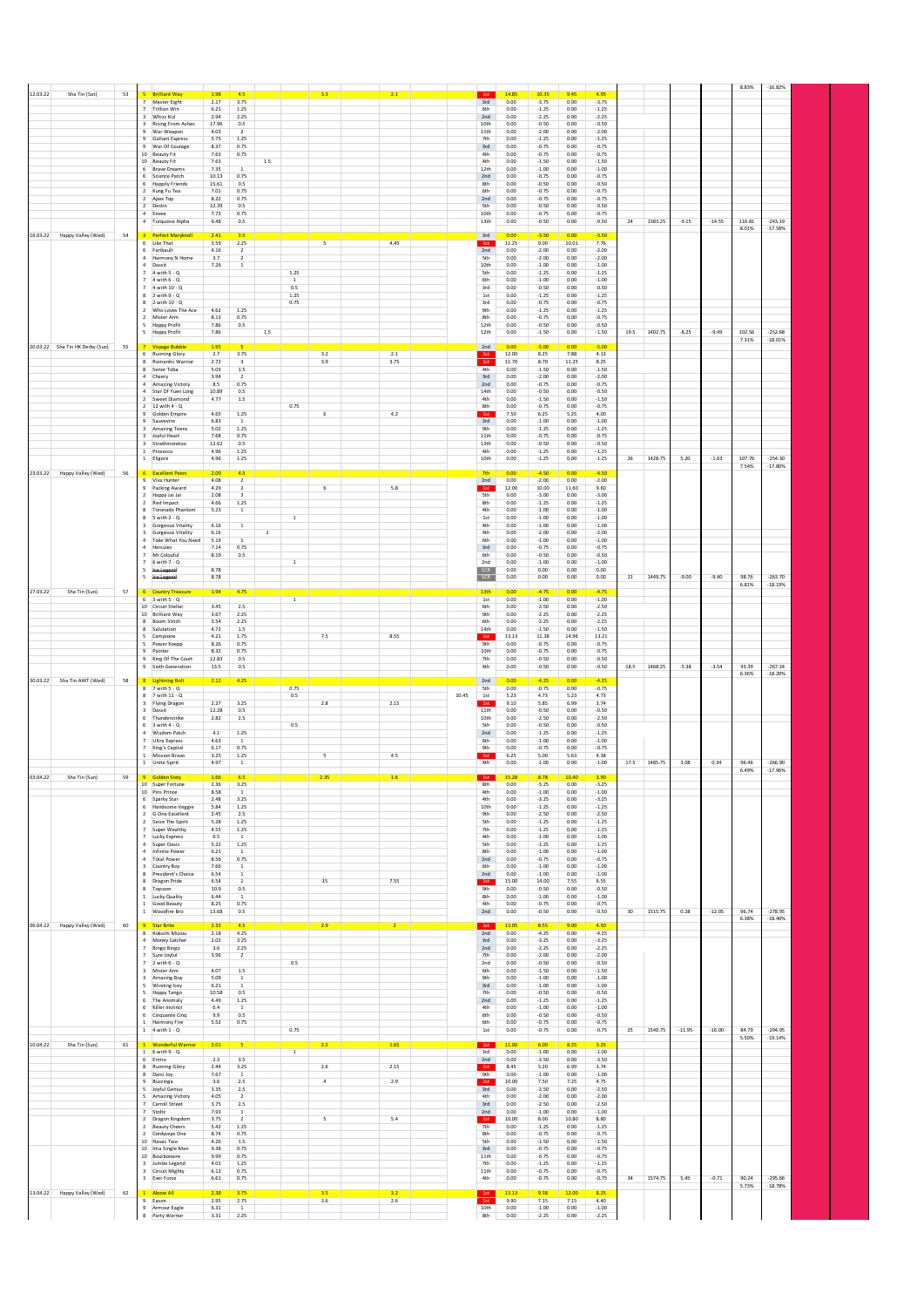| 12.03.22<br>Sha Tin (Sat)<br>53       | <b>Brilliant Way</b>                                              | 1.98           | 4.5                              | $3.3 -$                  | 2.1            | 1st                     | 14.85             | 10.35<br>9.45                                           | 4.95               |      |         |          |          | 8.83%           | $-16.82%$              |  |
|---------------------------------------|-------------------------------------------------------------------|----------------|----------------------------------|--------------------------|----------------|-------------------------|-------------------|---------------------------------------------------------|--------------------|------|---------|----------|----------|-----------------|------------------------|--|
|                                       | Master Eight<br>$\overline{7}$<br>Trillion Win                    | 2.17<br>6.21   | 3.75<br>$1.25\,$                 |                          |                | 3rd<br>6th              | 0.00<br>0.00      | $-3.75$<br>0.00<br>$-1.25$<br>$_{0.00}$                 | $-3.75$<br>$-1.25$ |      |         |          |          |                 |                        |  |
|                                       | Whizz Kid<br>$\overline{\mathbf{3}}$                              | 2.94           | 2.25                             |                          |                | 2nd                     | 0.00              | $-2.25$<br>0.00                                         | $-2.25$            |      |         |          |          |                 |                        |  |
|                                       | $\overline{3}$<br><b>Rising From Ashes</b><br>War Weapon<br>9     | 17.96<br>4.03  | 0.5<br>$\overline{2}$            |                          |                | 10th<br>11th            | 0.00<br>0.00      | $-0.50$<br>0.00<br>$-2.00$<br>0.00                      | $-0.50$<br>$-2.00$ |      |         |          |          |                 |                        |  |
|                                       | Gallant Express<br>War Of Courage                                 | 5.75<br>8.37   | 1.25<br>0.75                     |                          |                | 7th<br>3rd              | 0.00<br>$_{0.00}$ | $-1.25$<br>0.00<br>0.00<br>$-0.75$                      | $-1.25$<br>$-0.75$ |      |         |          |          |                 |                        |  |
|                                       | 10 Beauty Fit<br>10 Beauty Fit                                    | 7.63<br>7.63   | 0.75<br>1.5                      |                          |                | 4th<br>4th              | 0.00<br>0.00      | $-0.75$<br>0.00<br>$-1.50$<br>0.00                      | $-0.75$<br>$-1.50$ |      |         |          |          |                 |                        |  |
|                                       | 6 Brave Dreams                                                    | 7.35           | $\overline{1}$                   |                          |                | 12th                    | 0.00              | $-1.00$<br>0.00                                         | $-1.00$            |      |         |          |          |                 |                        |  |
|                                       | Science Patch<br><b>Happily Friends</b>                           | 10.13<br>15.61 | 0.75<br>0.5                      |                          |                | 2nd<br>8th              | 0.00<br>0.00      | $-0.75$<br>0.00<br>$-0.50$<br>0.00                      | $-0.75$<br>$-0.50$ |      |         |          |          |                 |                        |  |
|                                       | 2 Kung Fu Tea<br>2 Apex Top                                       | 7.01<br>8.22   | 0.75<br>0.75                     |                          |                | 6th<br>2nd              | 0.00<br>0.00      | $-0.75$<br>0.00<br>$-0.75$<br>0.00                      | $-0.75$<br>$-0.75$ |      |         |          |          |                 |                        |  |
|                                       | 2 Destin                                                          | 12.39          | 0.5<br>0.75                      |                          |                | 5th<br>10th             | 0.00<br>0.00      | $-0.50$<br>0.00<br>0.00                                 | $-0.50$<br>$-0.75$ |      |         |          |          |                 |                        |  |
|                                       | Eevee<br>4 Turquoise Alpha                                        | 7.73<br>9.48   | 0.5                              |                          |                | 13th                    | 0.00              | $-0.75$<br>$-0.50$<br>0.00                              | $-0.50$            | 24   | 1383.25 | $-9.15$  | $-14.55$ | 110.81          | $-243.19$              |  |
| 16.03.22 Happy Valley (Wed)<br>54     | <b>Perfect Maryknoll</b><br>з                                     | 2.41           | 3.5                              |                          |                | 3rd                     | 0.00              | $-3.50$<br>0.00                                         | $-3.50$            |      |         |          |          | 8.01%           | $-17.58%$              |  |
|                                       | 6 Like That<br>6 Faribault                                        | 3.59<br>4.16   | 2.25<br>$\overline{2}$           | 5                        | 4.45           | 1st<br>2nd              | 11.25<br>0.00     | 9.00<br>10.01<br>$-2.00$<br>0.00                        | 7.76<br>$-2.00$    |      |         |          |          |                 |                        |  |
|                                       | $\overline{a}$<br>Harmony N Home                                  | 3.7            |                                  |                          |                | 5th                     | 0.00              | $-2.00$<br>0.00                                         | $-2.00$            |      |         |          |          |                 |                        |  |
|                                       | 4 Dassit<br>7 4 with 5 - Q                                        | 7.26           | $\,$ 1 $\,$                      | 1.25                     |                | 10th<br>5th             | 0.00<br>0.00      | $-1.00$<br>0.00<br>0.00<br>$-1.25$                      | $-1.00$<br>$-1.25$ |      |         |          |          |                 |                        |  |
|                                       | $7.4$ with $6 - 0.7$<br>7 4 with 10 - Q                           |                |                                  | <sup>1</sup><br>0.5      |                | 6th<br>3rd              | 0.00<br>0.00      | $-1.00$<br>0.00<br>$-0.50$<br>0.00                      | $-1.00$<br>$-0.50$ |      |         |          |          |                 |                        |  |
|                                       | $8 - 2$ with $9 - Q$<br>8 2 with $10 - Q$                         |                |                                  | 1.25<br>0.75             |                | 1st<br>3rd              | 0.00<br>0.00      | $-1.25$<br>0.00<br>$-0.75$<br>0.00                      | $-1.25$<br>$-0.75$ |      |         |          |          |                 |                        |  |
|                                       | 2 Who Loves The Ace                                               | 4.62           | 1.25                             |                          |                | 9th                     | 0.00              | $-1.25$<br>0.00                                         | $-1.25$            |      |         |          |          |                 |                        |  |
|                                       | 2 Mister Arm<br><b>Happy Profit</b><br>5                          | 8.13<br>7.86   | 0.75<br>0.5                      |                          |                | 8th<br>12th             | 0.00<br>0.00      | $-0.75$<br>0.00<br>$-0.50$<br>0.00                      | $-0.75$<br>$-0.50$ |      |         |          |          |                 |                        |  |
|                                       | <b>Happy Profit</b><br>5                                          | 7.86           | $1.5\,$                          |                          |                | 12th                    | 0.00              | $-1.50$<br>0.00                                         | $-1.50$            | 19.5 | 1402.75 | $-8.25$  | $-9.49$  | 102.56<br>7.31% | $-252.68$<br>$-18.01%$ |  |
| 20.03.22 Sha Tin HK Derby (Sun)<br>55 | <b>Voyage Bubble</b>                                              | 1.95           |                                  |                          |                | 2nd                     | 0.00              | $-5.00$<br>0.00                                         | $-5.00$            |      |         |          |          |                 |                        |  |
|                                       | 6 Running Glory<br>8 Romantic Warrior                             | 2.7<br>2.72    | 3.75<br>$\overline{\mathbf{3}}$  | 3.2<br>3.9               | 2.1<br>3.75    | 1st<br>1st              | 12.00<br>11.70    | 8.25<br>7.88<br>8.70<br>11.25                           | 4.13<br>8.25       |      |         |          |          |                 |                        |  |
|                                       | 8 Senor Toba<br>Cheery                                            | 5.03<br>3.94   | $1.5\,$<br>$\overline{2}$        |                          |                | 4th<br>3rd              | 0.00<br>0.00      | $-1.50$<br>0.00<br>$-2.00$<br>0.00                      | $-1.50$<br>$-2.00$ |      |         |          |          |                 |                        |  |
|                                       | $\overline{a}$<br>Amazing Victory                                 | 8.5            | 0.75                             |                          |                | 2nd                     | 0.00              | $-0.75$<br>$_{0.00}$                                    | $-0.75$            |      |         |          |          |                 |                        |  |
|                                       | 4 Star Of Yuen Long<br>2 Sweet Diamond                            | 10.89<br>4.77  | 0.5<br>1.5                       |                          |                | 14th<br>4th             | 0.00<br>0.00      | $-0.50$<br>0.00<br>$-1.50$<br>0.00                      | $-0.50$<br>$-1.50$ |      |         |          |          |                 |                        |  |
|                                       | 2 12 with 4 - Q<br>Golden Empire                                  | 4.65           | $1.25\,$                         | 0.75<br>6                | $4.2\,$        | 8th<br>1st              | 0.00<br>7.50      | $-0.75$<br>0.00<br>6.25<br>5.25                         | $-0.75$<br>4.00    |      |         |          |          |                 |                        |  |
|                                       | Sauvestre<br>Amazing Teens<br>$\overline{\mathbf{3}}$             | 6.83<br>5.02   | 1<br>1.25                        |                          |                | 3rd<br>9th              | 0.00<br>0.00      | $-1.00$<br>0.00<br>$-1.25$<br>0.00                      | $-1.00$<br>$-1.25$ |      |         |          |          |                 |                        |  |
|                                       | 3 Jovful Heart                                                    | 7.68           | 0.75                             |                          |                | 11th                    | 0.00              | $-0.75$<br>0.00                                         | $-0.75$            |      |         |          |          |                 |                        |  |
|                                       | 3 Strathmoretoo<br>Prosecco                                       | 12.62<br>4.96  | 0.5<br>1.25                      |                          |                | 13th<br>4th             | 0.00<br>0.00      | $-0.50$<br>0.00<br>0.00<br>$-1.25$                      | $-0.50$<br>$-1.25$ |      |         |          |          |                 |                        |  |
|                                       | 1 Eligere                                                         | 4.96           | 1.25                             |                          |                | 10th                    | 0.00              | 0.00<br>$-1.25$                                         | $-1.25$            | 26   | 1428.75 | 5.20     | $-1.63$  | 107.76<br>7.54% | $-254.30$<br>$-17.80%$ |  |
| 23.03.22 Happy Valley (Wed)<br>56     | <b>Excellent Peers</b><br>6                                       | 2.09           | 4.5                              |                          |                | 7th                     | 0.00              | $-4.50$<br>0.00                                         | $-4.50$            |      |         |          |          |                 |                        |  |
|                                       | 9 Viva Hunter<br>9 Packing Award                                  | 4.08<br>4.29   | $\overline{2}$<br>$\overline{2}$ | 6                        | 5.8            | 2nd<br>$1\mathrm{st}$   | 0.00<br>12.00     | $-2.00$<br>0.00<br>10.00<br>11.60                       | $-2.00$<br>9.60    |      |         |          |          |                 |                        |  |
|                                       | $\overline{2}$<br>Happy Jai Jai<br>Red Impact<br>$\overline{2}$   | 2.08<br>4.66   | $\overline{\mathbf{3}}$<br>1.25  |                          |                | 5th<br>8th              | 0.00<br>0.00      | $-3.00$<br>0.00<br>$-1.25$<br>0.00                      | $-3.00$<br>$-1.25$ |      |         |          |          |                 |                        |  |
|                                       | 8 Toronado Phantom                                                | 5.23           | <sup>1</sup>                     |                          |                | 4th                     | 0.00              | 0.00<br>$-1.00$                                         | $-1.00$            |      |         |          |          |                 |                        |  |
|                                       | $R = 5$ with $2 - 0$<br>3 Gorgeous Vitality                       | 6.16           | $\overline{1}$                   | $\mathbf{1}$             |                | 1st<br>4th              | 0.00<br>0.00      | $-1.00$<br>0.00<br>$-1.00$<br>0.00                      | $-1.00$<br>$-1.00$ |      |         |          |          |                 |                        |  |
|                                       | 3 Gorgeous Vitality<br>4 Take What You Need                       | 6.16<br>5.19   | $\overline{2}$<br>$\mathbf{1}$   |                          |                | 4th<br>6th              | 0.00<br>0.00      | $-2.00$<br>0.00<br>$-1.00$<br>0.00                      | $-2.00$<br>$-1.00$ |      |         |          |          |                 |                        |  |
|                                       | $\sim$<br>Hercules                                                | 7.14           | 0.75                             |                          |                | 3rd                     | 0.00              | 0.00<br>$-0.75$                                         | $-0.75$            |      |         |          |          |                 |                        |  |
|                                       | 7 Mr Colouful<br>6 with 7 - Q<br>$\overline{7}$                   | 8.19           | 0.5                              | $1\,$                    |                | 6th<br>2nd              | 0.00<br>0.00      | $-0.50$<br>0.00<br>$-1.00$<br>0.00                      | $-0.50$<br>$-1.00$ |      |         |          |          |                 |                        |  |
|                                       | 5<br>tce-Legend<br>-5<br>lce Legend                               | 8.78<br>8.78   |                                  |                          |                | SCR<br>SCR              | 0.00<br>0.00      | 0.00<br>0.00<br>0.00<br>0.00                            | 0.00<br>0.00       | 21   | 1449.75 | $-9.00$  | $-9.40$  | 98.76           | $-263.70$              |  |
|                                       |                                                                   |                |                                  |                          |                |                         |                   |                                                         |                    |      |         |          |          | 6.81%           | $-18.19%$              |  |
| 27.03.22<br>Sha Tin (Sun)<br>57       | 6 Country Treasure<br>$6 \quad 3 \text{ with } 5 \cdot 0$         | 1.94           | 4.75                             | $\overline{1}$           |                | 13th<br>1st             | 0.00<br>0.00      | $-4.75$<br>0.00<br>$-1.00$<br>0.00                      | $-4.75$<br>$-1.00$ |      |         |          |          |                 |                        |  |
|                                       | 10 Circuit Stellar<br>10 Brilliant Way                            | 3.45<br>3.67   | 2.5<br>2.25                      |                          |                | 6th<br>9th              | 0.00<br>0.00      | $-2.50$<br>0.00<br>$-2.25$<br>0.00                      | $-2.50$<br>$-2.25$ |      |         |          |          |                 |                        |  |
|                                       | 8 Boom Stitch                                                     | 3.54           | 2.25                             |                          |                | 6th                     | 0.00              | $-2.25$<br>0.00                                         | $-2.25$            |      |         |          |          |                 |                        |  |
|                                       | 8 Salutation<br>5 Campione                                        | 4.72<br>4.21   | 1.5<br>1.75                      | 7.5                      | 8.55           | 14th<br>1st             | 0.00<br>13.13     | $-1.50$<br>0.00<br>11.38<br>14.96                       | $-1.50$<br>13.21   |      |         |          |          |                 |                        |  |
|                                       | Power Koepp<br>5<br>Painter                                       | 8.26<br>8.32   | 0.75<br>0.75                     |                          |                | <b>9th</b><br>10th      | 0.00<br>0.00      | $-0.75$<br>0.00<br>$-0.75$<br>0.00                      | $-0.75$<br>$-0.75$ |      |         |          |          |                 |                        |  |
|                                       | King Of The Court<br>9                                            | 12.83          | 0.5                              |                          |                | 7th                     | 0.00              | $-0.50$<br>0.00                                         | $-0.50$            |      |         |          |          |                 |                        |  |
|                                       | Sixth Generation<br>9                                             | 13.5           | 0.5                              |                          |                | 4th                     | 0.00              | $-0.50$<br>0.00                                         | $-0.50$            | 18.5 | 1468.25 | $-5.38$  | $-3.54$  | 93.39<br>6.36%  | $-267.24$<br>$-18.20%$ |  |
| 30.03.22 Sha Tin AWT (Wed)<br>58      | 8 Lightning Bolt<br>$8$ 7 with 5 - Q                              | 2.12           | 4.25                             | 0.75                     |                | 2nd<br><b>5th</b>       | 0.00<br>0.00      | $-4.25$<br>0.00<br>$-0.75$<br>0.00                      | $-4.25$<br>$-0.75$ |      |         |          |          |                 |                        |  |
|                                       | 8 7 with 11 - Q                                                   |                |                                  | 0.5                      |                | 10.45<br>$1\mathrm{st}$ | 5.23              | 4.73<br>5.23                                            | 4.73               |      |         |          |          |                 |                        |  |
|                                       | 3 Flying Dragon<br>3 Dassit                                       | 2.27<br>12.28  | 3.25<br>0.5                      | 2.8                      | 2.15           | 1st<br>11th             | 9.10<br>0.00      | 5.85<br>6.99<br>$-0.50$<br>0.00                         | 3.74<br>$-0.50$    |      |         |          |          |                 |                        |  |
|                                       | 6<br>Thunderstrike<br>$6 - 3$ with $4 - Q$                        | 2.82           | 2.5                              | 0.5                      |                | 10th<br>5th             | 0.00<br>0.00      | $-2.50$<br>0.00<br>$-0.50$<br>0.00                      | $-2.50$<br>$-0.50$ |      |         |          |          |                 |                        |  |
|                                       | Wisdom Patch                                                      | 4.1<br>4.63    | $1.25\,$<br>$\mathbf{1}$         |                          |                | 2nd<br>6th              | $_{0.00}$<br>0.00 | $-1.25$<br>0.00<br>$-1.00$                              | $-1.25$            |      |         |          |          |                 |                        |  |
|                                       | <b>Ultra Express</b><br>$\overline{7}$<br>7<br>King's Capital     | 6.17           | 0.75                             |                          |                | 9th                     | 0.00              | 0.00<br>$-0.75$<br>0.00                                 | $-1.00$<br>$-0.75$ |      |         |          |          |                 |                        |  |
|                                       | 1 Mission Brayo<br>1 Unite Spirit                                 | 3.25           | 1.25<br>$\,$ 1 $\,$              | $\overline{\phantom{a}}$ | 4.5            |                         |                   |                                                         |                    |      |         |          |          |                 |                        |  |
| 03.04.22<br>Sha Tin (Sun)<br>59       |                                                                   |                |                                  |                          |                | 1st<br>4th              | 6.25              | 5.00<br>5.63                                            | 4.38               |      |         |          |          | 96.46           |                        |  |
|                                       |                                                                   | 4.97           |                                  |                          |                |                         | 0.00              | $-1.00$<br>0.00                                         | $-1.00$            | 17.5 | 1485.75 | 3.08     | 0.34     | 6.49%           | $-266.90$<br>$-17.96%$ |  |
|                                       | 10 Super Fortune                                                  | 1.66<br>2.36   | 3.25                             | 2.35                     | 1.6            | 8th                     | 0.00              | 0.00<br>$-3.25$                                         | $-3.25$            |      |         |          |          |                 |                        |  |
|                                       | 10 Pins Prince<br>6 Sparky Star                                   | 8.58<br>2.48   | <sup>1</sup><br>3.25             |                          |                | 4th<br>4th              | 0.00<br>0.00      | $-1.00$<br>0.00<br>$-3.25$<br>0.00                      | $-1.00$<br>$-3.25$ |      |         |          |          |                 |                        |  |
|                                       | 6 Handsome Veggie                                                 | 5.84           | 1.25                             |                          |                | 10th                    | 0.00              | $-1.25$<br>0.00                                         | $-1.25$            |      |         |          |          |                 |                        |  |
|                                       | 2 G One Excellent<br>2 Seize The Spirit                           | 2.45<br>5.28   | 2.5<br>1.25                      |                          |                | 9th<br>5th              | 0.00<br>0.00      | $-2.50$<br>0.00<br>$-1.25$<br>0.00                      | $-2.50$<br>$-1.25$ |      |         |          |          |                 |                        |  |
|                                       | Super Wealthy<br>$\overline{7}$<br>7 Lucky Express                | 4.55<br>6.5    | 1.25<br><sup>1</sup>             |                          |                | 7th<br>4th              | 0.00<br>0.00      | $-1.25$<br>0.00<br>$-1.00$<br>0.00                      | $-1.25$<br>$-1.00$ |      |         |          |          |                 |                        |  |
|                                       | 4 Super Oasis                                                     | 5.22           | 1.25                             |                          |                | <b>5th</b>              | 0.00              | $-1.25$<br>0.00                                         | $-1.25$            |      |         |          |          |                 |                        |  |
|                                       | Infinite Power<br>4 Total Power                                   | 6.21<br>8.56   | $\,$ 1<br>0.75                   |                          |                | 8th<br>2nd              | 0.00<br>0.00      | $-1.00$<br>0.00<br>$-0.75$<br>0.00                      | $-1.00$<br>$-0.75$ |      |         |          |          |                 |                        |  |
|                                       | $\overline{\mathbf{3}}$<br>Country Boy<br>President's Choice<br>8 | 7.66<br>6.54   | <sup>1</sup><br><sup>1</sup>     |                          |                | 6th<br>2nd              | 0.00<br>0.00      | $-1.00$<br>0.00<br>$-1.00$<br>0.00                      | $-1.00$<br>$-1.00$ |      |         |          |          |                 |                        |  |
|                                       | 8 Dragon Pride<br>8                                               | 6.54<br>10.9   | $\overline{1}$                   | 15                       | 7.55           | 1st                     | 15.00<br>0.00     | 14.00<br>7.55<br>0.00                                   | 6.55<br>$-0.50$    |      |         |          |          |                 |                        |  |
|                                       | Toycoon<br>1 Lucky Quality                                        | 6.44           | $0.5\,$<br>$\,$ 1 $\,$           |                          |                | 9th<br>8th              | 0.00              | $-0.50$<br>$-1.00$<br>0.00                              | $-1.00$            |      |         |          |          |                 |                        |  |
|                                       | 1 Good Beauty<br>1 Woodfire Bro                                   | 8.25<br>13.68  | 0.75<br>0.5                      |                          |                | 4th<br>2nd              | 0.00<br>0.00      | $-0.75$<br>0.00<br>$-0.50$<br>0.00                      | $-0.75$<br>$-0.50$ | 30   | 1515.75 | 0.28     | $-12.05$ | 96.74           | $-278.95$              |  |
| 60                                    | 9 Star Brite                                                      | 2.33           | 45                               |                          |                | 1st                     | 13.05             | 8.55<br>9.00                                            | 450                |      |         |          |          | 6.38%           | $-18.40%$              |  |
| 06.04.22 Happy Valley (Wed)           | Kokushi Musou<br>8                                                | $2.18\,$       | 4.25                             | 2.9                      | $\overline{2}$ | 2nd                     | $_{0.00}$         | $-4.25$<br>$0.00\,$                                     | $-4.25$            |      |         |          |          |                 |                        |  |
|                                       | 4 Money Catcher<br>7<br><b>Bingo Bingo</b>                        | 2.02<br>3.6    | 3.25<br>2.25                     |                          |                | 3rd<br>2nd              | 0.00<br>0.00      | $-3.25$<br>0.00<br>$-2.25$<br>0.00                      | $-3.25$<br>$-2.25$ |      |         |          |          |                 |                        |  |
|                                       | Sure Joyful<br>$\overline{7}$                                     | 3.96           | $\overline{2}$                   | 0.5                      |                | 7th<br>2nd              | 0.00<br>0.00      | $-2.00$<br>0.00<br>$-0.50$<br>0.00                      | $-2.00$<br>$-0.50$ |      |         |          |          |                 |                        |  |
|                                       | $2$ with $6 - Q$<br>$\overline{\mathbf{3}}$<br>Mister Arm         | 4.07           | $1.5\,$                          |                          |                | 6th                     | 0.00              | $-1.50$<br>0.00                                         | $-1.50$            |      |         |          |          |                 |                        |  |
|                                       | Amazing Boy<br>$\overline{\mathbf{3}}$<br>5 Winning Icey          | 5.09<br>6.21   | <sup>1</sup><br><sup>1</sup>     |                          |                | <b>9th</b><br>3rd       | 0.00<br>0.00      | $-1.00$<br>0.00<br>$-1.00$<br>0.00                      | $-1.00$<br>$-1.00$ |      |         |          |          |                 |                        |  |
|                                       | Happy Tango<br>-5<br>The Anomaly<br>6                             | 10.58<br>4.49  | 0.5<br>1.25                      |                          |                | 7th<br>2nd              | 0.00<br>0.00      | $-0.50$<br>0.00<br>$-1.25$<br>0.00                      | $-0.50$<br>$-1.25$ |      |         |          |          |                 |                        |  |
|                                       | 6<br>Killer Instinct                                              | 6.4            | $\,$ 1                           |                          |                | 4th                     | 0.00              | $-1.00$<br>0.00                                         | $-1.00$            |      |         |          |          |                 |                        |  |
|                                       | 6 Cinquante Cinq<br>1 Harmony Fire                                | 9.9<br>5.52    | 0.5<br>0.75                      |                          |                | 6th<br>6th              | 0.00<br>0.00      | $-0.50$<br>0.00<br>$-0.75$<br>0.00                      | $-0.50$<br>$-0.75$ |      |         |          |          |                 |                        |  |
|                                       | $1 - 4$ with $1 - Q$                                              |                |                                  | 0.75                     |                | $1st$                   | 0.00              | $-0.75$<br>0.00                                         | $-0.75$            | 25   | 1540.75 | $-11.95$ | $-16.00$ | 84.79<br>5.50%  | $-294.95$<br>$-19.14%$ |  |
| 10.04.22<br>Sha Tin (Sun)<br>61       | <b>Wonderful Warrior</b>                                          | 2.01           | 5                                | 2.2                      | 1.65           |                         | 11.00             | 6.00<br>8.25                                            | 3.25               |      |         |          |          |                 |                        |  |
|                                       | $1$ 6 with 9 - Q<br>6 Erimo                                       | 2.3            | 3.5                              | $\overline{1}$           |                | 3rd<br>2nd              | 0.00<br>0.00      | $-1.00$<br>0.00<br>$-3.50$<br>0.00                      | $-1.00$<br>$-3.50$ |      |         |          |          |                 |                        |  |
|                                       | 8 Running Glory                                                   | 2.44<br>7.67   | 3.25<br>$\overline{1}$           | $2.6\,$                  | 2.15           | 1st<br>9th              | 8.45<br>0.00      | 5.20<br>6.99<br>$-1.00$<br>0.00                         | 3.74<br>$-1.00$    |      |         |          |          |                 |                        |  |
|                                       | 8 Darci Joy<br>$\overline{9}$<br>Buzzinga                         | $3.6\,$        | 2.5                              | $\overline{4}$           | 2.9            | 1st                     | 10.00             | 7.50<br>7.25                                            | 4.75               |      |         |          |          |                 |                        |  |
|                                       | 5 Joyful Genius<br>5 Amazing Victory                              | 3.35<br>4.05   | $2.5\,$<br>$\overline{2}$        |                          |                | 3rd<br>4th              | 0.00<br>0.00      | $-2.50$<br>0.00<br>$-2.00$<br>0.00                      | $-2.50$<br>$-2.00$ |      |         |          |          |                 |                        |  |
|                                       | 7 Carroll Street<br>Stoltz                                        | 3.75<br>7.93   | 2.5<br>$\,$ 1 $\,$               |                          |                | 3rd<br>2nd              | 0.00<br>0.00      | $-2.50$<br>0.00<br>$-1.00$<br>0.00                      | $-2.50$<br>$-1.00$ |      |         |          |          |                 |                        |  |
|                                       | 2 Dragon Kingdom                                                  | 3.75           | $\overline{\phantom{a}}$         | 5                        | 5.4            | 1st                     | 10.00             | 8.00<br>10.80                                           | 8.80               |      |         |          |          |                 |                        |  |
|                                       | <b>Beauty Cheers</b><br>$\overline{2}$<br>2 Cordyceps One         | 5.42<br>8.74   | $1.25\,$<br>0.75                 |                          |                | 7 <sup>th</sup><br>8th  | 0.00<br>0.00      | $-1.25$<br>0.00<br>$-0.75$<br>0.00                      | $-1.25$<br>$-0.75$ |      |         |          |          |                 |                        |  |
|                                       | 10 Navas Two                                                      | 4.26<br>9.38   | 1.5<br>0.75                      |                          |                | 5th<br>3rd              | 0.00<br>0.00      | $-1.50$<br>0.00<br>0.00                                 | $-1.50$<br>$-0.75$ |      |         |          |          |                 |                        |  |
|                                       | 10 Ima Single Man<br>10 Bourbonaire                               | 9.99           | 0.75                             |                          |                | 11th                    | 0.00              | $-0.75$<br>$-0.75$<br>0.00                              | $-0.75$            |      |         |          |          |                 |                        |  |
|                                       | 3 Jumbo Legend<br>3 Circuit Mighty                                | 4.01<br>6.13   | $1.25\,$<br>0.75                 |                          |                | 7th<br>11th             | 0.00<br>0.00      | $-1.25$<br>0.00<br>$-0.75$<br>0.00                      | $-1.25$<br>$-0.75$ |      |         |          |          |                 |                        |  |
|                                       | 3 Ever Force                                                      | 6.61           | 0.75                             |                          |                | 4th                     | 0.00              | $-0.75$<br>0.00                                         | $-0.75$            | 34   | 1574.75 | 5.45     | $-0.71$  | 90.24           | $-295.66$<br>$-18.78%$ |  |
| 13.04.22 Happy Valley (Wed)<br>62     | 1 Above All                                                       | 2.38<br>2.95   | 3.75                             | 3.5                      | 3.2            |                         | 13.13<br>9.90     | 9.38<br>12.00                                           | 8.25<br>4.40       |      |         |          |          | 5.73%           |                        |  |
|                                       | 9 Eason<br>9 Armour Eagle<br>8 Party Warrior                      | 6.31<br>3.31   | 2.75<br>$\overline{1}$<br>2.25   | 3.6                      | 2.6            | 1st<br>10th<br>8th      | 0.00<br>0.00      | 7.15<br>7.15<br>$-1.00$<br>$_{0.00}$<br>$-2.25$<br>0.00 | $-1.00$<br>$-2.25$ |      |         |          |          |                 |                        |  |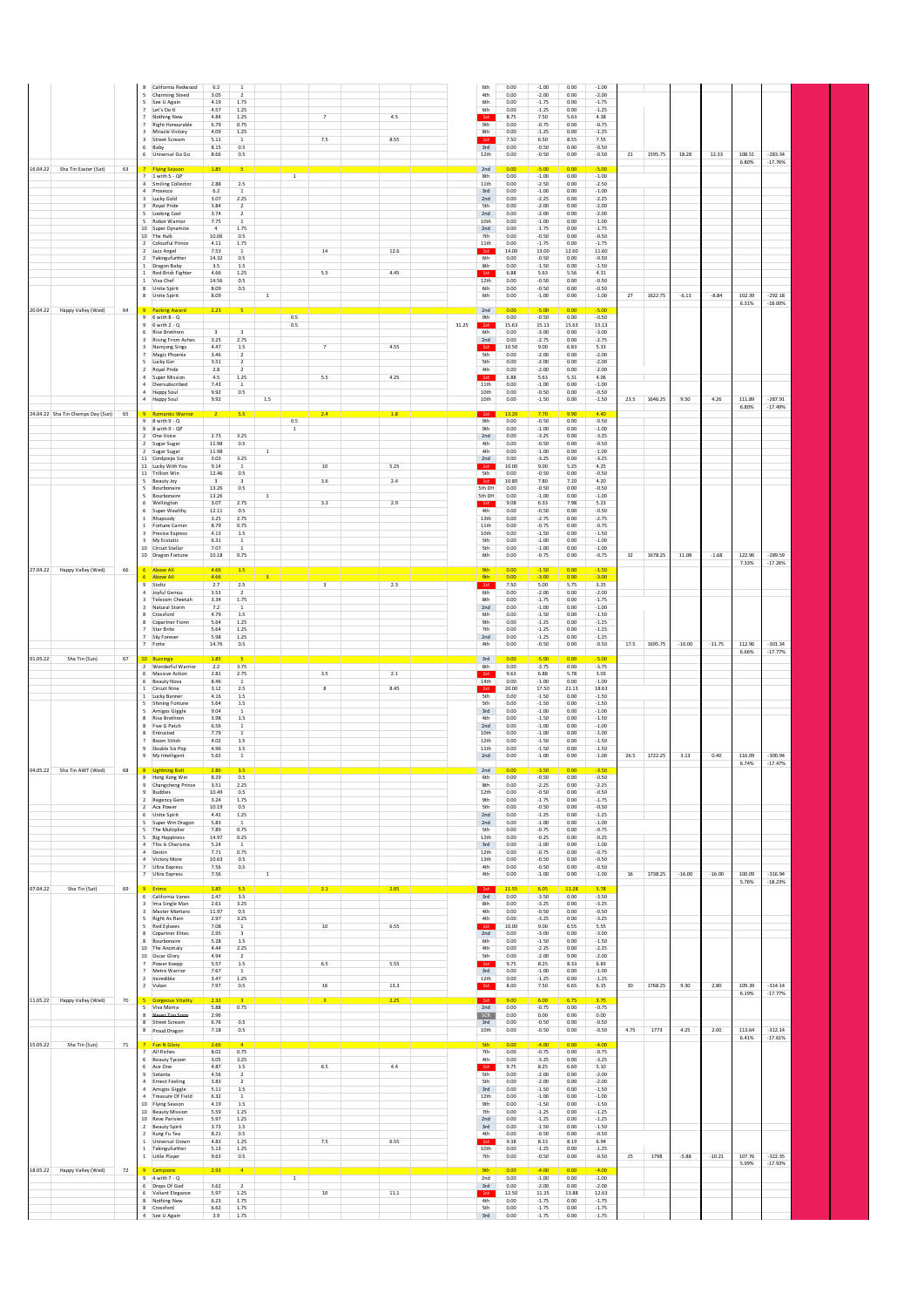|                                   |    | 8<br>5<br>5<br>$\overline{7}$<br>$\overline{7}$<br>$\overline{\mathbf{3}}$<br>6                      | California Redwood<br>Charming Steed<br>See U Again<br>Let's Do It<br>Nothing New<br>Right Honourable<br>Miracle Victory<br>3 Street Scream<br>Baby<br>6 Universal Go Go                                                                                                                                                                        | 6.2<br>3.05<br>4.19<br>4.57<br>4.84<br>6.79<br>4.09<br>5.11<br>8.15<br>8.66                                                                                    | <sup>1</sup><br>$\overline{2}$<br>1.75<br>1.25<br>1.25<br>0.75<br>1.25<br><sup>1</sup><br>0.5<br>$0.5\,$                                                        |                             |                       | $\overline{\tau}$<br>7.5                                                     | 4.5<br>8.55          |       | 6th<br>4th<br>6th<br>6th<br>1st<br><b>9th</b><br>8th<br>1st<br>3rd<br>12th                                                                               | 0.00<br>0.00<br>0.00<br>0.00<br>8.75<br>0.00<br>0.00<br>7.50<br>0.00<br>0.00                                                                           | $-1.00$<br>$-2.00$<br>$-1.75$<br>$-1.25$<br>7.50<br>$-0.75$<br>$-1.25$<br>6.50<br>$-0.50$<br>$-0.50$                                                                                                 | 0.00<br>0.00<br>0.00<br>0.00<br>5.63<br>0.00<br>0.00<br>8.55<br>0.00<br>0.00                                                                         | $-1.00$<br>$-2.00$<br>$-1.75$<br>$-1.25$<br>4.38<br>$-0.75$<br>$-1.25$<br>7.55<br>$-0.50$<br>$-0.50$                                                                                                 | 21   | 1595.75 | 18.28    | 12.33    | 108.51          | $-283.34$              |
|-----------------------------------|----|------------------------------------------------------------------------------------------------------|-------------------------------------------------------------------------------------------------------------------------------------------------------------------------------------------------------------------------------------------------------------------------------------------------------------------------------------------------|----------------------------------------------------------------------------------------------------------------------------------------------------------------|-----------------------------------------------------------------------------------------------------------------------------------------------------------------|-----------------------------|-----------------------|------------------------------------------------------------------------------|----------------------|-------|----------------------------------------------------------------------------------------------------------------------------------------------------------|--------------------------------------------------------------------------------------------------------------------------------------------------------|------------------------------------------------------------------------------------------------------------------------------------------------------------------------------------------------------|------------------------------------------------------------------------------------------------------------------------------------------------------|------------------------------------------------------------------------------------------------------------------------------------------------------------------------------------------------------|------|---------|----------|----------|-----------------|------------------------|
| 16.04.22 Sha Tin Easter (Sat)     | 63 | $\overline{7}$<br>$\overline{\mathbf{3}}$<br>3<br>5                                                  | 7 Flying Season<br>1 with 5 - OP<br>4 Smiling Collector<br>4 Prosecco<br>Lucky Gold<br>Royal Pride<br>Looking Cool<br>5 Robot Warrior<br>10 Super Dynamite                                                                                                                                                                                      | 1.85<br>2.88<br>6.2<br>3.07<br>3.84<br>3.74<br>7.75<br>$\Delta$                                                                                                | 2.5<br>$\mathbf{1}$<br>2.25<br>$\overline{2}$<br>$\overline{2}$<br><sup>1</sup><br>1.75                                                                         |                             | $\mathbf{1}$          |                                                                              |                      |       | 2nd<br>8th<br>11th<br>3rd<br>2nd<br>5th<br>2nd<br>10th<br>2nd                                                                                            | 0.00<br>0.00<br>0.00<br>0.00<br>0.00<br>0.00<br>0.00<br>0.00<br>0.00                                                                                   | $-5.00$<br>$-1.00$<br>$-2.50$<br>$-1.00$<br>$-2.25$<br>$-2.00$<br>$-2.00$<br>$-1.00$<br>$-1.75$                                                                                                      | 0.00<br>0.00<br>0.00<br>0.00<br>0.00<br>0.00<br>0.00<br>0.00<br>0.00                                                                                 | $-5.00$<br>$-1.00$<br>$-2.50$<br>$-1.00$<br>$-2.25$<br>$-2.00$<br>$-2.00$<br>$-1.00$<br>$-1.75$                                                                                                      |      |         |          |          | 6.80%           | $-17.76%$              |
|                                   |    |                                                                                                      | 10 The Hulk<br>2 Colourful Prince<br>2 Jazz Angel<br>2 Takingufurther<br>1 Dragon Baby<br>1 Red Brick Fighter<br>1 Viva Chef<br>8 Unite Spirit<br>8 Unite Spirit                                                                                                                                                                                | 10.06<br>4.11<br>7.53<br>14.32<br>3.5<br>4.66<br>14.56<br>8.09<br>8.09                                                                                         | 0.5<br>1.75<br><sup>1</sup><br>0.5<br>$1.5\,$<br>1.25<br>0.5<br>0.5                                                                                             | $\overline{1}$              |                       | 14<br>5.5                                                                    | 12.6<br>4.45         |       | 7th<br>11th<br>1st<br>6th<br>8th<br>1st<br>12th<br>6th<br>6th                                                                                            | 0.00<br>0.00<br>14.00<br>0.00<br>0.00<br>6.88<br>0.00<br>0.00<br>0.00                                                                                  | $-0.50$<br>$-1.75$<br>13.00<br>$-0.50$<br>$-1.50$<br>5.63<br>$-0.50$<br>$-0.50$<br>$-1.00$                                                                                                           | 0.00<br>0.00<br>12.60<br>0.00<br>0.00<br>5.56<br>0.00<br>0.00<br>0.00                                                                                | $-0.50$<br>$-1.75$<br>11.60<br>$-0.50$<br>$-1.50$<br>4.31<br>$-0.50$<br>$-0.50$<br>$-1.00$                                                                                                           | 27   | 1622.75 | $-6.13$  | $-8.84$  | 102.39          | $-292.18$              |
| 20.04.22 Happy Valley (Wed)       | 64 | $\overline{\mathbf{3}}$<br>$\overline{7}$<br>5<br>$\overline{2}$                                     | 9 Packing Award<br>$9 - 6$ with $8 - Q$<br>9 6 with 2 - Q<br>6 Rise Brethren<br>3 Rising From Ashes<br>Namjong Sings<br>Magic Phoenix<br>Lucky Gor<br>Royal Pride<br>4 Super Mission<br>4 Oversubscribed                                                                                                                                        | 2.23<br>$\overline{3}$<br>3.25<br>4.47<br>3.46<br>3.51<br>2.8<br>4.5<br>7.43                                                                                   | $\overline{3}$<br>2.75<br>$1.5\,$<br>$\overline{2}$<br>$\overline{2}$<br>$\overline{2}$<br>1.25<br>$\overline{1}$                                               |                             | 0.5<br>0.5            | 7<br>5.5                                                                     | 4.55<br>4.25         | 31.25 | 2nd<br>9th<br>1st<br>6th<br>2nd<br>1st<br>5th<br>5th<br>4th<br>1st<br>11th                                                                               | 0.00<br>0.00<br>15.63<br>0.00<br>0.00<br>10.50<br>0.00<br>0.00<br>0.00<br>6.88<br>0.00                                                                 | $-5.00$<br>$-0.50$<br>15.13<br>$-3.00$<br>$-2.75$<br>9.00<br>$-2.00$<br>$-2.00$<br>$-2.00$<br>5.63<br>$-1.00$                                                                                        | 0.00<br>0.00<br>15.63<br>0.00<br>0.00<br>6.83<br>0.00<br>0.00<br>0.00<br>5.31<br>0.00                                                                | $-5.00$<br>$-0.50$<br>15.13<br>$-3.00$<br>$-2.75$<br>5.33<br>$-2.00$<br>$-2.00$<br>$-2.00$<br>4.06<br>$-1.00$                                                                                        |      |         |          |          | 6.31%           | $-18.00%$              |
| 24.04.22 Sha Tin Champs Day (Sun) | 65 |                                                                                                      | 4 Happy Soul<br>4 Happy Soul<br>9 Romantic Warrior                                                                                                                                                                                                                                                                                              | 9.92<br>9.92<br>$\overline{2}$                                                                                                                                 | 0.5<br>5.5                                                                                                                                                      | 1.5                         |                       | 2.4                                                                          | 1.8                  |       | 10th<br>10th<br>1st                                                                                                                                      | 0.00<br>0.00<br>13.20                                                                                                                                  | $-0.50$<br>$-1.50$<br>7.70                                                                                                                                                                           | 0.00<br>0.00<br>9.90                                                                                                                                 | $-0.50$<br>$-1.50$<br>4.40                                                                                                                                                                           | 23.5 | 1646.25 | 9.50     | 4.26     | 111.89<br>6.80% | $-287.91$<br>$-17.49%$ |
|                                   |    | $\overline{2}$<br>-5<br>6<br>6<br><sup>1</sup><br>$\overline{\mathbf{3}}$<br>$\overline{\mathbf{3}}$ | 9 8 with 9 - Q<br>$9 - 8$ with $9 - QP$<br>One Voice<br>2 Sugar Sugar<br>2 Sugar Sugar<br>11 Cordyceps Six<br>11 Lucky With You<br>11 Trillion Win<br>5 Beauty Joy<br>5 Routhonaire<br>Bourbonaire<br>Wellington<br>Super Wealthy<br>Rhapsody<br>1 Fortune Carrier<br>Precise Express<br>My Ecstatic<br>10 Circuit Stellar<br>10 Dragon Fortune | 2.73<br>11.98<br>11.98<br>3.03<br>9.14<br>12.46<br>$\overline{\mathbf{3}}$<br>13.26<br>13.26<br>3.07<br>12.11<br>3.25<br>8.79<br>4.13<br>6.31<br>7.07<br>10.18 | 3.25<br>0.5<br>3.25<br>$\mathbf{1}$<br>0.5<br>$\overline{\mathbf{3}}$<br>0.5<br>2.75<br>0.5<br>2.75<br>0.75<br>$1.5\,$<br>$\,$ 1 $\,$<br>$\overline{1}$<br>0.75 | $\mathbf{1}$<br>$\mathbf 1$ | 0.5<br>$\overline{1}$ | $10\,$<br>3.6<br>3.3                                                         | 5.25<br>2.4<br>2.9   |       | <b>9th</b><br><b>9th</b><br>2nd<br>4th<br>4th<br>2nd<br>1st<br>5th<br>1st<br>5th DH<br>5th DH<br>1st<br>4th<br>13th<br>11th<br>10th<br>5th<br>5th<br>6th | 0.00<br>0.00<br>0.00<br>0.00<br>0.00<br>0.00<br>10.00<br>0.00<br>10.80<br>0.00<br>0.00<br>9.08<br>0.00<br>0.00<br>0.00<br>0.00<br>0.00<br>0.00<br>0.00 | $-0.50$<br>$-1.00$<br>$-3.25$<br>$-0.50$<br>$-1.00$<br>$-3.25$<br>9.00<br>$-0.50$<br>7.80<br>$-0.50$<br>$-1.00$<br>6.33<br>$-0.50$<br>$-2.75$<br>$-0.75$<br>$-1.50$<br>$-1.00$<br>$-1.00$<br>$-0.75$ | 0.00<br>0.00<br>0.00<br>0.00<br>0.00<br>0.00<br>5.25<br>0.00<br>7.20<br>0.00<br>0.00<br>7.98<br>0.00<br>0.00<br>0.00<br>0.00<br>0.00<br>0.00<br>0.00 | $-0.50$<br>$-1.00$<br>$-3.25$<br>$-0.50$<br>$-1.00$<br>$-3.25$<br>4.25<br>$-0.50$<br>4.20<br>$-0.50$<br>$-1.00$<br>5.23<br>$-0.50$<br>$-2.75$<br>$-0.75$<br>$-1.50$<br>$-1.00$<br>$-1.00$<br>$-0.75$ | 32   | 1678.25 | 11.08    | $-1.68$  | 122.96<br>7.33% | $-289.59$<br>$-17.26%$ |
| 27.04.22 Happy Valley (Wed)       | 66 | $\overline{\mathbf{3}}$<br>8<br>8<br>$\overline{7}$                                                  | 6 Above All<br>6 Above All<br>9 Stoltz<br>4 Joyful Genius<br>Telecom Cheetah<br>3 Natural Storm<br>Crossford<br>Copartner Fionn<br>Star Brite<br>7 Sky Forever<br>7 Forte                                                                                                                                                                       | 4.66<br>4.66<br>2.7<br>3.53<br>3.34<br>7.2<br>4.79<br>5.64<br>5.64<br>5.98<br>14.76                                                                            | 1.5<br>$2.5\,$<br>$\overline{2}$<br>1.75<br><sup>1</sup><br>1.5<br>1.25<br>1.25<br>1.25<br>0.5                                                                  |                             |                       | <u> 1999 - Jan James Barnett, prima politik (</u><br>$\overline{\mathbf{3}}$ | 2.3                  |       | <b>9th</b><br><b>gth</b><br>1st<br>6th<br>8th<br>2nd<br>6th<br><b>9th</b><br>7th<br>2nd<br>4th                                                           | 0.00<br>0.00<br>7.50<br>0.00<br>0.00<br>0.00<br>0.00<br>0.00<br>0.00<br>0.00<br>0.00                                                                   | $-1.50$<br>$-3.00$<br>5.00<br>$-2.00$<br>$-1.75$<br>$-1.00$<br>$-1.50$<br>$-1.25$<br>$-1.25$<br>$-1.25$<br>$-0.50$                                                                                   | 0.00<br>0.00<br>5.75<br>0.00<br>0.00<br>0.00<br>0.00<br>0.00<br>0.00<br>0.00<br>0.00                                                                 | $-1.50$<br>$-3.00$<br>3.25<br>$-2.00$<br>$-1.75$<br>$-1.00$<br>$-1.50$<br>$-1.25$<br>$-1.25$<br>$-1.25$<br>$-0.50$                                                                                   | 17.5 | 1695.75 | $-10.00$ | $-11.75$ | 112.96<br>6.66% | $-301.34$<br>$-17.77%$ |
| 01.05.22<br>Sha Tin (Sun)         | 67 | $6\overline{6}$                                                                                      | 10 Buzzinga<br>2 Wonderful Warrior<br>Massive Action<br>6 Beauty Nova                                                                                                                                                                                                                                                                           | 2.2<br>2.81<br>8.46                                                                                                                                            | 3.75<br>2.75<br>$\mathbf{1}$                                                                                                                                    |                             |                       | 3.5                                                                          | $2.1\,$              |       | 3rd<br>8th<br>1st<br>14th                                                                                                                                | 0.00<br>0.00<br>9.63<br>0.00                                                                                                                           | $-3.75$<br>6.88<br>$-1.00$                                                                                                                                                                           | 0.00<br>0.00<br>5.78<br>0.00                                                                                                                         | $-5.00$<br>$-3.75$<br>3.03<br>$-1.00$                                                                                                                                                                |      |         |          |          |                 |                        |
| 04.05.22 Sha Tin AWT (Wed)        |    | $\mathbf{1}$<br>5<br>8<br>8<br>9<br>9                                                                | 1 <b>Circuit Nine</b><br>Lucky Banner<br><b>Shining Fortune</b><br>Amigos Giggle<br>Rise Brethren<br>8 Five G Patch<br>Entrusted<br><b>Boom Stitch</b><br>Double Six Pop<br>My Intelligent<br>8 Lightning Bolt                                                                                                                                  | 3.12<br>4.16<br>5.64<br>9.04<br>3.98<br>6.56<br>7.79<br>4.02<br>4.96<br>5.65<br>2.86                                                                           | 2.5<br>$1.5\,$<br>$1.5\,$<br>$\overline{1}$<br>$1.5\,$<br><sup>1</sup><br>$\mathbf{1}$<br>$1.5\,$<br>$1.5\,$<br>$\mathbf{1}$<br>3.5                             |                             |                       | 8                                                                            | 8.45                 |       | 1st<br>5th<br>5th<br>$3rd$<br>4th<br>2nd<br>10th<br>12th<br>11th<br>2nd<br>2nd                                                                           | 20.00<br>0.00<br>0.00<br>0.00<br>0.00<br>0.00<br>0.00<br>0.00<br>0.00<br>0.00<br>0.00                                                                  | 17.50<br>$-1.50$<br>$-1.50$<br>$-1.00$<br>$-1.50$<br>$-1.00$<br>$-1.00$<br>$-1.50$<br>$-1.50$<br>$-1.00$<br>$-3.50$                                                                                  | 21.13<br>0.00<br>0.00<br>0.00<br>0.00<br>0.00<br>0.00<br>0.00<br>0.00<br>0.00<br>0.00                                                                | 18.63<br>$-1.50$<br>$-1.50$<br>$-1.00$<br>$-1.50$<br>$-1.00$<br>$-1.00$<br>$-1.50$<br>$-1.50$<br>$-1.00$<br>$-3.50$                                                                                  | 26.5 | 1722.25 | 3.13     | 0.40     | 116.09<br>6.74% | $-300.94$<br>$-17.47%$ |
|                                   | 68 | $\,$ 9<br>9<br>$\overline{2}$<br>6                                                                   | 8 Hong Kong Win<br>Changcheng Prince<br>Buddies<br>Regency Gem<br>2 Aca Power<br>Unite Spirit<br>Super Win Dragon<br>The Multiplier<br>5 Big Happiness<br>4 This Is Charisma                                                                                                                                                                    | 8.29<br>3.51<br>10.49<br>3.24<br>10.19<br>4.42<br>5.83<br>7.89<br>14.97<br>5.24                                                                                | 0.5<br>2.25<br>0.5<br>1.75<br>0.5<br>1.25<br>$\mathbf{1}$<br>0.75<br>0.25<br><sup>1</sup>                                                                       |                             |                       |                                                                              |                      |       | 6th<br>8th<br>12th<br>9th<br>5th<br>2nd<br>2nd<br>5th<br>12th<br>3rd                                                                                     | 0.00<br>0.00<br>0.00<br>0.00<br>0.00<br>0.00<br>0.00<br>0.00<br>0.00<br>0.00                                                                           | $-0.50$<br>$-2.25$<br>$-0.50$<br>$-1.75$<br>$-0.50$<br>$-1.25$<br>$-1.00$<br>$-0.75$<br>$-0.25$<br>$-1.00$                                                                                           | 0.00<br>0.00<br>0.00<br>0.00<br>0.00<br>0.00<br>0.00<br>0.00<br>0.00<br>0.00                                                                         | $-0.50$<br>$-2.25$<br>$-0.50$<br>$-1.75$<br>$-0.50$<br>$-1.25$<br>$-1.00$<br>$-0.75$<br>$-0.25$<br>$-1.00$                                                                                           |      |         |          |          |                 |                        |
|                                   |    |                                                                                                      | 4 Destin<br>4 Victory More<br>Ultra Express<br>7 Ultra Express                                                                                                                                                                                                                                                                                  | 7.71<br>10.63<br>7.56<br>7.56                                                                                                                                  | 0.75<br>0.5<br>0.5                                                                                                                                              | 1                           |                       |                                                                              |                      |       | 12th<br>13th<br>4th<br>4th                                                                                                                               | 0.00<br>0.00<br>0.00<br>0.00                                                                                                                           | $-0.75$<br>$-0.50$<br>$-0.50$<br>$-1.00$                                                                                                                                                             | 0.00<br>0.00<br>0.00<br>0.00                                                                                                                         | $-0.75$<br>$-0.50$<br>$-0.50$<br>$-1.00$                                                                                                                                                             | 16   | 1738.25 | $-16.00$ | $-16.00$ | 100.09          | $-316.94$              |
| 07.04.22<br>Sha Tin (Sat)         | 69 | $\overline{\mathbf{3}}$<br>$\overline{\mathbf{3}}$<br>8<br>$\overline{7}$                            | 9 Erimo<br>6 California Vanes<br>Ima Single Man<br>Master Montaro<br>5 Right As Rain<br>5 Red Evisees<br>Copartner Elites<br>Bourbonaire<br>10 The Anomaly<br>10 Oscar Glory<br>7 Power Koepp<br>Metro Warrior                                                                                                                                  | 1.85<br>2.47<br>2.61<br>11.97<br>2.97<br>7.08<br>2.95<br>5.28<br>4.44<br>4.94<br>5.57<br>7.67                                                                  | 5.5<br>3.5<br>3.25<br>0.5<br>3.25<br><sup>1</sup><br>$\overline{\mathbf{3}}$<br>$1.5\,$<br>2.25<br>$\overline{2}$<br>1.5<br>$\mathbf{1}$                        |                             |                       | 2.1<br>10<br>6.5                                                             | 2.05<br>6.55<br>5.55 |       | 1st<br>3rd<br>8th<br>4th<br>4th<br>1st<br>2nd<br>6th<br>4th<br>5th<br>1st<br>3rd                                                                         | 11.55<br>0.00<br>0.00<br>0.00<br>0.00<br>10.00<br>0.00<br>0.00<br>0.00<br>0.00<br>9.75<br>0.00                                                         | 6.05<br>$-3.50$<br>$-3.25$<br>$-0.50$<br>$-3.25$<br>9.00<br>$-3.00$<br>$-1.50$<br>$-2.25$<br>$-2.00$<br>8.25<br>$-1.00$                                                                              | 11.28<br>0.00<br>0.00<br>0.00<br>0.00<br>6.55<br>0.00<br>0.00<br>0.00<br>0.00<br>8.33<br>0.00                                                        | 5.78<br>$-3.50$<br>$-3.25$<br>$-0.50$<br>$-3.25$<br>5.55<br>$-3.00$<br>$-1.50$<br>$-2.25$<br>$-2.00$<br>6.83<br>$-1.00$                                                                              |      |         |          |          | 5.76%           | $-18.23%$              |
| 11.05.22 Happy Valley (Wed)       | 70 | 5                                                                                                    | 2 Incredible<br>2 Vukan<br><b>Gorgeous Vitality</b>                                                                                                                                                                                                                                                                                             | 3.47<br>7.97<br>2.32                                                                                                                                           | 1.25<br>0.5                                                                                                                                                     |                             |                       | $16\,$                                                                       | 13.3<br>2.25         |       | 12th<br>1st<br>1st                                                                                                                                       | 0.00<br>8.00<br>9.00                                                                                                                                   | $-1.25$<br>7.50<br>6.00                                                                                                                                                                              | 0.00<br>6.65<br>6.75                                                                                                                                 | $-1.25$<br>6.15                                                                                                                                                                                      | 30   | 1768.25 | 9.30     | 2.80     | 109.39<br>6.19% | $-314.14$<br>$-17.77%$ |
|                                   |    | 8<br>8                                                                                               | 5 Viva Mama<br>Never Too So<br><b>Street Scream</b><br>8 Proud Dragon                                                                                                                                                                                                                                                                           | 5.88<br>2.96<br>6.76<br>7.18                                                                                                                                   | 0.75<br>0.5<br>0.5                                                                                                                                              |                             |                       |                                                                              |                      |       | 2nd<br>SCR<br>$3rd$<br>10th                                                                                                                              | 0.00<br>0.00<br>0.00<br>0.00                                                                                                                           | $-0.75$<br>0.00<br>$-0.50$<br>$-0.50$                                                                                                                                                                | 0.00<br>0.00<br>0.00<br>0.00                                                                                                                         | $-0.75$<br>0.00<br>$-0.50$<br>$-0.50$                                                                                                                                                                | 4.75 | 1773    | 4.25     | 2.00     | 113.64          | $-312.14$              |
| 15.05.22<br>Sha Tin (Sun)         | 71 | $\overline{2}$<br>1                                                                                  | 7 Fun N Glory<br>7 All Riches<br>6 Beauty Tycoon<br>6 Ace One<br>9 Setanta<br>4 Ernest Feeling<br>4 Amigos Giggle<br>4 Treasure Of Field<br>10 Flying Season<br>10 Beauty Mission<br>10 Reve Parisien<br>2 Beauty Spirit<br>Kung Fu Tea<br>Universal Crown                                                                                      | 2.66<br>8.02<br>3.05<br>4.87<br>4.56<br>3.83<br>5.11<br>6.32<br>4.19<br>5.59<br>5.97<br>3.73<br>8.21<br>4.83                                                   | 0.75<br>3.25<br>$1.5\,$<br>$\overline{2}$<br>$\overline{2}$<br>1.5<br>$\mathbf{1}$<br>$1.5\,$<br>1.25<br>1.25<br>1.5<br>$0.5\,$<br>1.25                         |                             |                       | 6.5<br>7.5                                                                   | 4.4<br>6.55          |       | <b>5th</b><br>7th<br>4th<br>1st<br>5th<br>5th<br>3rd<br>12th<br><b>9th</b><br>7th<br>2nd<br>3rd<br>4th<br>1st                                            | 0.00<br>0.00<br>0.00<br>9.75<br>0.00<br>0.00<br>0.00<br>0.00<br>0.00<br>0.00<br>0.00<br>0.00<br>0.00<br>9.38                                           | $-4.00$<br>$-0.75$<br>$-3.25$<br>8.25<br>$-2.00$<br>$-2.00$<br>$-1.50$<br>$-1.00$<br>$-1.50$<br>$-1.25$<br>$-1.25$<br>$-1.50$<br>$-0.50$<br>8.13                                                     | 0.00<br>0.00<br>0.00<br>6.60<br>0.00<br>0.00<br>0.00<br>0.00<br>0.00<br>0.00<br>0.00<br>0.00<br>0.00<br>8.19                                         | $-4.00$<br>$-0.75$<br>$-3.25$<br>5.10<br>$-2.00$<br>$-2.00$<br>$-1.50$<br>$-1.00$<br>$-1.50$<br>$-1.25$<br>$-1.25$<br>$-1.50$<br>$-0.50$<br>6.94                                                     |      |         |          |          | 6.41%           | $-17.61%$              |
| 18.05.22 Happy Valley (Wed)       | 72 | 6<br>8                                                                                               | 1 Takingufurther<br>1 Little Player<br>9 Campione<br>9 4 with 7 - Q<br>6 Drops Of God<br>Valiant Elegance<br>Nothing New<br>8 Crossford<br>4 See U Again                                                                                                                                                                                        | 5.13<br>9.63<br>2.93<br>3.62<br>5.97<br>6.23<br>6.62<br>3.9                                                                                                    | 1.25<br>0.5<br>$\overline{4}$<br>$\overline{2}$<br>1.25<br>1.75<br>1.75<br>1.75                                                                                 |                             | $\mathbf{1}$          | $10\,$                                                                       | $11.1\,$             |       | 10th<br>7th<br><b>9th</b><br>2nd<br>$3rd$<br>1st<br>4th<br>5th<br>3rd                                                                                    | 0.00<br>0.00<br>0.00<br>0.00<br>0.00<br>12.50<br>0.00<br>0.00<br>0.00                                                                                  | $-1.25$<br>$-0.50$<br>$-4.00$<br>$-1.00$<br>$-2.00$<br>11.25<br>$-1.75$<br>$-1.75$<br>$-1.75$                                                                                                        | 0.00<br>0.00<br>0.00<br>0.00<br>0.00<br>13.88<br>0.00<br>0.00<br>0.00                                                                                | $-1.25$<br>$-0.50$<br>$-4.00$<br>$-1.00$<br>$-2.00$<br>12.63<br>$-1.75$<br>$-1.75$<br>$-1.75$                                                                                                        | 25   | 1798    | $-5.88$  | $-10.21$ | 107.76<br>5.99% | $-322.35$<br>$-17.93%$ |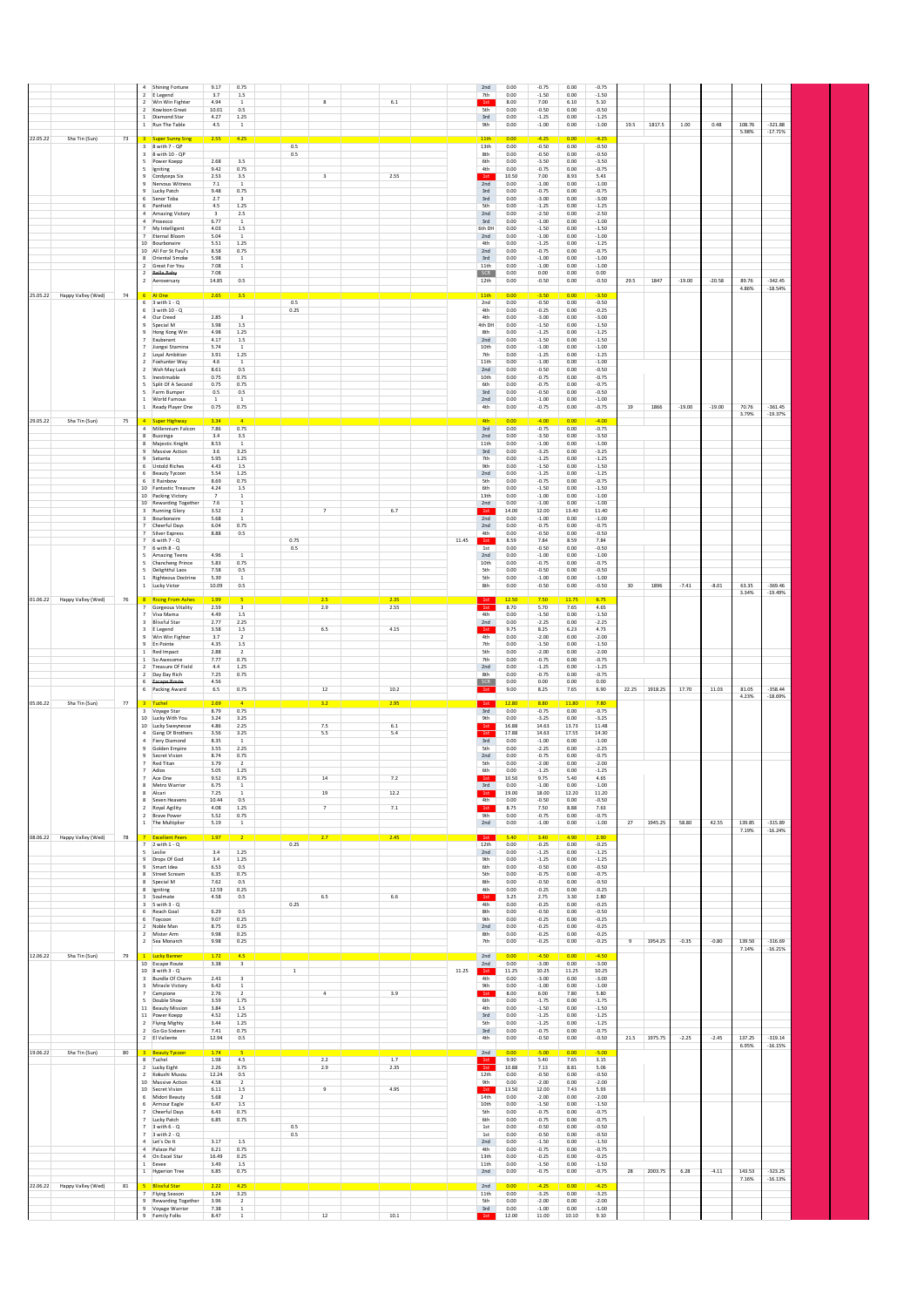|                      |                             |    | 4 Shining Fortune<br>2 E Legend                   | 9.17<br>3.7                        | 0.75<br>1.5                             |                         |            | 2nd<br>7th          | 0.00<br>0.00  | $-0.75$<br>$-1.50$ | 0.00<br>0.00  | $-0.75$<br>$-1.50$ |       |            |          |          |                 |                        |
|----------------------|-----------------------------|----|---------------------------------------------------|------------------------------------|-----------------------------------------|-------------------------|------------|---------------------|---------------|--------------------|---------------|--------------------|-------|------------|----------|----------|-----------------|------------------------|
|                      |                             |    | 2 Win Win Fighter<br>2 Kowloon Great              | 4.94<br>10.01                      | $\,$ 1 $\,$<br>0.5                      | 8                       | $6.1\,$    | 1st<br>5th          | 8.00<br>0.00  | 7.00<br>$-0.50$    | 6.10<br>0.00  | 5.10<br>$-0.50$    |       |            |          |          |                 |                        |
|                      |                             |    | 1 Diamond Star<br>1 Run The Table                 | 4.27<br>$4.5\,$                    | 1.25<br>$\,$ 1 $\,$                     |                         |            | 3rd<br>9th          | 0.00<br>0.00  | $-1.25$<br>$-1.00$ | 0.00<br>0.00  | $-1.25$<br>$-1.00$ | 19.5  | 1817.5     | 1.00     | 0.48     | 108.76          | $-321.88$              |
|                      |                             |    |                                                   | 2.55                               |                                         |                         |            | 11th                | 0.00          |                    | 0.00          | $-4.25$            |       |            |          |          | 5.98%           | $-17.71%$              |
| 22.05.22             | Sha Tin (Sun)               | 73 | <b>Super Sunny Sing</b><br>3 8 with 7 - QP        |                                    | 4.25                                    | 0.5                     |            | 13th                | 0.00          | $-0.50$            | 0.00          | $-0.50$            |       |            |          |          |                 |                        |
|                      |                             |    | 3 8 with 10 - QP<br>5 Power Koepp                 | 2.68                               | 3.5                                     | 0.5                     |            | 8th<br>6th          | 0.00<br>0.00  | $-0.50$<br>$-3.50$ | 0.00<br>0.00  | $-0.50$<br>$-3.50$ |       |            |          |          |                 |                        |
|                      |                             |    | 5 Igniting<br>Cordyceps Six                       | 9.42<br>2.53                       | 0.75<br>$3.5\,$                         | $\overline{\mathbf{3}}$ | 2.55       | 4th<br>1st          | 0.00<br>10.50 | $-0.75$<br>7.00    | 0.00<br>8.93  | $-0.75$<br>5.43    |       |            |          |          |                 |                        |
|                      |                             |    | Nervous Witness<br>9 Lucky Patch                  | $7.1\,$<br>9.48                    | $\,$ 1 $\,$<br>0.75                     |                         |            | 2nd<br>3rd          | 0.00<br>0.00  | $-1.00$<br>$-0.75$ | 0.00<br>0.00  | $-1.00$<br>$-0.75$ |       |            |          |          |                 |                        |
|                      |                             |    | 6 Senor Toba<br>6 Panfield                        | 2.7                                | $\overline{\mathbf{3}}$<br>1.25         |                         |            | 3rd<br>5th          | 0.00          | $-3.00$            | 0.00<br>0.00  | $-3.00$<br>$-1.25$ |       |            |          |          |                 |                        |
|                      |                             |    | Amazing Victory<br>$\overline{4}$                 | $4.5\,$<br>$\overline{\mathbf{3}}$ | $2.5\,$                                 |                         |            | 2nd                 | 0.00<br>0.00  | $-1.25$<br>$-2.50$ | 0.00          | $-2.50$            |       |            |          |          |                 |                        |
|                      |                             |    | 4 Prosecco<br>My Intelligent                      | 6.77<br>4.03                       | $\,$ 1 $\,$<br>1.5                      |                         |            | 3rd<br>6th DH       | 0.00<br>0.00  | $-1.00$<br>$-1.50$ | 0.00<br>0.00  | $-1.00$<br>$-1.50$ |       |            |          |          |                 |                        |
|                      |                             |    | 7 Eternal Bloom<br>10 Bourbonaire                 | 5.04<br>5.51                       | <sup>1</sup><br>1.25                    |                         |            | 2nd<br>4th          | 0.00<br>0.00  | $-1.00$<br>$-1.25$ | 0.00<br>0.00  | $-1.00$<br>$-1.25$ |       |            |          |          |                 |                        |
|                      |                             |    | 10 All For St Paul's<br>8 Oriental Smoke          | 8.58<br>5.98                       | 0.75<br>$\,$ 1 $\,$                     |                         |            | 2nd<br>3rd          | 0.00<br>0.00  | $-0.75$<br>$-1.00$ | 0.00<br>0.00  | $-0.75$<br>$-1.00$ |       |            |          |          |                 |                        |
|                      |                             |    | 2 Great For You                                   | 7.08                               | <sup>1</sup>                            |                         |            | 11th                | 0.00          | $-1.00$            | 0.00          | $-1.00$            |       |            |          |          |                 |                        |
|                      |                             |    | 2 Bella Baby<br>2 Aeroversary                     | 7.08<br>14.85                      | 0.5                                     |                         |            | SCR<br>12th         | 0.00<br>0.00  | 0.00<br>$-0.50$    | 0.00<br>0.00  | 0.00<br>$-0.50$    | 29.5  | 1847       | $-19.00$ | $-20.58$ | 89.76           | $-342.45$              |
| 25.05.22             | Happy Valley (Wed)          | 74 | 6 Al One                                          | 2.65                               | 3.5                                     |                         |            | 11th                | 0.00          | $-3.50$            | 0.00          | $-3.50$            |       |            |          |          | 4.86%           | $-18.54%$              |
|                      |                             |    | $6$ 3 with $1 - Q$<br>$6$ 3 with $10 - Q$         |                                    |                                         | 0.5<br>0.25             |            | 2nd<br>4th          | 0.00<br>0.00  | $-0.50$<br>$-0.25$ | 0.00<br>0.00  | $-0.50$<br>$-0.25$ |       |            |          |          |                 |                        |
|                      |                             |    | 4 Our Creed<br>9 Special M                        | 2.85<br>3.98                       | $\overline{\mathbf{3}}$<br>1.5          |                         |            | 4th<br>4th DH       | 0.00<br>0.00  | $-3.00$<br>$-1.50$ | 0.00<br>0.00  | $-3.00$<br>$-1.50$ |       |            |          |          |                 |                        |
|                      |                             |    | Hong Kong Win                                     | 4.98                               | 1.25                                    |                         |            | 8th                 | 0.00          | $-1.25$            | 0.00          | $-1.25$            |       |            |          |          |                 |                        |
|                      |                             |    | Exuberant<br>7 Jiangxi Stamina                    | 4.17<br>5.74                       | $1.5\,$<br>$\overline{1}$               |                         |            | 2nd<br>10th         | 0.00<br>0.00  | $-1.50$<br>$-1.00$ | 0.00<br>0.00  | $-1.50$<br>$-1.00$ |       |            |          |          |                 |                        |
|                      |                             |    | 2 Loyal Ambition<br>2 Foxhunter Way               | 3.91<br>4.6                        | 1.25<br>$\overline{1}$                  |                         |            | 7th<br>11th         | 0.00<br>0.00  | $-1.25$<br>$-1.00$ | 0.00<br>0.00  | $-1.25$<br>$-1.00$ |       |            |          |          |                 |                        |
|                      |                             |    | 2 Wah May Luck<br>Inestimable                     | 8.61<br>0.75                       | 0.5<br>0.75                             |                         |            | 2nd<br>10th         | 0.00<br>0.00  | $-0.50$<br>$-0.75$ | 0.00<br>0.00  | $-0.50$<br>$-0.75$ |       |            |          |          |                 |                        |
|                      |                             |    | 5 Split Of A Second                               | 0.75                               | 0.75                                    |                         |            | 6th                 | 0.00          | $-0.75$            | 0.00          | $-0.75$            |       |            |          |          |                 |                        |
|                      |                             |    | 5 Farm Bumper<br>1 World Famous                   | 0.5<br>$\mathbf{1}$                | 0.5<br>$\overline{1}$                   |                         |            | 3rd<br>2nd          | 0.00<br>0.00  | $-0.50$<br>$-1.00$ | 0.00<br>0.00  | $-0.50$<br>$-1.00$ |       |            |          |          |                 |                        |
|                      |                             |    | 1 Ready Player One                                | 0.75                               | 0.75                                    |                         |            | 4th                 | 0.00          | $-0.75$            | 0.00          | $-0.75$            | 19    | 1866       | $-19.00$ | $-19.00$ | 70.76<br>3.79%  | $-361.45$<br>$-19.37%$ |
| 29.05.22             | Sha Tin (Sun)               | 75 | 4 Super Highway<br>4 Millennium Falcon            | 3.34<br>7.86                       | 0.75                                    |                         |            | 4th<br>3rd          | 0.00<br>0.00  | $-4.00$<br>$-0.75$ | 0.00<br>0.00  | $-4.00$<br>$-0.75$ |       |            |          |          |                 |                        |
|                      |                             |    | 8 Buzzinga                                        | 3.4                                | 3.5<br>$\overline{1}$                   |                         |            | 2nd                 | 0.00          | $-3.50$            | 0.00<br>0.00  | $-3.50$            |       |            |          |          |                 |                        |
|                      |                             |    | 8 Majestic Knight<br>Massive Action               | 8.53<br>3.6                        | 3.25                                    |                         |            | 11th<br>$3rd$       | 0.00<br>0.00  | $-1.00$<br>$-3.25$ | 0.00          | $-1.00$<br>$-3.25$ |       |            |          |          |                 |                        |
|                      |                             |    | 9 Setanta<br>6 Untold Riches                      | 5.95<br>4.43                       | 1.25<br>1.5                             |                         |            | 7th<br><b>9th</b>   | 0.00<br>0.00  | $-1.25$<br>$-1.50$ | 0.00<br>0.00  | $-1.25$<br>$-1.50$ |       |            |          |          |                 |                        |
|                      |                             |    | 6 Beauty Tycoon<br>6 E Rainbow                    | 5.54<br>8.69                       | 1.25<br>0.75                            |                         |            | 2nd<br>5th          | 0.00<br>0.00  | $-1.25$<br>$-0.75$ | 0.00<br>0.00  | $-1.25$<br>$-0.75$ |       |            |          |          |                 |                        |
|                      |                             |    | 10 Fantastic Treasure<br>10 Packing Victory       | 4.24<br>$\overline{7}$             | $1.5\,$<br>$\mathbf{1}$                 |                         |            | 6th<br>13th         | 0.00<br>0.00  | $-1.50$<br>$-1.00$ | 0.00<br>0.00  | $-1.50$<br>$-1.00$ |       |            |          |          |                 |                        |
|                      |                             |    | 10 Rewarding Together                             | 7.6                                | 1                                       |                         |            | 2nd                 | 0.00          | $-1.00$            | 0.00          | $-1.00$            |       |            |          |          |                 |                        |
|                      |                             |    | 3 Running Glory<br>3 Bourbonaire                  | 3.52<br>5.68                       | $\overline{2}$<br>$\overline{1}$        | $\overline{7}$          | 6.7        | 1st<br>2nd          | 14.00<br>0.00 | 12.00<br>$-1.00$   | 13.40<br>0.00 | 11.40<br>$-1.00$   |       |            |          |          |                 |                        |
|                      |                             |    | Cheerful Days<br>7 Silver Express                 | 6.04<br>8.88                       | 0.75<br>0.5                             |                         |            | 2nd<br>4th          | 0.00<br>0.00  | $-0.75$<br>$-0.50$ | 0.00<br>0.00  | $-0.75$<br>$-0.50$ |       |            |          |          |                 |                        |
|                      |                             |    | 6 with 7 - Q<br>7 6 with 8 - Q                    |                                    |                                         | 0.75<br>0.5             |            | 11.45<br>1st<br>1st | 8.59<br>0.00  | 7.84<br>$-0.50$    | 8.59<br>0.00  | 7.84<br>$-0.50$    |       |            |          |          |                 |                        |
|                      |                             |    | 5 Amazing Teens                                   | 4.96                               | $\overline{1}$                          |                         |            | 2nd                 | 0.00          | $-1.00$            | 0.00          | $-1.00$            |       |            |          |          |                 |                        |
|                      |                             |    | Chancheng Prince<br>5<br>5 Delightful Laos        | 5.83<br>7.58                       | 0.75<br>0.5                             |                         |            | 10th<br>5th         | 0.00<br>0.00  | $-0.75$<br>$-0.50$ | 0.00<br>0.00  | $-0.75$<br>$-0.50$ |       |            |          |          |                 |                        |
|                      |                             |    | 1 Righteous Doctrine<br>1 Lucky Victor            | 5.39<br>10.09                      | <sup>1</sup><br>0.5                     |                         |            | 5th<br>8th          | 0.00<br>0.00  | $-1.00$<br>$-0.50$ | 0.00<br>0.00  | $-1.00$<br>$-0.50$ | 30    | 1896       | $-7.41$  | $-8.01$  | 63.35           | $-369.46$              |
|                      | 01.06.22 Happy Valley (Wed) | 76 | 8 Rising From Ashes                               | 1.99                               |                                         | 2.5                     | 2.35       |                     | 12.50         | 7.50               | 11.75         |                    |       |            |          |          | 3.34%           | $-19.49%$              |
|                      |                             |    | Gorgeous Vitality<br>$\overline{7}$               | 2.59                               | $\overline{\mathbf{3}}$                 | 2.9                     | 2.55       | 1st                 | 8.70          | 5.70               | 7.65          | 4.65               |       |            |          |          |                 |                        |
|                      |                             |    | Viva Mama<br>$\overline{7}$<br>3 Blissful Star    | 4.49<br>2.77                       | 1.5<br>2.25                             |                         |            | 4th<br>2nd          | 0.00<br>0.00  | $-1.50$<br>$-2.25$ | 0.00<br>0.00  | $-1.50$<br>$-2.25$ |       |            |          |          |                 |                        |
|                      |                             |    | 3 E Legend<br>9 Win Win Fighter                   | 3.58<br>3.7                        | 1.5<br>$\overline{2}$                   | 6.5                     | 4.15       | 1st<br>4th          | 9.75<br>0.00  | 8.25<br>$-2.00$    | 6.23<br>0.00  | 4.73<br>$-2.00$    |       |            |          |          |                 |                        |
|                      |                             |    | 9 En Pointe<br>Red Impact<br>1                    | 4.35<br>2.88                       | $1.5\,$<br>$\overline{2}$               |                         |            | 7th<br>5th          | 0.00<br>0.00  | $-1.50$<br>$-2.00$ | 0.00<br>0.00  | $-1.50$<br>$-2.00$ |       |            |          |          |                 |                        |
|                      |                             |    | 1 So Awesome<br>2 Treasure Of Field               | 7.77<br>4.4                        | 0.75<br>1.25                            |                         |            | 7th<br>2nd          | 0.00<br>0.00  | $-0.75$<br>$-1.25$ | 0.00<br>0.00  | $-0.75$<br>$-1.25$ |       |            |          |          |                 |                        |
|                      |                             |    | 2 Day Day Rich                                    | 7.25                               | 0.75                                    |                         |            | 8th                 | 0.00          | $-0.75$            | 0.00          | $-0.75$            |       |            |          |          |                 |                        |
|                      |                             |    | Escape Route<br>6 Packing Award                   | 4.56<br>6.5                        | 0.75                                    | $12\,$                  | 10.2       | SCR<br>1st          | 0.00<br>9.00  | 0.00<br>8.25       | 0.00<br>7.65  | 0.00<br>6.90       | 22.25 | 1918.25    | 17.70    | 11.03    | 81.05           | $-358.44$              |
| 05.06.22             | Sha Tin (Sun)               | 77 | Tuchel                                            | 2.69                               |                                         | 3.2                     | 2.95       | 1st                 | 12.80         | 8.80               | 11.80         | 7.80               |       |            |          |          | 4.23%           | $-18.69%$              |
|                      |                             |    | 3 Voyage Star<br>10 Lucky With You                | 8.79<br>3.24                       | 0.75<br>3.25                            |                         |            | 3rd<br>9th          | 0.00<br>0.00  | $-0.75$<br>$-3.25$ | 0.00<br>0.00  | $-0.75$<br>$-3.25$ |       |            |          |          |                 |                        |
|                      |                             |    |                                                   |                                    | 2.25                                    | 7.5                     | 6.1<br>5.4 | $1\mathrm{st}$      | 16.88         | 14.63              | 13.73         | 11.48              |       |            |          |          |                 |                        |
|                      |                             |    | 10 Lucky Sweynesse<br>4 Gang Of Brothers          | 4.86<br>3.56                       | 3.25                                    | 5.5                     |            | 1st                 | 17.88         | 14.63              | 17.55         | 14.30              |       |            |          |          |                 |                        |
|                      |                             |    | 4 Fiery Diamond<br>9 Golden Empire                | 8.35<br>3.55                       | <sup>1</sup><br>2.25                    |                         |            | 3rd<br>5th          | 0.00<br>0.00  | $-1.00$<br>$-2.25$ | 0.00<br>0.00  | $-1.00$<br>$-2.25$ |       |            |          |          |                 |                        |
|                      |                             |    | 9 Secret Vision                                   | 8.74                               | 0.75                                    |                         |            | 2nd                 | 0.00          | $-0.75$            | 0.00          | $-0.75$            |       |            |          |          |                 |                        |
|                      |                             |    | Red Titan<br>Adios<br>$\overline{7}$              | 3.79<br>5.05                       | $\overline{2}$<br>1.25                  |                         |            | 5th<br>6th          | 0.00<br>0.00  | $-2.00$<br>$-1.25$ | 0.00<br>0.00  | $-2.00$<br>$-1.25$ |       |            |          |          |                 |                        |
|                      |                             |    | $\overline{7}$<br>Ace One<br>8 Metro Warrior      | 9.52<br>6.75                       | 0.75<br><sup>1</sup>                    | $14\,$                  | 7.2        | 1st<br>3rd          | 10.50<br>0.00 | 9.75<br>$-1.00$    | 5.40<br>0.00  | 4.65<br>$-1.00$    |       |            |          |          |                 |                        |
|                      |                             |    | 8 Alcari<br>8                                     | 7.25                               | $\overline{1}$                          | 19                      | 12.2       | $1st$               | 19.00         | 18.00              | 12.20         | 11.20<br>$-0.50$   |       |            |          |          |                 |                        |
|                      |                             |    | Seven Heavens<br>2 Royal Agility<br>2 Rrave Power | 10.44<br>4.08                      | 0.5<br>1.25                             | $\overline{7}$          | $7.1\,$    | 4th<br>1st          | 0.00<br>8.75  | $-0.50$<br>7.50    | 0.00<br>8.88  | 7.63               |       |            |          |          |                 |                        |
|                      |                             |    | 1 The Multiplier                                  | 5.52<br>5.19                       | 0.75<br><sup>1</sup>                    |                         |            | <b>9th</b><br>2nd   | 0.00<br>0.00  | $-0.75$<br>$-1.00$ | 0.00<br>0.00  | $-0.75$<br>$-1.00$ |       | 27 1945.25 | 58.80    | 42.55    | 139.85          | $-315.89$              |
|                      | 08.06.22 Happy Valley (Wed) | 78 | 7 Excellent Peer:                                 | 1.97                               |                                         | 2.7                     | 2.45       | 1st                 | 5.40          | 3.40               | 4.90          | 2.90               |       |            |          |          | 7.19%           | $-16.24%$              |
|                      |                             |    | 7 2 with $1 - Q$<br>5 Leslie                      | 3.4                                | 1.25                                    | 0.25                    |            | 12th<br>2nd         | 0.00<br>0.00  | $-0.25$<br>$-1.25$ | 0.00<br>0.00  | $-0.25$<br>$-1.25$ |       |            |          |          |                 |                        |
|                      |                             |    | 9 Drops Of God<br>9 Smart Idea                    | 3.4<br>6.53                        | 1.25<br>0.5                             |                         |            | 9th<br>6th          | 0.00<br>0.00  | $-1.25$<br>$-0.50$ | 0.00<br>0.00  | $-1.25$<br>$-0.50$ |       |            |          |          |                 |                        |
|                      |                             |    | 8 Street Scream                                   | 6.35                               | 0.75                                    |                         |            | 5th                 | 0.00          | $-0.75$            | 0.00          | $-0.75$            |       |            |          |          |                 |                        |
|                      |                             |    | 8 Special M<br>8 Igniting                         | 7.62<br>12.59                      | 0.5<br>0.25                             |                         |            | 8th<br>4th          | 0.00<br>0.00  | $-0.50$<br>$-0.25$ | 0.00<br>0.00  | $-0.50$<br>$-0.25$ |       |            |          |          |                 |                        |
|                      |                             |    | 3 Soulmate<br>$3.5 with 3 - 0$                    | 4.58                               | 0.5                                     | 6.5<br>0.25             | 6.6        | 1st<br>4th          | 3.25<br>0.00  | 2.75<br>$-0.25$    | 3.30<br>0.00  | 2.80<br>$-0.25$    |       |            |          |          |                 |                        |
|                      |                             |    | 6 Reach Goal<br>6<br>Toycoon                      | 6.29<br>9.07                       | 0.5<br>0.25                             |                         |            | 8th<br><b>9th</b>   | 0.00<br>0.00  | $-0.50$<br>$-0.25$ | 0.00<br>0.00  | $-0.50$<br>$-0.25$ |       |            |          |          |                 |                        |
|                      |                             |    | 2 Noble Man                                       | 8.75                               | 0.25                                    |                         |            | 2nd                 | 0.00          | $-0.25$            | 0.00          | $-0.25$            |       |            |          |          |                 |                        |
|                      |                             |    | 2 Mister Arm<br>2 Sea Monarch                     | 9.98<br>9.98                       | 0.25<br>0.25                            |                         |            | 8th<br>7th          | 0.00<br>0.00  | $-0.25$<br>$-0.25$ | 0.00<br>0.00  | $-0.25$<br>$-0.25$ | 9     | 1954.25    | $-0.35$  | $-0.80$  | 139.50          | $-316.69$              |
|                      | Sha Tin (Sun)               | 79 | 1 Lucky Banner                                    | 1.72                               | 4.5                                     |                         |            | 2nd                 | 0.00          | $-4.50$            | 0.00          | $-4.50$            |       |            |          |          | 7.14%           | $-16.21%$              |
|                      |                             |    | 10 Escape Route<br>10 8 with 3 - Q                | 3.38                               | $\overline{\mathbf{3}}$                 | $\,$ 1 $\,$             |            | 2nd<br>11.25<br>1st | 0.00<br>11.25 | $-3.00$<br>10.25   | 0.00<br>11.25 | $-3.00$<br>10.25   |       |            |          |          |                 |                        |
|                      |                             |    | 3 Bundle Of Charm<br>3 Miracle Victory            | 2.43<br>6.42                       | $\overline{\mathbf{3}}$<br>$\mathbf{1}$ |                         |            | 4th<br><b>9th</b>   | 0.00<br>0.00  | $-3.00$<br>$-1.00$ | 0.00<br>0.00  | $-3.00$<br>$-1.00$ |       |            |          |          |                 |                        |
|                      |                             |    | 7 Campione                                        | 2.76                               | $\overline{2}$                          | $\overline{4}$          | 3.9        | 1st                 | 8.00          | 6.00               | 7.80          | 5.80               |       |            |          |          |                 |                        |
|                      |                             |    | 5 Double Show<br>11 Beauty Mission                | 3.59<br>3.84                       | 1.75<br>1.5                             |                         |            | 6th<br>4th          | 0.00<br>0.00  | $-1.75$<br>$-1.50$ | 0.00<br>0.00  | $-1.75$<br>$-1.50$ |       |            |          |          |                 |                        |
|                      |                             |    | 11 Power Koepp<br>2 Flying Mighty                 | 4.52<br>3.44                       | 1.25<br>1.25                            |                         |            | 3rd<br>5th          | 0.00<br>0.00  | $-1.25$<br>$-1.25$ | 0.00<br>0.00  | $-1.25$<br>$-1.25$ |       |            |          |          |                 |                        |
|                      |                             |    | 2 Go Go Sixteen                                   | 7.41                               | 0.75                                    |                         |            | 3rd                 | 0.00          | $-0.75$            | 0.00          | $-0.75$            |       |            |          |          |                 |                        |
|                      |                             |    | 2 El Valiente                                     | 12.94                              | $0.5\,$                                 |                         |            | 4th                 | 0.00          | $-0.50$            | 0.00          | $-0.50$            | 21.5  | 1975.75    | $-2.25$  | $-2.45$  | 137.25<br>6.95% | $-319.14$<br>$-16.15%$ |
|                      | Sha Tin (Sun)               | 80 | <b>Beauty Tycoon</b><br>8 Tuchel                  | 1.74<br>1.98                       | 4.5                                     | 2.2                     | 1.7        | 2nd<br>1st          | 0.00<br>9.90  | $-5.00$<br>5.40    | 0.00<br>7.65  | $-5.00$<br>3.15    |       |            |          |          |                 |                        |
|                      |                             |    | 2 Lucky Eight<br>2 Kokushi Musou                  | 2.26<br>12.24                      | 3.75<br>0.5                             | 2.9                     | 2.35       | 1st<br>12th         | 10.88<br>0.00 | 7.13<br>$-0.50$    | 8.81<br>0.00  | 5.06<br>$-0.50$    |       |            |          |          |                 |                        |
|                      |                             |    | 10 Massive Action<br>10 Secret Vision             | 4.58                               | $\overline{2}$<br>1.5                   | 9                       |            | 9th<br>1st          | 0.00          | $-2.00$            | 0.00          | $-2.00$            |       |            |          |          |                 |                        |
|                      |                             |    | 6 Midori Beauty                                   | 6.11<br>5.68                       | $\overline{2}$                          |                         | 4.95       | 14th                | 13.50<br>0.00 | 12.00<br>$-2.00$   | 7.43<br>0.00  | 5.93<br>$-2.00$    |       |            |          |          |                 |                        |
|                      |                             |    | 6 Armour Eagle<br>7 Cheerful Days                 | 6.47<br>6.43                       | 1.5<br>0.75                             |                         |            | 10th<br>5th         | 0.00<br>0.00  | $-1.50$<br>$-0.75$ | 0.00<br>0.00  | $-1.50$<br>$-0.75$ |       |            |          |          |                 |                        |
|                      |                             |    | 7 Lucky Patch<br>$7 - 3$ with $6 - Q$             | 6.85                               | 0.75                                    | 0.5                     |            | 6th<br>1st          | 0.00<br>0.00  | $-0.75$<br>$-0.50$ | 0.00<br>0.00  | $-0.75$<br>$-0.50$ |       |            |          |          |                 |                        |
|                      |                             |    | 7 3 with 2 - Q<br>4 Let's Do It                   | 3.17                               | 1.5                                     | 0.5                     |            | 1st<br>2nd          | 0.00<br>0.00  | $-0.50$            | 0.00<br>0.00  | $-0.50$<br>$-1.50$ |       |            |          |          |                 |                        |
|                      |                             |    | 4 Palace Pal                                      | 6.21                               | 0.75                                    |                         |            | 4th                 | 0.00          | $-1.50$<br>$-0.75$ | 0.00          | $-0.75$            |       |            |          |          |                 |                        |
|                      |                             |    | 4 On Excel Star<br>1 Eevee                        | 16.49<br>3.49                      | 0.25<br>$1.5\,$                         |                         |            | 13th<br>11th        | 0.00<br>0.00  | $-0.25$<br>$-1.50$ | 0.00<br>0.00  | $-0.25$<br>$-1.50$ |       |            |          |          |                 |                        |
|                      |                             |    | 1 Hyperion Tree                                   | 6.85                               | 0.75                                    |                         |            | 2nd                 | 0.00          | $-0.75$            | 0.00          | $-0.75$            | 28    | 2003.75    | 6.28     | $-4.11$  | 143.53<br>7.16% | $-323.25$<br>$-16.13%$ |
|                      | 22.06.22 Happy Valley (Wed) | 81 | 5 Blissful Star<br>7 Flying Season                | 2.22<br>3.24                       | 4.25<br>3.25                            |                         |            | 2nd<br>11th         | 0.00<br>0.00  | $-4.25$<br>$-3.25$ | 0.00<br>0.00  | $-4.25$<br>$-3.25$ |       |            |          |          |                 |                        |
| 12.06.22<br>19.06.22 |                             |    | 9 Rewarding Together<br>9 Voyage Warrior          | 3.96<br>7.38                       | $\overline{2}$<br>$\mathbf{1}$          |                         |            | 5th<br>3rd          | 0.00<br>0.00  | $-2.00$<br>$-1.00$ | 0.00<br>0.00  | $-2.00$<br>$-1.00$ |       |            |          |          |                 |                        |